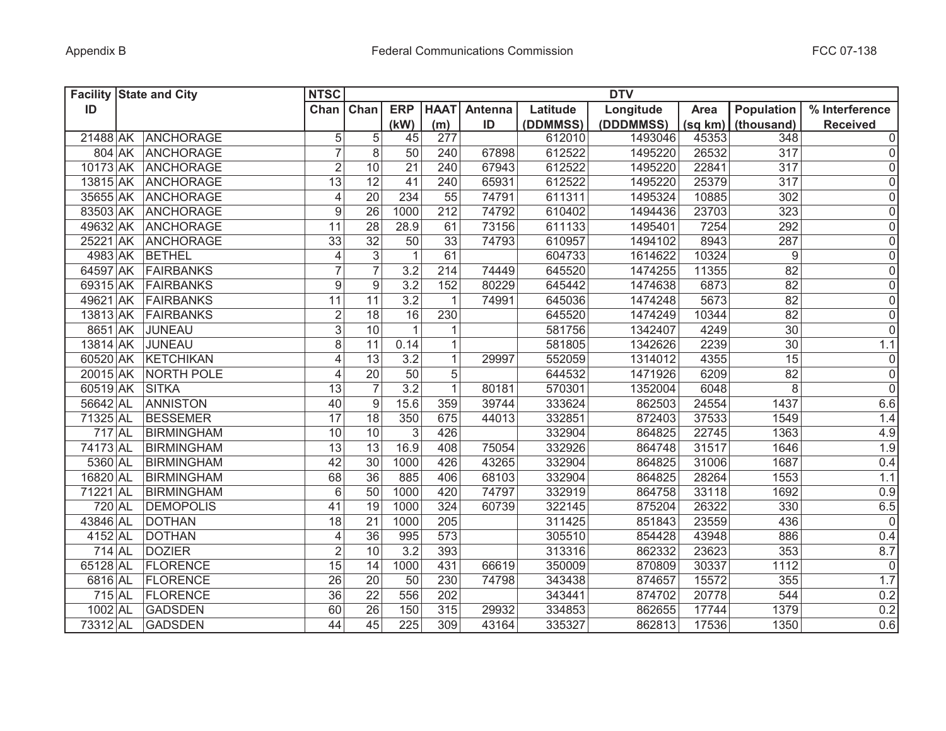|          | <b>Facility State and City</b> | <b>NTSC</b>      |                 |                   |                 |         |          | <b>DTV</b> |         |                   |                 |
|----------|--------------------------------|------------------|-----------------|-------------------|-----------------|---------|----------|------------|---------|-------------------|-----------------|
| ID       |                                | Chan $\vert$     | Chan            | <b>ERP</b>        | <b>HAAT</b>     | Antenna | Latitude | Longitude  | Area    | Population        | % Interference  |
|          |                                |                  |                 | (kW)              | (m)             | ID      | (DDMMSS) | (DDDMMSS)  | (sq km) | (thousand)        | <b>Received</b> |
|          | 21488 AK ANCHORAGE             | 5                | 5               | 45                | 277             |         | 612010   | 1493046    | 45353   | 348               | $\overline{0}$  |
|          | 804 AK ANCHORAGE               | $\overline{7}$   | 8               | 50                | 240             | 67898   | 612522   | 1495220    | 26532   | 317               | 0               |
|          | 10173 AK ANCHORAGE             | $\overline{2}$   | 10              | 21                | 240             | 67943   | 612522   | 1495220    | 22841   | 317               | 0               |
|          | 13815 AK ANCHORAGE             | 13               | 12              | 41                | 240             | 65931   | 612522   | 1495220    | 25379   | 317               | 0               |
|          | 35655 AK ANCHORAGE             | $\overline{4}$   | 20              | 234               | 55              | 74791   | 611311   | 1495324    | 10885   | 302               | $\overline{0}$  |
|          | 83503 AK ANCHORAGE             | 9                | 26              | 1000              | 212             | 74792   | 610402   | 1494436    | 23703   | 323               | 0               |
|          | 49632 AK ANCHORAGE             | 11               | 28              | 28.9              | 61              | 73156   | 611133   | 1495401    | 7254    | 292               | 0               |
|          | 25221 AK ANCHORAGE             | 33               | $\overline{32}$ | 50                | $\overline{33}$ | 74793   | 610957   | 1494102    | 8943    | 287               | $\overline{0}$  |
|          | 4983 AK BETHEL                 | 4                | 3               | $\mathbf{1}$      | 61              |         | 604733   | 1614622    | 10324   | 9                 | $\overline{0}$  |
|          | 64597 AK FAIRBANKS             | $\overline{7}$   | $\overline{7}$  | 3.2               | 214             | 74449   | 645520   | 1474255    | 11355   | $\overline{82}$   | $\overline{0}$  |
|          | 69315 AK FAIRBANKS             | $\boldsymbol{9}$ | $\overline{9}$  | 3.2               | 152             | 80229   | 645442   | 1474638    | 6873    | 82                | $\overline{0}$  |
|          | 49621 AK FAIRBANKS             | $\overline{11}$  | 11              | $\overline{3.2}$  | $\mathbf{1}$    | 74991   | 645036   | 1474248    | 5673    | 82                | $\overline{0}$  |
|          | 13813 AK FAIRBANKS             | $\overline{2}$   | $\overline{18}$ | 16                | 230             |         | 645520   | 1474249    | 10344   | $\overline{82}$   | $\overline{0}$  |
|          | 8651 AK JUNEAU                 | $\overline{3}$   | 10              | $\mathbf{1}$      | 1               |         | 581756   | 1342407    | 4249    | $\overline{30}$   | $\overline{0}$  |
|          | 13814 AK JUNEAU                | $\overline{8}$   | $\overline{11}$ | 0.14              | $\mathbf{1}$    |         | 581805   | 1342626    | 2239    | 30                | 1.1             |
|          | 60520 AK KETCHIKAN             | $\overline{4}$   | $\overline{13}$ | 3.2               | $\mathbf{1}$    | 29997   | 552059   | 1314012    | 4355    | 15                | $\overline{0}$  |
|          | 20015 AK NORTH POLE            | 4                | $\overline{20}$ | 50                | 5               |         | 644532   | 1471926    | 6209    | 82                | $\overline{0}$  |
|          | 60519 AK SITKA                 | 13               | $\overline{7}$  | $\overline{3.2}$  | $\mathbf{1}$    | 80181   | 570301   | 1352004    | 6048    | 8                 | $\overline{0}$  |
| 56642 AL | <b>ANNISTON</b>                | 40               | 9               | $15.\overline{6}$ | 359             | 39744   | 333624   | 862503     | 24554   | $14\overline{37}$ | 6.6             |
| 71325 AL | <b>BESSEMER</b>                | $\overline{17}$  | $\overline{18}$ | 350               | 675             | 44013   | 332851   | 872403     | 37533   | 1549              | 1.4             |
| 717 AL   | <b>BIRMINGHAM</b>              | 10               | 10              | 3                 | 426             |         | 332904   | 864825     | 22745   | 1363              | 4.9             |
| 74173 AL | BIRMINGHAM                     | 13               | 13              | 16.9              | 408             | 75054   | 332926   | 864748     | 31517   | 1646              | 1.9             |
| 5360 AL  | <b>BIRMINGHAM</b>              | 42               | 30              | 1000              | 426             | 43265   | 332904   | 864825     | 31006   | 1687              | 0.4             |
| 16820 AL | <b>BIRMINGHAM</b>              | 68               | 36              | 885               | 406             | 68103   | 332904   | 864825     | 28264   | 1553              | 1.1             |
| 71221 AL | BIRMINGHAM                     | $6\,$            | 50              | 1000              | 420             | 74797   | 332919   | 864758     | 33118   | 1692              | 0.9             |
| 720 AL   | <b>DEMOPOLIS</b>               | 41               | 19              | 1000              | 324             | 60739   | 322145   | 875204     | 26322   | 330               | 6.5             |
| 43846 AL | <b>DOTHAN</b>                  | 18               | 21              | 1000              | 205             |         | 311425   | 851843     | 23559   | 436               | 0               |
| 4152 AL  | <b>DOTHAN</b>                  | 4                | 36              | 995               | 573             |         | 305510   | 854428     | 43948   | 886               | 0.4             |
| 714 AL   | <b>DOZIER</b>                  | $\mathbf 2$      | 10              | 3.2               | 393             |         | 313316   | 862332     | 23623   | 353               | 8.7             |
| 65128 AL | <b>FLORENCE</b>                | 15               | 14              | 1000              | 431             | 66619   | 350009   | 870809     | 30337   | 1112              | 0               |
| 6816 AL  | <b>FLORENCE</b>                | 26               | 20              | 50                | 230             | 74798   | 343438   | 874657     | 15572   | 355               | 1.7             |
| 715 AL   | <b>FLORENCE</b>                | 36               | 22              | 556               | 202             |         | 343441   | 874702     | 20778   | 544               | 0.2             |
| 1002 AL  | <b>GADSDEN</b>                 | 60               | $\overline{26}$ | 150               | 315             | 29932   | 334853   | 862655     | 17744   | 1379              | 0.2             |
| 73312 AL | <b>GADSDEN</b>                 | 44               | 45              | 225               | 309             | 43164   | 335327   | 862813     | 17536   | 1350              | 0.6             |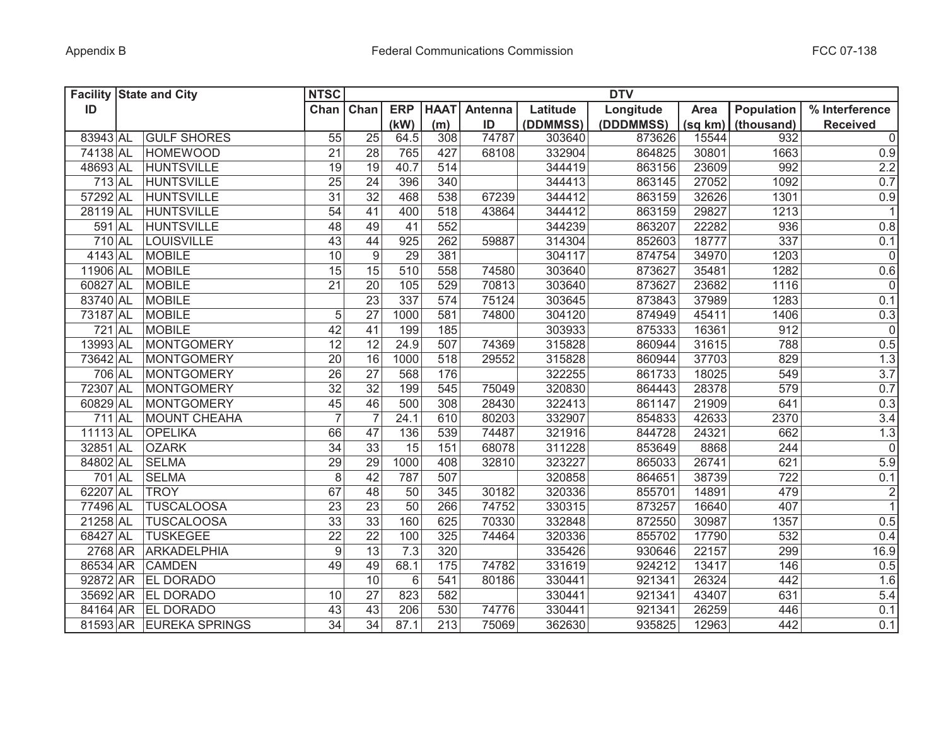|            | <b>Facility State and City</b> | <b>NTSC</b>      |                 |                  |             |         |          | <b>DTV</b> |         |            |                 |
|------------|--------------------------------|------------------|-----------------|------------------|-------------|---------|----------|------------|---------|------------|-----------------|
| ID         |                                | Chan             | Chan            | <b>ERP</b>       | <b>HAAT</b> | Antenna | Latitude | Longitude  | Area    | Population | % Interference  |
|            |                                |                  |                 | (kW)             | (m)         | ID      | (DDMMSS) | (DDDMMSS)  | (sq km) | (thousand) | <b>Received</b> |
| 83943 AL   | <b>GULF SHORES</b>             | 55               | $\overline{25}$ | 64.5             | 308         | 74787   | 303640   | 873626     | 15544   | 932        | $\overline{0}$  |
| 74138 AL   | <b>HOMEWOOD</b>                | 21               | 28              | 765              | 427         | 68108   | 332904   | 864825     | 30801   | 1663       | 0.9             |
| 48693 AL   | <b>HUNTSVILLE</b>              | 19               | 19              | 40.7             | 514         |         | 344419   | 863156     | 23609   | 992        | 2.2             |
| 713 AL     | <b>HUNTSVILLE</b>              | 25               | 24              | 396              | 340         |         | 344413   | 863145     | 27052   | 1092       | 0.7             |
| 57292 AL   | <b>HUNTSVILLE</b>              | $\overline{31}$  | 32              | 468              | 538         | 67239   | 344412   | 863159     | 32626   | 1301       | 0.9             |
| 28119 AL   | <b>HUNTSVILLE</b>              | 54               | 41              | 400              | 518         | 43864   | 344412   | 863159     | 29827   | 1213       | 1               |
| 591 AL     | <b>HUNTSVILLE</b>              | 48               | 49              | 41               | 552         |         | 344239   | 863207     | 22282   | 936        | 0.8             |
| 710 AL     | LOUISVILLE                     | $\overline{43}$  | 44              | $\overline{925}$ | 262         | 59887   | 314304   | 852603     | 18777   | 337        | 0.1             |
| $4143$ AL  | <b>MOBILE</b>                  | 10               | 9               | 29               | 381         |         | 304117   | 874754     | 34970   | 1203       | $\overline{0}$  |
| 11906 AL   | MOBILE                         | $\overline{15}$  | $\overline{15}$ | 510              | 558         | 74580   | 303640   | 873627     | 35481   | 1282       | 0.6             |
| 60827 AL   | MOBILE                         | $\overline{21}$  | $\overline{20}$ | 105              | 529         | 70813   | 303640   | 873627     | 23682   | 1116       | $\overline{0}$  |
| 83740 AL   | MOBILE                         |                  | 23              | 337              | 574         | 75124   | 303645   | 873843     | 37989   | 1283       | 0.1             |
| 73187 AL   | MOBILE                         | 5                | 27              | 1000             | 581         | 74800   | 304120   | 874949     | 45411   | 1406       | 0.3             |
| 721 AL     | MOBILE                         | 42               | 41              | 199              | 185         |         | 303933   | 875333     | 16361   | 912        | $\overline{0}$  |
| 13993 AL   | MONTGOMERY                     | $\overline{12}$  | 12              | 24.9             | 507         | 74369   | 315828   | 860944     | 31615   | 788        | 0.5             |
| 73642 AL   | MONTGOMERY                     | $\overline{20}$  | 16              | 1000             | 518         | 29552   | 315828   | 860944     | 37703   | 829        | 1.3             |
| 706 AL     | MONTGOMERY                     | $\overline{26}$  | $\overline{27}$ | 568              | 176         |         | 322255   | 861733     | 18025   | 549        | 3.7             |
| 72307 AL   | <b>MONTGOMERY</b>              | $\overline{32}$  | $\overline{32}$ | 199              | 545         | 75049   | 320830   | 864443     | 28378   | 579        | 0.7             |
| 60829 AL   | <b>MONTGOMERY</b>              | 45               | 46              | 500              | 308         | 28430   | 322413   | 861147     | 21909   | 641        | 0.3             |
| 711 AL     | MOUNT CHEAHA                   | $\overline{7}$   | $\overline{7}$  | 24.1             | 610         | 80203   | 332907   | 854833     | 42633   | 2370       | 3.4             |
| 11113 AL   | <b>OPELIKA</b>                 | 66               | 47              | 136              | 539         | 74487   | 321916   | 844728     | 24321   | 662        | 1.3             |
| 32851 AL   | <b>OZARK</b>                   | 34               | $\overline{33}$ | 15               | 151         | 68078   | 311228   | 853649     | 8868    | 244        | 0               |
| 84802 AL   | <b>SELMA</b>                   | 29               | 29              | 1000             | 408         | 32810   | 323227   | 865033     | 26741   | 621        | 5.9             |
| 701 AL     | <b>SELMA</b>                   | 8                | 42              | 787              | 507         |         | 320858   | 864651     | 38739   | 722        | 0.1             |
| 62207 AL   | <b>TROY</b>                    | 67               | 48              | 50               | 345         | 30182   | 320336   | 855701     | 14891   | 479        | $\overline{2}$  |
| 77496 AL   | <b>TUSCALOOSA</b>              | 23               | 23              | 50               | 266         | 74752   | 330315   | 873257     | 16640   | 407        | $\overline{1}$  |
| $21258$ AL | <b>TUSCALOOSA</b>              | 33               | 33              | 160              | 625         | 70330   | 332848   | 872550     | 30987   | 1357       | 0.5             |
| 68427 AL   | <b>TUSKEGEE</b>                | 22               | 22              | 100              | 325         | 74464   | 320336   | 855702     | 17790   | 532        | 0.4             |
| 2768 AR    | ARKADELPHIA                    | $\boldsymbol{9}$ | 13              | 7.3              | 320         |         | 335426   | 930646     | 22157   | 299        | 16.9            |
| 86534 AR   | <b>CAMDEN</b>                  | 49               | 49              | 68.1             | 175         | 74782   | 331619   | 924212     | 13417   | 146        | 0.5             |
| 92872 AR   | <b>EL DORADO</b>               |                  | 10              | 6                | 541         | 80186   | 330441   | 921341     | 26324   | 442        | 1.6             |
|            | 35692 AR EL DORADO             | 10               | 27              | 823              | 582         |         | 330441   | 921341     | 43407   | 631        | 5.4             |
|            | 84164 AR EL DORADO             | 43               | $\overline{43}$ | 206              | 530         | 74776   | 330441   | 921341     | 26259   | 446        | 0.1             |
|            | 81593 AR EUREKA SPRINGS        | $\overline{34}$  | $\overline{34}$ | 87.1             | 213         | 75069   | 362630   | 935825     | 12963   | 442        | 0.1             |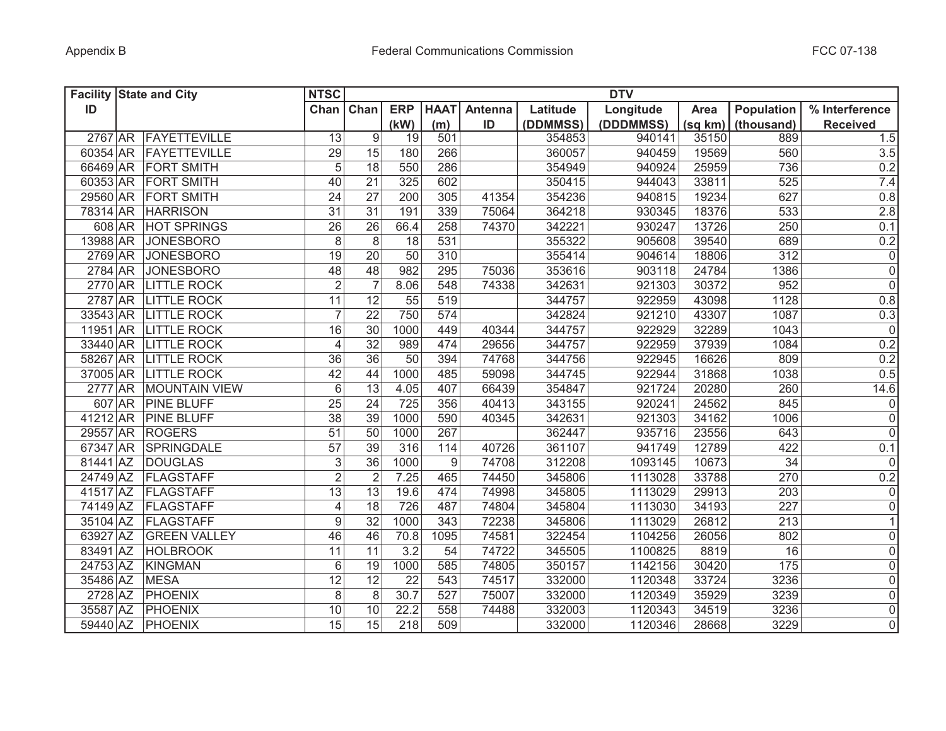|          | <b>Facility State and City</b> | <b>NTSC</b>     |                 |                 |             |         |          | <b>DTV</b> |         |                   |                 |
|----------|--------------------------------|-----------------|-----------------|-----------------|-------------|---------|----------|------------|---------|-------------------|-----------------|
| ID       |                                | Chan            | Chan            | <b>ERP</b>      | <b>HAAT</b> | Antenna | Latitude | Longitude  | Area    | Population        | % Interference  |
|          |                                |                 |                 | (kW)            | (m)         | ID      | (DDMMSS) | (DDDMMSS)  | (sq km) | (thousand)        | <b>Received</b> |
|          | 2767 AR FAYETTEVILLE           | 13              | 9               | 19              | 501         |         | 354853   | 940141     | 35150   | 889               | 1.5             |
|          | 60354 AR FAYETTEVILLE          | 29              | 15              | 180             | 266         |         | 360057   | 940459     | 19569   | 560               | 3.5             |
|          | 66469 AR FORT SMITH            | $\sqrt{5}$      | 18              | 550             | 286         |         | 354949   | 940924     | 25959   | 736               | 0.2             |
|          | 60353 AR FORT SMITH            | 40              | 21              | 325             | 602         |         | 350415   | 944043     | 33811   | 525               | 7.4             |
|          | 29560 AR FORT SMITH            | 24              | 27              | 200             | 305         | 41354   | 354236   | 940815     | 19234   | 627               | 0.8             |
|          | 78314 AR HARRISON              | 31              | 31              | 191             | 339         | 75064   | 364218   | 930345     | 18376   | 533               | 2.8             |
|          | 608 AR HOT SPRINGS             | 26              | 26              | 66.4            | 258         | 74370   | 342221   | 930247     | 13726   | 250               | 0.1             |
|          | 13988 AR JONESBORO             | 8               | 8               | 18              | 531         |         | 355322   | 905608     | 39540   | 689               | 0.2             |
|          | 2769 AR JONESBORO              | 19              | 20              | 50              | 310         |         | 355414   | 904614     | 18806   | 312               | $\overline{0}$  |
|          | 2784 AR JONESBORO              | 48              | 48              | 982             | 295         | 75036   | 353616   | 903118     | 24784   | 1386              | $\overline{0}$  |
|          | 2770 AR LITTLE ROCK            | $\overline{2}$  | $\overline{7}$  | 8.06            | 548         | 74338   | 342631   | 921303     | 30372   | 952               | $\overline{0}$  |
|          | 2787 AR LITTLE ROCK            | 11              | 12              | 55              | 519         |         | 344757   | 922959     | 43098   | 1128              | 0.8             |
|          | 33543 AR LITTLE ROCK           | $\overline{7}$  | 22              | 750             | 574         |         | 342824   | 921210     | 43307   | 1087              | 0.3             |
|          | 11951 AR LITTLE ROCK           | 16              | 30              | 1000            | 449         | 40344   | 344757   | 922929     | 32289   | 1043              | $\overline{0}$  |
|          | 33440 AR LITTLE ROCK           | $\overline{4}$  | 32              | 989             | 474         | 29656   | 344757   | 922959     | 37939   | 1084              | 0.2             |
|          | 58267 AR LITTLE ROCK           | $\overline{36}$ | 36              | $\overline{50}$ | 394         | 74768   | 344756   | 922945     | 16626   | 809               | 0.2             |
|          | 37005 AR LITTLE ROCK           | 42              | 44              | 1000            | 485         | 59098   | 344745   | 922944     | 31868   | 1038              | 0.5             |
|          | 2777 AR MOUNTAIN VIEW          | $6\phantom{1}$  | $\overline{13}$ | 4.05            | 407         | 66439   | 354847   | 921724     | 20280   | 260               | 14.6            |
|          | 607 AR PINE BLUFF              | 25              | 24              | 725             | 356         | 40413   | 343155   | 920241     | 24562   | 845               | $\overline{0}$  |
|          | 41212 AR PINE BLUFF            | $\overline{38}$ | $\overline{39}$ | 1000            | 590         | 40345   | 342631   | 921303     | 34162   | 1006              | $\overline{0}$  |
|          | 29557 AR ROGERS                | 51              | 50              | 1000            | 267         |         | 362447   | 935716     | 23556   | 643               | $\overline{0}$  |
| 67347 AR | SPRINGDALE                     | 57              | 39              | 316             | 114         | 40726   | 361107   | 941749     | 12789   | 422               | 0.1             |
| 81441 AZ | <b>DOUGLAS</b>                 | $\sqrt{3}$      | 36              | 1000            | 9           | 74708   | 312208   | 1093145    | 10673   | 34                | 0               |
| 24749 AZ | FLAGSTAFF                      | $\overline{2}$  | $\overline{2}$  | 7.25            | 465         | 74450   | 345806   | 1113028    | 33788   | 270               | 0.2             |
| 41517 AZ | FLAGSTAFF                      | 13              | 13              | 19.6            | 474         | 74998   | 345805   | 1113029    | 29913   | 203               | 0               |
| 74149 AZ | FLAGSTAFF                      | 4               | 18              | 726             | 487         | 74804   | 345804   | 1113030    | 34193   | 227               | 0               |
| 35104 AZ | FLAGSTAFF                      | 9               | 32              | 1000            | 343         | 72238   | 345806   | 1113029    | 26812   | 213               | 1               |
| 63927 AZ | <b>GREEN VALLEY</b>            | 46              | 46              | 70.8            | 1095        | 74581   | 322454   | 1104256    | 26056   | 802               | 0               |
| 83491 AZ | <b>HOLBROOK</b>                | 11              | 11              | 3.2             | 54          | 74722   | 345505   | 1100825    | 8819    | 16                | 0               |
| 24753 AZ | <b>KINGMAN</b>                 | 6               | 19              | 1000            | 585         | 74805   | 350157   | 1142156    | 30420   | $\frac{175}{175}$ | 0               |
| 35486 AZ | <b>MESA</b>                    | 12              | 12              | 22              | 543         | 74517   | 332000   | 1120348    | 33724   | 3236              | 0               |
| 2728 AZ  | PHOENIX                        | 8               | $\,8\,$         | 30.7            | 527         | 75007   | 332000   | 1120349    | 35929   | 3239              | 0               |
| 35587 AZ | PHOENIX                        | 10              | 10              | 22.2            | 558         | 74488   | 332003   | 1120343    | 34519   | 3236              | $\overline{0}$  |
|          | 59440 AZ PHOENIX               | $\overline{15}$ | $\overline{15}$ | 218             | 509         |         | 332000   | 1120346    | 28668   | 3229              | $\overline{0}$  |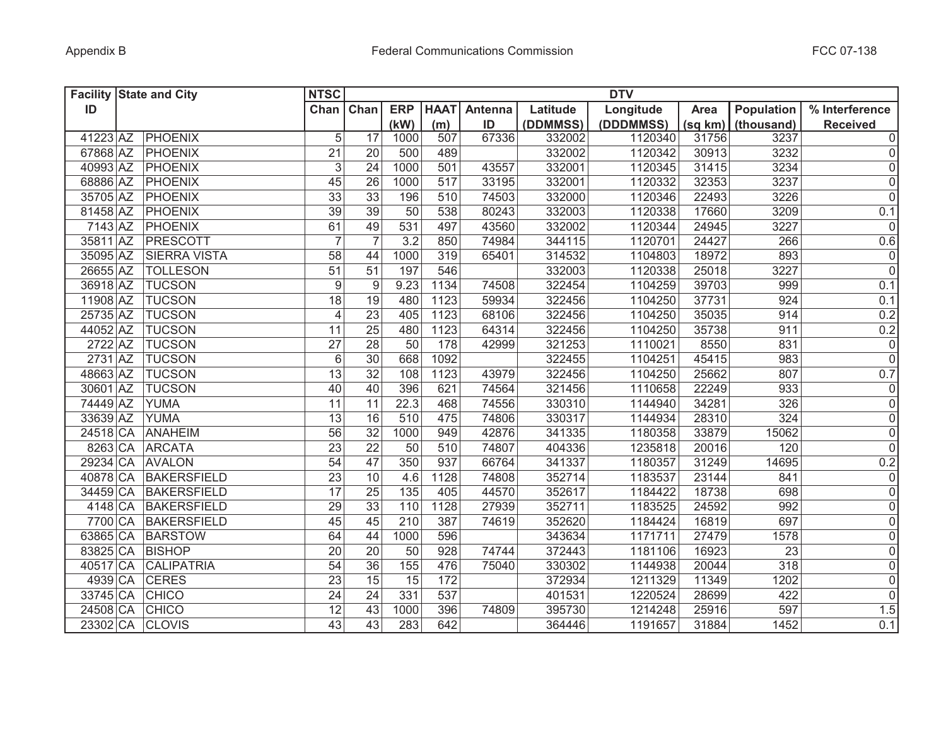|          | <b>Facility State and City</b> | <b>NTSC</b>               |                 |            |             |         |          | <b>DTV</b> |         |                  |                 |
|----------|--------------------------------|---------------------------|-----------------|------------|-------------|---------|----------|------------|---------|------------------|-----------------|
| ID       |                                | Chan Chan                 |                 | <b>ERP</b> | <b>HAAT</b> | Antenna | Latitude | Longitude  | Area    | Population       | % Interference  |
|          |                                |                           |                 | (kW)       | (m)         | ID      | (DDMMSS) | (DDDMMSS)  | (sq km) | (thousand)       | <b>Received</b> |
| 41223 AZ | <b>PHOENIX</b>                 | 5                         | 17              | 1000       | 507         | 67336   | 332002   | 1120340    | 31756   | 3237             | $\overline{0}$  |
| 67868 AZ | PHOENIX                        | 21                        | 20              | 500        | 489         |         | 332002   | 1120342    | 30913   | 3232             | 0               |
| 40993 AZ | PHOENIX                        | $\ensuremath{\mathsf{3}}$ | 24              | 1000       | 501         | 43557   | 332001   | 1120345    | 31415   | 3234             | 0               |
| 68886 AZ | PHOENIX                        | 45                        | 26              | 1000       | 517         | 33195   | 332001   | 1120332    | 32353   | 3237             | 0               |
| 35705 AZ | PHOENIX                        | 33                        | 33              | 196        | 510         | 74503   | 332000   | 1120346    | 22493   | 3226             | $\overline{0}$  |
| 81458 AZ | PHOENIX                        | 39                        | 39              | 50         | 538         | 80243   | 332003   | 1120338    | 17660   | 3209             | 0.1             |
| 7143 AZ  | PHOENIX                        | 61                        | 49              | 531        | 497         | 43560   | 332002   | 1120344    | 24945   | 3227             | $\overline{0}$  |
| 35811 AZ | PRESCOTT                       | $\overline{7}$            | $\overline{7}$  | 3.2        | 850         | 74984   | 344115   | 1120701    | 24427   | 266              | 0.6             |
| 35095 AZ | <b>SIERRA VISTA</b>            | 58                        | 44              | 1000       | 319         | 65401   | 314532   | 1104803    | 18972   | 893              | $\overline{0}$  |
| 26655 AZ | <b>TOLLESON</b>                | $\overline{51}$           | 51              | 197        | 546         |         | 332003   | 1120338    | 25018   | 3227             | $\overline{0}$  |
| 36918 AZ | <b>TUCSON</b>                  | $\boldsymbol{9}$          | 9               | 9.23       | 1134        | 74508   | 322454   | 1104259    | 39703   | 999              | 0.1             |
| 11908 AZ | <b>TUCSON</b>                  | $\overline{18}$           | 19              | 480        | 1123        | 59934   | 322456   | 1104250    | 37731   | 924              | 0.1             |
| 25735 AZ | <b>TUCSON</b>                  | $\overline{4}$            | $\overline{23}$ | 405        | 1123        | 68106   | 322456   | 1104250    | 35035   | 914              | 0.2             |
| 44052 AZ | <b>TUCSON</b>                  | 11                        | $\overline{25}$ | 480        | 1123        | 64314   | 322456   | 1104250    | 35738   | 911              | 0.2             |
| 2722 AZ  | <b>TUCSON</b>                  | $\overline{27}$           | 28              | 50         | 178         | 42999   | 321253   | 1110021    | 8550    | 831              | $\overline{0}$  |
| 2731 AZ  | <b>TUCSON</b>                  | $\,6$                     | $\overline{30}$ | 668        | 1092        |         | 322455   | 1104251    | 45415   | 983              | $\overline{0}$  |
| 48663 AZ | <b>TUCSON</b>                  | $\overline{13}$           | 32              | 108        | 1123        | 43979   | 322456   | 1104250    | 25662   | 807              | 0.7             |
| 30601 AZ | <b>TUCSON</b>                  | 40                        | 40              | 396        | 621         | 74564   | 321456   | 1110658    | 22249   | 933              | $\overline{0}$  |
| 74449 AZ | <b>YUMA</b>                    | 11                        | 11              | 22.3       | 468         | 74556   | 330310   | 1144940    | 34281   | 326              | $\overline{0}$  |
| 33639 AZ | <b>YUMA</b>                    | $\overline{13}$           | 16              | 510        | 475         | 74806   | 330317   | 1144934    | 28310   | 324              | $\overline{0}$  |
| 24518 CA | <b>ANAHEIM</b>                 | 56                        | $\overline{32}$ | 1000       | 949         | 42876   | 341335   | 1180358    | 33879   | 15062            | $\overline{0}$  |
| 8263 CA  | <b>ARCATA</b>                  | 23                        | 22              | 50         | 510         | 74807   | 404336   | 1235818    | 20016   | 120              | $\overline{0}$  |
| 29234 CA | <b>AVALON</b>                  | 54                        | 47              | 350        | 937         | 66764   | 341337   | 1180357    | 31249   | 14695            | 0.2             |
| 40878 CA | <b>BAKERSFIELD</b>             | 23                        | 10              | 4.6        | 1128        | 74808   | 352714   | 1183537    | 23144   | 841              | 0               |
| 34459 CA | <b>BAKERSFIELD</b>             | 17                        | 25              | 135        | 405         | 44570   | 352617   | 1184422    | 18738   | 698              | $\overline{0}$  |
| 4148 CA  | <b>BAKERSFIELD</b>             | 29                        | 33              | 110        | 1128        | 27939   | 352711   | 1183525    | 24592   | 992              | 0               |
| 7700 CA  | <b>BAKERSFIELD</b>             | 45                        | 45              | 210        | 387         | 74619   | 352620   | 1184424    | 16819   | 697              | 0               |
| 63865 CA | <b>BARSTOW</b>                 | 64                        | 44              | 1000       | 596         |         | 343634   | 1171711    | 27479   | 1578             | 0               |
| 83825 CA | <b>BISHOP</b>                  | 20                        | 20              | 50         | 928         | 74744   | 372443   | 1181106    | 16923   | 23               | 0               |
| 40517 CA | <b>CALIPATRIA</b>              | 54                        | 36              | 155        | 476         | 75040   | 330302   | 1144938    | 20044   | $\overline{318}$ | 0               |
| 4939 CA  | <b>CERES</b>                   | 23                        | 15              | 15         | 172         |         | 372934   | 1211329    | 11349   | 1202             | 0               |
| 33745 CA | <b>CHICO</b>                   | 24                        | 24              | 331        | 537         |         | 401531   | 1220524    | 28699   | 422              | 0               |
| 24508 CA | <b>CHICO</b>                   | 12                        | 43              | 1000       | 396         | 74809   | 395730   | 1214248    | 25916   | 597              | 1.5             |
| 23302 CA | <b>CLOVIS</b>                  | 43                        | $\overline{43}$ | 283        | 642         |         | 364446   | 1191657    | 31884   | 1452             | 0.1             |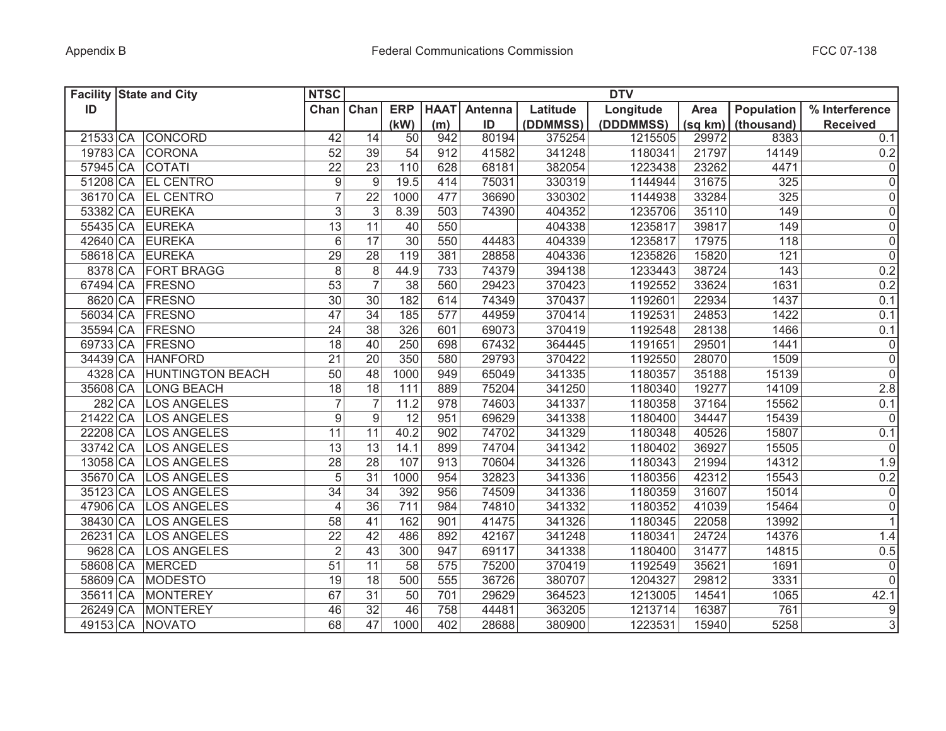|          | <b>Facility State and City</b> | <b>NTSC</b>      |                 |                 |             |         |          | <b>DTV</b> |         |                   |                     |
|----------|--------------------------------|------------------|-----------------|-----------------|-------------|---------|----------|------------|---------|-------------------|---------------------|
| ID       |                                | Chan Chan        |                 | <b>ERP</b>      | <b>HAAT</b> | Antenna | Latitude | Longitude  | Area    | <b>Population</b> | % Interference      |
|          |                                |                  |                 | (kW)            | (m)         | ID      | (DDMMSS) | (DDDMMSS)  | (sq km) | (thousand)        | <b>Received</b>     |
|          | 21533 CA CONCORD               | 42               | 14              | 50              | 942         | 80194   | 375254   | 1215505    | 29972   | 8383              | 0.1                 |
|          | 19783 CA CORONA                | 52               | 39              | 54              | 912         | 41582   | 341248   | 1180341    | 21797   | 14149             | $0.2\,$             |
| 57945 CA | <b>COTATI</b>                  | 22               | 23              | 110             | 628         | 68181   | 382054   | 1223438    | 23262   | 4471              | $\pmb{0}$           |
|          | 51208 CA EL CENTRO             | $\boldsymbol{9}$ | 9               | 19.5            | 414         | 75031   | 330319   | 1144944    | 31675   | 325               | $\mathsf{O}\xspace$ |
|          | 36170 CA EL CENTRO             | $\overline{7}$   | 22              | 1000            | 477         | 36690   | 330302   | 1144938    | 33284   | 325               | $\mathsf{O}\xspace$ |
|          | 53382 CA EUREKA                | $\mathfrak{S}$   | 3               | 8.39            | 503         | 74390   | 404352   | 1235706    | 35110   | 149               | $\mathsf{O}\xspace$ |
|          | 55435 CA EUREKA                | $\overline{13}$  | 11              | 40              | 550         |         | 404338   | 1235817    | 39817   | 149               | $\mathsf 0$         |
|          | 42640 CA EUREKA                | 6                | 17              | $\overline{30}$ | 550         | 44483   | 404339   | 1235817    | 17975   | 118               | $\overline{0}$      |
|          | 58618 CA EUREKA                | 29               | 28              | 119             | 381         | 28858   | 404336   | 1235826    | 15820   | 121               | $\overline{0}$      |
|          | 8378 CA FORT BRAGG             | $\overline{8}$   | 8               | 44.9            | 733         | 74379   | 394138   | 1233443    | 38724   | 143               | 0.2                 |
|          | 67494 CA FRESNO                | $\overline{53}$  | 7               | 38              | 560         | 29423   | 370423   | 1192552    | 33624   | 1631              | 0.2                 |
|          | 8620 CA FRESNO                 | 30               | 30              | 182             | 614         | 74349   | 370437   | 1192601    | 22934   | 1437              | 0.1                 |
|          | 56034 CA FRESNO                | $\overline{47}$  | 34              | 185             | 577         | 44959   | 370414   | 1192531    | 24853   | 1422              | 0.1                 |
|          | 35594 CA FRESNO                | $\overline{24}$  | $\overline{38}$ | 326             | 601         | 69073   | 370419   | 1192548    | 28138   | 1466              | 0.1                 |
|          | 69733 CA FRESNO                | 18               | 40              | 250             | 698         | 67432   | 364445   | 1191651    | 29501   | 1441              | $\mathsf{O}\xspace$ |
|          | 34439 CA HANFORD               | $\overline{21}$  | 20              | 350             | 580         | 29793   | 370422   | 1192550    | 28070   | 1509              | $\overline{0}$      |
|          | 4328 CA HUNTINGTON BEACH       | $\overline{50}$  | 48              | 1000            | 949         | 65049   | 341335   | 1180357    | 35188   | 15139             | $\overline{0}$      |
| 35608 CA | <b>LONG BEACH</b>              | $\overline{18}$  | $\overline{18}$ | 111             | 889         | 75204   | 341250   | 1180340    | 19277   | 14109             | 2.8                 |
|          | 282 CA<br><b>LOS ANGELES</b>   | $\overline{7}$   |                 | 11.2            | 978         | 74603   | 341337   | 1180358    | 37164   | 15562             | 0.1                 |
| 21422 CA | <b>LOS ANGELES</b>             | $\overline{9}$   | 9               | 12              | 951         | 69629   | 341338   | 1180400    | 34447   | 15439             | $\overline{0}$      |
| 22208 CA | <b>LOS ANGELES</b>             | 11               | 11              | 40.2            | 902         | 74702   | 341329   | 1180348    | 40526   | 15807             | 0.1                 |
| 33742 CA | <b>LOS ANGELES</b>             | 13               | 13              | 14.1            | 899         | 74704   | 341342   | 1180402    | 36927   | 15505             | 0                   |
| 13058 CA | <b>LOS ANGELES</b>             | 28               | 28              | 107             | 913         | 70604   | 341326   | 1180343    | 21994   | 14312             | 1.9                 |
| 35670 CA | <b>LOS ANGELES</b>             | 5                | 31              | 1000            | 954         | 32823   | 341336   | 1180356    | 42312   | 15543             | 0.2                 |
| 35123 CA | <b>LOS ANGELES</b>             | $\overline{34}$  | 34              | 392             | 956         | 74509   | 341336   | 1180359    | 31607   | 15014             | 0                   |
| 47906 CA | <b>LOS ANGELES</b>             | $\overline{4}$   | 36              | 711             | 984         | 74810   | 341332   | 1180352    | 41039   | 15464             | $\mathsf{O}\xspace$ |
| 38430 CA | <b>LOS ANGELES</b>             | 58               | 41              | 162             | 901         | 41475   | 341326   | 1180345    | 22058   | 13992             | $\mathbf{1}$        |
| 26231 CA | <b>LOS ANGELES</b>             | 22               | 42              | 486             | 892         | 42167   | 341248   | 1180341    | 24724   | 14376             | 1.4                 |
| 9628 CA  | <b>LOS ANGELES</b>             | $\overline{2}$   | 43              | 300             | 947         | 69117   | 341338   | 1180400    | 31477   | 14815             | 0.5                 |
| 58608 CA | <b>MERCED</b>                  | $\overline{51}$  | 11              | 58              | 575         | 75200   | 370419   | 1192549    | 35621   | 1691              | $\mathsf{O}\xspace$ |
| 58609 CA | <b>MODESTO</b>                 | 19               | 18              | 500             | 555         | 36726   | 380707   | 1204327    | 29812   | 3331              | 0                   |
| 35611 CA | <b>MONTEREY</b>                | 67               | 31              | 50              | 701         | 29629   | 364523   | 1213005    | 14541   | 1065              | 42.1                |
| 26249 CA | <b>MONTEREY</b>                | 46               | 32              | 46              | 758         | 44481   | 363205   | 1213714    | 16387   | 761               | $\boldsymbol{9}$    |
| 49153 CA | <b>NOVATO</b>                  | 68               | 47              | 1000            | 402         | 28688   | 380900   | 1223531    | 15940   | 5258              | $\overline{3}$      |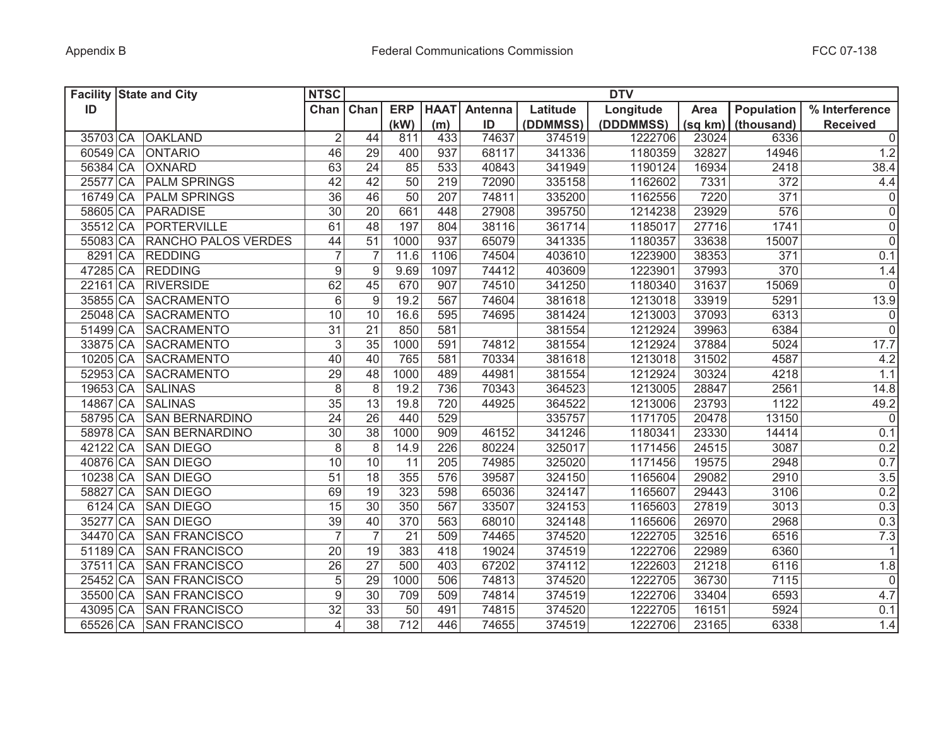|          | <b>Facility State and City</b> | <b>NTSC</b>              |                 |                 |             |         |          | <b>DTV</b> |         |                   |                     |
|----------|--------------------------------|--------------------------|-----------------|-----------------|-------------|---------|----------|------------|---------|-------------------|---------------------|
| ID       |                                |                          | Chan Chan       | <b>ERP</b>      | <b>HAAT</b> | Antenna | Latitude | Longitude  | Area    | <b>Population</b> | % Interference      |
|          |                                |                          |                 | (kW)            | (m)         | ID      | (DDMMSS) | (DDDMMSS)  | (sq km) | (thousand)        | <b>Received</b>     |
| 35703 CA | <b>OAKLAND</b>                 | $\overline{2}$           | 44              | 811             | 433         | 74637   | 374519   | 1222706    | 23024   | 6336              | $\mathbf 0$         |
| 60549 CA | <b>ONTARIO</b>                 | 46                       | 29              | 400             | 937         | 68117   | 341336   | 1180359    | 32827   | 14946             | 1.2                 |
| 56384 CA | <b>OXNARD</b>                  | 63                       | 24              | 85              | 533         | 40843   | 341949   | 1190124    | 16934   | 2418              | 38.4                |
| 25577 CA | <b>PALM SPRINGS</b>            | 42                       | 42              | 50              | 219         | 72090   | 335158   | 1162602    | 7331    | 372               | 4.4                 |
| 16749 CA | <b>PALM SPRINGS</b>            | $\overline{36}$          | 46              | $\overline{50}$ | 207         | 74811   | 335200   | 1162556    | 7220    | 371               | $\mathsf 0$         |
| 58605 CA | PARADISE                       | $\overline{30}$          | 20              | 661             | 448         | 27908   | 395750   | 1214238    | 23929   | 576               | $\mathsf 0$         |
| 35512 CA | PORTERVILLE                    | 61                       | 48              | 197             | 804         | 38116   | 361714   | 1185017    | 27716   | 1741              | $\mathsf 0$         |
|          | 55083 CA RANCHO PALOS VERDES   | 44                       | 51              | 1000            | 937         | 65079   | 341335   | 1180357    | 33638   | 15007             | $\overline{0}$      |
|          | 8291 CA REDDING                | $\overline{7}$           | $\overline{7}$  | 11.6            | 1106        | 74504   | 403610   | 1223900    | 38353   | 371               | 0.1                 |
|          | 47285 CA REDDING               | $\overline{9}$           | 9               | 9.69            | 1097        | 74412   | 403609   | 1223901    | 37993   | 370               | 1.4                 |
| 22161 CA | <b>RIVERSIDE</b>               | 62                       | 45              | 670             | 907         | 74510   | 341250   | 1180340    | 31637   | 15069             | $\mathbf 0$         |
| 35855 CA | <b>SACRAMENTO</b>              | $\overline{6}$           | 9               | 19.2            | 567         | 74604   | 381618   | 1213018    | 33919   | 5291              | 13.9                |
| 25048 CA | SACRAMENTO                     | 10                       | 10              | 16.6            | 595         | 74695   | 381424   | 1213003    | 37093   | 6313              | $\pmb{0}$           |
| 51499 CA | SACRAMENTO                     | $\overline{31}$          | $\overline{21}$ | 850             | 581         |         | 381554   | 1212924    | 39963   | 6384              | $\overline{0}$      |
| 33875 CA | <b>SACRAMENTO</b>              | $\overline{3}$           | $\overline{35}$ | 1000            | 591         | 74812   | 381554   | 1212924    | 37884   | 5024              | 17.7                |
| 10205 CA | <b>SACRAMENTO</b>              | $\overline{40}$          | 40              | 765             | 581         | 70334   | 381618   | 1213018    | 31502   | 4587              | 4.2                 |
| 52953 CA | SACRAMENTO                     | 29                       | 48              | 1000            | 489         | 44981   | 381554   | 1212924    | 30324   | 4218              | 1.1                 |
| 19653 CA | <b>SALINAS</b>                 | $\overline{8}$           | $\overline{8}$  | 19.2            | 736         | 70343   | 364523   | 1213005    | 28847   | 2561              | 14.8                |
| 14867 CA | <b>SALINAS</b>                 | $\overline{35}$          | 13              | 19.8            | 720         | 44925   | 364522   | 1213006    | 23793   | 1122              | 49.2                |
| 58795 CA | <b>SAN BERNARDINO</b>          | $\overline{24}$          | 26              | 440             | 529         |         | 335757   | 1171705    | 20478   | 13150             | $\overline{0}$      |
| 58978 CA | <b>SAN BERNARDINO</b>          | 30                       | 38              | 1000            | 909         | 46152   | 341246   | 1180341    | 23330   | 14414             | 0.1                 |
| 42122 CA | <b>SAN DIEGO</b>               | 8                        | 8               | 14.9            | 226         | 80224   | 325017   | 1171456    | 24515   | 3087              | 0.2                 |
| 40876 CA | <b>SAN DIEGO</b>               | 10                       | 10              | 11              | 205         | 74985   | 325020   | 1171456    | 19575   | 2948              | 0.7                 |
| 10238 CA | <b>SAN DIEGO</b>               | 51                       | 18              | 355             | 576         | 39587   | 324150   | 1165604    | 29082   | 2910              | 3.5                 |
| 58827 CA | <b>SAN DIEGO</b>               | 69                       | 19              | 323             | 598         | 65036   | 324147   | 1165607    | 29443   | 3106              | 0.2                 |
| 6124 CA  | <b>SAN DIEGO</b>               | 15                       | 30              | 350             | 567         | 33507   | 324153   | 1165603    | 27819   | 3013              | 0.3                 |
| 35277 CA | <b>SAN DIEGO</b>               | 39                       | 40              | 370             | 563         | 68010   | 324148   | 1165606    | 26970   | 2968              | 0.3                 |
| 34470 CA | <b>SAN FRANCISCO</b>           | $\overline{7}$           |                 | 21              | 509         | 74465   | 374520   | 1222705    | 32516   | 6516              | 7.3                 |
| 51189 CA | <b>SAN FRANCISCO</b>           | 20                       | 19              | 383             | 418         | 19024   | 374519   | 1222706    | 22989   | 6360              | $\mathbf{1}$        |
| 37511 CA | <b>SAN FRANCISCO</b>           | 26                       | 27              | 500             | 403         | 67202   | 374112   | 1222603    | 21218   | 6116              | 1.8                 |
| 25452 CA | <b>SAN FRANCISCO</b>           | 5                        | 29              | 1000            | 506         | 74813   | 374520   | 1222705    | 36730   | 7115              | $\mathsf{O}\xspace$ |
| 35500 CA | <b>SAN FRANCISCO</b>           | $\overline{9}$           | 30              | 709             | 509         | 74814   | 374519   | 1222706    | 33404   | 6593              | 4.7                 |
| 43095 CA | <b>SAN FRANCISCO</b>           | $\overline{32}$          | 33              | 50              | 491         | 74815   | 374520   | 1222705    | 16151   | 5924              | 0.1                 |
| 65526 CA | <b>SAN FRANCISCO</b>           | $\overline{\mathcal{L}}$ | 38              | 712             | 446         | 74655   | 374519   | 1222706    | 23165   | 6338              | 1.4                 |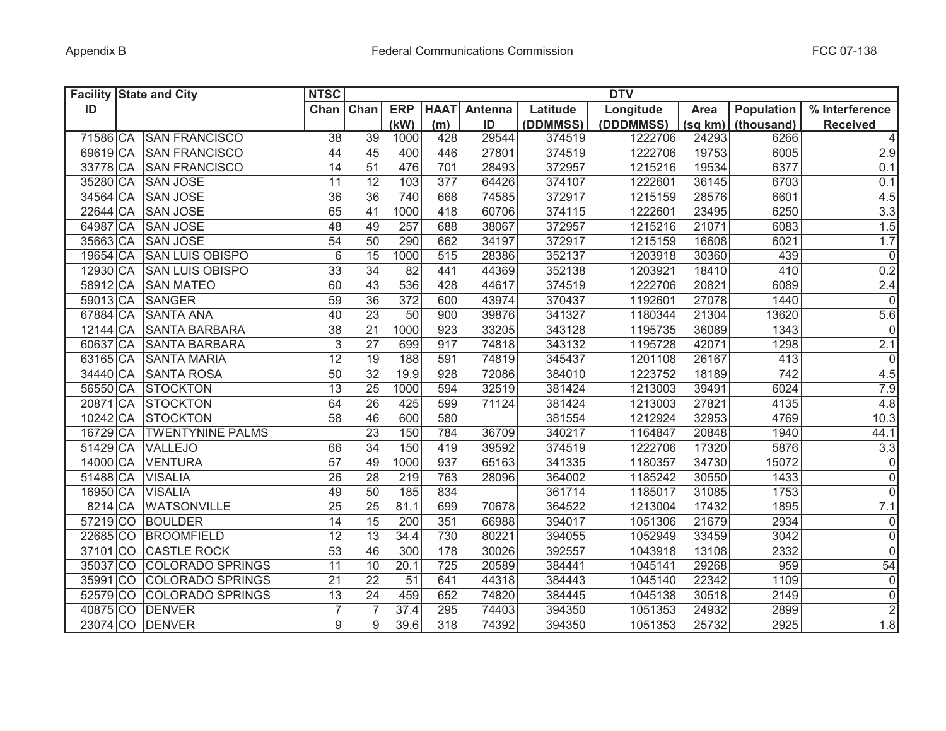|          | <b>Facility State and City</b> | <b>NTSC</b>      |                 |                  |             |         |          | <b>DTV</b> |         |                   |                         |
|----------|--------------------------------|------------------|-----------------|------------------|-------------|---------|----------|------------|---------|-------------------|-------------------------|
| ID       |                                | Chan Chan        |                 | <b>ERP</b>       | <b>HAAT</b> | Antenna | Latitude | Longitude  | Area    | <b>Population</b> | % Interference          |
|          |                                |                  |                 | (kW)             | (m)         | ID      | (DDMMSS) | (DDDMMSS)  | (sq km) | (thousand)        | <b>Received</b>         |
|          | 71586 CA SAN FRANCISCO         | 38               | 39              | 1000             | 428         | 29544   | 374519   | 1222706    | 24293   | 6266              | 4                       |
|          | 69619 CA SAN FRANCISCO         | 44               | 45              | 400              | 446         | 27801   | 374519   | 1222706    | 19753   | 6005              | 2.9                     |
|          | 33778 CA SAN FRANCISCO         | 14               | 51              | 476              | 701         | 28493   | 372957   | 1215216    | 19534   | 6377              | 0.1                     |
|          | 35280 CA SAN JOSE              | 11               | 12              | 103              | 377         | 64426   | 374107   | 1222601    | 36145   | 6703              | 0.1                     |
|          | 34564 CA SAN JOSE              | $\overline{36}$  | 36              | 740              | 668         | 74585   | 372917   | 1215159    | 28576   | 6601              | 4.5                     |
| 22644 CA | <b>SAN JOSE</b>                | 65               | 41              | 1000             | 418         | 60706   | 374115   | 1222601    | 23495   | 6250              | 3.3                     |
| 64987 CA | <b>SAN JOSE</b>                | 48               | 49              | 257              | 688         | 38067   | 372957   | 1215216    | 21071   | 6083              | 1.5                     |
|          | 35663 CA SAN JOSE              | 54               | 50              | 290              | 662         | 34197   | 372917   | 1215159    | 16608   | 6021              | 1.7                     |
|          | 19654 CA SAN LUIS OBISPO       | 6                | 15              | 1000             | 515         | 28386   | 352137   | 1203918    | 30360   | 439               | $\overline{0}$          |
|          | 12930 CA SAN LUIS OBISPO       | 33               | 34              | 82               | 441         | 44369   | 352138   | 1203921    | 18410   | 410               | 0.2                     |
|          | 58912 CA SAN MATEO             | 60               | 43              | 536              | 428         | 44617   | 374519   | 1222706    | 20821   | 6089              | 2.4                     |
|          | 59013 CA SANGER                | $\overline{59}$  | $\overline{36}$ | $\overline{372}$ | 600         | 43974   | 370437   | 1192601    | 27078   | 1440              | $\overline{\mathsf{o}}$ |
|          | 67884 CA SANTA ANA             | $\overline{40}$  | 23              | 50               | 900         | 39876   | 341327   | 1180344    | 21304   | 13620             | 5.6                     |
| 12144 CA | <b>SANTA BARBARA</b>           | $\overline{38}$  | $\overline{21}$ | 1000             | 923         | 33205   | 343128   | 1195735    | 36089   | 1343              | $\overline{0}$          |
| 60637 CA | <b>SANTA BARBARA</b>           | $\overline{3}$   | $\overline{27}$ | 699              | 917         | 74818   | 343132   | 1195728    | 42071   | 1298              | 2.1                     |
| 63165 CA | <b>SANTA MARIA</b>             | 12               | $\overline{19}$ | 188              | 591         | 74819   | 345437   | 1201108    | 26167   | 413               | $\overline{0}$          |
| 34440 CA | <b>SANTA ROSA</b>              | 50               | $\overline{32}$ | 19.9             | 928         | 72086   | 384010   | 1223752    | 18189   | 742               | 4.5                     |
| 56550 CA | <b>STOCKTON</b>                | $\overline{13}$  | $\overline{25}$ | 1000             | 594         | 32519   | 381424   | 1213003    | 39491   | 6024              | 7.9                     |
| 20871 CA | <b>STOCKTON</b>                | 64               | $\overline{26}$ | 425              | 599         | 71124   | 381424   | 1213003    | 27821   | 4135              | 4.8                     |
| 10242 CA | <b>STOCKTON</b>                | 58               | 46              | 600              | 580         |         | 381554   | 1212924    | 32953   | 4769              | 10.3                    |
| 16729 CA | <b>TWENTYNINE PALMS</b>        |                  | 23              | 150              | 784         | 36709   | 340217   | 1164847    | 20848   | 1940              | 44.1                    |
| 51429 CA | <b>VALLEJO</b>                 | 66               | 34              | 150              | 419         | 39592   | 374519   | 1222706    | 17320   | 5876              | 3.3                     |
| 14000 CA | <b>VENTURA</b>                 | 57               | 49              | 1000             | 937         | 65163   | 341335   | 1180357    | 34730   | 15072             | $\mathsf{O}\xspace$     |
| 51488 CA | <b>VISALIA</b>                 | 26               | 28              | 219              | 763         | 28096   | 364002   | 1185242    | 30550   | 1433              | $\mathsf 0$             |
| 16950 CA | <b>VISALIA</b>                 | 49               | 50              | 185              | 834         |         | 361714   | 1185017    | 31085   | 1753              | 0                       |
| 8214 CA  | <b>WATSONVILLE</b>             | 25               | 25              | 81.1             | 699         | 70678   | 364522   | 1213004    | 17432   | 1895              | 7.1                     |
| 57219 CO | <b>BOULDER</b>                 | 14               | 15              | 200              | 351         | 66988   | 394017   | 1051306    | 21679   | 2934              | $\mathsf{O}\xspace$     |
| 22685 CO | <b>BROOMFIELD</b>              | 12               | 13              | 34.4             | 730         | 80221   | 394055   | 1052949    | 33459   | 3042              | $\mathsf 0$             |
| 37101 CO | <b>CASTLE ROCK</b>             | 53               | 46              | 300              | 178         | 30026   | 392557   | 1043918    | 13108   | 2332              | $\mathbf 0$             |
| 35037 CO | <b>COLORADO SPRINGS</b>        | 11               | 10              | 20.1             | 725         | 20589   | 384441   | 1045141    | 29268   | 959               | 54                      |
| 35991 CO | <b>COLORADO SPRINGS</b>        | 21               | 22              | 51               | 641         | 44318   | 384443   | 1045140    | 22342   | 1109              | $\mathsf 0$             |
| 52579 CO | <b>COLORADO SPRINGS</b>        | 13               | 24              | 459              | 652         | 74820   | 384445   | 1045138    | 30518   | 2149              | $\mathsf 0$             |
| 40875 CO | <b>DENVER</b>                  | $\overline{7}$   |                 | 37.4             | 295         | 74403   | 394350   | 1051353    | 24932   | 2899              | $\overline{2}$          |
|          | 23074 CO DENVER                | $\boldsymbol{9}$ | 9               | 39.6             | 318         | 74392   | 394350   | 1051353    | 25732   | 2925              | 1.8                     |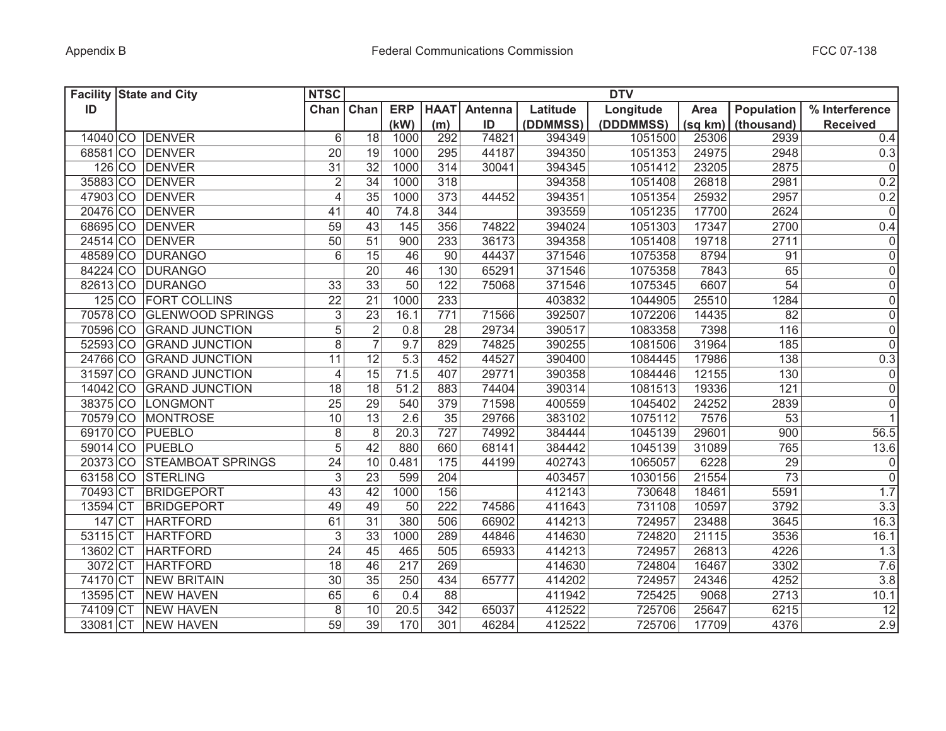|          | <b>Facility State and City</b> | <b>NTSC</b>     |                 |                  |                 |         |          | <b>DTV</b> |         |                   |                         |
|----------|--------------------------------|-----------------|-----------------|------------------|-----------------|---------|----------|------------|---------|-------------------|-------------------------|
| ID       |                                |                 | Chan Chan       | <b>ERP</b>       | <b>HAAT</b>     | Antenna | Latitude | Longitude  | Area    | <b>Population</b> | % Interference          |
|          |                                |                 |                 | (kW)             | (m)             | ID      | (DDMMSS) | (DDDMMSS)  | (sq km) | (thousand)        | <b>Received</b>         |
|          | 14040 CO DENVER                | $6\phantom{1}$  | 18              | 1000             | 292             | 74821   | 394349   | 1051500    | 25306   | 2939              | 0.4                     |
|          | 68581 CO DENVER                | 20              | 19              | 1000             | 295             | 44187   | 394350   | 1051353    | 24975   | 2948              | 0.3                     |
|          | 126 CO DENVER                  | 31              | 32              | 1000             | 314             | 30041   | 394345   | 1051412    | 23205   | 2875              | $\mathbf 0$             |
|          | 35883 CO DENVER                | $\sqrt{2}$      | 34              | 1000             | 318             |         | 394358   | 1051408    | 26818   | 2981              | 0.2                     |
|          | 47903 CO DENVER                | $\overline{4}$  | 35              | 1000             | 373             | 44452   | 394351   | 1051354    | 25932   | 2957              | 0.2                     |
|          | 20476 CO DENVER                | 41              | 40              | 74.8             | 344             |         | 393559   | 1051235    | 17700   | 2624              | $\mathsf{O}\xspace$     |
|          | 68695 CO DENVER                | 59              | 43              | 145              | 356             | 74822   | 394024   | 1051303    | 17347   | 2700              | 0.4                     |
|          | 24514 CO DENVER                | $\overline{50}$ | 51              | 900              | 233             | 36173   | 394358   | 1051408    | 19718   | 2711              | $\mathsf{O}\xspace$     |
|          | 48589 CO DURANGO               | $\overline{6}$  | 15              | 46               | 90              | 44437   | 371546   | 1075358    | 8794    | 91                | $\overline{0}$          |
|          | 84224 CO DURANGO               |                 | $\overline{20}$ | 46               | 130             | 65291   | 371546   | 1075358    | 7843    | 65                | $\overline{\mathsf{o}}$ |
|          | 82613 CO DURANGO               | 33              | $\overline{33}$ | 50               | 122             | 75068   | 371546   | 1075345    | 6607    | $\overline{54}$   | $\overline{\mathsf{o}}$ |
|          | 125 CO FORT COLLINS            | $\overline{22}$ | $\overline{21}$ | 1000             | 233             |         | 403832   | 1044905    | 25510   | 1284              | $\overline{0}$          |
|          | 70578 CO GLENWOOD SPRINGS      | $\overline{3}$  | $\overline{23}$ | 16.1             | 771             | 71566   | 392507   | 1072206    | 14435   | 82                | $\overline{0}$          |
|          | 70596 CO GRAND JUNCTION        | $\overline{5}$  | $\overline{2}$  | 0.8              | 28              | 29734   | 390517   | 1083358    | 7398    | 116               | $\overline{0}$          |
|          | 52593 CO GRAND JUNCTION        | $\overline{8}$  | $\overline{7}$  | 9.7              | 829             | 74825   | 390255   | 1081506    | 31964   | 185               | $\overline{0}$          |
|          | 24766 CO GRAND JUNCTION        | 11              | 12              | $\overline{5.3}$ | 452             | 44527   | 390400   | 1084445    | 17986   | 138               | 0.3                     |
|          | 31597 CO GRAND JUNCTION        | $\overline{4}$  | 15              | 71.5             | 407             | 29771   | 390358   | 1084446    | 12155   | 130               | 0                       |
|          | 14042 CO GRAND JUNCTION        | 18              | 18              | 51.2             | 883             | 74404   | 390314   | 1081513    | 19336   | 121               | $\mathsf{O}\xspace$     |
| 38375 CO | LONGMONT                       | 25              | 29              | 540              | 379             | 71598   | 400559   | 1045402    | 24252   | 2839              | $\mathsf{O}\xspace$     |
| 70579 CO | <b>MONTROSE</b>                | $\overline{10}$ | $\overline{13}$ | $\overline{2.6}$ | $\overline{35}$ | 29766   | 383102   | 1075112    | 7576    | $\overline{53}$   | $\overline{1}$          |
|          | 69170 CO PUEBLO                | 8               | 8               | 20.3             | 727             | 74992   | 384444   | 1045139    | 29601   | 900               | 56.5                    |
| 59014 CO | PUEBLO                         | $\overline{5}$  | 42              | 880              | 660             | 68141   | 384442   | 1045139    | 31089   | 765               | 13.6                    |
| 20373 CO | <b>STEAMBOAT SPRINGS</b>       | 24              | 10              | 0.481            | 175             | 44199   | 402743   | 1065057    | 6228    | 29                | $\overline{0}$          |
|          | 63158 CO STERLING              | 3               | 23              | 599              | 204             |         | 403457   | 1030156    | 21554   | 73                | $\mathsf 0$             |
| 70493 CT | <b>BRIDGEPORT</b>              | 43              | 42              | 1000             | 156             |         | 412143   | 730648     | 18461   | 5591              | 1.7                     |
| 13594 CT | <b>BRIDGEPORT</b>              | 49              | 49              | 50               | 222             | 74586   | 411643   | 731108     | 10597   | 3792              | 3.3                     |
| 147 CT   | <b>HARTFORD</b>                | 61              | 31              | 380              | 506             | 66902   | 414213   | 724957     | 23488   | 3645              | 16.3                    |
| 53115 CT | <b>HARTFORD</b>                | 3               | 33              | 1000             | 289             | 44846   | 414630   | 724820     | 21115   | 3536              | 16.1                    |
| 13602 CT | <b>HARTFORD</b>                | 24              | 45              | 465              | 505             | 65933   | 414213   | 724957     | 26813   | 4226              | 1.3                     |
| 3072 CT  | <b>HARTFORD</b>                | 18              | 46              | 217              | 269             |         | 414630   | 724804     | 16467   | 3302              | 7.6                     |
| 74170 CT | <b>NEW BRITAIN</b>             | 30              | 35              | 250              | 434             | 65777   | 414202   | 724957     | 24346   | 4252              | 3.8                     |
| 13595 CT | <b>NEW HAVEN</b>               | 65              | 6               | 0.4              | 88              |         | 411942   | 725425     | 9068    | 2713              | 10.1                    |
| 74109 CT | <b>NEW HAVEN</b>               | 8               | 10              | 20.5             | 342             | 65037   | 412522   | 725706     | 25647   | 6215              | 12                      |
| 33081 CT | <b>NEW HAVEN</b>               | $\overline{59}$ | 39              | 170              | 301             | 46284   | 412522   | 725706     | 17709   | 4376              | 2.9                     |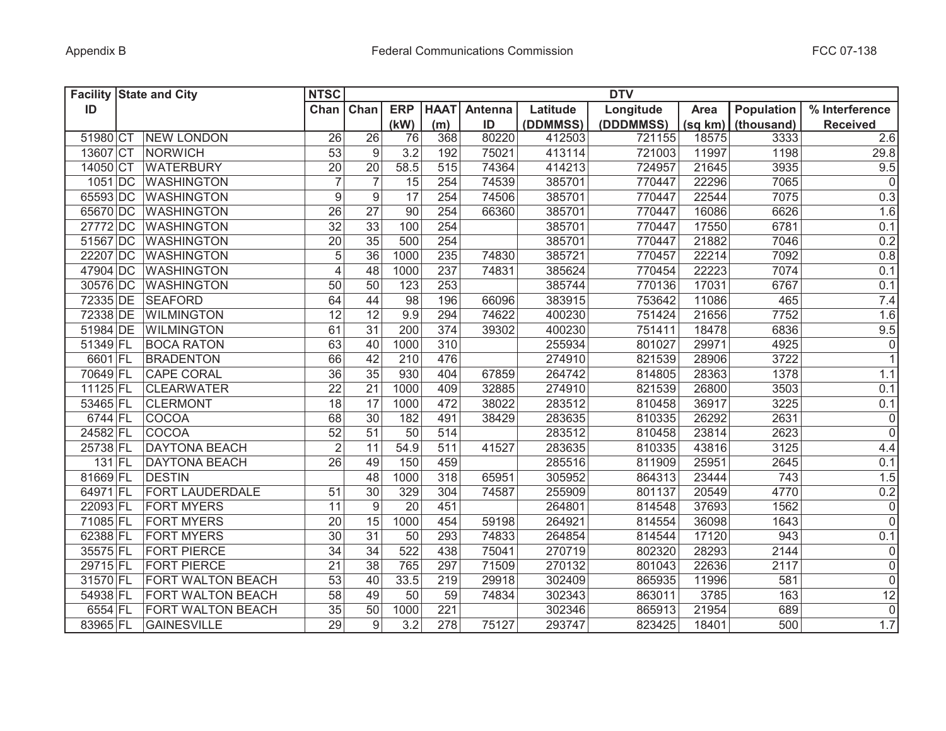|          | <b>Facility State and City</b> | <b>NTSC</b>    |                  |                  |             |         |          | <b>DTV</b> |         |                   |                 |
|----------|--------------------------------|----------------|------------------|------------------|-------------|---------|----------|------------|---------|-------------------|-----------------|
| ID       |                                | Chan           | Chan             | <b>ERP</b>       | <b>HAAT</b> | Antenna | Latitude | Longitude  | Area    | <b>Population</b> | % Interference  |
|          |                                |                |                  | (kW)             | (m)         | ID      | (DDMMSS) | (DDDMMSS)  | (sq km) | (thousand)        | <b>Received</b> |
| 51980 CT | <b>NEW LONDON</b>              | 26             | 26               | 76               | 368         | 80220   | 412503   | 721155     | 18575   | 3333              | 2.6             |
| 13607 CT | NORWICH                        | 53             | $\boldsymbol{9}$ | 3.2              | 192         | 75021   | 413114   | 721003     | 11997   | 1198              | 29.8            |
| 14050 CT | <b>WATERBURY</b>               | 20             | 20               | 58.5             | 515         | 74364   | 414213   | 724957     | 21645   | 3935              | 9.5             |
| 1051 DC  | <b>WASHINGTON</b>              | $\overline{7}$ | $\overline{7}$   | 15               | 254         | 74539   | 385701   | 770447     | 22296   | 7065              | $\overline{0}$  |
| 65593 DC | <b>WASHINGTON</b>              | $9\,$          | $\boldsymbol{9}$ | 17               | 254         | 74506   | 385701   | 770447     | 22544   | 7075              | 0.3             |
| 65670 DC | <b>WASHINGTON</b>              | 26             | 27               | 90               | 254         | 66360   | 385701   | 770447     | 16086   | 6626              | 1.6             |
| 27772 DC | <b>WASHINGTON</b>              | 32             | 33               | 100              | 254         |         | 385701   | 770447     | 17550   | 6781              | 0.1             |
| 51567 DC | <b>WASHINGTON</b>              | 20             | 35               | 500              | 254         |         | 385701   | 770447     | 21882   | 7046              | 0.2             |
| 22207 DC | <b>WASHINGTON</b>              | $\sqrt{5}$     | $\overline{36}$  | 1000             | 235         | 74830   | 385721   | 770457     | 22214   | 7092              | 0.8             |
| 47904 DC | <b>WASHINGTON</b>              | $\overline{4}$ | 48               | 1000             | 237         | 74831   | 385624   | 770454     | 22223   | 7074              | 0.1             |
| 30576 DC | <b>WASHINGTON</b>              | 50             | $\overline{50}$  | 123              | 253         |         | 385744   | 770136     | 17031   | 6767              | 0.1             |
| 72335 DE | <b>SEAFORD</b>                 | 64             | 44               | $\overline{98}$  | 196         | 66096   | 383915   | 753642     | 11086   | 465               | 7.4             |
| 72338 DE | <b>WILMINGTON</b>              | 12             | $\overline{12}$  | 9.9              | 294         | 74622   | 400230   | 751424     | 21656   | 7752              | 1.6             |
| 51984 DE | <b>WILMINGTON</b>              | 61             | $\overline{31}$  | 200              | 374         | 39302   | 400230   | 751411     | 18478   | 6836              | 9.5             |
| 51349 FL | <b>BOCA RATON</b>              | 63             | 40               | 1000             | 310         |         | 255934   | 801027     | 29971   | 4925              | $\overline{0}$  |
| 6601 FL  | <b>BRADENTON</b>               | 66             | 42               | $\overline{210}$ | 476         |         | 274910   | 821539     | 28906   | 3722              | $\overline{1}$  |
| 70649 FL | <b>CAPE CORAL</b>              | 36             | 35               | 930              | 404         | 67859   | 264742   | 814805     | 28363   | 1378              | 1.1             |
| 11125 FL | <b>CLEARWATER</b>              | 22             | $\overline{21}$  | 1000             | 409         | 32885   | 274910   | 821539     | 26800   | 3503              | 0.1             |
| 53465 FL | <b>CLERMONT</b>                | 18             | 17               | 1000             | 472         | 38022   | 283512   | 810458     | 36917   | 3225              | 0.1             |
| 6744 FL  | COCOA                          | 68             | $\overline{30}$  | 182              | 491         | 38429   | 283635   | 810335     | 26292   | 2631              | $\mathbf 0$     |
| 24582 FL | COCOA                          | 52             | 51               | 50               | 514         |         | 283512   | 810458     | 23814   | 2623              | $\overline{0}$  |
| 25738 FL | <b>DAYTONA BEACH</b>           | $\overline{2}$ | 11               | 54.9             | 511         | 41527   | 283635   | 810335     | 43816   | 3125              | 4.4             |
| 131 FL   | <b>DAYTONA BEACH</b>           | 26             | 49               | 150              | 459         |         | 285516   | 811909     | 25951   | 2645              | 0.1             |
| 81669 FL | <b>DESTIN</b>                  |                | 48               | 1000             | 318         | 65951   | 305952   | 864313     | 23444   | 743               | 1.5             |
| 64971 FL | FORT LAUDERDALE                | 51             | 30               | 329              | 304         | 74587   | 255909   | 801137     | 20549   | 4770              | 0.2             |
| 22093 FL | <b>FORT MYERS</b>              | 11             | $\boldsymbol{9}$ | 20               | 451         |         | 264801   | 814548     | 37693   | 1562              | $\mathbf 0$     |
| 71085 FL | <b>FORT MYERS</b>              | 20             | 15               | 1000             | 454         | 59198   | 264921   | 814554     | 36098   | 1643              | $\mathbf 0$     |
| 62388 FL | <b>FORT MYERS</b>              | 30             | 31               | 50               | 293         | 74833   | 264854   | 814544     | 17120   | 943               | 0.1             |
| 35575 FL | <b>FORT PIERCE</b>             | 34             | 34               | 522              | 438         | 75041   | 270719   | 802320     | 28293   | 2144              | $\pmb{0}$       |
| 29715 FL | <b>FORT PIERCE</b>             | 21             | 38               | 765              | 297         | 71509   | 270132   | 801043     | 22636   | 2117              | $\mathbf 0$     |
| 31570 FL | FORT WALTON BEACH              | 53             | 40               | 33.5             | 219         | 29918   | 302409   | 865935     | 11996   | 581               | $\mathsf 0$     |
| 54938 FL | <b>FORT WALTON BEACH</b>       | 58             | 49               | 50               | 59          | 74834   | 302343   | 863011     | 3785    | 163               | $\overline{12}$ |
| 6554 FL  | FORT WALTON BEACH              | 35             | 50               | 1000             | 221         |         | 302346   | 865913     | 21954   | 689               | $\mathbf 0$     |
| 83965 FL | <b>GAINESVILLE</b>             | 29             | 9                | 3.2              | 278         | 75127   | 293747   | 823425     | 18401   | 500               | 1.7             |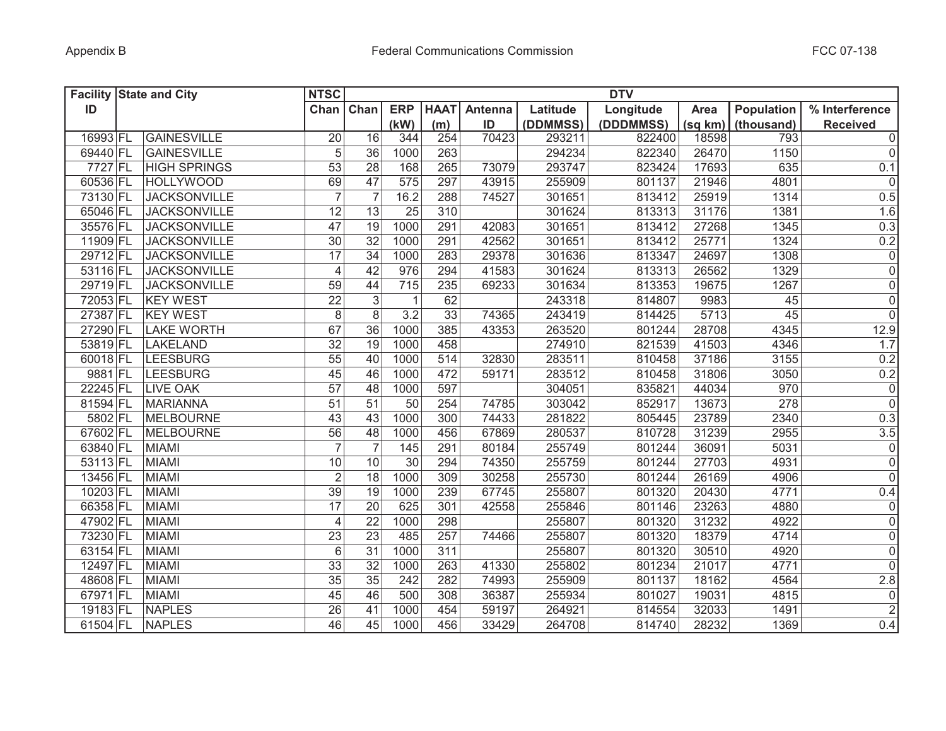|          | <b>Facility State and City</b> | <b>NTSC</b>     |                 |              |                 |         |          | <b>DTV</b> |         |            |                 |
|----------|--------------------------------|-----------------|-----------------|--------------|-----------------|---------|----------|------------|---------|------------|-----------------|
| ID       |                                | Chan            | Chan            | <b>ERP</b>   | <b>HAAT</b>     | Antenna | Latitude | Longitude  | Area    | Population | % Interference  |
|          |                                |                 |                 | (kW)         | (m)             | ID      | (DDMMSS) | (DDDMMSS)  | (sq km) | (thousand) | <b>Received</b> |
| 16993 FL | GAINESVILLE                    | 20              | 16              | 344          | 254             | 70423   | 293211   | 822400     | 18598   | 793        | 0               |
| 69440 FL | <b>GAINESVILLE</b>             | 5               | 36              | 1000         | 263             |         | 294234   | 822340     | 26470   | 1150       | 0               |
| 7727 FL  | <b>HIGH SPRINGS</b>            | 53              | 28              | 168          | 265             | 73079   | 293747   | 823424     | 17693   | 635        | 0.1             |
| 60536 FL | <b>HOLLYWOOD</b>               | 69              | 47              | 575          | 297             | 43915   | 255909   | 801137     | 21946   | 4801       | $\overline{0}$  |
| 73130 FL | <b>JACKSONVILLE</b>            | $\overline{7}$  | $\overline{7}$  | 16.2         | 288             | 74527   | 301651   | 813412     | 25919   | 1314       | 0.5             |
| 65046 FL | <b>JACKSONVILLE</b>            | 12              | 13              | 25           | 310             |         | 301624   | 813313     | 31176   | 1381       | 1.6             |
| 35576 FL | <b>JACKSONVILLE</b>            | 47              | 19              | 1000         | 291             | 42083   | 301651   | 813412     | 27268   | 1345       | 0.3             |
| 11909 FL | <b>JACKSONVILLE</b>            | 30              | 32              | 1000         | 291             | 42562   | 301651   | 813412     | 25771   | 1324       | 0.2             |
| 29712 FL | <b>JACKSONVILLE</b>            | $\overline{17}$ | $\overline{34}$ | 1000         | 283             | 29378   | 301636   | 813347     | 24697   | 1308       | $\overline{0}$  |
| 53116 FL | <b>JACKSONVILLE</b>            | $\overline{4}$  | 42              | 976          | 294             | 41583   | 301624   | 813313     | 26562   | 1329       | $\overline{0}$  |
| 29719 FL | <b>JACKSONVILLE</b>            | 59              | 44              | 715          | 235             | 69233   | 301634   | 813353     | 19675   | 1267       | $\overline{0}$  |
| 72053 FL | <b>KEY WEST</b>                | $\overline{22}$ | $\overline{3}$  | $\mathbf{1}$ | 62              |         | 243318   | 814807     | 9983    | 45         | $\overline{0}$  |
| 27387 FL | <b>KEY WEST</b>                | $\,8\,$         | $\overline{8}$  | 3.2          | $\overline{33}$ | 74365   | 243419   | 814425     | 5713    | 45         | $\overline{0}$  |
| 27290 FL | <b>LAKE WORTH</b>              | 67              | $\overline{36}$ | 1000         | 385             | 43353   | 263520   | 801244     | 28708   | 4345       | 12.9            |
| 53819 FL | LAKELAND                       | $\overline{32}$ | $\overline{19}$ | 1000         | 458             |         | 274910   | 821539     | 41503   | 4346       | 1.7             |
| 60018 FL | <b>LEESBURG</b>                | $\overline{55}$ | 40              | 1000         | 514             | 32830   | 283511   | 810458     | 37186   | 3155       | 0.2             |
| 9881 FL  | <b>LEESBURG</b>                | 45              | 46              | 1000         | 472             | 59171   | 283512   | 810458     | 31806   | 3050       | 0.2             |
| 22245 FL | <b>LIVE OAK</b>                | $\overline{57}$ | 48              | 1000         | 597             |         | 304051   | 835821     | 44034   | 970        | $\overline{0}$  |
| 81594 FL | <b>MARIANNA</b>                | 51              | $\overline{51}$ | 50           | 254             | 74785   | 303042   | 852917     | 13673   | 278        | $\overline{0}$  |
| 5802 FL  | <b>MELBOURNE</b>               | 43              | 43              | 1000         | 300             | 74433   | 281822   | 805445     | 23789   | 2340       | 0.3             |
| 67602 FL | <b>MELBOURNE</b>               | 56              | 48              | 1000         | 456             | 67869   | 280537   | 810728     | 31239   | 2955       | 3.5             |
| 63840 FL | <b>MIAMI</b>                   | $\overline{7}$  | $\overline{7}$  | 145          | 291             | 80184   | 255749   | 801244     | 36091   | 5031       | $\overline{0}$  |
| 53113 FL | <b>MIAMI</b>                   | 10              | 10              | 30           | 294             | 74350   | 255759   | 801244     | 27703   | 4931       | $\overline{0}$  |
| 13456 FL | <b>MIAMI</b>                   | $\overline{2}$  | 18              | 1000         | 309             | 30258   | 255730   | 801244     | 26169   | 4906       | 0               |
| 10203 FL | <b>MIAMI</b>                   | 39              | 19              | 1000         | 239             | 67745   | 255807   | 801320     | 20430   | 4771       | 0.4             |
| 66358 FL | <b>MIAMI</b>                   | 17              | 20              | 625          | 301             | 42558   | 255846   | 801146     | 23263   | 4880       | 0               |
| 47902 FL | <b>MIAMI</b>                   | $\overline{4}$  | $\overline{22}$ | 1000         | 298             |         | 255807   | 801320     | 31232   | 4922       | 0               |
| 73230 FL | <b>MIAMI</b>                   | 23              | $\overline{23}$ | 485          | 257             | 74466   | 255807   | 801320     | 18379   | 4714       | 0               |
| 63154 FL | <b>MIAMI</b>                   | 6               | 31              | 1000         | 311             |         | 255807   | 801320     | 30510   | 4920       | 0               |
| 12497 FL | <b>MIAMI</b>                   | 33              | 32              | 1000         | 263             | 41330   | 255802   | 801234     | 21017   | 4771       | 0               |
| 48608 FL | <b>MIAMI</b>                   | 35              | $\overline{35}$ | 242          | 282             | 74993   | 255909   | 801137     | 18162   | 4564       | 2.8             |
| 67971 FL | <b>MIAMI</b>                   | 45              | 46              | 500          | 308             | 36387   | 255934   | 801027     | 19031   | 4815       | $\overline{0}$  |
| 19183 FL | <b>NAPLES</b>                  | 26              | 41              | 1000         | 454             | 59197   | 264921   | 814554     | 32033   | 1491       | $\overline{2}$  |
| 61504 FL | <b>NAPLES</b>                  | 46              | 45              | 1000         | 456             | 33429   | 264708   | 814740     | 28232   | 1369       | 0.4             |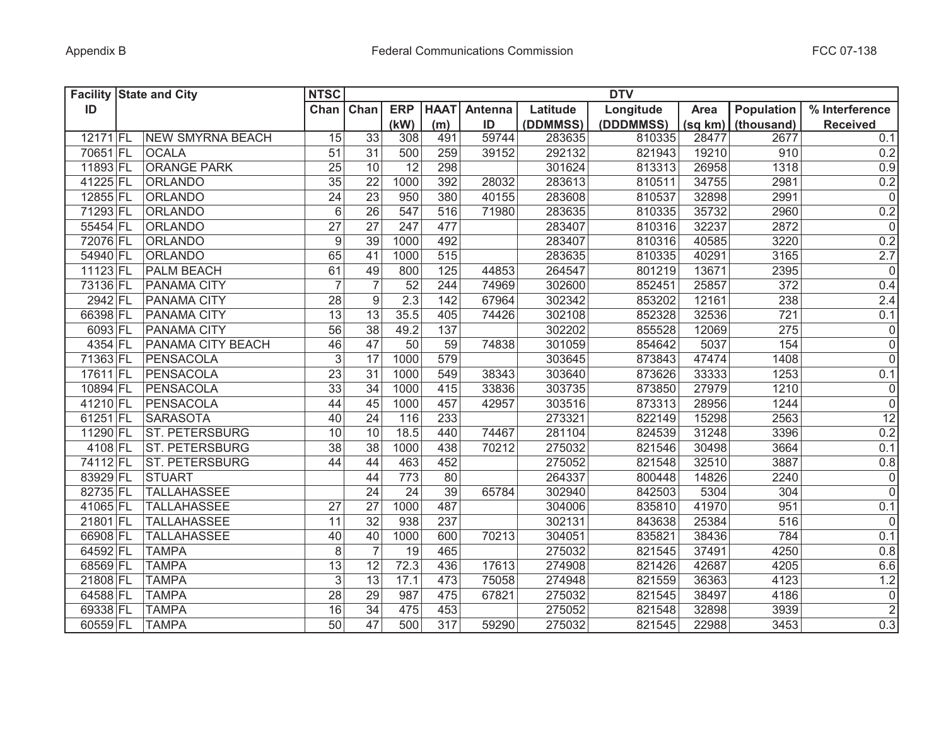|            | <b>Facility State and City</b> | <b>NTSC</b><br><b>DTV</b> |                 |                 |                  |         |          |           |         |                   |                     |
|------------|--------------------------------|---------------------------|-----------------|-----------------|------------------|---------|----------|-----------|---------|-------------------|---------------------|
| ID         |                                | Chan                      | Chan            | <b>ERP</b>      | <b>HAAT</b>      | Antenna | Latitude | Longitude | Area    | <b>Population</b> | % Interference      |
|            |                                |                           |                 | (kW)            | (m)              | ID      | (DDMMSS) | (DDDMMSS) | (sq km) | (thousand)        | <b>Received</b>     |
| 12171 FL   | <b>NEW SMYRNA BEACH</b>        | 15                        | $\overline{33}$ | 308             | 491              | 59744   | 283635   | 810335    | 28477   | 2677              | 0.1                 |
| 70651 FL   | <b>OCALA</b>                   | 51                        | 31              | 500             | 259              | 39152   | 292132   | 821943    | 19210   | 910               | 0.2                 |
| 11893 FL   | <b>ORANGE PARK</b>             | 25                        | 10              | 12              | 298              |         | 301624   | 813313    | 26958   | 1318              | 0.9                 |
| 41225 FL   | <b>ORLANDO</b>                 | 35                        | 22              | 1000            | 392              | 28032   | 283613   | 810511    | 34755   | 2981              | 0.2                 |
| 12855 FL   | <b>ORLANDO</b>                 | 24                        | $\overline{23}$ | 950             | 380              | 40155   | 283608   | 810537    | 32898   | 2991              | $\mathbf 0$         |
| 71293 FL   | <b>ORLANDO</b>                 | $6\phantom{1}6$           | $\overline{26}$ | 547             | 516              | 71980   | 283635   | 810335    | 35732   | 2960              | 0.2                 |
| 55454 FL   | <b>ORLANDO</b>                 | $\overline{27}$           | $\overline{27}$ | 247             | 477              |         | 283407   | 810316    | 32237   | 2872              | $\mathsf{O}\xspace$ |
| 72076 FL   | ORLANDO                        | $\boldsymbol{9}$          | $\overline{39}$ | 1000            | 492              |         | 283407   | 810316    | 40585   | 3220              | 0.2                 |
| 54940 FL   | ORLANDO                        | 65                        | 41              | 1000            | 515              |         | 283635   | 810335    | 40291   | 3165              | 2.7                 |
| 11123 FL   | <b>PALM BEACH</b>              | 61                        | 49              | 800             | 125              | 44853   | 264547   | 801219    | 13671   | 2395              | $\mathbf 0$         |
| 73136 FL   | PANAMA CITY                    | $\overline{7}$            | $\overline{7}$  | 52              | 244              | 74969   | 302600   | 852451    | 25857   | $\overline{372}$  | 0.4                 |
| 2942 FL    | PANAMA CITY                    | 28                        | $\overline{9}$  | 2.3             | 142              | 67964   | 302342   | 853202    | 12161   | 238               | 2.4                 |
| 66398 FL   | PANAMA CITY                    | $\overline{13}$           | $\overline{13}$ | 35.5            | 405              | 74426   | 302108   | 852328    | 32536   | 721               | 0.1                 |
| 6093 FL    | PANAMA CITY                    | $\overline{56}$           | $\overline{38}$ | 49.2            | 137              |         | 302202   | 855528    | 12069   | 275               | $\mathsf{O}\xspace$ |
| 4354 FL    | PANAMA CITY BEACH              | 46                        | $\overline{47}$ | $\overline{50}$ | 59               | 74838   | 301059   | 854642    | 5037    | 154               | $\overline{0}$      |
| 71363 FL   | <b>PENSACOLA</b>               | $\sqrt{3}$                | $\overline{17}$ | 1000            | 579              |         | 303645   | 873843    | 47474   | 1408              | $\overline{0}$      |
| $17611$ FL | <b>PENSACOLA</b>               | $\overline{23}$           | $\overline{31}$ | 1000            | 549              | 38343   | 303640   | 873626    | 33333   | 1253              | 0.1                 |
| 10894 FL   | <b>PENSACOLA</b>               | $\overline{33}$           | $\overline{34}$ | 1000            | 415              | 33836   | 303735   | 873850    | 27979   | 1210              | $\mathsf{O}\xspace$ |
| 41210 FL   | PENSACOLA                      | 44                        | $\overline{45}$ | 1000            | 457              | 42957   | 303516   | 873313    | 28956   | 1244              | $\overline{0}$      |
| 61251 FL   | <b>SARASOTA</b>                | 40                        | $\overline{24}$ | 116             | 233              |         | 273321   | 822149    | 15298   | 2563              | 12                  |
| 11290 FL   | <b>ST. PETERSBURG</b>          | 10                        | 10              | 18.5            | 440              | 74467   | 281104   | 824539    | 31248   | 3396              | 0.2                 |
| 4108 FL    | <b>ST. PETERSBURG</b>          | 38                        | 38              | 1000            | 438              | 70212   | 275032   | 821546    | 30498   | 3664              | 0.1                 |
| 74112 FL   | <b>ST. PETERSBURG</b>          | 44                        | 44              | 463             | 452              |         | 275052   | 821548    | 32510   | 3887              | 0.8                 |
| 83929 FL   | <b>STUART</b>                  |                           | 44              | 773             | 80               |         | 264337   | 800448    | 14826   | 2240              | $\mathsf{O}\xspace$ |
| 82735 FL   | <b>TALLAHASSEE</b>             |                           | 24              | 24              | 39               | 65784   | 302940   | 842503    | 5304    | 304               | $\mathbf 0$         |
| 41065 FL   | <b>TALLAHASSEE</b>             | 27                        | 27              | 1000            | 487              |         | 304006   | 835810    | 41970   | 951               | 0.1                 |
| 21801 FL   | <b>TALLAHASSEE</b>             | 11                        | $\overline{32}$ | 938             | 237              |         | 302131   | 843638    | 25384   | 516               | $\mathbf 0$         |
| 66908 FL   | <b>TALLAHASSEE</b>             | 40                        | 40              | 1000            | 600              | 70213   | 304051   | 835821    | 38436   | 784               | 0.1                 |
| 64592 FL   | <b>TAMPA</b>                   | 8                         | $\overline{7}$  | 19              | 465              |         | 275032   | 821545    | 37491   | 4250              | 0.8                 |
| 68569 FL   | <b>TAMPA</b>                   | 13                        | 12              | 72.3            | 436              | 17613   | 274908   | 821426    | 42687   | 4205              | 6.6                 |
| 21808 FL   | <b>TAMPA</b>                   | 3                         | 13              | 17.1            | 473              | 75058   | 274948   | 821559    | 36363   | 4123              | 1.2                 |
| 64588 FL   | <b>TAMPA</b>                   | 28                        | 29              | 987             | 475              | 67821   | 275032   | 821545    | 38497   | 4186              | $\mathbf 0$         |
| 69338 FL   | <b>TAMPA</b>                   | 16                        | $\overline{34}$ | 475             | 453              |         | 275052   | 821548    | 32898   | 3939              | $\overline{2}$      |
| 60559 FL   | <b>TAMPA</b>                   | 50                        | 47              | 500             | $\overline{317}$ | 59290   | 275032   | 821545    | 22988   | 3453              | 0.3                 |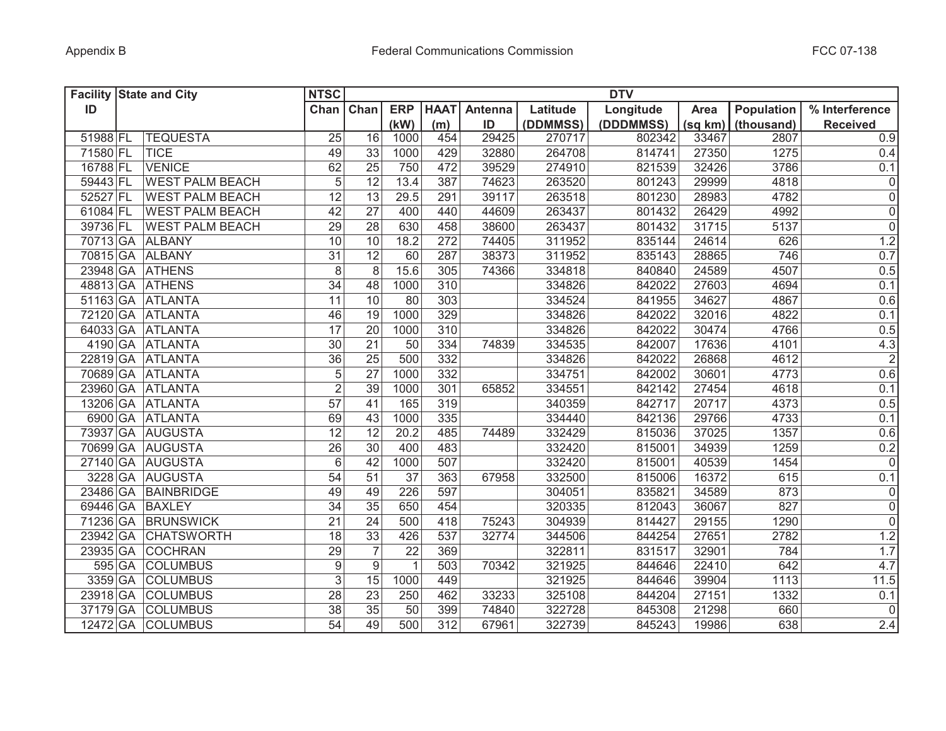| <b>Facility State and City</b> |                        | <b>NTSC</b>     |                 |             |             |         |          | <b>DTV</b> |         |                   |                     |
|--------------------------------|------------------------|-----------------|-----------------|-------------|-------------|---------|----------|------------|---------|-------------------|---------------------|
| ID                             |                        | Chan Chan       |                 | <b>ERP</b>  | <b>HAAT</b> | Antenna | Latitude | Longitude  | Area    | <b>Population</b> | % Interference      |
|                                |                        |                 |                 | (kW)        | (m)         | ID      | (DDMMSS) | (DDDMMSS)  | (sq km) | (thousand)        | <b>Received</b>     |
| 51988 FL                       | <b>TEQUESTA</b>        | 25              | 16              | 1000        | 454         | 29425   | 270717   | 802342     | 33467   | 2807              | 0.9                 |
| 71580 FL                       | <b>TICE</b>            | 49              | 33              | 1000        | 429         | 32880   | 264708   | 814741     | 27350   | 1275              | 0.4                 |
| 16788 FL                       | <b>VENICE</b>          | 62              | 25              | 750         | 472         | 39529   | 274910   | 821539     | 32426   | 3786              | 0.1                 |
| 59443 FL                       | <b>WEST PALM BEACH</b> | $\overline{5}$  | 12              | 13.4        | 387         | 74623   | 263520   | 801243     | 29999   | 4818              | $\boldsymbol{0}$    |
| 52527 FL                       | <b>WEST PALM BEACH</b> | $\overline{12}$ | 13              | 29.5        | 291         | 39117   | 263518   | 801230     | 28983   | 4782              | $\overline{0}$      |
| 61084 FL                       | <b>WEST PALM BEACH</b> | 42              | 27              | 400         | 440         | 44609   | 263437   | 801432     | 26429   | 4992              | $\overline{0}$      |
| 39736 FL                       | <b>WEST PALM BEACH</b> | 29              | 28              | 630         | 458         | 38600   | 263437   | 801432     | 31715   | 5137              | $\overline{0}$      |
| 70713 GA ALBANY                |                        | $\overline{10}$ | 10              | 18.2        | 272         | 74405   | 311952   | 835144     | 24614   | 626               | 1.2                 |
| 70815 GA ALBANY                |                        | $\overline{31}$ | 12              | 60          | 287         | 38373   | 311952   | 835143     | 28865   | 746               | 0.7                 |
| 23948 GA ATHENS                |                        | $\overline{8}$  | 8               | 15.6        | 305         | 74366   | 334818   | 840840     | 24589   | 4507              | 0.5                 |
| 48813 GA ATHENS                |                        | $\overline{34}$ | 48              | 1000        | 310         |         | 334826   | 842022     | 27603   | 4694              | 0.1                 |
|                                | 51163 GA ATLANTA       | $\overline{11}$ | 10              | 80          | 303         |         | 334524   | 841955     | 34627   | 4867              | 0.6                 |
|                                | 72120 GA ATLANTA       | 46              | 19              | 1000        | 329         |         | 334826   | 842022     | 32016   | 4822              | 0.1                 |
|                                | 64033 GA ATLANTA       | $\overline{17}$ | 20              | 1000        | 310         |         | 334826   | 842022     | 30474   | 4766              | 0.5                 |
|                                | 4190 GA ATLANTA        | $\overline{30}$ | 21              | 50          | 334         | 74839   | 334535   | 842007     | 17636   | 4101              | 4.3                 |
|                                | 22819 GA ATLANTA       | $\overline{36}$ | 25              | 500         | 332         |         | 334826   | 842022     | 26868   | 4612              | $\overline{2}$      |
|                                | 70689 GA ATLANTA       | $\overline{5}$  | 27              | 1000        | 332         |         | 334751   | 842002     | 30601   | 4773              | 0.6                 |
|                                | 23960 GA ATLANTA       | $\overline{2}$  | $\overline{39}$ | 1000        | 301         | 65852   | 334551   | 842142     | 27454   | 4618              | 0.1                 |
|                                | 13206 GA ATLANTA       | $\overline{57}$ | 41              | 165         | 319         |         | 340359   | 842717     | 20717   | 4373              | 0.5                 |
|                                | 6900 GA ATLANTA        | 69              | 43              | 1000        | 335         |         | 334440   | 842136     | 29766   | 4733              | 0.1                 |
|                                | 73937 GA AUGUSTA       | 12              | 12              | 20.2        | 485         | 74489   | 332429   | 815036     | 37025   | 1357              | 0.6                 |
|                                | 70699 GA AUGUSTA       | 26              | 30              | 400         | 483         |         | 332420   | 815001     | 34939   | 1259              | 0.2                 |
|                                | 27140 GA AUGUSTA       | 6               | 42              | 1000        | 507         |         | 332420   | 815001     | 40539   | 1454              | $\mathsf{O}\xspace$ |
|                                | 3228 GA AUGUSTA        | $\overline{54}$ | 51              | 37          | 363         | 67958   | 332500   | 815006     | 16372   | 615               | 0.1                 |
|                                | 23486 GA BAINBRIDGE    | 49              | 49              | 226         | 597         |         | 304051   | 835821     | 34589   | 873               | 0                   |
| 69446 GA BAXLEY                |                        | 34              | 35              | 650         | 454         |         | 320335   | 812043     | 36067   | 827               | $\overline{0}$      |
| 71236 GA                       | <b>BRUNSWICK</b>       | 21              | 24              | 500         | 418         | 75243   | 304939   | 814427     | 29155   | 1290              | $\overline{0}$      |
| 23942 GA                       | <b>CHATSWORTH</b>      | 18              | 33              | 426         | 537         | 32774   | 344506   | 844254     | 27651   | 2782              | 1.2                 |
| 23935 GA                       | <b>COCHRAN</b>         | 29              | $\overline{7}$  | 22          | 369         |         | 322811   | 831517     | 32901   | 784               | 1.7                 |
| 595 GA                         | <b>COLUMBUS</b>        | 9               | 9               | $\mathbf 1$ | 503         | 70342   | 321925   | 844646     | 22410   | 642               | 4.7                 |
| 3359 GA                        | <b>COLUMBUS</b>        | $\overline{3}$  | 15              | 1000        | 449         |         | 321925   | 844646     | 39904   | 1113              | 11.5                |
| 23918 GA                       | <b>COLUMBUS</b>        | 28              | 23              | 250         | 462         | 33233   | 325108   | 844204     | 27151   | 1332              | 0.1                 |
| 37179 GA                       | <b>COLUMBUS</b>        | 38              | 35              | 50          | 399         | 74840   | 322728   | 845308     | 21298   | 660               | $\overline{0}$      |
| 12472 GA                       | <b>COLUMBUS</b>        | $\overline{54}$ | 49              | 500         | 312         | 67961   | 322739   | 845243     | 19986   | 638               | 2.4                 |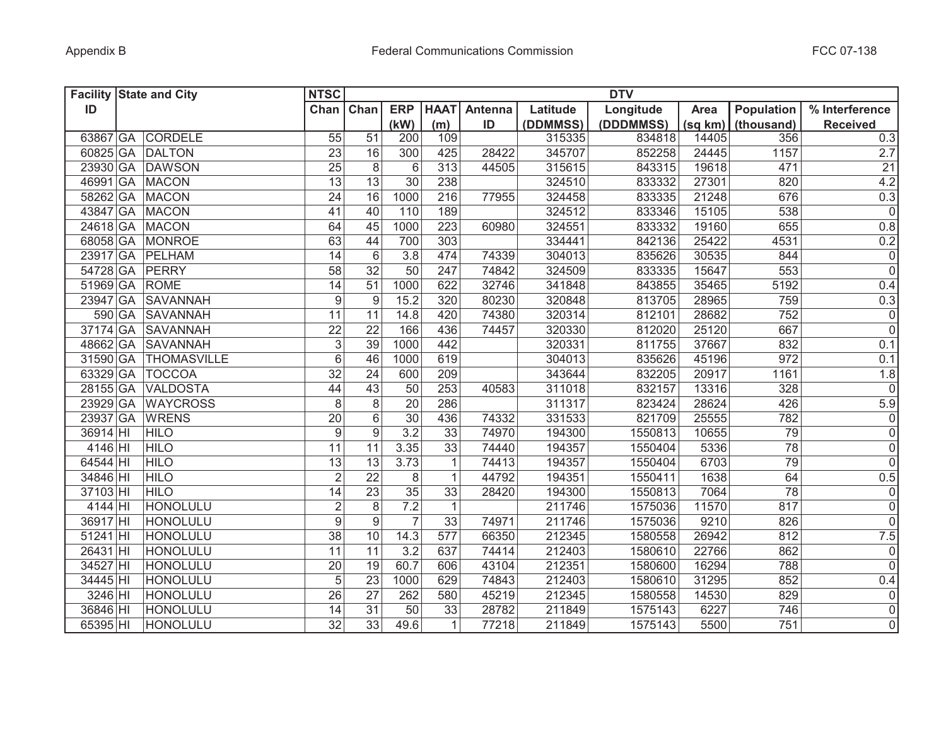| <b>Facility State and City</b> |                      | <b>NTSC</b>     |                  |                 |              |         |          | <b>DTV</b> |         |                 |                 |
|--------------------------------|----------------------|-----------------|------------------|-----------------|--------------|---------|----------|------------|---------|-----------------|-----------------|
| ID                             |                      | Chan            | Chan             | <b>ERP</b>      | <b>HAAT</b>  | Antenna | Latitude | Longitude  | Area    | Population      | % Interference  |
|                                |                      |                 |                  | (kW)            | (m)          | ID      | (DDMMSS) | (DDDMMSS)  | (sq km) | (thousand)      | <b>Received</b> |
|                                | 63867 GA CORDELE     | 55              | 51               | 200             | 109          |         | 315335   | 834818     | 14405   | 356             | 0.3             |
|                                | 60825 GA DALTON      | 23              | 16               | 300             | 425          | 28422   | 345707   | 852258     | 24445   | 1157            | 2.7             |
|                                | 23930 GA DAWSON      | 25              | 8                | 6               | 313          | 44505   | 315615   | 843315     | 19618   | 471             | 21              |
|                                | 46991 GA MACON       | 13              | $\overline{13}$  | $\overline{30}$ | 238          |         | 324510   | 833332     | 27301   | 820             | 4.2             |
|                                | 58262 GA MACON       | 24              | 16               | 1000            | 216          | 77955   | 324458   | 833335     | 21248   | 676             | 0.3             |
|                                | 43847 GA MACON       | 41              | 40               | 110             | 189          |         | 324512   | 833346     | 15105   | 538             | $\overline{0}$  |
|                                | 24618 GA MACON       | 64              | 45               | 1000            | 223          | 60980   | 324551   | 833332     | 19160   | 655             | 0.8             |
|                                | 68058 GA MONROE      | 63              | 44               | 700             | 303          |         | 334441   | 842136     | 25422   | 4531            | 0.2             |
|                                | 23917 GA PELHAM      | 14              | $6\phantom{1}$   | 3.8             | 474          | 74339   | 304013   | 835626     | 30535   | 844             | $\overline{0}$  |
| 54728 GA PERRY                 |                      | $\overline{58}$ | $\overline{32}$  | $\overline{50}$ | 247          | 74842   | 324509   | 833335     | 15647   | 553             | $\overline{0}$  |
| 51969 GA ROME                  |                      | 14              | 51               | 1000            | 622          | 32746   | 341848   | 843855     | 35465   | 5192            | 0.4             |
|                                | 23947 GA SAVANNAH    | 9               | 9                | 15.2            | 320          | 80230   | 320848   | 813705     | 28965   | 759             | 0.3             |
|                                | 590 GA SAVANNAH      | $\overline{11}$ | 11               | 14.8            | 420          | 74380   | 320314   | 812101     | 28682   | 752             | $\overline{0}$  |
|                                | 37174 GA SAVANNAH    | $\overline{22}$ | $\overline{22}$  | 166             | 436          | 74457   | 320330   | 812020     | 25120   | 667             | $\overline{0}$  |
|                                | 48662 GA SAVANNAH    | 3               | $\overline{39}$  | 1000            | 442          |         | 320331   | 811755     | 37667   | 832             | 0.1             |
|                                | 31590 GA THOMASVILLE | 6               | 46               | 1000            | 619          |         | 304013   | 835626     | 45196   | 972             | 0.1             |
|                                | 63329 GA   TOCCOA    | 32              | 24               | 600             | 209          |         | 343644   | 832205     | 20917   | 1161            | 1.8             |
| 28155 GA                       | <b>VALDOSTA</b>      | 44              | $\overline{43}$  | 50              | 253          | 40583   | 311018   | 832157     | 13316   | 328             | $\overline{0}$  |
| 23929 GA                       | <b>WAYCROSS</b>      | $\,8\,$         | $\,8\,$          | $\overline{20}$ | 286          |         | 311317   | 823424     | 28624   | 426             | 5.9             |
| 23937 GA                       | <b>WRENS</b>         | 20              | 6                | 30              | 436          | 74332   | 331533   | 821709     | 25555   | 782             | 0               |
| 36914 HI                       | <b>HILO</b>          | 9               | 9                | 3.2             | 33           | 74970   | 194300   | 1550813    | 10655   | 79              | $\overline{0}$  |
| 4146 HI                        | <b>HILO</b>          | 11              | 11               | 3.35            | 33           | 74440   | 194357   | 1550404    | 5336    | $\overline{78}$ | $\overline{0}$  |
| 64544 HI                       | <b>HILO</b>          | 13              | 13               | 3.73            | 1            | 74413   | 194357   | 1550404    | 6703    | 79              | $\overline{0}$  |
| 34846 HI                       | <b>HILO</b>          | $\overline{2}$  | 22               | 8               | $\mathbf{1}$ | 44792   | 194351   | 1550411    | 1638    | 64              | 0.5             |
| 37103 HI                       | <b>HILO</b>          | 14              | 23               | 35              | 33           | 28420   | 194300   | 1550813    | 7064    | 78              | 0               |
| 4144 HI                        | HONOLULU             | $\overline{2}$  | 8                | 7.2             | 1            |         | 211746   | 1575036    | 11570   | 817             | $\overline{0}$  |
| 36917 HI                       | HONOLULU             | 9               | $\boldsymbol{9}$ | $\overline{7}$  | 33           | 74971   | 211746   | 1575036    | 9210    | 826             | 0               |
| 51241 HI                       | HONOLULU             | 38              | 10               | 14.3            | 577          | 66350   | 212345   | 1580558    | 26942   | 812             | 7.5             |
| 26431 HI                       | HONOLULU             | 11              | 11               | 3.2             | 637          | 74414   | 212403   | 1580610    | 22766   | 862             | 0               |
| 34527 HI                       | HONOLULU             | 20              | 19               | 60.7            | 606          | 43104   | 212351   | 1580600    | 16294   | 788             | 0               |
| 34445 HI                       | HONOLULU             | $\sqrt{5}$      | 23               | 1000            | 629          | 74843   | 212403   | 1580610    | 31295   | 852             | 0.4             |
| 3246 HI                        | HONOLULU             | 26              | 27               | 262             | 580          | 45219   | 212345   | 1580558    | 14530   | 829             | $\overline{0}$  |
| 36846 HI                       | HONOLULU             | 14              | $\overline{31}$  | 50              | 33           | 28782   | 211849   | 1575143    | 6227    | 746             | $\overline{0}$  |
| 65395 HI                       | HONOLULU             | 32              | $\overline{33}$  | 49.6            | $\mathbf{1}$ | 77218   | 211849   | 1575143    | 5500    | 751             | $\overline{0}$  |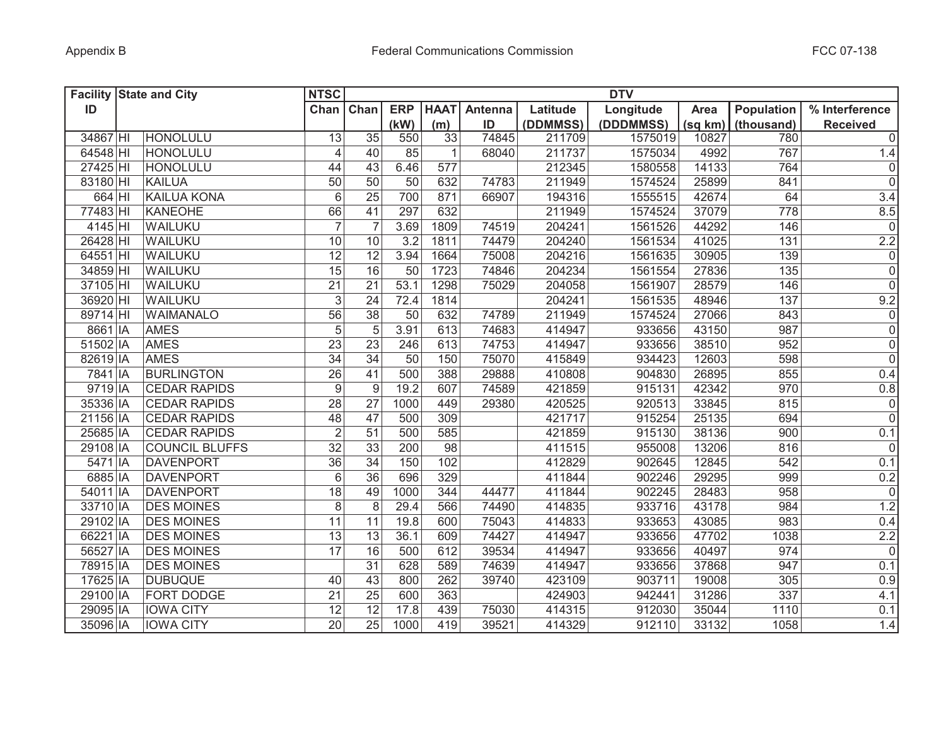|          | <b>Facility State and City</b> | <b>NTSC</b>               |                 |            |             |                |          | <b>DTV</b> |         |                   |                     |
|----------|--------------------------------|---------------------------|-----------------|------------|-------------|----------------|----------|------------|---------|-------------------|---------------------|
| ID       |                                | Chan Chan                 |                 | <b>ERP</b> | <b>HAAT</b> | <b>Antenna</b> | Latitude | Longitude  | Area    | <b>Population</b> | % Interference      |
|          |                                |                           |                 | (kW)       | (m)         | ID             | (DDMMSS) | (DDDMMSS)  | (sq km) | (thousand)        | <b>Received</b>     |
| 34867 HI | HONOLULU                       | 13                        | $\overline{35}$ | 550        | 33          | 74845          | 211709   | 1575019    | 10827   | 780               | $\overline{0}$      |
| 64548 HI | HONOLULU                       | 4                         | 40              | 85         | 1           | 68040          | 211737   | 1575034    | 4992    | 767               | 1.4                 |
| 27425 HI | HONOLULU                       | 44                        | 43              | 6.46       | 577         |                | 212345   | 1580558    | 14133   | 764               | $\pmb{0}$           |
| 83180 HI | <b>KAILUA</b>                  | 50                        | 50              | 50         | 632         | 74783          | 211949   | 1574524    | 25899   | 841               | $\overline{0}$      |
| 664 HI   | <b>KAILUA KONA</b>             | $\,6$                     | $\overline{25}$ | 700        | 871         | 66907          | 194316   | 1555515    | 42674   | 64                | $\overline{3.4}$    |
| 77483 HI | <b>KANEOHE</b>                 | 66                        | 41              | 297        | 632         |                | 211949   | 1574524    | 37079   | 778               | 8.5                 |
| 4145 HI  | WAILUKU                        | $\overline{7}$            | $\overline{7}$  | 3.69       | 1809        | 74519          | 204241   | 1561526    | 44292   | 146               | $\overline{0}$      |
| 26428 HI | <b>WAILUKU</b>                 | 10                        | 10              | 3.2        | 1811        | 74479          | 204240   | 1561534    | 41025   | 131               | 2.2                 |
| 64551 HI | WAILUKU                        | 12                        | 12              | 3.94       | 1664        | 75008          | 204216   | 1561635    | 30905   | 139               | $\overline{0}$      |
| 34859 HI | WAILUKU                        | $\overline{15}$           | $\overline{16}$ | 50         | 1723        | 74846          | 204234   | 1561554    | 27836   | $\overline{135}$  | $\overline{0}$      |
| 37105 HI | WAILUKU                        | $\overline{21}$           | 21              | 53.1       | 1298        | 75029          | 204058   | 1561907    | 28579   | 146               | $\overline{0}$      |
| 36920 HI | WAILUKU                        | $\ensuremath{\mathsf{3}}$ | 24              | 72.4       | 1814        |                | 204241   | 1561535    | 48946   | 137               | 9.2                 |
| 89714 HI | <b>WAIMANALO</b>               | $\overline{56}$           | 38              | 50         | 632         | 74789          | 211949   | 1574524    | 27066   | 843               | $\pmb{0}$           |
| 8661 IA  | <b>AMES</b>                    | $\overline{5}$            | 5               | 3.91       | 613         | 74683          | 414947   | 933656     | 43150   | 987               | $\overline{0}$      |
| 51502 IA | <b>AMES</b>                    | $\overline{23}$           | 23              | 246        | 613         | 74753          | 414947   | 933656     | 38510   | 952               | $\overline{0}$      |
| 82619 IA | <b>AMES</b>                    | $\overline{34}$           | $\overline{34}$ | 50         | 150         | 75070          | 415849   | 934423     | 12603   | 598               | $\overline{0}$      |
| 7841 IA  | <b>BURLINGTON</b>              | $\overline{26}$           | 41              | 500        | 388         | 29888          | 410808   | 904830     | 26895   | 855               | 0.4                 |
| 9719 IA  | <b>CEDAR RAPIDS</b>            | $\boldsymbol{9}$          | 9               | 19.2       | 607         | 74589          | 421859   | 915131     | 42342   | 970               | 0.8                 |
| 35336 IA | <b>CEDAR RAPIDS</b>            | 28                        | 27              | 1000       | 449         | 29380          | 420525   | 920513     | 33845   | 815               | $\mathsf{O}\xspace$ |
| 21156 IA | <b>CEDAR RAPIDS</b>            | 48                        | 47              | 500        | 309         |                | 421717   | 915254     | 25135   | 694               | $\overline{0}$      |
| 25685 IA | <b>CEDAR RAPIDS</b>            | $\overline{2}$            | 51              | 500        | 585         |                | 421859   | 915130     | 38136   | 900               | 0.1                 |
| 29108 IA | <b>COUNCIL BLUFFS</b>          | 32                        | 33              | 200        | 98          |                | 411515   | 955008     | 13206   | 816               | $\pmb{0}$           |
| 5471 IA  | <b>DAVENPORT</b>               | 36                        | 34              | 150        | 102         |                | 412829   | 902645     | 12845   | 542               | 0.1                 |
| 6885 IA  | <b>DAVENPORT</b>               | 6                         | 36              | 696        | 329         |                | 411844   | 902246     | 29295   | 999               | 0.2                 |
| 54011 IA | <b>DAVENPORT</b>               | 18                        | 49              | 1000       | 344         | 44477          | 411844   | 902245     | 28483   | 958               | $\mathbf 0$         |
| 33710 IA | <b>DES MOINES</b>              | 8                         | 8               | 29.4       | 566         | 74490          | 414835   | 933716     | 43178   | 984               | 1.2                 |
| 29102 IA | <b>DES MOINES</b>              | 11                        | 11              | 19.8       | 600         | 75043          | 414833   | 933653     | 43085   | 983               | 0.4                 |
| 66221 IA | <b>DES MOINES</b>              | 13                        | 13              | 36.1       | 609         | 74427          | 414947   | 933656     | 47702   | 1038              | 2.2                 |
| 56527 IA | <b>DES MOINES</b>              | 17                        | 16              | 500        | 612         | 39534          | 414947   | 933656     | 40497   | 974               | $\overline{0}$      |
| 78915 IA | <b>DES MOINES</b>              |                           | 31              | 628        | 589         | 74639          | 414947   | 933656     | 37868   | 947               | 0.1                 |
| 17625 IA | <b>DUBUQUE</b>                 | 40                        | 43              | 800        | 262         | 39740          | 423109   | 903711     | 19008   | 305               | 0.9                 |
| 29100 IA | <b>FORT DODGE</b>              | 21                        | 25              | 600        | 363         |                | 424903   | 942441     | 31286   | 337               | 4.1                 |
| 29095 IA | <b>IOWA CITY</b>               | 12                        | $\overline{12}$ | 17.8       | 439         | 75030          | 414315   | 912030     | 35044   | $1110$            | 0.1                 |
| 35096 IA | <b>IOWA CITY</b>               | 20                        | $\overline{25}$ | 1000       | 419         | 39521          | 414329   | 912110     | 33132   | 1058              | 1.4                 |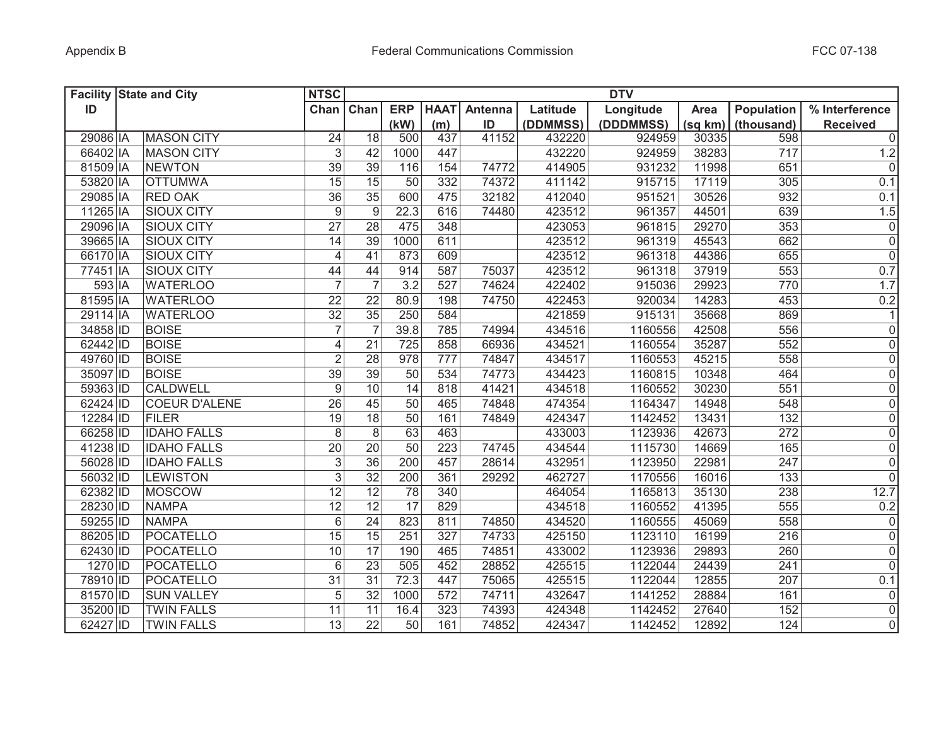|          | <b>Facility State and City</b> | <b>NTSC</b>      |                  |                 |             |         |          | <b>DTV</b> |         |            |                 |
|----------|--------------------------------|------------------|------------------|-----------------|-------------|---------|----------|------------|---------|------------|-----------------|
| ID       |                                | Chan             | Chan             | <b>ERP</b>      | <b>HAAT</b> | Antenna | Latitude | Longitude  | Area    | Population | % Interference  |
|          |                                |                  |                  | (kW)            | (m)         | ID      | (DDMMSS) | (DDDMMSS)  | (sq km) | (thousand) | <b>Received</b> |
| 29086 IA | <b>MASON CITY</b>              | 24               | 18               | 500             | 437         | 41152   | 432220   | 924959     | 30335   | 598        | $\overline{0}$  |
| 66402 IA | <b>MASON CITY</b>              | 3                | 42               | 1000            | 447         |         | 432220   | 924959     | 38283   | 717        | 1.2             |
| 81509 IA | <b>NEWTON</b>                  | 39               | 39               | 116             | 154         | 74772   | 414905   | 931232     | 11998   | 651        | 0               |
| 53820 IA | <b>OTTUMWA</b>                 | 15               | 15               | 50              | 332         | 74372   | 411142   | 915715     | 17119   | 305        | 0.1             |
| 29085 IA | <b>RED OAK</b>                 | $\overline{36}$  | $\overline{35}$  | 600             | 475         | 32182   | 412040   | 951521     | 30526   | 932        | 0.1             |
| 11265 IA | <b>SIOUX CITY</b>              | $\boldsymbol{9}$ | $\boldsymbol{9}$ | 22.3            | 616         | 74480   | 423512   | 961357     | 44501   | 639        | 1.5             |
| 29096 IA | <b>SIOUX CITY</b>              | 27               | 28               | 475             | 348         |         | 423053   | 961815     | 29270   | 353        | 0               |
| 39665 IA | <b>SIOUX CITY</b>              | 14               | $\overline{39}$  | 1000            | 611         |         | 423512   | 961319     | 45543   | 662        | $\overline{0}$  |
| 66170 IA | <b>SIOUX CITY</b>              | 4                | 41               | 873             | 609         |         | 423512   | 961318     | 44386   | 655        | $\overline{0}$  |
| 77451 IA | <b>SIOUX CITY</b>              | 44               | 44               | 914             | 587         | 75037   | 423512   | 961318     | 37919   | 553        | 0.7             |
| 593 IA   | <b>WATERLOO</b>                | $\overline{7}$   | $\overline{7}$   | 3.2             | 527         | 74624   | 422402   | 915036     | 29923   | 770        | 1.7             |
| 81595 IA | <b>WATERLOO</b>                | $\overline{22}$  | 22               | 80.9            | 198         | 74750   | 422453   | 920034     | 14283   | 453        | 0.2             |
| 29114 IA | <b>WATERLOO</b>                | $\overline{32}$  | 35               | 250             | 584         |         | 421859   | 915131     | 35668   | 869        | 1               |
| 34858 ID | <b>BOISE</b>                   | $\overline{7}$   | $\overline{7}$   | 39.8            | 785         | 74994   | 434516   | 1160556    | 42508   | 556        | $\overline{0}$  |
| 62442 ID | <b>BOISE</b>                   | $\overline{4}$   | $\overline{21}$  | 725             | 858         | 66936   | 434521   | 1160554    | 35287   | 552        | $\overline{0}$  |
| 49760 ID | <b>BOISE</b>                   | $\overline{2}$   | 28               | 978             | 777         | 74847   | 434517   | 1160553    | 45215   | 558        | $\overline{0}$  |
| 35097 ID | <b>BOISE</b>                   | 39               | $\overline{39}$  | 50              | 534         | 74773   | 434423   | 1160815    | 10348   | 464        | $\overline{0}$  |
| 59363 ID | <b>CALDWELL</b>                | 9                | 10               | 14              | 818         | 41421   | 434518   | 1160552    | 30230   | 551        | $\overline{0}$  |
| 62424 ID | <b>COEUR D'ALENE</b>           | 26               | 45               | 50              | 465         | 74848   | 474354   | 1164347    | 14948   | 548        | $\overline{0}$  |
| 12284 ID | <b>FILER</b>                   | $\overline{19}$  | 18               | 50              | 161         | 74849   | 424347   | 1142452    | 13431   | 132        | $\overline{0}$  |
| 66258 ID | <b>IDAHO FALLS</b>             | 8                | $\,8\,$          | 63              | 463         |         | 433003   | 1123936    | 42673   | 272        | $\overline{0}$  |
| 41238 ID | <b>IDAHO FALLS</b>             | 20               | 20               | 50              | 223         | 74745   | 434544   | 1115730    | 14669   | 165        | $\overline{0}$  |
| 56028 ID | <b>IDAHO FALLS</b>             | $\sqrt{3}$       | 36               | 200             | 457         | 28614   | 432951   | 1123950    | 22981   | 247        | $\overline{0}$  |
| 56032 ID | <b>LEWISTON</b>                | 3                | 32               | 200             | 361         | 29292   | 462727   | 1170556    | 16016   | 133        | $\overline{0}$  |
| 62382 ID | <b>MOSCOW</b>                  | 12               | $\overline{12}$  | 78              | 340         |         | 464054   | 1165813    | 35130   | 238        | 12.7            |
| 28230 ID | <b>NAMPA</b>                   | 12               | $\overline{12}$  | 17              | 829         |         | 434518   | 1160552    | 41395   | 555        | 0.2             |
| 59255 ID | <b>NAMPA</b>                   | $6\,$            | 24               | 823             | 811         | 74850   | 434520   | 1160555    | 45069   | 558        | 0               |
| 86205 ID | POCATELLO                      | 15               | 15               | 251             | 327         | 74733   | 425150   | 1123110    | 16199   | 216        | 0               |
| 62430 ID | POCATELLO                      | 10               | 17               | 190             | 465         | 74851   | 433002   | 1123936    | 29893   | 260        | 0               |
| 1270 ID  | POCATELLO                      | 6                | $\overline{23}$  | 505             | 452         | 28852   | 425515   | 1122044    | 24439   | 241        | 0               |
| 78910 ID | POCATELLO                      | 31               | $\overline{31}$  | 72.3            | 447         | 75065   | 425515   | 1122044    | 12855   | 207        | 0.1             |
| 81570 ID | <b>SUN VALLEY</b>              | 5                | 32               | 1000            | 572         | 74711   | 432647   | 1141252    | 28884   | 161        | 0               |
| 35200 ID | <b>TWIN FALLS</b>              | 11               | 11               | 16.4            | 323         | 74393   | 424348   | 1142452    | 27640   | 152        | $\overline{0}$  |
| 62427 ID | <b>TWIN FALLS</b>              | 13               | $\overline{22}$  | $\overline{50}$ | 161         | 74852   | 424347   | 1142452    | 12892   | 124        | $\overline{0}$  |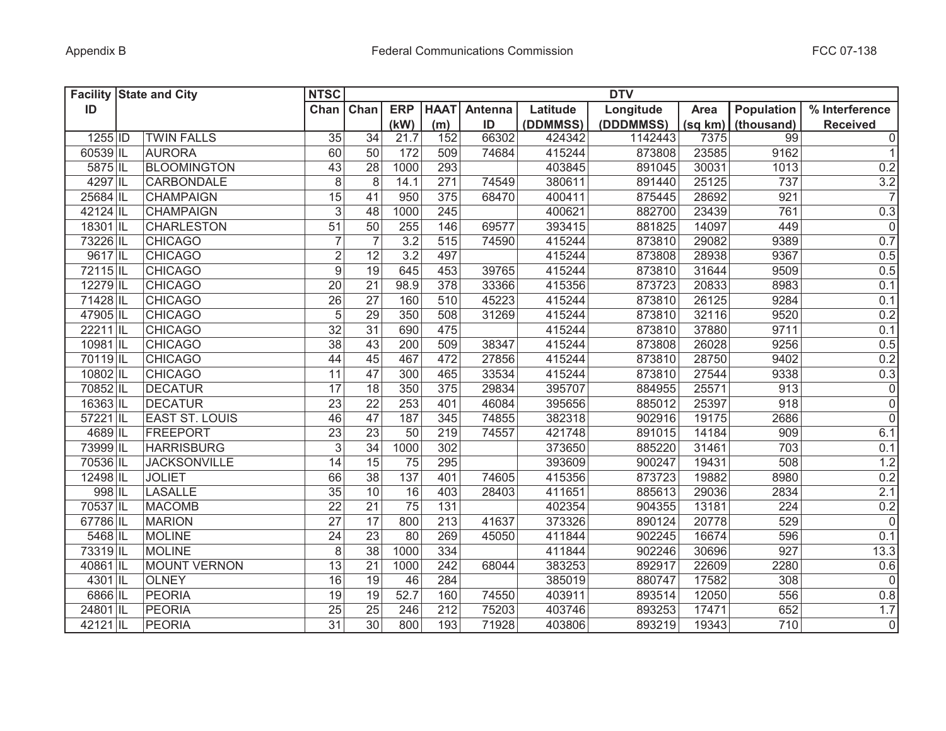|          | <b>Facility State and City</b> | <b>NTSC</b>               |                 |                  |                 |         |          | <b>DTV</b> |         |            |                 |
|----------|--------------------------------|---------------------------|-----------------|------------------|-----------------|---------|----------|------------|---------|------------|-----------------|
| ID       |                                | Chan                      | Chan            | <b>ERP</b>       | <b>HAAT</b>     | Antenna | Latitude | Longitude  | Area    | Population | % Interference  |
|          |                                |                           |                 | (kW)             | (m)             | ID      | (DDMMSS) | (DDDMMSS)  | (sq km) | (thousand) | <b>Received</b> |
| 1255 ID  | <b>TWIN FALLS</b>              | $\overline{35}$           | $\overline{34}$ | 21.7             | 152             | 66302   | 424342   | 1142443    | 7375    | 99         | $\overline{0}$  |
| 60539 IL | <b>AURORA</b>                  | 60                        | 50              | 172              | 509             | 74684   | 415244   | 873808     | 23585   | 9162       | 1               |
| 5875 IL  | <b>BLOOMINGTON</b>             | 43                        | 28              | 1000             | 293             |         | 403845   | 891045     | 30031   | 1013       | 0.2             |
| 4297 IL  | <b>CARBONDALE</b>              | $\,8\,$                   | 8               | 14.1             | 271             | 74549   | 380611   | 891440     | 25125   | 737        | 3.2             |
| 25684 IL | <b>CHAMPAIGN</b>               | 15                        | 41              | 950              | 375             | 68470   | 400411   | 875445     | 28692   | 921        | $\overline{7}$  |
| 42124 IL | <b>CHAMPAIGN</b>               | $\mathfrak{S}$            | 48              | 1000             | 245             |         | 400621   | 882700     | 23439   | 761        | 0.3             |
| 18301 IL | <b>CHARLESTON</b>              | 51                        | 50              | 255              | 146             | 69577   | 393415   | 881825     | 14097   | 449        | 0               |
| 73226 IL | <b>CHICAGO</b>                 | $\overline{7}$            | $\overline{7}$  | 3.2              | 515             | 74590   | 415244   | 873810     | 29082   | 9389       | 0.7             |
| 9617 IL  | <b>CHICAGO</b>                 | $\overline{2}$            | 12              | $\overline{3.2}$ | 497             |         | 415244   | 873808     | 28938   | 9367       | 0.5             |
| 72115 IL | <b>CHICAGO</b>                 | $\boldsymbol{9}$          | $\overline{19}$ | 645              | 453             | 39765   | 415244   | 873810     | 31644   | 9509       | 0.5             |
| 12279 IL | <b>CHICAGO</b>                 | 20                        | 21              | 98.9             | 378             | 33366   | 415356   | 873723     | 20833   | 8983       | 0.1             |
| 71428 IL | <b>CHICAGO</b>                 | $\overline{26}$           | $\overline{27}$ | 160              | 510             | 45223   | 415244   | 873810     | 26125   | 9284       | 0.1             |
| 47905 IL | <b>CHICAGO</b>                 | $\overline{5}$            | 29              | 350              | 508             | 31269   | 415244   | 873810     | 32116   | 9520       | 0.2             |
| 22211 IL | <b>CHICAGO</b>                 | 32                        | $\overline{31}$ | 690              | 475             |         | 415244   | 873810     | 37880   | 9711       | 0.1             |
| 10981 IL | <b>CHICAGO</b>                 | $\overline{38}$           | 43              | 200              | 509             | 38347   | 415244   | 873808     | 26028   | 9256       | 0.5             |
| 70119 IL | <b>CHICAGO</b>                 | 44                        | 45              | 467              | 472             | 27856   | 415244   | 873810     | 28750   | 9402       | 0.2             |
| 10802 IL | <b>CHICAGO</b>                 | $\overline{11}$           | $\overline{47}$ | 300              | 465             | 33534   | 415244   | 873810     | 27544   | 9338       | 0.3             |
| 70852 IL | <b>DECATUR</b>                 | $\overline{17}$           | $\overline{18}$ | 350              | $\frac{1}{375}$ | 29834   | 395707   | 884955     | 25571   | 913        | $\overline{0}$  |
| 16363 IL | <b>DECATUR</b>                 | $\overline{23}$           | $\overline{22}$ | 253              | 401             | 46084   | 395656   | 885012     | 25397   | 918        | $\overline{0}$  |
| 57221 IL | <b>EAST ST. LOUIS</b>          | 46                        | $\overline{47}$ | 187              | 345             | 74855   | 382318   | 902916     | 19175   | 2686       | $\overline{0}$  |
| 4689 IL  | FREEPORT                       | 23                        | 23              | 50               | 219             | 74557   | 421748   | 891015     | 14184   | 909        | 6.1             |
| 73999 IL | <b>HARRISBURG</b>              | $\ensuremath{\mathsf{3}}$ | 34              | 1000             | 302             |         | 373650   | 885220     | 31461   | 703        | 0.1             |
| 70536 IL | <b>JACKSONVILLE</b>            | 14                        | 15              | 75               | 295             |         | 393609   | 900247     | 19431   | 508        | 1.2             |
| 12498 IL | <b>JOLIET</b>                  | 66                        | 38              | 137              | 401             | 74605   | 415356   | 873723     | 19882   | 8980       | 0.2             |
| 998 IL   | <b>LASALLE</b>                 | 35                        | 10              | 16               | 403             | 28403   | 411651   | 885613     | 29036   | 2834       | 2.1             |
| 70537 IL | <b>MACOMB</b>                  | 22                        | 21              | 75               | 131             |         | 402354   | 904355     | 13181   | 224        | 0.2             |
| 67786 IL | <b>MARION</b>                  | 27                        | 17              | 800              | 213             | 41637   | 373326   | 890124     | 20778   | 529        | $\overline{0}$  |
| 5468 IL  | <b>MOLINE</b>                  | 24                        | 23              | 80               | 269             | 45050   | 411844   | 902245     | 16674   | 596        | 0.1             |
| 73319 IL | <b>MOLINE</b>                  | 8                         | 38              | 1000             | 334             |         | 411844   | 902246     | 30696   | 927        | 13.3            |
| 40861 IL | <b>MOUNT VERNON</b>            | 13                        | 21              | 1000             | 242             | 68044   | 383253   | 892917     | 22609   | 2280       | 0.6             |
| 4301 IL  | <b>OLNEY</b>                   | 16                        | 19              | 46               | 284             |         | 385019   | 880747     | 17582   | 308        | 0               |
| 6866 IL  | PEORIA                         | 19                        | 19              | 52.7             | 160             | 74550   | 403911   | 893514     | 12050   | 556        | 0.8             |
| 24801 IL | <b>PEORIA</b>                  | 25                        | $\overline{25}$ | 246              | 212             | 75203   | 403746   | 893253     | 17471   | 652        | 1.7             |
| 42121 IL | <b>PEORIA</b>                  | $\overline{31}$           | $\overline{30}$ | 800              | 193             | 71928   | 403806   | 893219     | 19343   | 710        | $\overline{0}$  |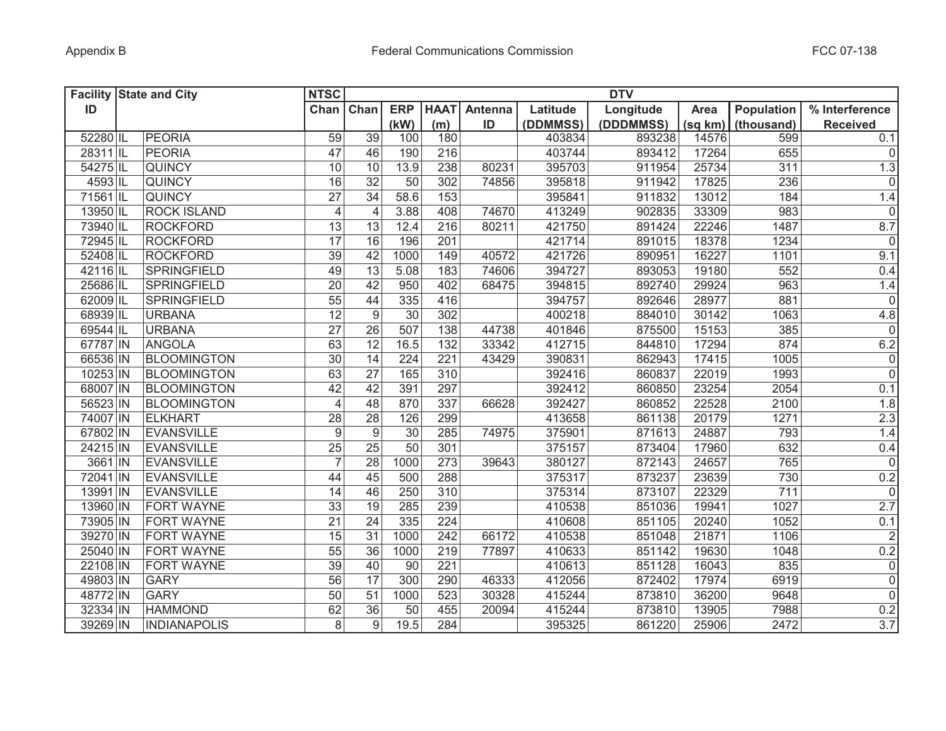|          | <b>Facility State and City</b> | <b>NTSC</b><br><b>DTV</b> |                  |                 |                 |         |          |           |         |            |                     |
|----------|--------------------------------|---------------------------|------------------|-----------------|-----------------|---------|----------|-----------|---------|------------|---------------------|
| ID       |                                | Chan                      | Chan             | <b>ERP</b>      | <b>HAAT</b>     | Antenna | Latitude | Longitude | Area    | Population | % Interference      |
|          |                                |                           |                  | (kW)            | (m)             | ID      | (DDMMSS) | (DDDMMSS) | (sq km) | (thousand) | <b>Received</b>     |
| 52280 IL | PEORIA                         | 59                        | 39               | 100             | 180             |         | 403834   | 893238    | 14576   | 599        | 0.1                 |
| 28311 IL | <b>PEORIA</b>                  | 47                        | 46               | 190             | 216             |         | 403744   | 893412    | 17264   | 655        | $\overline{0}$      |
| 54275 IL | <b>QUINCY</b>                  | 10                        | 10               | 13.9            | 238             | 80231   | 395703   | 911954    | 25734   | 311        | 1.3                 |
| 4593 IL  | <b>QUINCY</b>                  | 16                        | $\overline{32}$  | 50              | 302             | 74856   | 395818   | 911942    | 17825   | 236        | $\mathbf 0$         |
| 71561 IL | <b>QUINCY</b>                  | 27                        | 34               | 58.6            | 153             |         | 395841   | 911832    | 13012   | 184        | 1.4                 |
| 13950 IL | <b>ROCK ISLAND</b>             | $\overline{4}$            | $\overline{4}$   | 3.88            | 408             | 74670   | 413249   | 902835    | 33309   | 983        | $\mathbf 0$         |
| 73940 IL | <b>ROCKFORD</b>                | 13                        | 13               | 12.4            | 216             | 80211   | 421750   | 891424    | 22246   | 1487       | 8.7                 |
| 72945 IL | <b>ROCKFORD</b>                | 17                        | 16               | 196             | 201             |         | 421714   | 891015    | 18378   | 1234       | $\mathbf 0$         |
| 52408 IL | <b>ROCKFORD</b>                | $\overline{39}$           | 42               | 1000            | 149             | 40572   | 421726   | 890951    | 16227   | 1101       | 9.1                 |
| 42116 IL | SPRINGFIELD                    | 49                        | 13               | 5.08            | 183             | 74606   | 394727   | 893053    | 19180   | 552        | 0.4                 |
| 25686 IL | <b>SPRINGFIELD</b>             | $\overline{20}$           | 42               | 950             | 402             | 68475   | 394815   | 892740    | 29924   | 963        | 1.4                 |
| 62009 IL | <b>SPRINGFIELD</b>             | $\overline{55}$           | 44               | 335             | 416             |         | 394757   | 892646    | 28977   | 881        | $\boldsymbol{0}$    |
| 68939 IL | <b>URBANA</b>                  | $\overline{12}$           | $\overline{9}$   | $\overline{30}$ | 302             |         | 400218   | 884010    | 30142   | 1063       | 4.8                 |
| 69544 IL | <b>URBANA</b>                  | $\overline{27}$           | $\overline{26}$  | 507             | 138             | 44738   | 401846   | 875500    | 15153   | 385        | $\mathbf 0$         |
| 67787 IN | <b>ANGOLA</b>                  | 63                        | $\overline{12}$  | 16.5            | 132             | 33342   | 412715   | 844810    | 17294   | 874        | 6.2                 |
| 66536 IN | <b>BLOOMINGTON</b>             | 30                        | 14               | 224             | 221             | 43429   | 390831   | 862943    | 17415   | $1005$     | $\mathsf{O}\xspace$ |
| 10253 IN | <b>BLOOMINGTON</b>             | 63                        | 27               | 165             | 310             |         | 392416   | 860837    | 22019   | 1993       | $\overline{0}$      |
| 68007 IN | <b>BLOOMINGTON</b>             | 42                        | 42               | 391             | 297             |         | 392412   | 860850    | 23254   | 2054       | 0.1                 |
| 56523 IN | <b>BLOOMINGTON</b>             | $\overline{4}$            | 48               | 870             | $\frac{1}{337}$ | 66628   | 392427   | 860852    | 22528   | 2100       | 1.8                 |
| 74007 IN | <b>ELKHART</b>                 | $\overline{28}$           | $\overline{28}$  | 126             | 299             |         | 413658   | 861138    | 20179   | 1271       | 2.3                 |
| 67802 IN | <b>EVANSVILLE</b>              | $\boldsymbol{9}$          | $\boldsymbol{9}$ | 30              | 285             | 74975   | 375901   | 871613    | 24887   | 793        | 1.4                 |
| 24215 IN | <b>EVANSVILLE</b>              | $\overline{25}$           | $\overline{25}$  | $\overline{50}$ | 301             |         | 375157   | 873404    | 17960   | 632        | 0.4                 |
| 3661 IN  | <b>EVANSVILLE</b>              | $\overline{7}$            | $\overline{28}$  | 1000            | 273             | 39643   | 380127   | 872143    | 24657   | 765        | $\mathsf{O}\xspace$ |
| 72041 IN | <b>EVANSVILLE</b>              | 44                        | 45               | 500             | 288             |         | 375317   | 873237    | 23639   | 730        | 0.2                 |
| 13991 IN | <b>EVANSVILLE</b>              | 14                        | 46               | 250             | 310             |         | 375314   | 873107    | 22329   | 711        | $\mathbf 0$         |
| 13960 IN | <b>FORT WAYNE</b>              | 33                        | 19               | 285             | 239             |         | 410538   | 851036    | 19941   | 1027       | 2.7                 |
| 73905 IN | <b>FORT WAYNE</b>              | 21                        | 24               | 335             | 224             |         | 410608   | 851105    | 20240   | 1052       | 0.1                 |
| 39270 IN | FORT WAYNE                     | 15                        | 31               | 1000            | 242             | 66172   | 410538   | 851048    | 21871   | 1106       | $\overline{2}$      |
| 25040 IN | <b>FORT WAYNE</b>              | 55                        | 36               | 1000            | 219             | 77897   | 410633   | 851142    | 19630   | 1048       | 0.2                 |
| 22108 IN | FORT WAYNE                     | 39                        | 40               | 90              | 221             |         | 410613   | 851128    | 16043   | 835        | $\mathsf 0$         |
| 49803 IN | <b>GARY</b>                    | 56                        | $\overline{17}$  | 300             | 290             | 46333   | 412056   | 872402    | 17974   | 6919       | $\overline{0}$      |
| 48772 IN | <b>GARY</b>                    | 50                        | $\overline{51}$  | 1000            | 523             | 30328   | 415244   | 873810    | 36200   | 9648       | $\overline{0}$      |
| 32334 IN | <b>HAMMOND</b>                 | 62                        | $\overline{36}$  | 50              | 455             | 20094   | 415244   | 873810    | 13905   | 7988       | 0.2                 |
| 39269 IN | <b>INDIANAPOLIS</b>            | 8                         | 9                | 19.5            | 284             |         | 395325   | 861220    | 25906   | 2472       | 3.7                 |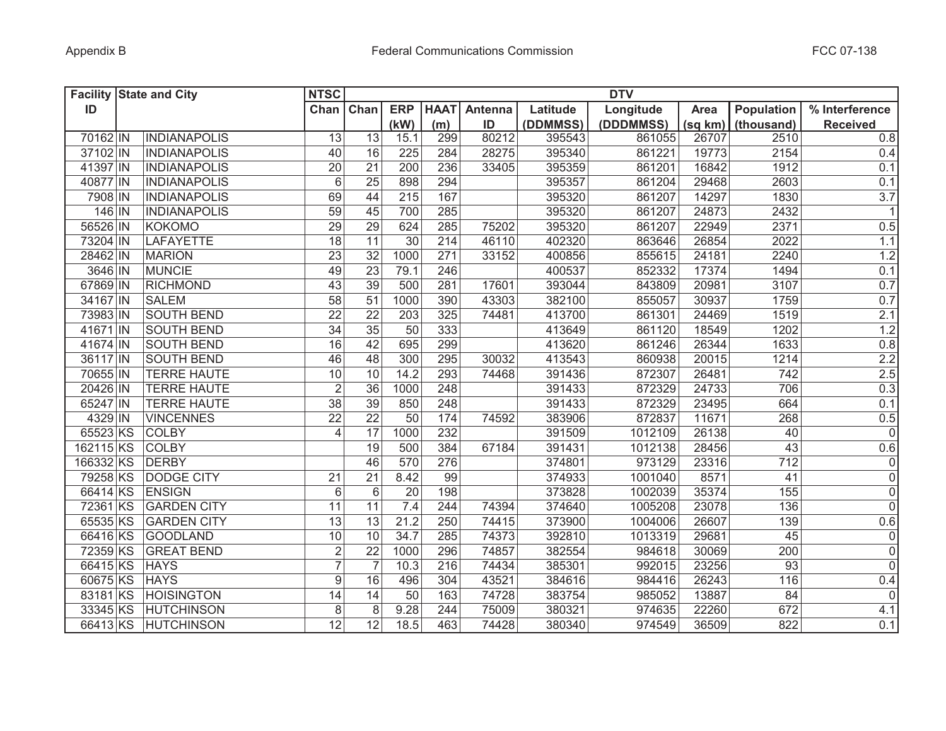|           | <b>Facility State and City</b> | <b>NTSC</b>             |                 |                 |             |         |          | <b>DTV</b> |         |            |                     |
|-----------|--------------------------------|-------------------------|-----------------|-----------------|-------------|---------|----------|------------|---------|------------|---------------------|
| ID        |                                | Chan                    | Chan            | <b>ERP</b>      | <b>HAAT</b> | Antenna | Latitude | Longitude  | Area    | Population | % Interference      |
|           |                                |                         |                 | (kW)            | (m)         | ID      | (DDMMSS) | (DDDMMSS)  | (sq km) | (thousand) | <b>Received</b>     |
| 70162 IN  | <b>INDIANAPOLIS</b>            | 13                      | 13              | 15.1            | 299         | 80212   | 395543   | 861055     | 26707   | 2510       | $\overline{0.8}$    |
| 37102 IN  | INDIANAPOLIS                   | 40                      | 16              | 225             | 284         | 28275   | 395340   | 861221     | 19773   | 2154       | 0.4                 |
| 41397 IN  | <b>INDIANAPOLIS</b>            | 20                      | 21              | 200             | 236         | 33405   | 395359   | 861201     | 16842   | 1912       | 0.1                 |
| 40877 IN  | <b>INDIANAPOLIS</b>            | $6\phantom{1}$          | 25              | 898             | 294         |         | 395357   | 861204     | 29468   | 2603       | 0.1                 |
| 7908 IN   | <b>INDIANAPOLIS</b>            | 69                      | 44              | 215             | 167         |         | 395320   | 861207     | 14297   | 1830       | 3.7                 |
| 146 IN    | <b>INDIANAPOLIS</b>            | 59                      | 45              | 700             | 285         |         | 395320   | 861207     | 24873   | 2432       | $\mathbf{1}$        |
| 56526 IN  | <b>KOKOMO</b>                  | 29                      | 29              | 624             | 285         | 75202   | 395320   | 861207     | 22949   | 2371       | 0.5                 |
| 73204 IN  | <b>LAFAYETTE</b>               | 18                      | 11              | 30              | 214         | 46110   | 402320   | 863646     | 26854   | 2022       | 1.1                 |
| 28462 IN  | <b>MARION</b>                  | 23                      | $\overline{32}$ | 1000            | 271         | 33152   | 400856   | 855615     | 24181   | 2240       | 1.2                 |
| 3646 IN   | <b>MUNCIE</b>                  | 49                      | 23              | 79.1            | 246         |         | 400537   | 852332     | 17374   | 1494       | 0.1                 |
| 67869 IN  | <b>RICHMOND</b>                | 43                      | 39              | 500             | 281         | 17601   | 393044   | 843809     | 20981   | 3107       | 0.7                 |
| 34167 IN  | <b>SALEM</b>                   | $\overline{58}$         | $\overline{51}$ | 1000            | 390         | 43303   | 382100   | 855057     | 30937   | 1759       | 0.7                 |
| 73983 IN  | <b>SOUTH BEND</b>              | $\overline{22}$         | $\overline{22}$ | 203             | 325         | 74481   | 413700   | 861301     | 24469   | 1519       | 2.1                 |
| 41671 IN  | <b>SOUTH BEND</b>              | $\overline{34}$         | $\overline{35}$ | 50              | 333         |         | 413649   | 861120     | 18549   | 1202       | 1.2                 |
| 41674 IN  | <b>SOUTH BEND</b>              | 16                      | 42              | 695             | 299         |         | 413620   | 861246     | 26344   | 1633       | 0.8                 |
| 36117 IN  | <b>SOUTH BEND</b>              | 46                      | $\overline{48}$ | 300             | 295         | 30032   | 413543   | 860938     | 20015   | 1214       | 2.2                 |
| 70655 IN  | <b>TERRE HAUTE</b>             | 10                      | 10              | 14.2            | 293         | 74468   | 391436   | 872307     | 26481   | 742        | 2.5                 |
| 20426 IN  | <b>TERRE HAUTE</b>             | $\overline{2}$          | 36              | 1000            | 248         |         | 391433   | 872329     | 24733   | 706        | 0.3                 |
| 65247 IN  | <b>TERRE HAUTE</b>             | 38                      | 39              | 850             | 248         |         | 391433   | 872329     | 23495   | 664        | 0.1                 |
| 4329 IN   | <b>VINCENNES</b>               | $\overline{22}$         | $\overline{22}$ | $\overline{50}$ | 174         | 74592   | 383906   | 872837     | 11671   | 268        | 0.5                 |
| 65523 KS  | <b>COLBY</b>                   | $\overline{\mathbf{4}}$ | 17              | 1000            | 232         |         | 391509   | 1012109    | 26138   | 40         | $\mathsf{O}\xspace$ |
| 162115 KS | <b>COLBY</b>                   |                         | 19              | 500             | 384         | 67184   | 391431   | 1012138    | 28456   | 43         | 0.6                 |
| 166332 KS | <b>DERBY</b>                   |                         | 46              | 570             | 276         |         | 374801   | 973129     | 23316   | 712        | $\mathsf{O}\xspace$ |
| 79258 KS  | <b>DODGE CITY</b>              | 21                      | 21              | 8.42            | 99          |         | 374933   | 1001040    | 8571    | 41         | $\mathsf 0$         |
| 66414 KS  | <b>ENSIGN</b>                  | $6\,$                   | $6\phantom{1}$  | 20              | 198         |         | 373828   | 1002039    | 35374   | 155        | $\mathsf 0$         |
| 72361 KS  | <b>GARDEN CITY</b>             | 11                      | 11              | 7.4             | 244         | 74394   | 374640   | 1005208    | 23078   | 136        | $\mathsf{O}\xspace$ |
| 65535 KS  | <b>GARDEN CITY</b>             | 13                      | 13              | 21.2            | 250         | 74415   | 373900   | 1004006    | 26607   | 139        | 0.6                 |
| 66416 KS  | <b>GOODLAND</b>                | $10$                    | 10              | 34.7            | 285         | 74373   | 392810   | 1013319    | 29681   | 45         | 0                   |
| 72359 KS  | <b>GREAT BEND</b>              | $\sqrt{2}$              | 22              | 1000            | 296         | 74857   | 382554   | 984618     | 30069   | 200        | $\mathsf 0$         |
| 66415 KS  | <b>HAYS</b>                    | $\overline{7}$          | $\overline{7}$  | 10.3            | 216         | 74434   | 385301   | 992015     | 23256   | 93         | $\mathbf 0$         |
| 60675 KS  | <b>HAYS</b>                    | 9                       | 16              | 496             | 304         | 43521   | 384616   | 984416     | 26243   | 116        | 0.4                 |
| 83181 KS  | <b>HOISINGTON</b>              | 14                      | 14              | 50              | 163         | 74728   | 383754   | 985052     | 13887   | 84         | $\mathsf{O}\xspace$ |
| 33345 KS  | <b>HUTCHINSON</b>              | 8                       | 8               | 9.28            | 244         | 75009   | 380321   | 974635     | 22260   | 672        | 4.1                 |
| 66413 KS  | <b>HUTCHINSON</b>              | $\overline{12}$         | $\overline{12}$ | 18.5            | 463         | 74428   | 380340   | 974549     | 36509   | 822        | 0.1                 |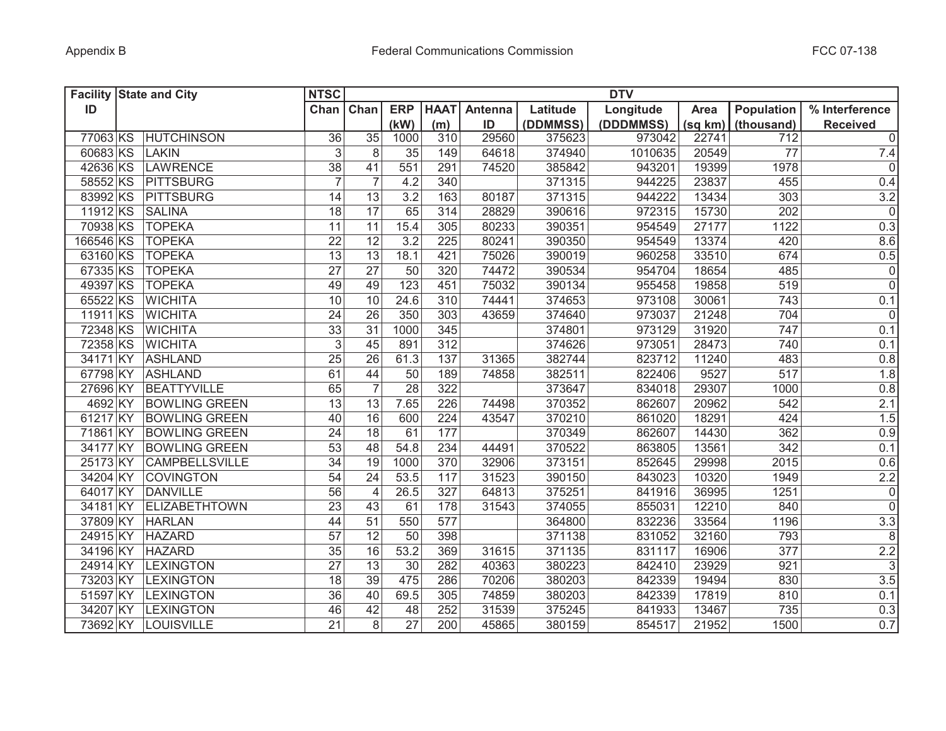|           | <b>Facility State and City</b> | <b>NTSC</b>     |                 |                  |             |                |          | <b>DTV</b> |         |                   |                 |
|-----------|--------------------------------|-----------------|-----------------|------------------|-------------|----------------|----------|------------|---------|-------------------|-----------------|
| ID        |                                | Chan Chan       |                 | <b>ERP</b>       | <b>HAAT</b> | <b>Antenna</b> | Latitude | Longitude  | Area    | <b>Population</b> | % Interference  |
|           |                                |                 |                 | (kW)             | (m)         | ID             | (DDMMSS) | (DDDMMSS)  | (sq km) | (thousand)        | <b>Received</b> |
| 77063 KS  | HUTCHINSON                     | 36              | $\overline{35}$ | 1000             | 310         | 29560          | 375623   | 973042     | 22741   | 712               | $\overline{0}$  |
| 60683 KS  | <b>LAKIN</b>                   | 3               | 8               | 35               | 149         | 64618          | 374940   | 1010635    | 20549   | 77                | 7.4             |
| 42636 KS  | LAWRENCE                       | 38              | 41              | 551              | 291         | 74520          | 385842   | 943201     | 19399   | 1978              | 0               |
| 58552 KS  | PITTSBURG                      | $\overline{7}$  | $\overline{7}$  | 4.2              | 340         |                | 371315   | 944225     | 23837   | 455               | 0.4             |
| 83992 KS  | <b>PITTSBURG</b>               | 14              | 13              | 3.2              | 163         | 80187          | 371315   | 944222     | 13434   | 303               | 3.2             |
| 11912 KS  | <b>SALINA</b>                  | 18              | 17              | 65               | 314         | 28829          | 390616   | 972315     | 15730   | 202               | $\overline{0}$  |
| 70938 KS  | <b>TOPEKA</b>                  | 11              | 11              | 15.4             | 305         | 80233          | 390351   | 954549     | 27177   | 1122              | 0.3             |
| 166546 KS | <b>TOPEKA</b>                  | 22              | 12              | 3.2              | 225         | 80241          | 390350   | 954549     | 13374   | 420               | 8.6             |
| 63160 KS  | <b>TOPEKA</b>                  | $\overline{13}$ | 13              | 18.1             | 421         | 75026          | 390019   | 960258     | 33510   | 674               | 0.5             |
| 67335 KS  | <b>TOPEKA</b>                  | $\overline{27}$ | $\overline{27}$ | 50               | 320         | 74472          | 390534   | 954704     | 18654   | 485               | $\overline{0}$  |
| 49397 KS  | <b>TOPEKA</b>                  | 49              | 49              | $\overline{123}$ | 451         | 75032          | 390134   | 955458     | 19858   | 519               | $\overline{0}$  |
| 65522 KS  | <b>WICHITA</b>                 | 10              | 10              | 24.6             | 310         | 74441          | 374653   | 973108     | 30061   | 743               | 0.1             |
| 11911 KS  | <b>WICHITA</b>                 | $\overline{24}$ | $\overline{26}$ | 350              | 303         | 43659          | 374640   | 973037     | 21248   | 704               | $\mathbf 0$     |
| 72348 KS  | <b>WICHITA</b>                 | 33              | $\overline{31}$ | 1000             | 345         |                | 374801   | 973129     | 31920   | 747               | 0.1             |
| 72358 KS  | <b>WICHITA</b>                 | $\overline{3}$  | 45              | 891              | 312         |                | 374626   | 973051     | 28473   | 740               | 0.1             |
| 34171 KY  | <b>ASHLAND</b>                 | $\overline{25}$ | $\overline{26}$ | 61.3             | 137         | 31365          | 382744   | 823712     | 11240   | 483               | 0.8             |
| 67798 KY  | <b>ASHLAND</b>                 | 61              | 44              | 50               | 189         | 74858          | 382511   | 822406     | 9527    | 517               | 1.8             |
| 27696 KY  | <b>BEATTYVILLE</b>             | 65              | $\overline{7}$  | $\overline{28}$  | 322         |                | 373647   | 834018     | 29307   | 1000              | 0.8             |
| 4692 KY   | <b>BOWLING GREEN</b>           | $\overline{13}$ | 13              | 7.65             | 226         | 74498          | 370352   | 862607     | 20962   | 542               | 2.1             |
| 61217 KY  | <b>BOWLING GREEN</b>           | 40              | 16              | 600              | 224         | 43547          | 370210   | 861020     | 18291   | 424               | 1.5             |
| 71861 KY  | <b>BOWLING GREEN</b>           | 24              | 18              | 61               | 177         |                | 370349   | 862607     | 14430   | 362               | 0.9             |
| 34177 KY  | <b>BOWLING GREEN</b>           | 53              | 48              | 54.8             | 234         | 44491          | 370522   | 863805     | 13561   | 342               | 0.1             |
| 25173 KY  | <b>CAMPBELLSVILLE</b>          | 34              | 19              | 1000             | 370         | 32906          | 373151   | 852645     | 29998   | 2015              | 0.6             |
| 34204 KY  | <b>COVINGTON</b>               | 54              | 24              | 53.5             | 117         | 31523          | 390150   | 843023     | 10320   | 1949              | 2.2             |
| 64017 KY  | <b>DANVILLE</b>                | 56              | 4               | 26.5             | 327         | 64813          | 375251   | 841916     | 36995   | 1251              | $\mathsf 0$     |
| 34181 KY  | <b>ELIZABETHTOWN</b>           | 23              | 43              | 61               | 178         | 31543          | 374055   | 855031     | 12210   | 840               | $\mathbf 0$     |
| 37809 KY  | <b>HARLAN</b>                  | 44              | 51              | 550              | 577         |                | 364800   | 832236     | 33564   | 1196              | 3.3             |
| 24915 KY  | <b>HAZARD</b>                  | 57              | 12              | 50               | 398         |                | 371138   | 831052     | 32160   | 793               | 8               |
| 34196 KY  | <b>HAZARD</b>                  | 35              | 16              | 53.2             | 369         | 31615          | 371135   | 831117     | 16906   | 377               | 2.2             |
| 24914 KY  | <b>LEXINGTON</b>               | 27              | 13              | 30               | 282         | 40363          | 380223   | 842410     | 23929   | 921               | $\sqrt{3}$      |
| 73203 KY  | <b>LEXINGTON</b>               | 18              | 39              | 475              | 286         | 70206          | 380203   | 842339     | 19494   | 830               | 3.5             |
| 51597 KY  | <b>LEXINGTON</b>               | 36              | 40              | 69.5             | 305         | 74859          | 380203   | 842339     | 17819   | 810               | 0.1             |
| 34207 KY  | <b>LEXINGTON</b>               | 46              | 42              | 48               | 252         | 31539          | 375245   | 841933     | 13467   | 735               | 0.3             |
| 73692 KY  | <b>LOUISVILLE</b>              | $\overline{21}$ | 8               | $\overline{27}$  | 200         | 45865          | 380159   | 854517     | 21952   | 1500              | 0.7             |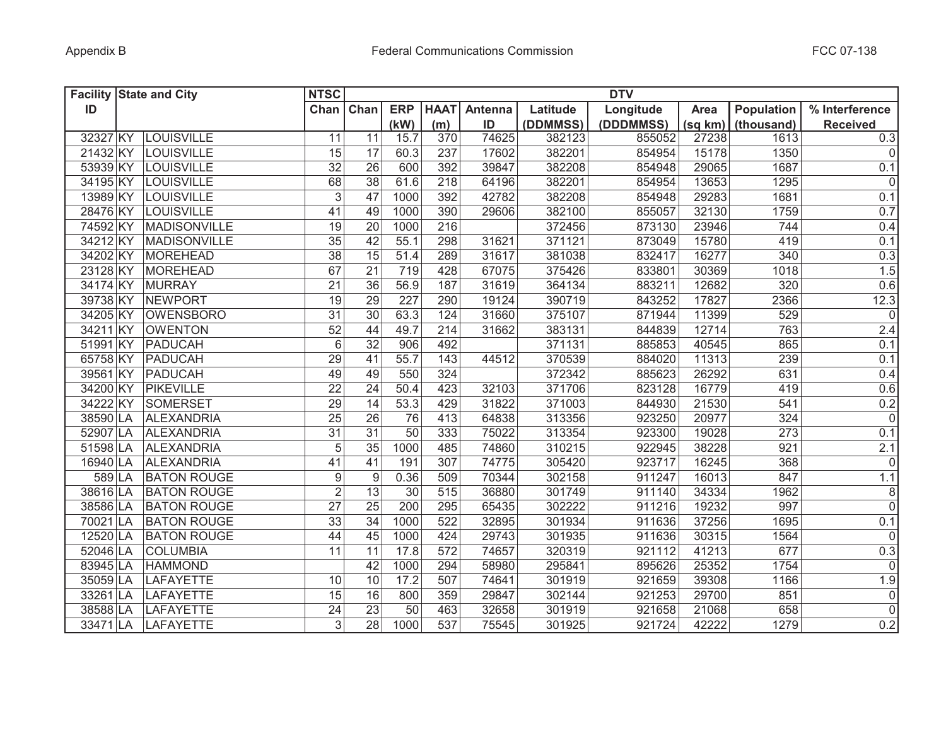|          | <b>Facility State and City</b> | <b>NTSC</b>      |                  |                 |             |         |          | <b>DTV</b> |         |            |                 |
|----------|--------------------------------|------------------|------------------|-----------------|-------------|---------|----------|------------|---------|------------|-----------------|
| ID       |                                | Chan             | Chan             | <b>ERP</b>      | <b>HAAT</b> | Antenna | Latitude | Longitude  | Area    | Population | % Interference  |
|          |                                |                  |                  | (kW)            | (m)         | ID      | (DDMMSS) | (DDDMMSS)  | (sq km) | (thousand) | <b>Received</b> |
| 32327 KY | LOUISVILLE                     | 11               | 11               | 15.7            | 370         | 74625   | 382123   | 855052     | 27238   | 1613       | 0.3             |
| 21432 KY | LOUISVILLE                     | 15               | 17               | 60.3            | 237         | 17602   | 382201   | 854954     | 15178   | 1350       | 0               |
| 53939 KY | LOUISVILLE                     | 32               | 26               | 600             | 392         | 39847   | 382208   | 854948     | 29065   | 1687       | 0.1             |
| 34195 KY | LOUISVILLE                     | 68               | $\overline{38}$  | 61.6            | 218         | 64196   | 382201   | 854954     | 13653   | 1295       | $\overline{0}$  |
| 13989 KY | LOUISVILLE                     | $\mathfrak{S}$   | 47               | 1000            | 392         | 42782   | 382208   | 854948     | 29283   | 1681       | 0.1             |
| 28476 KY | LOUISVILLE                     | 41               | 49               | 1000            | 390         | 29606   | 382100   | 855057     | 32130   | 1759       | 0.7             |
| 74592 KY | MADISONVILLE                   | 19               | 20               | 1000            | 216         |         | 372456   | 873130     | 23946   | 744        | 0.4             |
| 34212 KY | MADISONVILLE                   | 35               | 42               | 55.1            | 298         | 31621   | 371121   | 873049     | 15780   | 419        | 0.1             |
| 34202 KY | MOREHEAD                       | 38               | $\overline{15}$  | 51.4            | 289         | 31617   | 381038   | 832417     | 16277   | 340        | 0.3             |
| 23128 KY | MOREHEAD                       | 67               | 21               | 719             | 428         | 67075   | 375426   | 833801     | 30369   | 1018       | 1.5             |
| 34174 KY | MURRAY                         | 21               | 36               | 56.9            | 187         | 31619   | 364134   | 883211     | 12682   | 320        | 0.6             |
| 39738 KY | <b>NEWPORT</b>                 | 19               | 29               | 227             | 290         | 19124   | 390719   | 843252     | 17827   | 2366       | 12.3            |
| 34205 KY | OWENSBORO                      | $\overline{31}$  | $\overline{30}$  | 63.3            | 124         | 31660   | 375107   | 871944     | 11399   | 529        | $\overline{0}$  |
| 34211 KY | <b>OWENTON</b>                 | 52               | 44               | 49.7            | 214         | 31662   | 383131   | 844839     | 12714   | 763        | 2.4             |
| 51991 KY | PADUCAH                        | 6                | 32               | 906             | 492         |         | 371131   | 885853     | 40545   | 865        | 0.1             |
| 65758 KY | PADUCAH                        | 29               | 41               | 55.7            | 143         | 44512   | 370539   | 884020     | 11313   | 239        | 0.1             |
| 39561 KY | PADUCAH                        | 49               | 49               | 550             | 324         |         | 372342   | 885623     | 26292   | 631        | 0.4             |
| 34200 KY | <b>PIKEVILLE</b>               | 22               | 24               | 50.4            | 423         | 32103   | 371706   | 823128     | 16779   | 419        | 0.6             |
| 34222 KY | SOMERSET                       | 29               | 14               | 53.3            | 429         | 31822   | 371003   | 844930     | 21530   | 541        | 0.2             |
| 38590 LA | ALEXANDRIA                     | $\overline{25}$  | $\overline{26}$  | $\overline{76}$ | 413         | 64838   | 313356   | 923250     | 20977   | 324        | $\overline{0}$  |
| 52907 LA | <b>ALEXANDRIA</b>              | 31               | 31               | 50              | 333         | 75022   | 313354   | 923300     | 19028   | 273        | 0.1             |
| 51598 LA | <b>ALEXANDRIA</b>              | 5                | 35               | 1000            | 485         | 74860   | 310215   | 922945     | 38228   | 921        | 2.1             |
| 16940 LA | <b>ALEXANDRIA</b>              | 41               | 41               | 191             | 307         | 74775   | 305420   | 923717     | 16245   | 368        | 0               |
| 589 LA   | <b>BATON ROUGE</b>             | $\boldsymbol{9}$ | $\boldsymbol{9}$ | 0.36            | 509         | 70344   | 302158   | 911247     | 16013   | 847        | 1.1             |
| 38616 LA | <b>BATON ROUGE</b>             | $\overline{2}$   | 13               | 30              | 515         | 36880   | 301749   | 911140     | 34334   | 1962       | 8 <sup>1</sup>  |
| 38586 LA | <b>BATON ROUGE</b>             | 27               | $\overline{25}$  | 200             | 295         | 65435   | 302222   | 911216     | 19232   | 997        | $\overline{0}$  |
| 70021 LA | <b>BATON ROUGE</b>             | 33               | 34               | 1000            | 522         | 32895   | 301934   | 911636     | 37256   | 1695       | 0.1             |
| 12520 LA | <b>BATON ROUGE</b>             | 44               | 45               | 1000            | 424         | 29743   | 301935   | 911636     | 30315   | 1564       | $\overline{0}$  |
| 52046 LA | <b>COLUMBIA</b>                | 11               | 11               | 17.8            | 572         | 74657   | 320319   | 921112     | 41213   | 677        | 0.3             |
| 83945 LA | <b>HAMMOND</b>                 |                  | 42               | 1000            | 294         | 58980   | 295841   | 895626     | 25352   | 1754       | 0               |
| 35059 LA | LAFAYETTE                      | 10               | 10               | 17.2            | 507         | 74641   | 301919   | 921659     | 39308   | 1166       | 1.9             |
| 33261 LA | <b>LAFAYETTE</b>               | 15               | 16               | 800             | 359         | 29847   | 302144   | 921253     | 29700   | 851        | $\overline{0}$  |
| 38588 LA | <b>LAFAYETTE</b>               | 24               | 23               | $\overline{50}$ | 463         | 32658   | 301919   | 921658     | 21068   | 658        | $\overline{0}$  |
| 33471 LA | <b>LAFAYETTE</b>               | 3                | $\overline{28}$  | 1000            | 537         | 75545   | 301925   | 921724     | 42222   | 1279       | 0.2             |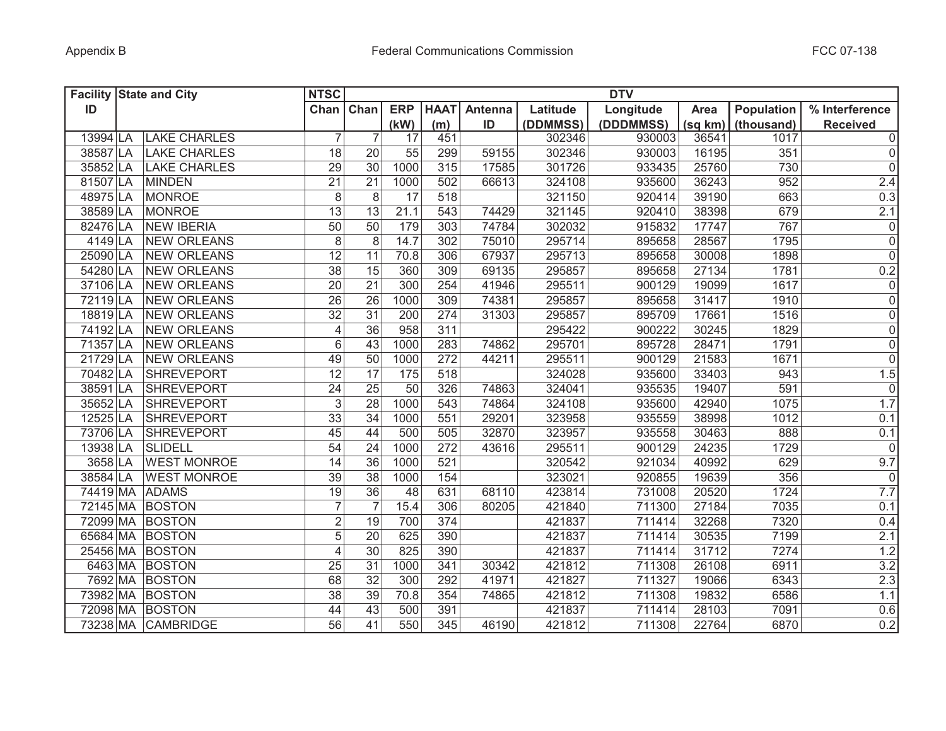| <b>Facility State and City</b> |                     | <b>NTSC</b>     |                 |                  |                 |         |          | <b>DTV</b> |         |                   |                     |
|--------------------------------|---------------------|-----------------|-----------------|------------------|-----------------|---------|----------|------------|---------|-------------------|---------------------|
| ID                             |                     | Chan Chan       |                 | <b>ERP</b>       | <b>HAAT</b>     | Antenna | Latitude | Longitude  | Area    | <b>Population</b> | % Interference      |
|                                |                     |                 |                 | (kW)             | (m)             | ID      | (DDMMSS) | (DDDMMSS)  | (sq km) | (thousand)        | <b>Received</b>     |
| 13994 LA                       | <b>LAKE CHARLES</b> | $\overline{7}$  | 7               | 17               | 451             |         | 302346   | 930003     | 36541   | 1017              | $\overline{0}$      |
| 38587 LA                       | <b>LAKE CHARLES</b> | 18              | 20              | 55               | 299             | 59155   | 302346   | 930003     | 16195   | 351               | $\mathsf 0$         |
| 35852 LA                       | <b>LAKE CHARLES</b> | 29              | 30              | 1000             | 315             | 17585   | 301726   | 933435     | 25760   | 730               | $\mathsf 0$         |
| 81507 LA                       | <b>MINDEN</b>       | 21              | 21              | 1000             | 502             | 66613   | 324108   | 935600     | 36243   | 952               | 2.4                 |
| 48975 LA                       | <b>MONROE</b>       | $\,8\,$         | 8               | 17               | 518             |         | 321150   | 920414     | 39190   | 663               | 0.3                 |
| 38589 LA                       | <b>MONROE</b>       | $\overline{13}$ | 13              | 21.1             | 543             | 74429   | 321145   | 920410     | 38398   | 679               | 2.1                 |
| 82476 LA                       | <b>NEW IBERIA</b>   | 50              | 50              | 179              | 303             | 74784   | 302032   | 915832     | 17747   | 767               | $\pmb{0}$           |
| 4149 LA                        | <b>NEW ORLEANS</b>  | $\overline{8}$  | $\overline{8}$  | 14.7             | 302             | 75010   | 295714   | 895658     | 28567   | 1795              | $\overline{0}$      |
| 25090 LA                       | <b>NEW ORLEANS</b>  | 12              | 11              | 70.8             | 306             | 67937   | 295713   | 895658     | 30008   | 1898              | $\overline{0}$      |
| 54280 LA                       | <b>NEW ORLEANS</b>  | $\overline{38}$ | 15              | 360              | 309             | 69135   | 295857   | 895658     | 27134   | 1781              | 0.2                 |
| 37106 LA                       | <b>NEW ORLEANS</b>  | 20              | 21              | 300              | 254             | 41946   | 295511   | 900129     | 19099   | 1617              | $\pmb{0}$           |
| 72119 LA                       | <b>NEW ORLEANS</b>  | $\overline{26}$ | $\overline{26}$ | 1000             | 309             | 74381   | 295857   | 895658     | 31417   | 1910              | $\overline{0}$      |
| 18819 LA                       | <b>NEW ORLEANS</b>  | $\overline{32}$ | $\overline{31}$ | 200              | 274             | 31303   | 295857   | 895709     | 17661   | 1516              | $\mathsf{O}\xspace$ |
| 74192 LA                       | <b>NEW ORLEANS</b>  | $\overline{4}$  | $\overline{36}$ | 958              | 311             |         | 295422   | 900222     | 30245   | 1829              | $\mathsf{O}\xspace$ |
| 71357 LA                       | <b>NEW ORLEANS</b>  | 6               | 43              | 1000             | 283             | 74862   | 295701   | 895728     | 28471   | 1791              | $\mathsf 0$         |
| 21729 LA                       | <b>NEW ORLEANS</b>  | 49              | $\overline{50}$ | 1000             | 272             | 44211   | 295511   | 900129     | 21583   | 1671              | $\mathsf 0$         |
| 70482 LA                       | <b>SHREVEPORT</b>   | $\overline{12}$ | 17              | $\overline{175}$ | 518             |         | 324028   | 935600     | 33403   | 943               | 1.5                 |
| 38591 LA                       | <b>SHREVEPORT</b>   | 24              | 25              | 50               | 326             | 74863   | 324041   | 935535     | 19407   | 591               | $\overline{0}$      |
| 35652 LA                       | <b>SHREVEPORT</b>   | 3               | 28              | 1000             | 543             | 74864   | 324108   | 935600     | 42940   | 1075              | 1.7                 |
| 12525 LA                       | <b>SHREVEPORT</b>   | $\overline{33}$ | $\overline{34}$ | 1000             | 551             | 29201   | 323958   | 935559     | 38998   | 1012              | 0.1                 |
| 73706 LA                       | <b>SHREVEPORT</b>   | 45              | 44              | 500              | 505             | 32870   | 323957   | 935558     | 30463   | 888               | 0.1                 |
| 13938 LA                       | <b>SLIDELL</b>      | 54              | 24              | 1000             | 272             | 43616   | 295511   | 900129     | 24235   | 1729              | 0                   |
| 3658 LA                        | <b>WEST MONROE</b>  | 14              | 36              | 1000             | 521             |         | 320542   | 921034     | 40992   | 629               | 9.7                 |
| 38584 LA                       | <b>WEST MONROE</b>  | 39              | 38              | 1000             | 154             |         | 323021   | 920855     | 19639   | 356               | 0                   |
| 74419 MA                       | <b>ADAMS</b>        | 19              | 36              | 48               | 631             | 68110   | 423814   | 731008     | 20520   | 1724              | 7.7                 |
| 72145 MA BOSTON                |                     | $\overline{7}$  |                 | 15.4             | 306             | 80205   | 421840   | 711300     | 27184   | 7035              | 0.1                 |
| 72099 MA BOSTON                |                     | $\overline{2}$  | 19              | 700              | 374             |         | 421837   | 711414     | 32268   | 7320              | 0.4                 |
| 65684 MA BOSTON                |                     | 5               | 20              | 625              | 390             |         | 421837   | 711414     | 30535   | 7199              | 2.1                 |
| 25456 MA BOSTON                |                     | $\overline{4}$  | 30              | 825              | 390             |         | 421837   | 711414     | 31712   | 7274              | 1.2                 |
|                                | 6463 MA BOSTON      | 25              | 31              | 1000             | 341             | 30342   | 421812   | 711308     | 26108   | 6911              | 3.2                 |
|                                | 7692 MA BOSTON      | 68              | 32              | 300              | 292             | 41971   | 421827   | 711327     | 19066   | 6343              | 2.3                 |
| 73982 MA BOSTON                |                     | 38              | 39              | 70.8             | 354             | 74865   | 421812   | 711308     | 19832   | 6586              | 1.1                 |
| 72098 MA BOSTON                |                     | 44              | $\overline{43}$ | 500              | 391             |         | 421837   | 711414     | 28103   | 7091              | 0.6                 |
|                                | 73238 MA CAMBRIDGE  | $\overline{56}$ | 41              | 550              | $\frac{1}{345}$ | 46190   | 421812   | 711308     | 22764   | 6870              | 0.2                 |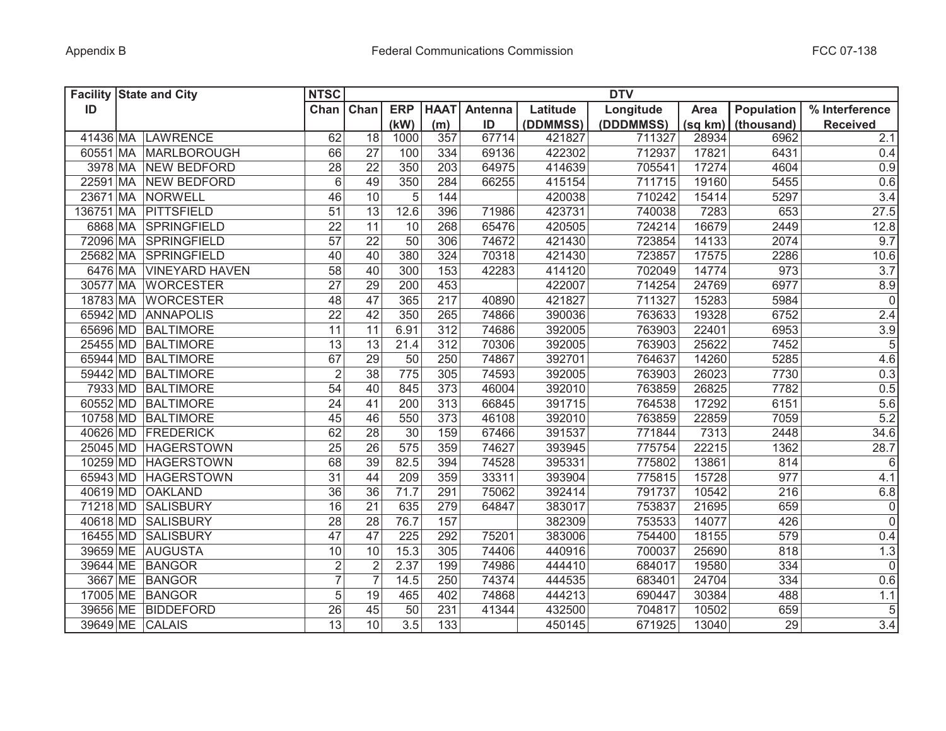| <b>Facility State and City</b> |                        | <b>NTSC</b>     |                 |                  |                 |         |          | <b>DTV</b> |         |                   |                 |
|--------------------------------|------------------------|-----------------|-----------------|------------------|-----------------|---------|----------|------------|---------|-------------------|-----------------|
| ID                             |                        | Chan Chan       |                 | <b>ERP</b>       | <b>HAAT</b>     | Antenna | Latitude | Longitude  | Area    | <b>Population</b> | % Interference  |
|                                |                        |                 |                 | (kW)             | (m)             | ID      | (DDMMSS) | (DDDMMSS)  | (sq km) | (thousand)        | <b>Received</b> |
|                                | 41436 MA LAWRENCE      | 62              | 18              | 1000             | 357             | 67714   | 421827   | 711327     | 28934   | 6962              | 2.1             |
|                                | 60551 MA MARLBOROUGH   | 66              | 27              | 100              | 334             | 69136   | 422302   | 712937     | 17821   | 6431              | 0.4             |
|                                | 3978 MA NEW BEDFORD    | 28              | 22              | 350              | 203             | 64975   | 414639   | 705541     | 17274   | 4604              | 0.9             |
|                                | 22591 MA NEW BEDFORD   | $6\,$           | 49              | 350              | 284             | 66255   | 415154   | 711715     | 19160   | 5455              | 0.6             |
|                                | 23671 MA NORWELL       | 46              | 10              | 5                | 144             |         | 420038   | 710242     | 15414   | 5297              | 3.4             |
|                                | 136751 MA PITTSFIELD   | 51              | 13              | 12.6             | 396             | 71986   | 423731   | 740038     | 7283    | 653               | 27.5            |
|                                | 6868 MA SPRINGFIELD    | 22              | 11              | 10               | 268             | 65476   | 420505   | 724214     | 16679   | 2449              | 12.8            |
|                                | 72096 MA SPRINGFIELD   | $\overline{57}$ | 22              | $\overline{50}$  | 306             | 74672   | 421430   | 723854     | 14133   | 2074              | 9.7             |
|                                | 25682 MA SPRINGFIELD   | 40              | 40              | 380              | 324             | 70318   | 421430   | 723857     | 17575   | 2286              | 10.6            |
|                                | 6476 MA VINEYARD HAVEN | $\overline{58}$ | 40              | 300              | 153             | 42283   | 414120   | 702049     | 14774   | 973               | 3.7             |
|                                | 30577 MA WORCESTER     | $\overline{27}$ | 29              | 200              | 453             |         | 422007   | 714254     | 24769   | 6977              | 8.9             |
|                                | 18783 MA WORCESTER     | 48              | 47              | 365              | 217             | 40890   | 421827   | 711327     | 15283   | 5984              | $\overline{0}$  |
|                                | 65942 MD ANNAPOLIS     | $\overline{22}$ | 42              | 350              | 265             | 74866   | 390036   | 763633     | 19328   | 6752              | 2.4             |
|                                | 65696 MD BALTIMORE     | 11              | 11              | 6.91             | 312             | 74686   | 392005   | 763903     | 22401   | 6953              | 3.9             |
|                                | 25455 MD BALTIMORE     | $\overline{13}$ | $\overline{13}$ | 21.4             | 312             | 70306   | 392005   | 763903     | 25622   | 7452              | $\overline{5}$  |
|                                | 65944 MD BALTIMORE     | 67              | $\overline{29}$ | 50               | 250             | 74867   | 392701   | 764637     | 14260   | 5285              | 4.6             |
|                                | 59442 MD BALTIMORE     | $\overline{2}$  | $\overline{38}$ | 775              | 305             | 74593   | 392005   | 763903     | 26023   | 7730              | 0.3             |
|                                | 7933 MD BALTIMORE      | $\overline{54}$ | 40              | 845              | 373             | 46004   | 392010   | 763859     | 26825   | 7782              | 0.5             |
|                                | 60552 MD BALTIMORE     | 24              | 41              | 200              | 313             | 66845   | 391715   | 764538     | 17292   | 6151              | 5.6             |
|                                | 10758 MD BALTIMORE     | 45              | 46              | 550              | $\frac{1}{373}$ | 46108   | 392010   | 763859     | 22859   | 7059              | 5.2             |
|                                | 40626 MD FREDERICK     | 62              | 28              | 30               | 159             | 67466   | 391537   | 771844     | 7313    | 2448              | 34.6            |
|                                | 25045 MD HAGERSTOWN    | 25              | 26              | 575              | 359             | 74627   | 393945   | 775754     | 22215   | 1362              | 28.7            |
|                                | 10259 MD HAGERSTOWN    | 68              | 39              | 82.5             | 394             | 74528   | 395331   | 775802     | 13861   | 814               | 6               |
|                                | 65943 MD HAGERSTOWN    | 31              | 44              | 209              | 359             | 33311   | 393904   | 775815     | 15728   | 977               | 4.1             |
| 40619 MD                       | <b>OAKLAND</b>         | 36              | 36              | 71.7             | 291             | 75062   | 392414   | 791737     | 10542   | 216               | 6.8             |
| 71218 MD                       | SALISBURY              | 16              | 21              | 635              | 279             | 64847   | 383017   | 753837     | 21695   | 659               | $\mathsf 0$     |
| 40618 MD                       | <b>SALISBURY</b>       | 28              | 28              | 76.7             | 157             |         | 382309   | 753533     | 14077   | 426               | $\overline{0}$  |
| 16455 MD                       | <b>SALISBURY</b>       | 47              | 47              | 225              | 292             | 75201   | 383006   | 754400     | 18155   | 579               | 0.4             |
|                                | 39659 ME AUGUSTA       | 10              | 10              | 15.3             | 305             | 74406   | 440916   | 700037     | 25690   | 818               | 1.3             |
|                                | 39644 ME BANGOR        | $\overline{2}$  | $\overline{2}$  | 2.37             | 199             | 74986   | 444410   | 684017     | 19580   | 334               | $\mathbf 0$     |
|                                | 3667 ME BANGOR         | $\overline{7}$  |                 | 14.5             | 250             | 74374   | 444535   | 683401     | 24704   | 334               | 0.6             |
|                                | 17005 ME BANGOR        | 5               | 19              | 465              | 402             | 74868   | 444213   | 690447     | 30384   | 488               | 1.1             |
|                                | 39656 ME BIDDEFORD     | 26              | 45              | 50               | 231             | 41344   | 432500   | 704817     | 10502   | 659               | $\sqrt{5}$      |
| 39649 ME CALAIS                |                        | $\overline{13}$ | 10              | $\overline{3.5}$ | 133             |         | 450145   | 671925     | 13040   | $\overline{29}$   | 3.4             |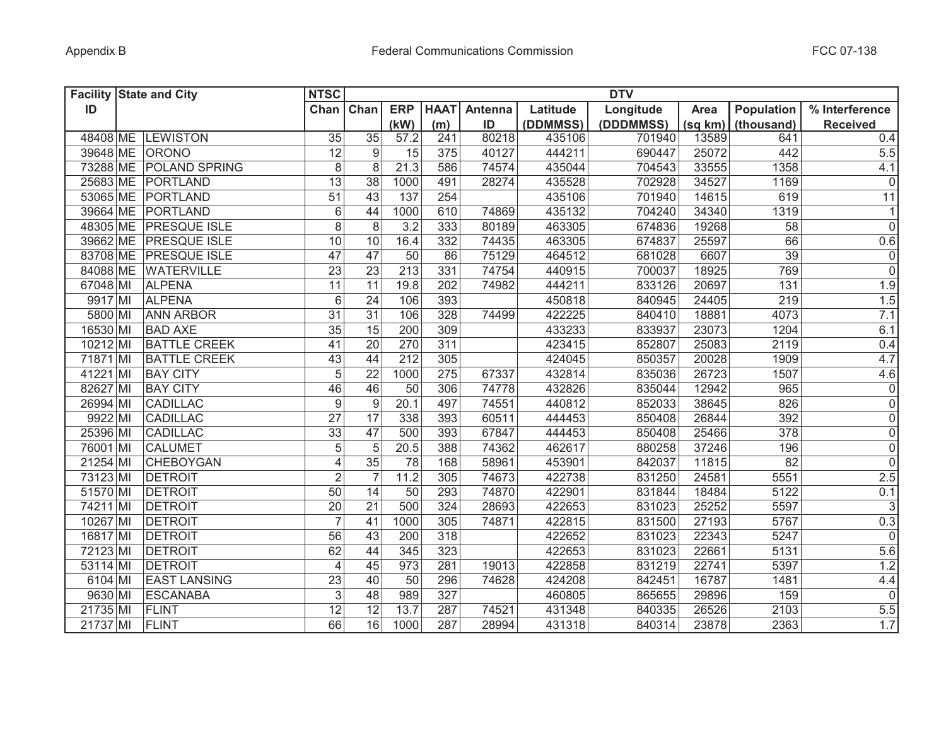| <b>Facility State and City</b> |                        | <b>NTSC</b>             |                 |                  |             |         |          | <b>DTV</b> |         |                   |                     |
|--------------------------------|------------------------|-------------------------|-----------------|------------------|-------------|---------|----------|------------|---------|-------------------|---------------------|
| ID                             |                        | Chan Chan               |                 | <b>ERP</b>       | <b>HAAT</b> | Antenna | Latitude | Longitude  | Area    | <b>Population</b> | % Interference      |
|                                |                        |                         |                 | (kW)             | (m)         | ID      | (DDMMSS) | (DDDMMSS)  | (sq km) | (thousand)        | <b>Received</b>     |
|                                | 48408 ME LEWISTON      | 35                      | $\overline{35}$ | 57.2             | 241         | 80218   | 435106   | 701940     | 13589   | 641               | 0.4                 |
| 39648 ME ORONO                 |                        | 12                      | 9               | 15               | 375         | 40127   | 444211   | 690447     | 25072   | 442               | 5.5                 |
|                                | 73288 ME POLAND SPRING | 8                       | 8               | 21.3             | 586         | 74574   | 435044   | 704543     | 33555   | 1358              | 4.1                 |
|                                | 25683 ME PORTLAND      | $\overline{13}$         | 38              | 1000             | 491         | 28274   | 435528   | 702928     | 34527   | 1169              | $\pmb{0}$           |
|                                | 53065 ME PORTLAND      | 51                      | 43              | 137              | 254         |         | 435106   | 701940     | 14615   | 619               | 11                  |
|                                | 39664 ME PORTLAND      | $6\,$                   | 44              | 1000             | 610         | 74869   | 435132   | 704240     | 34340   | 1319              | $\mathbf{1}$        |
|                                | 48305 ME PRESQUE ISLE  | $\overline{8}$          | 8               | 3.2              | 333         | 80189   | 463305   | 674836     | 19268   | 58                | $\mathbf 0$         |
|                                | 39662 ME PRESQUE ISLE  | 10                      | 10              | 16.4             | 332         | 74435   | 463305   | 674837     | 25597   | 66                | 0.6                 |
|                                | 83708 ME PRESQUE ISLE  | 47                      | 47              | 50               | 86          | 75129   | 464512   | 681028     | 6607    | $\overline{39}$   | $\overline{0}$      |
|                                | 84088 ME WATERVILLE    | $\overline{23}$         | $\overline{23}$ | 213              | 331         | 74754   | 440915   | 700037     | 18925   | 769               | $\overline{0}$      |
| 67048 MI                       | <b>ALPENA</b>          | $\overline{11}$         | 11              | 19.8             | 202         | 74982   | 444211   | 833126     | 20697   | 131               | 1.9                 |
| 9917 MI                        | <b>ALPENA</b>          | $6\,$                   | 24              | 106              | 393         |         | 450818   | 840945     | 24405   | 219               | 1.5                 |
| 5800 MI                        | <b>ANN ARBOR</b>       | $\overline{31}$         | 31              | 106              | 328         | 74499   | 422225   | 840410     | 18881   | 4073              | 7.1                 |
| 16530 MI                       | <b>BAD AXE</b>         | $\overline{35}$         | 15              | 200              | 309         |         | 433233   | 833937     | 23073   | 1204              | 6.1                 |
| 10212 MI                       | <b>BATTLE CREEK</b>    | 41                      | $\overline{20}$ | 270              | 311         |         | 423415   | 852807     | 25083   | 2119              | 0.4                 |
| 71871 MI                       | <b>BATTLE CREEK</b>    | 43                      | 44              | $\overline{212}$ | 305         |         | 424045   | 850357     | 20028   | 1909              | 4.7                 |
| 41221 MI                       | <b>BAY CITY</b>        | $\overline{5}$          | 22              | 1000             | 275         | 67337   | 432814   | 835036     | 26723   | 1507              | 4.6                 |
| 82627 MI                       | <b>BAY CITY</b>        | 46                      | 46              | 50               | 306         | 74778   | 432826   | 835044     | 12942   | 965               | $\mathsf{O}\xspace$ |
| 26994 MI                       | <b>CADILLAC</b>        | 9                       | 9               | 20.1             | 497         | 74551   | 440812   | 852033     | 38645   | 826               | $\overline{0}$      |
| 9922 MI                        | <b>CADILLAC</b>        | $\overline{27}$         | $\overline{17}$ | 338              | 393         | 60511   | 444453   | 850408     | 26844   | 392               | $\overline{0}$      |
| 25396 MI                       | <b>CADILLAC</b>        | 33                      | 47              | 500              | 393         | 67847   | 444453   | 850408     | 25466   | 378               | $\overline{0}$      |
| 76001 MI                       | <b>CALUMET</b>         | 5                       | 5               | 20.5             | 388         | 74362   | 462617   | 880258     | 37246   | 196               | $\overline{0}$      |
| 21254 MI                       | <b>CHEBOYGAN</b>       | $\overline{\mathbf{4}}$ | 35              | 78               | 168         | 58961   | 453901   | 842037     | 11815   | 82                | $\mathbf 0$         |
| 73123 MI                       | <b>DETROIT</b>         | $\overline{2}$          |                 | 11.2             | 305         | 74673   | 422738   | 831250     | 24581   | 5551              | 2.5                 |
| 51570 MI                       | <b>DETROIT</b>         | 50                      | 14              | 50               | 293         | 74870   | 422901   | 831844     | 18484   | 5122              | 0.1                 |
| 74211 MI                       | <b>DETROIT</b>         | 20                      | 21              | 500              | 324         | 28693   | 422653   | 831023     | 25252   | 5597              | $\mathsf 3$         |
| 10267 MI                       | <b>DETROIT</b>         | $\overline{7}$          | 41              | 1000             | 305         | 74871   | 422815   | 831500     | 27193   | 5767              | 0.3                 |
| 16817 MI                       | <b>DETROIT</b>         | 56                      | 43              | 200              | 318         |         | 422652   | 831023     | 22343   | 5247              | $\overline{0}$      |
| 72123 MI                       | <b>DETROIT</b>         | 62                      | 44              | 345              | 323         |         | 422653   | 831023     | 22661   | 5131              | 5.6                 |
| 53114 MI                       | <b>DETROIT</b>         | 4                       | 45              | 973              | 281         | 19013   | 422858   | 831219     | 22741   | 5397              | 1.2                 |
| 6104 MI                        | <b>EAST LANSING</b>    | 23                      | 40              | 50               | 296         | 74628   | 424208   | 842451     | 16787   | 1481              | 4.4                 |
| 9630 MI                        | ESCANABA               | 3                       | 48              | 989              | 327         |         | 460805   | 865655     | 29896   | 159               | $\overline{0}$      |
| 21735 MI                       | FLINT                  | $\overline{12}$         | $\overline{12}$ | 13.7             | 287         | 74521   | 431348   | 840335     | 26526   | 2103              | 5.5                 |
| 21737 MI                       | FLINT                  | 66                      | 16              | 1000             | 287         | 28994   | 431318   | 840314     | 23878   | 2363              | 1.7                 |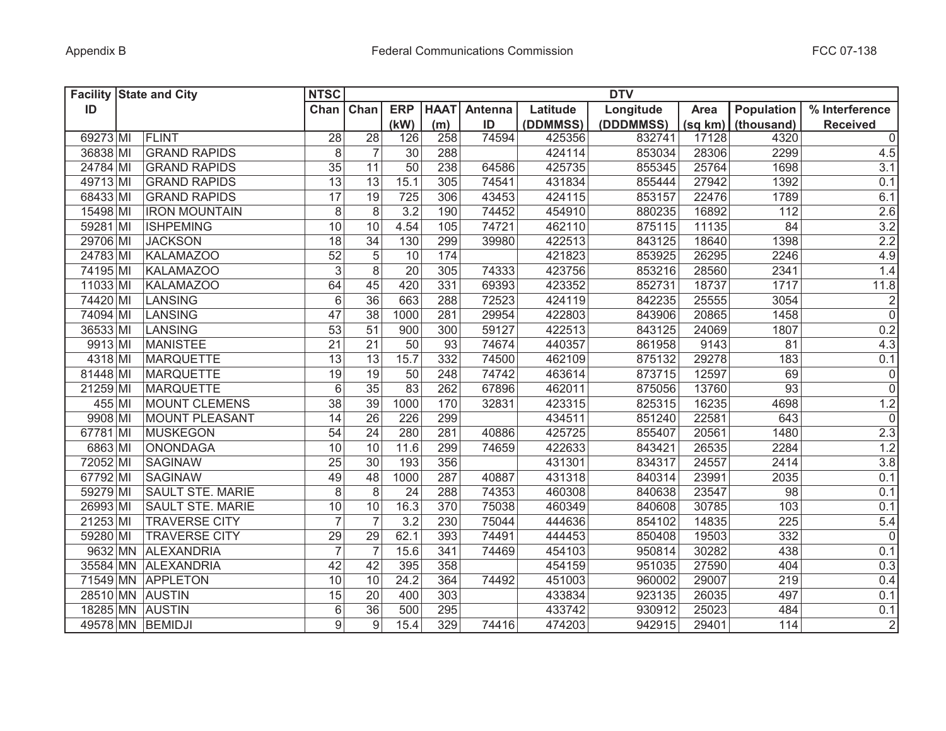| <b>Facility State and City</b> |                         | <b>NTSC</b>     |                  |            |             |         |          | <b>DTV</b> |             |                   |                 |
|--------------------------------|-------------------------|-----------------|------------------|------------|-------------|---------|----------|------------|-------------|-------------------|-----------------|
| ID                             |                         | Chan Chan       |                  | <b>ERP</b> | <b>HAAT</b> | Antenna | Latitude | Longitude  | <b>Area</b> | <b>Population</b> | % Interference  |
|                                |                         |                 |                  | (kW)       | (m)         | ID      | (DDMMSS) | (DDDMMSS)  | (sq km)     | (thousand)        | <b>Received</b> |
| 69273 MI                       | FLINT                   | 28              | $\overline{28}$  | 126        | 258         | 74594   | 425356   | 832741     | 17128       | 4320              | $\mathbf 0$     |
| 36838 MI                       | <b>GRAND RAPIDS</b>     | 8               | $\overline{7}$   | 30         | 288         |         | 424114   | 853034     | 28306       | 2299              | 4.5             |
| 24784 MI                       | <b>GRAND RAPIDS</b>     | 35              | 11               | 50         | 238         | 64586   | 425735   | 855345     | 25764       | 1698              | 3.1             |
| 49713 MI                       | <b>GRAND RAPIDS</b>     | 13              | 13               | 15.1       | 305         | 74541   | 431834   | 855444     | 27942       | 1392              | 0.1             |
| 68433 MI                       | <b>GRAND RAPIDS</b>     | 17              | 19               | 725        | 306         | 43453   | 424115   | 853157     | 22476       | 1789              | 6.1             |
| 15498 MI                       | <b>IRON MOUNTAIN</b>    | 8               | 8                | 3.2        | 190         | 74452   | 454910   | 880235     | 16892       | 112               | 2.6             |
| 59281 MI                       | <b>ISHPEMING</b>        | 10              | 10               | 4.54       | 105         | 74721   | 462110   | 875115     | 11135       | 84                | 3.2             |
| 29706 MI                       | <b>JACKSON</b>          | $\overline{18}$ | 34               | 130        | 299         | 39980   | 422513   | 843125     | 18640       | 1398              | 2.2             |
| 24783 MI                       | <b>KALAMAZOO</b>        | $\overline{52}$ | 5                | 10         | 174         |         | 421823   | 853925     | 26295       | 2246              | 4.9             |
| 74195 MI                       | <b>KALAMAZOO</b>        | $\overline{3}$  | 8                | 20         | 305         | 74333   | 423756   | 853216     | 28560       | 2341              | 1.4             |
| 11033 MI                       | <b>KALAMAZOO</b>        | 64              | 45               | 420        | 331         | 69393   | 423352   | 852731     | 18737       | 1717              | 11.8            |
| 74420 MI                       | LANSING                 | $\overline{6}$  | $\overline{36}$  | 663        | 288         | 72523   | 424119   | 842235     | 25555       | 3054              | $\overline{2}$  |
| 74094 MI                       | LANSING                 | $\overline{47}$ | $\overline{38}$  | 1000       | 281         | 29954   | 422803   | 843906     | 20865       | 1458              | $\overline{0}$  |
| 36533 MI                       | LANSING                 | $\overline{53}$ | $\overline{51}$  | 900        | 300         | 59127   | 422513   | 843125     | 24069       | 1807              | 0.2             |
| 9913 MI                        | <b>MANISTEE</b>         | $\overline{21}$ | 21               | 50         | 93          | 74674   | 440357   | 861958     | 9143        | 81                | 4.3             |
| 4318 MI                        | <b>MARQUETTE</b>        | 13              | 13               | 15.7       | 332         | 74500   | 462109   | 875132     | 29278       | 183               | 0.1             |
| 81448 MI                       | <b>MARQUETTE</b>        | 19              | 19               | 50         | 248         | 74742   | 463614   | 873715     | 12597       | 69                | $\overline{0}$  |
| 21259 MI                       | <b>MARQUETTE</b>        | 6               | 35               | 83         | 262         | 67896   | 462011   | 875056     | 13760       | $\overline{93}$   | $\overline{0}$  |
| 455 MI                         | <b>MOUNT CLEMENS</b>    | $\overline{38}$ | 39               | 1000       | 170         | 32831   | 423315   | 825315     | 16235       | 4698              | 1.2             |
| 9908 MI                        | <b>MOUNT PLEASANT</b>   | $\overline{14}$ | $\overline{26}$  | 226        | 299         |         | 434511   | 851240     | 22581       | 643               | $\mathsf 0$     |
| 67781 MI                       | <b>MUSKEGON</b>         | 54              | 24               | 280        | 281         | 40886   | 425725   | 855407     | 20561       | 1480              | 2.3             |
| 6863 MI                        | <b>ONONDAGA</b>         | 10              | 10               | 11.6       | 299         | 74659   | 422633   | 843421     | 26535       | 2284              | 1.2             |
| 72052 MI                       | <b>SAGINAW</b>          | 25              | 30               | 193        | 356         |         | 431301   | 834317     | 24557       | 2414              | $3.8\,$         |
| 67792 MI                       | <b>SAGINAW</b>          | 49              | 48               | 1000       | 287         | 40887   | 431318   | 840314     | 23991       | 2035              | 0.1             |
| 59279 MI                       | <b>SAULT STE. MARIE</b> | 8               | 8                | 24         | 288         | 74353   | 460308   | 840638     | 23547       | 98                | 0.1             |
| 26993 MI                       | <b>SAULT STE. MARIE</b> | 10              | 10               | 16.3       | 370         | 75038   | 460349   | 840608     | 30785       | 103               | 0.1             |
| 21253 MI                       | <b>TRAVERSE CITY</b>    | $\overline{7}$  |                  | 3.2        | 230         | 75044   | 444636   | 854102     | 14835       | 225               | 5.4             |
| 59280 MI                       | <b>TRAVERSE CITY</b>    | 29              | 29               | 62.1       | 393         | 74491   | 444453   | 850408     | 19503       | 332               | $\overline{0}$  |
| 9632 MN                        | <b>ALEXANDRIA</b>       | $\overline{7}$  |                  | 15.6       | 341         | 74469   | 454103   | 950814     | 30282       | 438               | 0.1             |
|                                | 35584 MN ALEXANDRIA     | 42              | 42               | 395        | 358         |         | 454159   | 951035     | 27590       | 404               | 0.3             |
|                                | 71549 MN APPLETON       | 10              | 10               | 24.2       | 364         | 74492   | 451003   | 960002     | 29007       | 219               | 0.4             |
| 28510 MN AUSTIN                |                         | 15              | 20               | 400        | 303         |         | 433834   | 923135     | 26035       | 497               | 0.1             |
| 18285 MN AUSTIN                |                         | 6               | 36               | 500        | 295         |         | 433742   | 930912     | 25023       | 484               | 0.1             |
| 49578 MN BEMIDJI               |                         | 9               | $\boldsymbol{9}$ | 15.4       | 329         | 74416   | 474203   | 942915     | 29401       | 114               | $\overline{2}$  |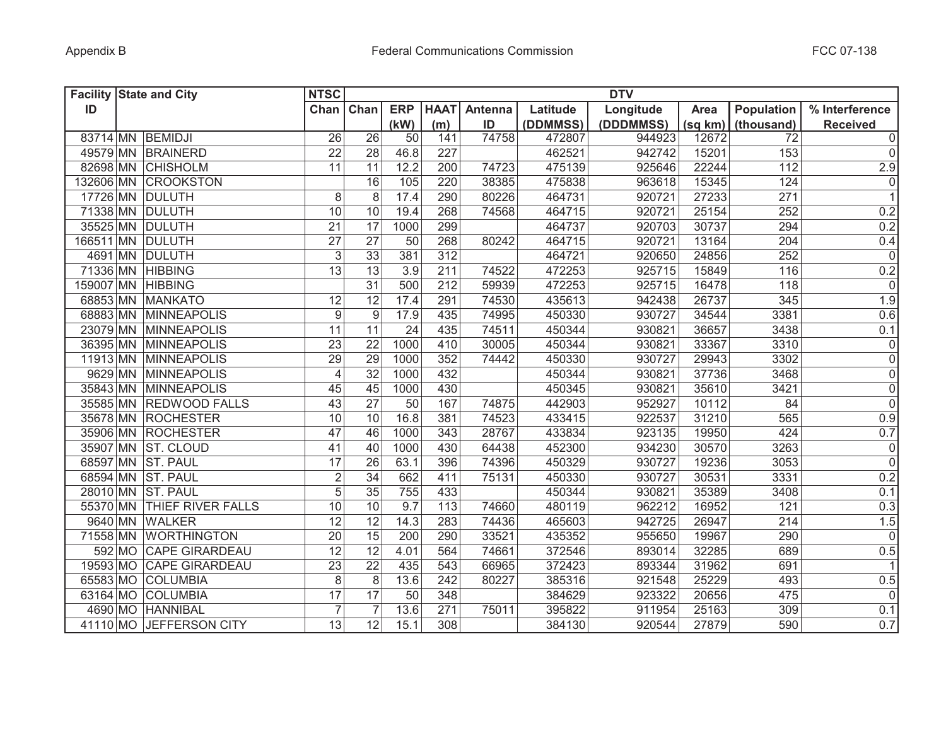| <b>Facility State and City</b> |                            | <b>NTSC</b>      |                 |                   |             |         |          | <b>DTV</b> |             |                   |                 |
|--------------------------------|----------------------------|------------------|-----------------|-------------------|-------------|---------|----------|------------|-------------|-------------------|-----------------|
| ID                             |                            | Chan             | Chan            | <b>ERP</b>        | <b>HAAT</b> | Antenna | Latitude | Longitude  | <b>Area</b> | <b>Population</b> | % Interference  |
|                                |                            |                  |                 | (kW)              | (m)         | ID      | (DDMMSS) | (DDDMMSS)  | (sq km)     | (thousand)        | <b>Received</b> |
|                                | 83714 MN BEMIDJI           | 26               | $\overline{26}$ | 50                | 141         | 74758   | 472807   | 944923     | 12672       | 72                | $\overline{0}$  |
|                                | 49579 MN BRAINERD          | 22               | 28              | 46.8              | 227         |         | 462521   | 942742     | 15201       | 153               | 0               |
|                                | 82698 MN CHISHOLM          | 11               | 11              | 12.2              | 200         | 74723   | 475139   | 925646     | 22244       | 112               | 2.9             |
|                                | 132606 MN CROOKSTON        |                  | 16              | 105               | 220         | 38385   | 475838   | 963618     | 15345       | 124               | 0               |
|                                | 17726 MN DULUTH            | 8                | 8               | 17.4              | 290         | 80226   | 464731   | 920721     | 27233       | 271               | 1               |
|                                | 71338 MN DULUTH            | 10               | 10              | 19.4              | 268         | 74568   | 464715   | 920721     | 25154       | 252               | 0.2             |
|                                | 35525 MN DULUTH            | 21               | 17              | 1000              | 299         |         | 464737   | 920703     | 30737       | 294               | 0.2             |
| 166511 MN DULUTH               |                            | 27               | $\overline{27}$ | 50                | 268         | 80242   | 464715   | 920721     | 13164       | 204               | 0.4             |
|                                | 4691 MN DULUTH             | $\mathfrak{S}$   | 33              | 381               | 312         |         | 464721   | 920650     | 24856       | 252               | $\overline{0}$  |
|                                | 71336 MN HIBBING           | $\overline{13}$  | $\overline{13}$ | 3.9               | 211         | 74522   | 472253   | 925715     | 15849       | 116               | 0.2             |
| 159007 MN HIBBING              |                            |                  | $\overline{31}$ | 500               | 212         | 59939   | 472253   | 925715     | 16478       | 118               | 0               |
|                                | 68853 MN MANKATO           | 12               | $\overline{12}$ | 17.4              | 291         | 74530   | 435613   | 942438     | 26737       | 345               | 1.9             |
|                                | 68883 MN MINNEAPOLIS       | $\boldsymbol{9}$ | $9\,$           | 17.9              | 435         | 74995   | 450330   | 930727     | 34544       | 3381              | 0.6             |
|                                | 23079 MN MINNEAPOLIS       | 11               | 11              | 24                | 435         | 74511   | 450344   | 930821     | 36657       | 3438              | 0.1             |
|                                | 36395 MN MINNEAPOLIS       | 23               | 22              | 1000              | 410         | 30005   | 450344   | 930821     | 33367       | 3310              | $\overline{0}$  |
|                                | 11913 MN MINNEAPOLIS       | 29               | $\overline{29}$ | 1000              | 352         | 74442   | 450330   | 930727     | 29943       | 3302              | $\overline{0}$  |
|                                | 9629 MN MINNEAPOLIS        | $\overline{4}$   | $\overline{32}$ | 1000              | 432         |         | 450344   | 930821     | 37736       | 3468              | $\overline{0}$  |
|                                | 35843 MN MINNEAPOLIS       | 45               | 45              | 1000              | 430         |         | 450345   | 930821     | 35610       | 3421              | $\overline{0}$  |
|                                | 35585 MN REDWOOD FALLS     | 43               | $\overline{27}$ | 50                | 167         | 74875   | 442903   | 952927     | 10112       | 84                | $\overline{0}$  |
|                                | 35678 MN ROCHESTER         | 10               | 10              | 16.8              | 381         | 74523   | 433415   | 922537     | 31210       | 565               | 0.9             |
|                                | 35906 MN ROCHESTER         | 47               | 46              | 1000              | 343         | 28767   | 433834   | 923135     | 19950       | 424               | 0.7             |
|                                | 35907 MN ST. CLOUD         | 41               | 40              | 1000              | 430         | 64438   | 452300   | 934230     | 30570       | 3263              | 0               |
|                                | 68597 MN ST. PAUL          | 17               | 26              | 63.1              | 396         | 74396   | 450329   | 930727     | 19236       | 3053              | 0               |
|                                | 68594 MN ST. PAUL          | $\overline{2}$   | 34              | 662               | 411         | 75131   | 450330   | 930727     | 30531       | 3331              | 0.2             |
|                                | 28010 MN ST. PAUL          | $\overline{5}$   | 35              | 755               | 433         |         | 450344   | 930821     | 35389       | 3408              | 0.1             |
|                                | 55370 MN THIEF RIVER FALLS | 10               | 10              | 9.7               | 113         | 74660   | 480119   | 962212     | 16952       | 121               | 0.3             |
|                                | 9640 MN WALKER             | 12               | 12              | 14.3              | 283         | 74436   | 465603   | 942725     | 26947       | 214               | 1.5             |
|                                | 71558 MN WORTHINGTON       | 20               | 15              | 200               | 290         | 33521   | 435352   | 955650     | 19967       | 290               | 0               |
|                                | 592 MO CAPE GIRARDEAU      | 12               | 12              | 4.01              | 564         | 74661   | 372546   | 893014     | 32285       | 689               | 0.5             |
|                                | 19593 MO CAPE GIRARDEAU    | 23               | $\overline{22}$ | 435               | 543         | 66965   | 372423   | 893344     | 31962       | 691               | $\vert$ 1       |
|                                | 65583 MO COLUMBIA          | 8                | 8               | 13.6              | 242         | 80227   | 385316   | 921548     | 25229       | 493               | 0.5             |
|                                | 63164 MO COLUMBIA          | 17               | 17              | 50                | 348         |         | 384629   | 923322     | 20656       | 475               | 0               |
|                                | 4690 MO HANNIBAL           | $\overline{7}$   | $\overline{7}$  | $13.\overline{6}$ | 271         | 75011   | 395822   | 911954     | 25163       | 309               | 0.1             |
|                                | 41110 MO JEFFERSON CITY    | 13               | $\overline{12}$ | 15.1              | 308         |         | 384130   | 920544     | 27879       | 590               | 0.7             |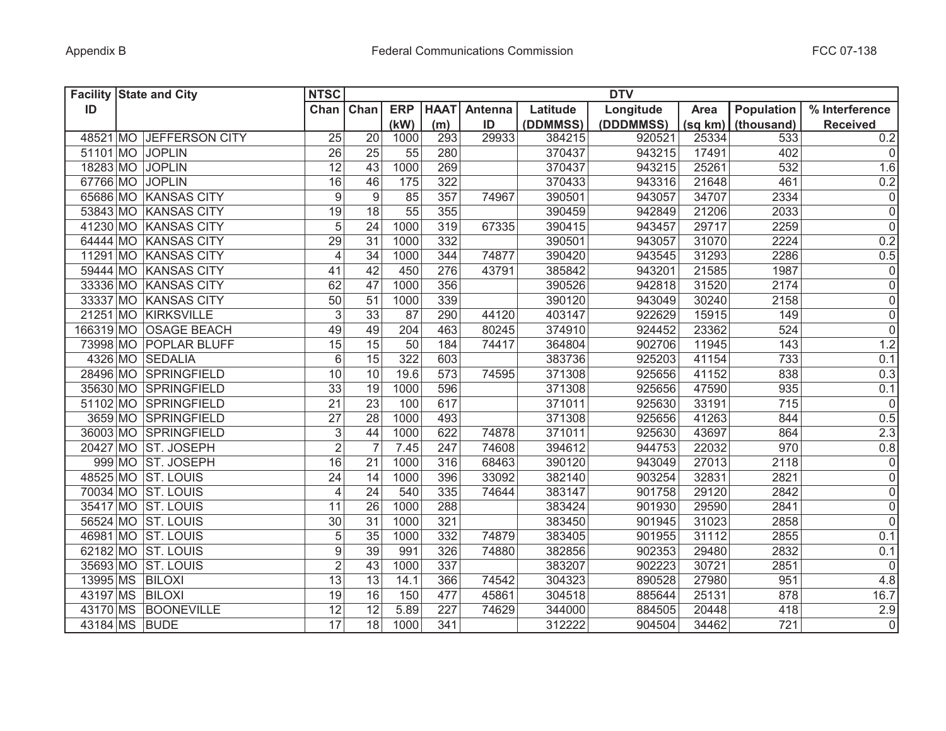|          | <b>Facility State and City</b> | <b>NTSC</b><br><b>DTV</b> |                 |            |             |         |          |           |         |            |                 |
|----------|--------------------------------|---------------------------|-----------------|------------|-------------|---------|----------|-----------|---------|------------|-----------------|
| ID       |                                | Chan Chan                 |                 | <b>ERP</b> | <b>HAAT</b> | Antenna | Latitude | Longitude | Area    | Population | % Interference  |
|          |                                |                           |                 | (kW)       | (m)         | ID      | (DDMMSS) | (DDDMMSS) | (sq km) | (thousand) | <b>Received</b> |
|          | 48521 MO JEFFERSON CITY        | 25                        | 20              | 1000       | 293         | 29933   | 384215   | 920521    | 25334   | 533        | 0.2             |
|          | 51101 MO JOPLIN                | 26                        | 25              | 55         | 280         |         | 370437   | 943215    | 17491   | 402        | 0               |
|          | 18283 MO JOPLIN                | 12                        | 43              | 1000       | 269         |         | 370437   | 943215    | 25261   | 532        | 1.6             |
|          | 67766 MO JOPLIN                | 16                        | 46              | 175        | 322         |         | 370433   | 943316    | 21648   | 461        | 0.2             |
|          | 65686 MO KANSAS CITY           | $\boldsymbol{9}$          | 9               | 85         | 357         | 74967   | 390501   | 943057    | 34707   | 2334       | 0               |
|          | 53843 MO KANSAS CITY           | 19                        | 18              | 55         | 355         |         | 390459   | 942849    | 21206   | 2033       | 0               |
|          | 41230 MO KANSAS CITY           | 5                         | 24              | 1000       | 319         | 67335   | 390415   | 943457    | 29717   | 2259       | 0               |
|          | 64444 MO KANSAS CITY           | $\overline{29}$           | $\overline{31}$ | 1000       | 332         |         | 390501   | 943057    | 31070   | 2224       | 0.2             |
|          | 11291 MO KANSAS CITY           | $\overline{4}$            | $\overline{34}$ | 1000       | 344         | 74877   | 390420   | 943545    | 31293   | 2286       | 0.5             |
|          | 59444 MO KANSAS CITY           | 41                        | 42              | 450        | 276         | 43791   | 385842   | 943201    | 21585   | 1987       | $\overline{0}$  |
|          | 33336 MO KANSAS CITY           | 62                        | 47              | 1000       | 356         |         | 390526   | 942818    | 31520   | 2174       | $\overline{0}$  |
|          | 33337 MO KANSAS CITY           | $\overline{50}$           | 51              | 1000       | 339         |         | 390120   | 943049    | 30240   | 2158       | $\overline{0}$  |
|          | 21251 MO KIRKSVILLE            | $\overline{3}$            | 33              | 87         | 290         | 44120   | 403147   | 922629    | 15915   | 149        | $\overline{0}$  |
|          | 166319 MO OSAGE BEACH          | 49                        | 49              | 204        | 463         | 80245   | 374910   | 924452    | 23362   | 524        | $\overline{0}$  |
|          | 73998 MO POPLAR BLUFF          | $\overline{15}$           | 15              | 50         | 184         | 74417   | 364804   | 902706    | 11945   | 143        | 1.2             |
|          | 4326 MO SEDALIA                | $\overline{6}$            | $\overline{15}$ | 322        | 603         |         | 383736   | 925203    | 41154   | 733        | 0.1             |
|          | 28496 MO SPRINGFIELD           | 10                        | 10              | 19.6       | 573         | 74595   | 371308   | 925656    | 41152   | 838        | 0.3             |
|          | 35630 MO SPRINGFIELD           | $\overline{33}$           | $\overline{19}$ | 1000       | 596         |         | 371308   | 925656    | 47590   | 935        | 0.1             |
|          | 51102 MO SPRINGFIELD           | $\overline{21}$           | $\overline{23}$ | 100        | 617         |         | 371011   | 925630    | 33191   | 715        | $\overline{0}$  |
|          | 3659 MO SPRINGFIELD            | $\overline{27}$           | 28              | 1000       | 493         |         | 371308   | 925656    | 41263   | 844        | 0.5             |
|          | 36003 MO SPRINGFIELD           | 3                         | 44              | 1000       | 622         | 74878   | 371011   | 925630    | 43697   | 864        | 2.3             |
|          | 20427 MO ST. JOSEPH            | $\overline{2}$            | $\overline{7}$  | 7.45       | 247         | 74608   | 394612   | 944753    | 22032   | 970        | 0.8             |
|          | 999 MO ST. JOSEPH              | 16                        | 21              | 1000       | 316         | 68463   | 390120   | 943049    | 27013   | 2118       | 0               |
|          | 48525 MO ST. LOUIS             | 24                        | 14              | 1000       | 396         | 33092   | 382140   | 903254    | 32831   | 2821       | 0               |
| 70034 MO | <b>ST. LOUIS</b>               | $\overline{4}$            | 24              | 540        | 335         | 74644   | 383147   | 901758    | 29120   | 2842       | 0               |
| 35417 MO | <b>ST. LOUIS</b>               | 11                        | 26              | 1000       | 288         |         | 383424   | 901930    | 29590   | 2841       | 0               |
|          | 56524 MO ST. LOUIS             | 30                        | 31              | 1000       | 321         |         | 383450   | 901945    | 31023   | 2858       | 0               |
|          | 46981 MO ST. LOUIS             | 5                         | 35              | 1000       | 332         | 74879   | 383405   | 901955    | 31112   | 2855       | 0.1             |
|          | 62182 MO ST. LOUIS             | 9                         | 39              | 991        | 326         | 74880   | 382856   | 902353    | 29480   | 2832       | 0.1             |
|          | 35693 MO ST. LOUIS             | $\overline{2}$            | 43              | 1000       | 337         |         | 383207   | 902223    | 30721   | 2851       | 0               |
| 13995 MS | <b>BILOXI</b>                  | 13                        | 13              | 14.1       | 366         | 74542   | 304323   | 890528    | 27980   | 951        | 4.8             |
| 43197 MS | <b>BILOXI</b>                  | 19                        | 16              | 150        | 477         | 45861   | 304518   | 885644    | 25131   | 878        | 16.7            |
| 43170 MS | <b>BOONEVILLE</b>              | 12                        | 12              | 5.89       | 227         | 74629   | 344000   | 884505    | 20448   | 418        | 2.9             |
|          | 43184 MS BUDE                  | $\overline{17}$           | 18              | 1000       | 341         |         | 312222   | 904504    | 34462   | 721        | $\overline{0}$  |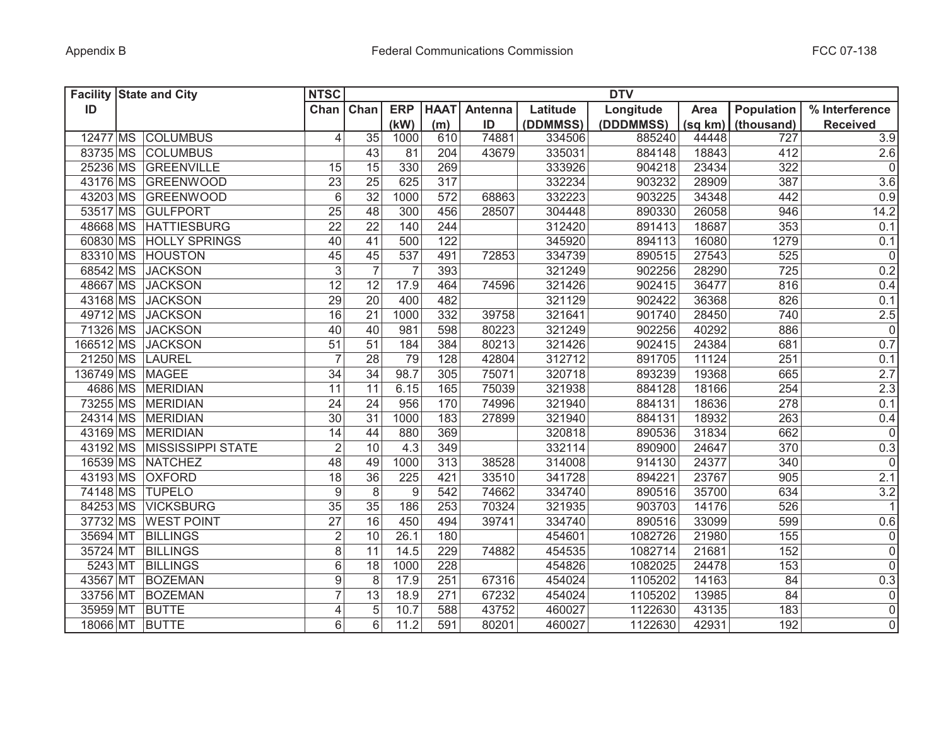| <b>Facility State and City</b> | <b>NTSC</b>       |                                   |                |             |         |          | <b>DTV</b> |         |                   |                     |
|--------------------------------|-------------------|-----------------------------------|----------------|-------------|---------|----------|------------|---------|-------------------|---------------------|
| ID                             |                   | Chan Chan                         | <b>ERP</b>     | <b>HAAT</b> | Antenna | Latitude | Longitude  | Area    | <b>Population</b> | % Interference      |
|                                |                   |                                   | (kW)           | (m)         | ID      | (DDMMSS) | (DDDMMSS)  | (sq km) | (thousand)        | <b>Received</b>     |
| 12477 MS COLUMBUS              |                   | 35<br>4                           | 1000           | 610         | 74881   | 334506   | 885240     | 44448   | 727               | 3.9                 |
| 83735 MS COLUMBUS              |                   | 43                                | 81             | 204         | 43679   | 335031   | 884148     | 18843   | 412               | 2.6                 |
| 25236 MS GREENVILLE            |                   | 15<br>15                          | 330            | 269         |         | 333926   | 904218     | 23434   | 322               | $\mathsf{O}\xspace$ |
| 43176 MS GREENWOOD             |                   | $\overline{25}$<br>23             | 625            | 317         |         | 332234   | 903232     | 28909   | 387               | 3.6                 |
| 43203 MS GREENWOOD             |                   | $6\phantom{1}6$<br>32             | 1000           | 572         | 68863   | 332223   | 903225     | 34348   | 442               | 0.9                 |
| 53517 MS GULFPORT              |                   | 25<br>48                          | 300            | 456         | 28507   | 304448   | 890330     | 26058   | 946               | 14.2                |
| 48668 MS HATTIESBURG           |                   | 22<br>22                          | 140            | 244         |         | 312420   | 891413     | 18687   | 353               | 0.1                 |
| 60830 MS HOLLY SPRINGS         |                   | 40<br>41                          | 500            | 122         |         | 345920   | 894113     | 16080   | 1279              | 0.1                 |
| 83310 MS HOUSTON               |                   | 45<br>45                          | 537            | 491         | 72853   | 334739   | 890515     | 27543   | 525               | $\overline{0}$      |
| 68542 MS JACKSON               |                   | $\overline{3}$<br>$\overline{7}$  | $\overline{7}$ | 393         |         | 321249   | 902256     | 28290   | 725               | 0.2                 |
| 48667 MS JACKSON               |                   | 12<br>12                          | 17.9           | 464         | 74596   | 321426   | 902415     | 36477   | 816               | 0.4                 |
| 43168 MS JACKSON               |                   | $\overline{29}$<br>20             | 400            | 482         |         | 321129   | 902422     | 36368   | 826               | 0.1                 |
| 49712 MS JACKSON               |                   | 16<br>$\overline{21}$             | 1000           | 332         | 39758   | 321641   | 901740     | 28450   | 740               | 2.5                 |
| 71326 MS JACKSON               |                   | 40<br>40                          | 981            | 598         | 80223   | 321249   | 902256     | 40292   | 886               | $\overline{0}$      |
| 166512 MS JACKSON              |                   | $\overline{51}$<br>51             | 184            | 384         | 80213   | 321426   | 902415     | 24384   | 681               | 0.7                 |
| 21250 MS LAUREL                |                   | $\overline{7}$<br>$\overline{28}$ | 79             | 128         | 42804   | 312712   | 891705     | 11124   | 251               | 0.1                 |
| 136749 MS MAGEE                |                   | $\overline{34}$<br>34             | 98.7           | 305         | 75071   | 320718   | 893239     | 19368   | 665               | 2.7                 |
| 4686 MS MERIDIAN               |                   | 11<br>11                          | 6.15           | 165         | 75039   | 321938   | 884128     | 18166   | 254               | 2.3                 |
| 73255 MS MERIDIAN              |                   | 24<br>24                          | 956            | 170         | 74996   | 321940   | 884131     | 18636   | 278               | 0.1                 |
| 24314 MS MERIDIAN              |                   | 30<br>31                          | 1000           | 183         | 27899   | 321940   | 884131     | 18932   | 263               | 0.4                 |
| 43169 MS MERIDIAN              |                   | 14<br>44                          | 880            | 369         |         | 320818   | 890536     | 31834   | 662               | 0                   |
| 43192 MS MISSISSIPPI STATE     |                   | $\overline{2}$<br>10              | 4.3            | 349         |         | 332114   | 890900     | 24647   | 370               | 0.3                 |
| 16539 MS NATCHEZ               |                   | 48<br>49                          | 1000           | 313         | 38528   | 314008   | 914130     | 24377   | 340               | 0                   |
| 43193 MS<br><b>OXFORD</b>      |                   | 18<br>36                          | 225            | 421         | 33510   | 341728   | 894221     | 23767   | 905               | 2.1                 |
| 74148 MS<br><b>TUPELO</b>      |                   | 9<br>8                            | 9              | 542         | 74662   | 334740   | 890516     | 35700   | 634               | $3.2\,$             |
| 84253 MS                       | <b>VICKSBURG</b>  | 35<br>35                          | 186            | 253         | 70324   | 321935   | 903703     | 14176   | 526               | 11                  |
| 37732 MS                       | <b>WEST POINT</b> | $\overline{27}$<br>16             | 450            | 494         | 39741   | 334740   | 890516     | 33099   | 599               | 0.6                 |
| 35694 MT<br><b>BILLINGS</b>    |                   | $\overline{2}$<br>10              | 26.1           | 180         |         | 454601   | 1082726    | 21980   | 155               | 0                   |
| 35724 MT<br><b>BILLINGS</b>    |                   | 8<br>11                           | 14.5           | 229         | 74882   | 454535   | 1082714    | 21681   | 152               | $\mathsf{O}\xspace$ |
| 5243 MT<br><b>BILLINGS</b>     |                   | 6<br>18                           | 1000           | 228         |         | 454826   | 1082025    | 24478   | 153               | $\mathbf 0$         |
| 43567 MT<br><b>BOZEMAN</b>     |                   | $\overline{9}$<br>8               | 17.9           | 251         | 67316   | 454024   | 1105202    | 14163   | 84                | 0.3                 |
| 33756 MT<br><b>BOZEMAN</b>     |                   | $\overline{7}$<br>13              | 18.9           | 271         | 67232   | 454024   | 1105202    | 13985   | 84                | $\mathsf{O}\xspace$ |
| 35959 MT<br><b>BUTTE</b>       |                   | 4<br>5                            | 10.7           | 588         | 43752   | 460027   | 1122630    | 43135   | 183               | $\mathsf 0$         |
| 18066 MT BUTTE                 |                   | 6<br>6                            | 11.2           | 591         | 80201   | 460027   | 1122630    | 42931   | 192               | $\mathbf 0$         |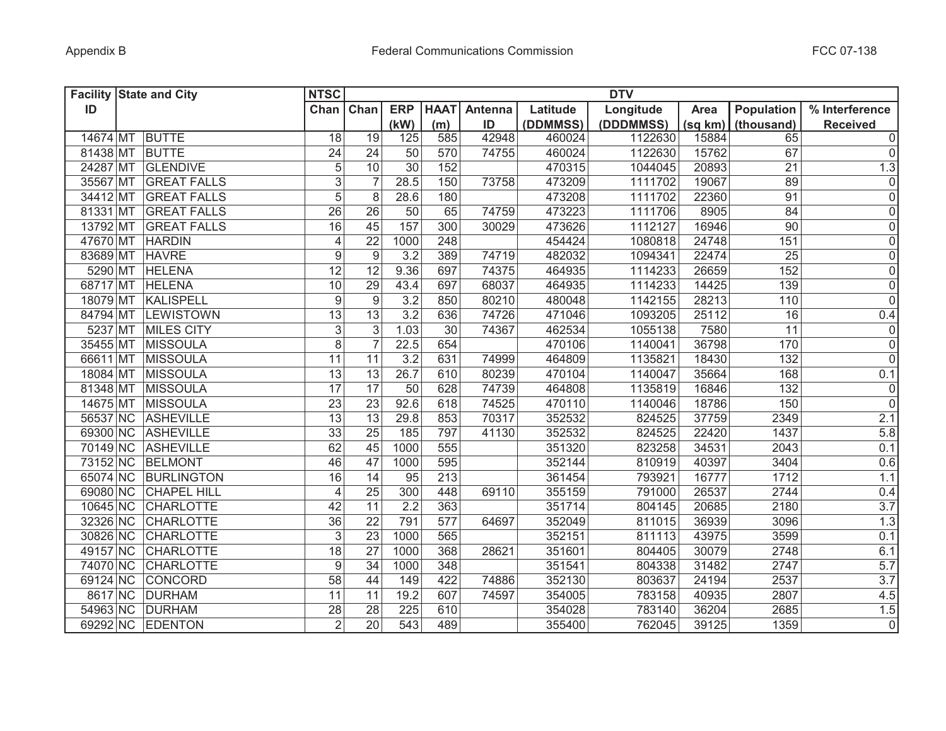|          | <b>Facility State and City</b> | <b>NTSC</b>      |                  |                  |                 |         |          | <b>DTV</b> |         |                  |                 |
|----------|--------------------------------|------------------|------------------|------------------|-----------------|---------|----------|------------|---------|------------------|-----------------|
| ID       |                                | Chan             | Chan             | <b>ERP</b>       | <b>HAAT</b>     | Antenna | Latitude | Longitude  | Area    | Population       | % Interference  |
|          |                                |                  |                  | (kW)             | (m)             | ID      | (DDMMSS) | (DDDMMSS)  | (sq km) | (thousand)       | <b>Received</b> |
| 14674 MT | <b>BUTTE</b>                   | 18               | 19               | 125              | 585             | 42948   | 460024   | 1122630    | 15884   | 65               | 0               |
| 81438 MT | <b>BUTTE</b>                   | 24               | 24               | 50               | 570             | 74755   | 460024   | 1122630    | 15762   | 67               | 0               |
| 24287 MT | <b>GLENDIVE</b>                | 5                | 10               | 30               | 152             |         | 470315   | 1044045    | 20893   | 21               | 1.3             |
|          | 35567 MT GREAT FALLS           | $\overline{3}$   | $\overline{7}$   | 28.5             | 150             | 73758   | 473209   | 1111702    | 19067   | 89               | 0               |
|          | 34412 MT GREAT FALLS           | $\overline{5}$   | 8                | 28.6             | 180             |         | 473208   | 1111702    | 22360   | $\overline{91}$  | $\overline{0}$  |
|          | 81331 MT GREAT FALLS           | 26               | 26               | 50               | 65              | 74759   | 473223   | 1111706    | 8905    | 84               | 0               |
|          | 13792 MT GREAT FALLS           | 16               | 45               | 157              | 300             | 30029   | 473626   | 1112127    | 16946   | 90               | 0               |
|          | 47670 MT HARDIN                | $\overline{4}$   | $\overline{22}$  | 1000             | 248             |         | 454424   | 1080818    | 24748   | 151              | $\overline{0}$  |
|          | 83689 MT HAVRE                 | 9                | $\overline{9}$   | $\overline{3.2}$ | 389             | 74719   | 482032   | 1094341    | 22474   | $\overline{25}$  | $\overline{0}$  |
|          | 5290 MT HELENA                 | 12               | 12               | 9.36             | 697             | 74375   | 464935   | 1114233    | 26659   | 152              | $\overline{0}$  |
|          | 68717 MT HELENA                | 10               | $\overline{29}$  | 43.4             | 697             | 68037   | 464935   | 1114233    | 14425   | 139              | $\overline{0}$  |
|          | 18079 MT KALISPELL             | $\boldsymbol{9}$ | $\boldsymbol{9}$ | 3.2              | 850             | 80210   | 480048   | 1142155    | 28213   | 110              | $\overline{0}$  |
|          | 84794 MT LEWISTOWN             | $\overline{13}$  | $\overline{13}$  | 3.2              | 636             | 74726   | 471046   | 1093205    | 25112   | 16               | 0.4             |
|          | 5237 MT MILES CITY             | $\overline{3}$   | $\overline{3}$   | 1.03             | $\overline{30}$ | 74367   | 462534   | 1055138    | 7580    | $\overline{11}$  | $\overline{0}$  |
|          | 35455 MT MISSOULA              | $\overline{8}$   | $\overline{7}$   | 22.5             | 654             |         | 470106   | 1140041    | 36798   | 170              | $\overline{0}$  |
|          | 66611 MT MISSOULA              | 11               | 11               | 3.2              | 631             | 74999   | 464809   | 1135821    | 18430   | $\overline{132}$ | $\overline{0}$  |
|          | 18084 MT MISSOULA              | 13               | 13               | 26.7             | 610             | 80239   | 470104   | 1140047    | 35664   | 168              | 0.1             |
|          | 81348 MT MISSOULA              | $\overline{17}$  | $\overline{17}$  | $\overline{50}$  | 628             | 74739   | 464808   | 1135819    | 16846   | $\overline{132}$ | $\overline{0}$  |
|          | 14675 MT MISSOULA              | 23               | $\overline{23}$  | 92.6             | 618             | 74525   | 470110   | 1140046    | 18786   | 150              | $\overline{0}$  |
|          | 56537 NC ASHEVILLE             | 13               | $\overline{13}$  | 29.8             | 853             | 70317   | 352532   | 824525     | 37759   | 2349             | 2.1             |
|          | 69300 NC ASHEVILLE             | 33               | 25               | 185              | 797             | 41130   | 352532   | 824525     | 22420   | 1437             | 5.8             |
|          | 70149 NC ASHEVILLE             | 62               | $\overline{45}$  | 1000             | 555             |         | 351320   | 823258     | 34531   | 2043             | 0.1             |
| 73152 NC | BELMONT                        | 46               | 47               | 1000             | 595             |         | 352144   | 810919     | 40397   | 3404             | 0.6             |
|          | 65074 NC BURLINGTON            | 16               | 14               | 95               | 213             |         | 361454   | 793921     | 16777   | 1712             | 1.1             |
|          | 69080 NC CHAPEL HILL           | $\overline{4}$   | 25               | 300              | 448             | 69110   | 355159   | 791000     | 26537   | 2744             | 0.4             |
| 10645 NC | <b>CHARLOTTE</b>               | 42               | 11               | 2.2              | 363             |         | 351714   | 804145     | 20685   | 2180             | 3.7             |
| 32326 NC | <b>CHARLOTTE</b>               | 36               | $\overline{22}$  | 791              | 577             | 64697   | 352049   | 811015     | 36939   | 3096             | 1.3             |
| 30826 NC | <b>CHARLOTTE</b>               | 3                | $\overline{23}$  | 1000             | 565             |         | 352151   | 811113     | 43975   | 3599             | 0.1             |
| 49157 NC | <b>CHARLOTTE</b>               | 18               | 27               | 1000             | 368             | 28621   | 351601   | 804405     | 30079   | 2748             | 6.1             |
|          | 74070 NC CHARLOTTE             | 9                | 34               | 1000             | 348             |         | 351541   | 804338     | 31482   | 2747             | 5.7             |
|          | 69124 NC CONCORD               | 58               | 44               | 149              | 422             | 74886   | 352130   | 803637     | 24194   | 2537             | 3.7             |
|          | 8617 NC DURHAM                 | 11               | 11               | 19.2             | 607             | 74597   | 354005   | 783158     | 40935   | 2807             | 4.5             |
|          | 54963 NC DURHAM                | 28               | $\overline{28}$  | 225              | 610             |         | 354028   | 783140     | 36204   | 2685             | 1.5             |
|          | 69292 NC EDENTON               | $\overline{2}$   | $\overline{20}$  | 543              | 489             |         | 355400   | 762045     | 39125   | 1359             | $\overline{0}$  |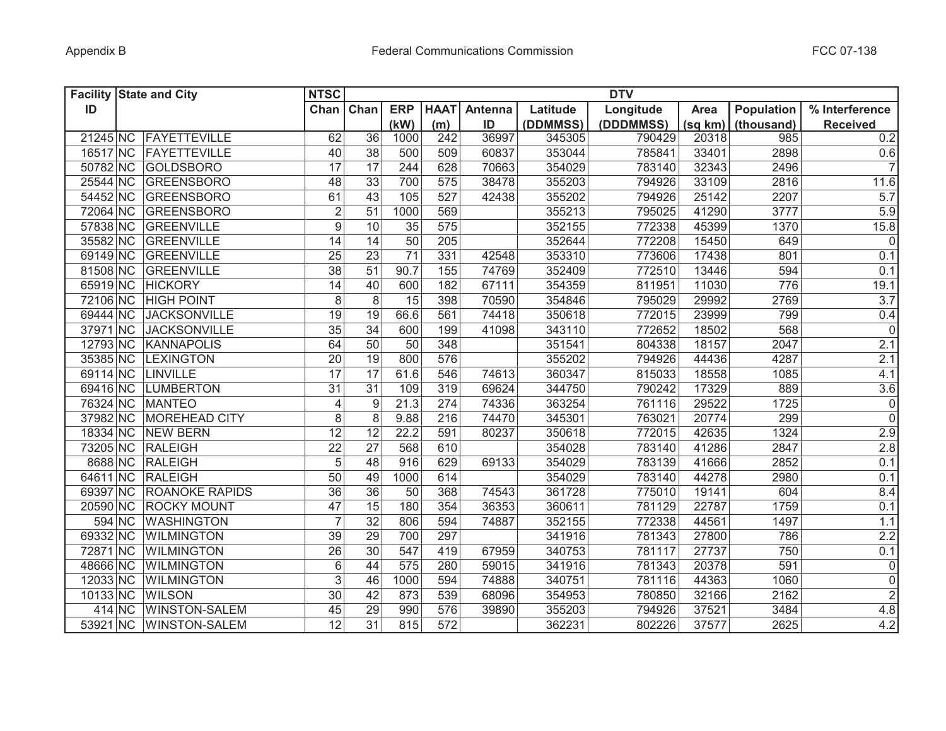|          | <b>Facility State and City</b> | <b>NTSC</b><br><b>DTV</b> |                  |                 |                  |         |          |           |             |            |                     |
|----------|--------------------------------|---------------------------|------------------|-----------------|------------------|---------|----------|-----------|-------------|------------|---------------------|
| ID       |                                | Chan                      | Chan             | <b>ERP</b>      | <b>HAAT</b>      | Antenna | Latitude | Longitude | <b>Area</b> | Population | % Interference      |
|          |                                |                           |                  | (kW)            | (m)              | ID      | (DDMMSS) | (DDDMMSS) | (sq km)     | (thousand) | <b>Received</b>     |
| 21245 NC | FAYETTEVILLE                   | 62                        | 36               | 1000            | 242              | 36997   | 345305   | 790429    | 20318       | 985        | 0.2                 |
| 16517 NC | FAYETTEVILLE                   | 40                        | 38               | 500             | 509              | 60837   | 353044   | 785841    | 33401       | 2898       | 0.6                 |
| 50782 NC | <b>GOLDSBORO</b>               | 17                        | 17               | 244             | 628              | 70663   | 354029   | 783140    | 32343       | 2496       | $\overline{7}$      |
| 25544 NC | GREENSBORO                     | 48                        | 33               | 700             | 575              | 38478   | 355203   | 794926    | 33109       | 2816       | $11.\overline{6}$   |
| 54452 NC | GREENSBORO                     | 61                        | $\overline{43}$  | 105             | 527              | 42438   | 355202   | 794926    | 25142       | 2207       | 5.7                 |
| 72064 NC | GREENSBORO                     | $\overline{2}$            | 51               | 1000            | 569              |         | 355213   | 795025    | 41290       | 3777       | 5.9                 |
| 57838 NC | GREENVILLE                     | 9                         | 10               | 35              | 575              |         | 352155   | 772338    | 45399       | 1370       | 15.8                |
| 35582 NC | GREENVILLE                     | 14                        | 14               | 50              | 205              |         | 352644   | 772208    | 15450       | 649        | $\mathbf{0}$        |
| 69149 NC | GREENVILLE                     | 25                        | $\overline{23}$  | $\overline{71}$ | 331              | 42548   | 353310   | 773606    | 17438       | 801        | 0.1                 |
| 81508 NC | GREENVILLE                     | 38                        | $\overline{51}$  | 90.7            | 155              | 74769   | 352409   | 772510    | 13446       | 594        | 0.1                 |
| 65919 NC | <b>HICKORY</b>                 | $\overline{14}$           | 40               | 600             | 182              | 67111   | 354359   | 811951    | 11030       | 776        | 19.1                |
| 72106 NC | <b>HIGH POINT</b>              | $\,8\,$                   | 8                | 15              | 398              | 70590   | 354846   | 795029    | 29992       | 2769       | 3.7                 |
| 69444 NC | <b>JACKSONVILLE</b>            | 19                        | 19               | 66.6            | 561              | 74418   | 350618   | 772015    | 23999       | 799        | 0.4                 |
| 37971 NC | <b>JACKSONVILLE</b>            | 35                        | $\overline{34}$  | 600             | 199              | 41098   | 343110   | 772652    | 18502       | 568        | $\mathbf 0$         |
| 12793 NC | <b>KANNAPOLIS</b>              | 64                        | $\overline{50}$  | $\overline{50}$ | 348              |         | 351541   | 804338    | 18157       | 2047       | 2.1                 |
| 35385 NC | <b>LEXINGTON</b>               | $\overline{20}$           | $\overline{19}$  | 800             | 576              |         | 355202   | 794926    | 44436       | 4287       | 2.1                 |
| 69114 NC | <b>LINVILLE</b>                | $\overline{17}$           | $\overline{17}$  | 61.6            | 546              | 74613   | 360347   | 815033    | 18558       | 1085       | 4.1                 |
| 69416 NC | <b>LUMBERTON</b>               | 31                        | $\overline{31}$  | 109             | 319              | 69624   | 344750   | 790242    | 17329       | 889        | 3.6                 |
| 76324 NC | <b>MANTEO</b>                  | $\overline{4}$            | $\boldsymbol{9}$ | 21.3            | 274              | 74336   | 363254   | 761116    | 29522       | 1725       | $\pmb{0}$           |
| 37982 NC | <b>MOREHEAD CITY</b>           | 8                         | 8                | 9.88            | 216              | 74470   | 345301   | 763021    | 20774       | 299        | $\overline{0}$      |
| 18334 NC | <b>NEW BERN</b>                | 12                        | 12               | 22.2            | 591              | 80237   | 350618   | 772015    | 42635       | 1324       | 2.9                 |
| 73205 NC | <b>RALEIGH</b>                 | 22                        | 27               | 568             | 610              |         | 354028   | 783140    | 41286       | 2847       | 2.8                 |
| 8688 NC  | <b>RALEIGH</b>                 | 5                         | 48               | 916             | 629              | 69133   | 354029   | 783139    | 41666       | 2852       | 0.1                 |
| 64611 NC | <b>RALEIGH</b>                 | 50                        | 49               | 1000            | 614              |         | 354029   | 783140    | 44278       | 2980       | 0.1                 |
| 69397 NC | <b>ROANOKE RAPIDS</b>          | 36                        | 36               | 50              | 368              | 74543   | 361728   | 775010    | 19141       | 604        | 8.4                 |
| 20590 NC | <b>ROCKY MOUNT</b>             | 47                        | 15               | 180             | 354              | 36353   | 360611   | 781129    | 22787       | 1759       | 0.1                 |
| 594 NC   | <b>WASHINGTON</b>              | $\overline{7}$            | 32               | 806             | 594              | 74887   | 352155   | 772338    | 44561       | 1497       | 1.1                 |
| 69332 NC | <b>WILMINGTON</b>              | 39                        | 29               | 700             | 297              |         | 341916   | 781343    | 27800       | 786        | 2.2                 |
| 72871 NC | <b>WILMINGTON</b>              | 26                        | 30               | 547             | 419              | 67959   | 340753   | 781117    | 27737       | 750        | 0.1                 |
| 48666 NC | <b>WILMINGTON</b>              | $6\,$                     | 44               | 575             | 280              | 59015   | 341916   | 781343    | 20378       | 591        | $\mathsf{O}\xspace$ |
| 12033 NC | <b>WILMINGTON</b>              | 3                         | 46               | 1000            | 594              | 74888   | 340751   | 781116    | 44363       | 1060       | $\mathbf 0$         |
| 10133 NC | <b>WILSON</b>                  | 30                        | 42               | 873             | 539              | 68096   | 354953   | 780850    | 32166       | 2162       | $\mathbf 2$         |
| 414 NC   | <b>WINSTON-SALEM</b>           | 45                        | 29               | 990             | 576              | 39890   | 355203   | 794926    | 37521       | 3484       | 4.8                 |
| 53921 NC | WINSTON-SALEM                  | $\overline{12}$           | $\overline{31}$  | 815             | $\overline{572}$ |         | 362231   | 802226    | 37577       | 2625       | 4.2                 |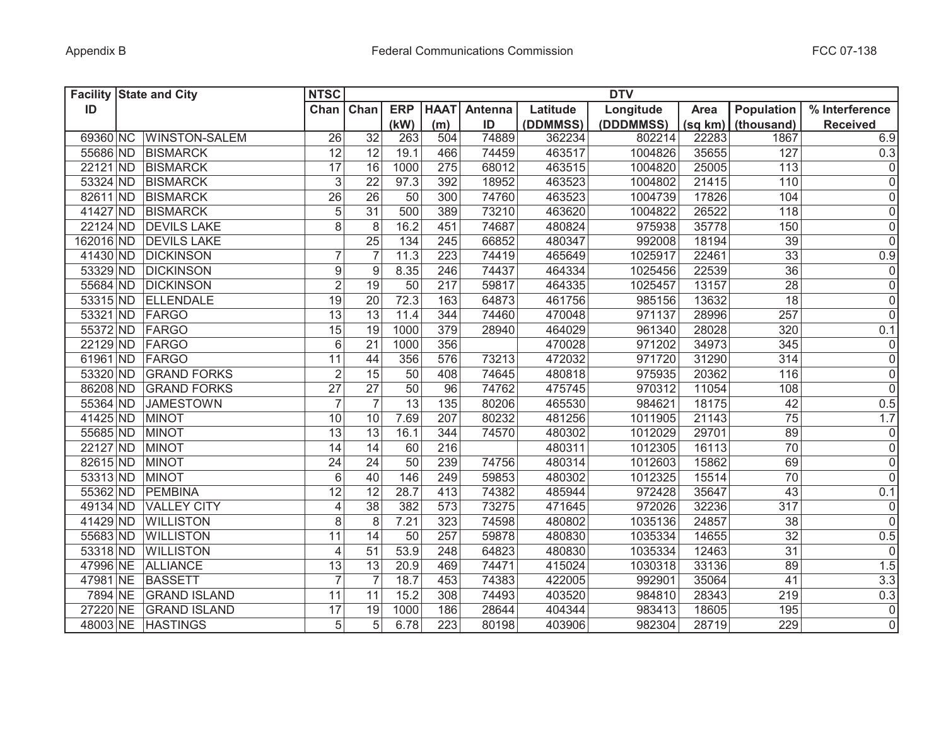| <b>Facility State and City</b> | <b>NTSC</b>                           |                                  |                   |                  |         |          | <b>DTV</b> |         |                   |                     |
|--------------------------------|---------------------------------------|----------------------------------|-------------------|------------------|---------|----------|------------|---------|-------------------|---------------------|
| ID                             |                                       | Chan Chan                        | <b>ERP</b>        | <b>HAAT</b>      | Antenna | Latitude | Longitude  | Area    | <b>Population</b> | % Interference      |
|                                |                                       |                                  | (kW)              | (m)              | ID      | (DDMMSS) | (DDDMMSS)  | (sq km) | (thousand)        | <b>Received</b>     |
| 69360 NC WINSTON-SALEM         | 26                                    | $\overline{32}$                  | 263               | 504              | 74889   | 362234   | 802214     | 22283   | 1867              | 6.9                 |
| 55686 ND BISMARCK              | 12                                    | 12                               | 19.1              | 466              | 74459   | 463517   | 1004826    | 35655   | 127               | 0.3                 |
| 22121 ND BISMARCK              | 17                                    | 16                               | 1000              | 275              | 68012   | 463515   | 1004820    | 25005   | 113               | $\mathsf{O}\xspace$ |
| 53324 ND BISMARCK              |                                       | 3<br>22                          | 97.3              | 392              | 18952   | 463523   | 1004802    | 21415   | 110               | $\mathsf{O}\xspace$ |
| 82611 ND BISMARCK              | $\overline{26}$                       | 26                               | 50                | 300              | 74760   | 463523   | 1004739    | 17826   | 104               | $\mathsf{O}\xspace$ |
| 41427 ND BISMARCK              |                                       | $\overline{5}$<br>31             | 500               | 389              | 73210   | 463620   | 1004822    | 26522   | 118               | $\mathsf{O}\xspace$ |
| 22124 ND DEVILS LAKE           |                                       | $\overline{8}$<br>8              | 16.2              | 451              | 74687   | 480824   | 975938     | 35778   | 150               | $\mathsf 0$         |
| 162016 ND DEVILS LAKE          |                                       | 25                               | 134               | 245              | 66852   | 480347   | 992008     | 18194   | 39                | $\overline{0}$      |
| 41430 ND DICKINSON             |                                       | 7<br>$\overline{7}$              | 11.3              | 223              | 74419   | 465649   | 1025917    | 22461   | $\overline{33}$   | 0.9                 |
| 53329 ND DICKINSON             |                                       | $\boldsymbol{9}$<br>9            | 8.35              | 246              | 74437   | 464334   | 1025456    | 22539   | $\overline{36}$   | $\mathsf{O}\xspace$ |
| 55684 ND DICKINSON             |                                       | $\overline{2}$<br>19             | 50                | 217              | 59817   | 464335   | 1025457    | 13157   | $\overline{28}$   | $\overline{0}$      |
| 53315 ND ELLENDALE             | 19                                    | 20                               | 72.3              | 163              | 64873   | 461756   | 985156     | 13632   | $\overline{18}$   | $\mathsf 0$         |
| 53321 ND FARGO                 | $\overline{13}$                       | $\overline{13}$                  | 11.4              | 344              | 74460   | 470048   | 971137     | 28996   | 257               | $\overline{0}$      |
| 55372 ND FARGO                 | $\overline{15}$                       | $\overline{19}$                  | 1000              | 379              | 28940   | 464029   | 961340     | 28028   | 320               | 0.1                 |
| 22129 ND FARGO                 | 6                                     | 21                               | 1000              | 356              |         | 470028   | 971202     | 34973   | 345               | $\pmb{0}$           |
| 61961 ND FARGO                 | $\overline{11}$                       | 44                               | 356               | 576              | 73213   | 472032   | 971720     | 31290   | 314               | $\mathsf{O}\xspace$ |
| 53320 ND                       | <b>GRAND FORKS</b>                    | $\overline{2}$<br>15             | 50                | 408              | 74645   | 480818   | 975935     | 20362   | 116               | $\mathsf 0$         |
| 86208 ND                       | $\overline{27}$<br><b>GRAND FORKS</b> | $\overline{27}$                  | 50                | 96               | 74762   | 475745   | 970312     | 11054   | 108               | $\overline{0}$      |
| 55364 ND                       | <b>JAMESTOWN</b>                      | $\overline{7}$<br>$\overline{7}$ | $\overline{13}$   | 135              | 80206   | 465530   | 984621     | 18175   | 42                | 0.5                 |
| 41425 ND<br><b>MINOT</b>       | 10                                    | 10                               | $7.\overline{69}$ | 207              | 80232   | 481256   | 1011905    | 21143   | $\overline{75}$   | 1.7                 |
| 55685 ND<br><b>MINOT</b>       | 13                                    | 13                               | 16.1              | 344              | 74570   | 480302   | 1012029    | 29701   | 89                | 0                   |
| 22127 ND<br><b>MINOT</b>       | 14                                    | 14                               | 60                | 216              |         | 480311   | 1012305    | 16113   | $\overline{70}$   | $\mathsf{O}\xspace$ |
| 82615 ND<br><b>MINOT</b>       | 24                                    | 24                               | 50                | 239              | 74756   | 480314   | 1012603    | 15862   | 69                | $\mathsf 0$         |
| 53313 ND<br><b>MINOT</b>       | 6                                     | 40                               | 146               | 249              | 59853   | 480302   | 1012325    | 15514   | 70                | $\mathsf{O}\xspace$ |
| 55362 ND<br>PEMBINA            | 12                                    | 12                               | 28.7              | 413              | 74382   | 485944   | 972428     | 35647   | 43                | 0.1                 |
| 49134 ND                       | <b>VALLEY CITY</b>                    | 38<br>$\overline{4}$             | 382               | 573              | 73275   | 471645   | 972026     | 32236   | 317               | 0                   |
| 41429 ND<br><b>WILLISTON</b>   |                                       | 8<br>8                           | 7.21              | 323              | 74598   | 480802   | 1035136    | 24857   | 38                | $\mathbf 0$         |
| 55683 ND<br><b>WILLISTON</b>   | $\overline{11}$                       | 14                               | 50                | 257              | 59878   | 480830   | 1035334    | 14655   | 32                | 0.5                 |
| 53318 ND<br><b>WILLISTON</b>   |                                       | $\overline{4}$<br>51             | 53.9              | 248              | 64823   | 480830   | 1035334    | 12463   | 31                | $\mathbf 0$         |
| 47996 NE<br><b>ALLIANCE</b>    | 13                                    | 13                               | 20.9              | 469              | 74471   | 415024   | 1030318    | 33136   | 89                | 1.5                 |
| 47981 NE<br><b>BASSETT</b>     |                                       | $\overline{7}$                   | 18.7              | 453              | 74383   | 422005   | 992901     | 35064   | 41                | 3.3                 |
| 7894 NE                        | <b>GRAND ISLAND</b><br>11             | 11                               | 15.2              | 308              | 74493   | 403520   | 984810     | 28343   | 219               | 0.3                 |
| 27220 NE                       | <b>GRAND ISLAND</b><br>17             | 19                               | 1000              | 186              | 28644   | 404344   | 983413     | 18605   | 195               | $\mathsf{O}\xspace$ |
| 48003 NE HASTINGS              |                                       | 5<br>5                           | 6.78              | $\overline{223}$ | 80198   | 403906   | 982304     | 28719   | 229               | $\mathbf 0$         |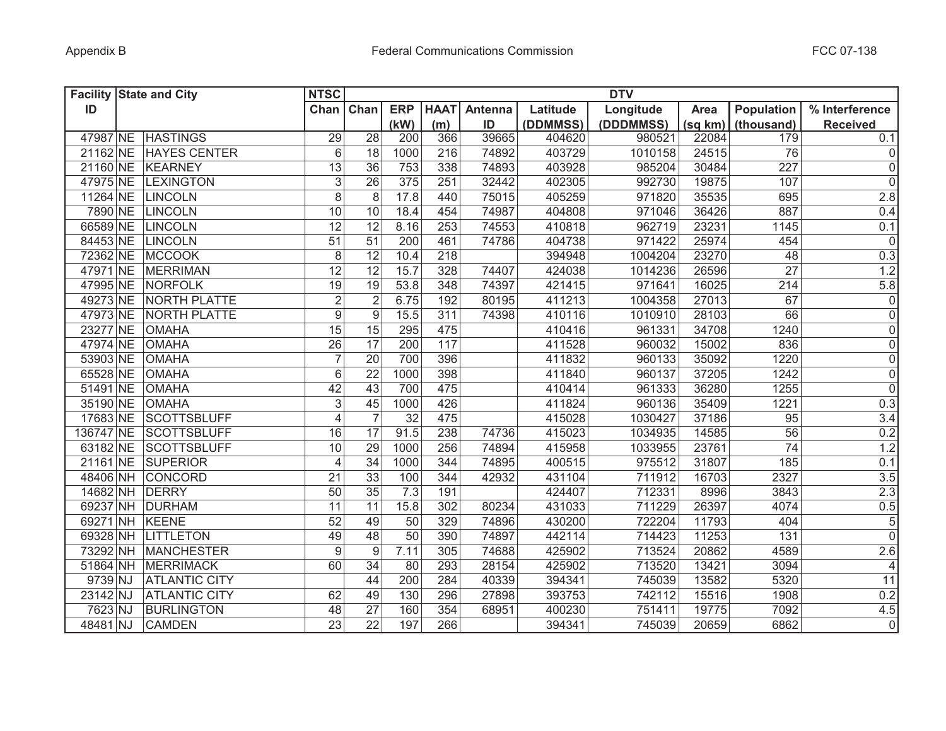| <b>Facility State and City</b> |                      | <b>NTSC</b>               |                 |            |             |                |          | <b>DTV</b> |         |                   |                  |
|--------------------------------|----------------------|---------------------------|-----------------|------------|-------------|----------------|----------|------------|---------|-------------------|------------------|
| ID                             |                      | Chan Chan                 |                 | <b>ERP</b> | <b>HAAT</b> | <b>Antenna</b> | Latitude | Longitude  | Area    | <b>Population</b> | % Interference   |
|                                |                      |                           |                 | (kW)       | (m)         | ID             | (DDMMSS) | (DDDMMSS)  | (sq km) | (thousand)        | <b>Received</b>  |
|                                | 47987 NE HASTINGS    | 29                        | 28              | 200        | 366         | 39665          | 404620   | 980521     | 22084   | 179               | 0.1              |
| 21162 NE                       | <b>HAYES CENTER</b>  | 6                         | 18              | 1000       | 216         | 74892          | 403729   | 1010158    | 24515   | 76                | $\overline{0}$   |
| 21160 NE                       | <b>KEARNEY</b>       | 13                        | 36              | 753        | 338         | 74893          | 403928   | 985204     | 30484   | 227               | $\overline{0}$   |
| 47975 NE                       | <b>LEXINGTON</b>     | $\ensuremath{\mathsf{3}}$ | $\overline{26}$ | 375        | 251         | 32442          | 402305   | 992730     | 19875   | 107               | $\overline{0}$   |
| 11264 NE                       | <b>LINCOLN</b>       | $\overline{8}$            | 8               | 17.8       | 440         | 75015          | 405259   | 971820     | 35535   | 695               | 2.8              |
| 7890 NE                        | <b>LINCOLN</b>       | 10                        | 10              | 18.4       | 454         | 74987          | 404808   | 971046     | 36426   | 887               | 0.4              |
| 66589 NE                       | LINCOLN              | 12                        | 12              | 8.16       | 253         | 74553          | 410818   | 962719     | 23231   | 1145              | 0.1              |
| 84453 NE                       | <b>LINCOLN</b>       | 51                        | 51              | 200        | 461         | 74786          | 404738   | 971422     | 25974   | 454               | $\mathbf 0$      |
| 72362 NE                       | <b>MCCOOK</b>        | $\,8\,$                   | $\overline{12}$ | 10.4       | 218         |                | 394948   | 1004204    | 23270   | 48                | 0.3              |
| 47971 NE                       | <b>MERRIMAN</b>      | $\overline{12}$           | 12              | 15.7       | 328         | 74407          | 424038   | 1014236    | 26596   | $\overline{27}$   | 1.2              |
| 47995 NE                       | NORFOLK              | 19                        | 19              | 53.8       | 348         | 74397          | 421415   | 971641     | 16025   | 214               | 5.8              |
| 49273 NE                       | NORTH PLATTE         | $\overline{2}$            | $\overline{2}$  | 6.75       | 192         | 80195          | 411213   | 1004358    | 27013   | 67                | $\overline{0}$   |
| 47973 NE                       | <b>NORTH PLATTE</b>  | $\overline{9}$            | 9               | 15.5       | 311         | 74398          | 410116   | 1010910    | 28103   | 66                | $\overline{0}$   |
| 23277 NE                       | <b>OMAHA</b>         | $\overline{15}$           | 15              | 295        | 475         |                | 410416   | 961331     | 34708   | 1240              | $\overline{0}$   |
| 47974 NE                       | <b>OMAHA</b>         | $\overline{26}$           | $\overline{17}$ | 200        | 117         |                | 411528   | 960032     | 15002   | 836               | $\overline{0}$   |
| 53903 NE                       | <b>OMAHA</b>         | $\overline{7}$            | $\overline{20}$ | 700        | 396         |                | 411832   | 960133     | 35092   | 1220              | $\overline{0}$   |
| 65528 NE                       | <b>OMAHA</b>         | $6\,$                     | $\overline{22}$ | 1000       | 398         |                | 411840   | 960137     | 37205   | 1242              | $\overline{0}$   |
| 51491 NE                       | <b>OMAHA</b>         | 42                        | $\overline{43}$ | 700        | 475         |                | 410414   | 961333     | 36280   | 1255              | $\overline{0}$   |
| 35190 NE                       | <b>OMAHA</b>         | $\mathsf 3$               | $\overline{45}$ | 1000       | 426         |                | 411824   | 960136     | 35409   | 1221              | 0.3              |
| 17683 NE                       | <b>SCOTTSBLUFF</b>   | $\overline{\mathbf{4}}$   | $\overline{7}$  | 32         | 475         |                | 415028   | 1030427    | 37186   | 95                | $\overline{3.4}$ |
| 136747 NE                      | <b>SCOTTSBLUFF</b>   | 16                        | 17              | 91.5       | 238         | 74736          | 415023   | 1034935    | 14585   | 56                | 0.2              |
| 63182 NE                       | <b>SCOTTSBLUFF</b>   | 10                        | 29              | 1000       | 256         | 74894          | 415958   | 1033955    | 23761   | 74                | 1.2              |
| 21161 NE                       | <b>SUPERIOR</b>      | $\overline{\mathbf{4}}$   | 34              | 1000       | 344         | 74895          | 400515   | 975512     | 31807   | 185               | 0.1              |
| 48406 NH                       | CONCORD              | 21                        | 33              | 100        | 344         | 42932          | 431104   | 711912     | 16703   | 2327              | 3.5              |
| 14682 NH                       | DERRY                | 50                        | 35              | 7.3        | 191         |                | 424407   | 712331     | 8996    | 3843              | 2.3              |
| 69237 NH                       | <b>DURHAM</b>        | 11                        | 11              | 15.8       | 302         | 80234          | 431033   | 711229     | 26397   | 4074              | 0.5              |
| 69271 NH                       | KEENE                | 52                        | 49              | 50         | 329         | 74896          | 430200   | 722204     | 11793   | 404               | $\sqrt{5}$       |
| 69328 NH                       | <b>LITTLETON</b>     | 49                        | 48              | 50         | 390         | 74897          | 442114   | 714423     | 11253   | 131               | $\mathbf 0$      |
| 73292 NH                       | <b>MANCHESTER</b>    | 9                         | 9               | 7.11       | 305         | 74688          | 425902   | 713524     | 20862   | 4589              | 2.6              |
|                                | 51864 NH MERRIMACK   | 60                        | 34              | 80         | 293         | 28154          | 425902   | 713520     | 13421   | 3094              | $\overline{4}$   |
| 9739 NJ                        | <b>ATLANTIC CITY</b> |                           | 44              | 200        | 284         | 40339          | 394341   | 745039     | 13582   | 5320              | 11               |
| 23142 NJ                       | <b>ATLANTIC CITY</b> | 62                        | 49              | 130        | 296         | 27898          | 393753   | 742112     | 15516   | 1908              | 0.2              |
| 7623 NJ                        | <b>BURLINGTON</b>    | 48                        | $\overline{27}$ | 160        | 354         | 68951          | 400230   | 751411     | 19775   | 7092              | 4.5              |
| 48481 NJ                       | <b>CAMDEN</b>        | $\overline{23}$           | $\overline{22}$ | 197        | 266         |                | 394341   | 745039     | 20659   | 6862              | $\pmb{0}$        |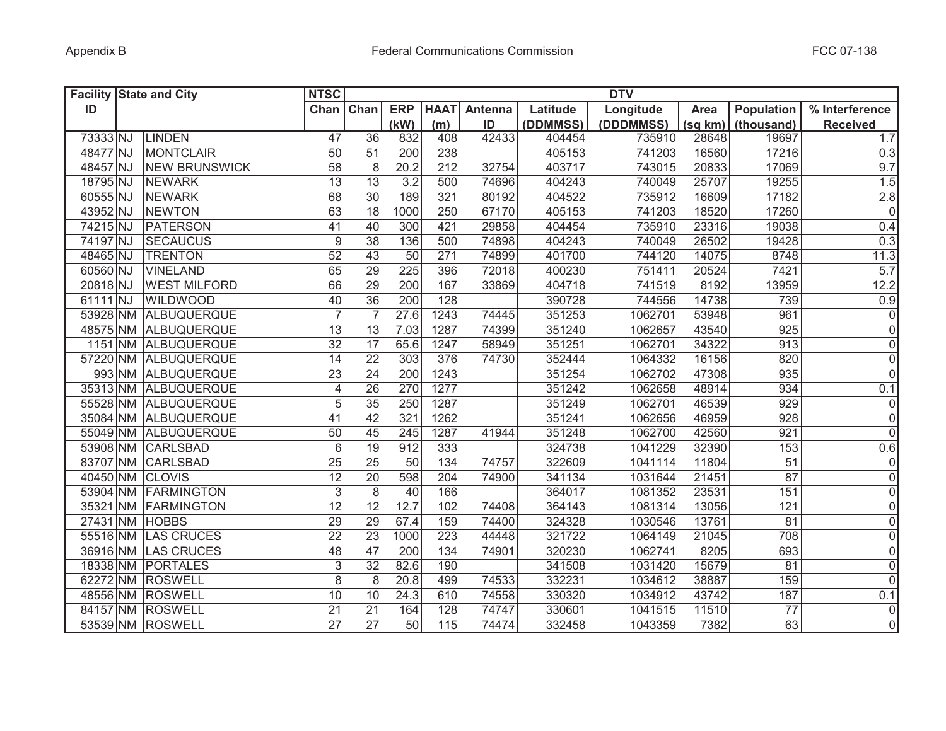| <b>Facility State and City</b> |                      | <b>NTSC</b>      |                 |                  |             |         |          | <b>DTV</b> |         |                 |                 |
|--------------------------------|----------------------|------------------|-----------------|------------------|-------------|---------|----------|------------|---------|-----------------|-----------------|
| ID                             |                      | Chan             | Chan            | <b>ERP</b>       | <b>HAAT</b> | Antenna | Latitude | Longitude  | Area    | Population      | % Interference  |
|                                |                      |                  |                 | (kW)             | (m)         | ID      | (DDMMSS) | (DDDMMSS)  | (sq km) | (thousand)      | <b>Received</b> |
| 73333 NJ                       | <b>LINDEN</b>        | 47               | 36              | 832              | 408         | 42433   | 404454   | 735910     | 28648   | 19697           | 1.7             |
| 48477 NJ                       | <b>MONTCLAIR</b>     | 50               | 51              | 200              | 238         |         | 405153   | 741203     | 16560   | 17216           | 0.3             |
| 48457 NJ                       | <b>NEW BRUNSWICK</b> | 58               | 8               | 20.2             | 212         | 32754   | 403717   | 743015     | 20833   | 17069           | 9.7             |
| 18795 NJ                       | <b>NEWARK</b>        | 13               | 13              | 3.2              | 500         | 74696   | 404243   | 740049     | 25707   | 19255           | 1.5             |
| 60555 NJ                       | <b>NEWARK</b>        | 68               | $\overline{30}$ | 189              | 321         | 80192   | 404522   | 735912     | 16609   | 17182           | $2.8\,$         |
| 43952 NJ                       | <b>NEWTON</b>        | 63               | $\overline{18}$ | 1000             | 250         | 67170   | 405153   | 741203     | 18520   | 17260           | $\overline{0}$  |
| 74215 NJ                       | <b>PATERSON</b>      | 41               | 40              | 300              | 421         | 29858   | 404454   | 735910     | 23316   | 19038           | 0.4             |
| 74197 NJ                       | <b>SECAUCUS</b>      | $\boldsymbol{9}$ | 38              | 136              | 500         | 74898   | 404243   | 740049     | 26502   | 19428           | 0.3             |
| 48465 NJ                       | <b>TRENTON</b>       | $\overline{52}$  | 43              | 50               | 271         | 74899   | 401700   | 744120     | 14075   | 8748            | 11.3            |
| 60560 NJ                       | <b>VINELAND</b>      | 65               | $\overline{29}$ | 225              | 396         | 72018   | 400230   | 751411     | 20524   | 7421            | 5.7             |
| 20818 NJ                       | <b>WEST MILFORD</b>  | 66               | 29              | 200              | 167         | 33869   | 404718   | 741519     | 8192    | 13959           | 12.2            |
| 61111 NJ                       | <b>WILDWOOD</b>      | 40               | 36              | $\overline{200}$ | 128         |         | 390728   | 744556     | 14738   | 739             | 0.9             |
|                                | 53928 NM ALBUQUERQUE | $\overline{7}$   | $\overline{7}$  | 27.6             | 1243        | 74445   | 351253   | 1062701    | 53948   | 961             | $\overline{0}$  |
|                                | 48575 NM ALBUQUERQUE | $\overline{13}$  | 13              | 7.03             | 1287        | 74399   | 351240   | 1062657    | 43540   | 925             | $\overline{0}$  |
|                                | 1151 NM ALBUQUERQUE  | $\overline{32}$  | $\overline{17}$ | 65.6             | 1247        | 58949   | 351251   | 1062701    | 34322   | 913             | $\overline{0}$  |
|                                | 57220 NM ALBUQUERQUE | 14               | $\overline{22}$ | 303              | 376         | 74730   | 352444   | 1064332    | 16156   | 820             | $\overline{0}$  |
|                                | 993 NM ALBUQUERQUE   | 23               | $\overline{24}$ | 200              | 1243        |         | 351254   | 1062702    | 47308   | 935             | $\overline{0}$  |
|                                | 35313 NM ALBUQUERQUE | $\overline{4}$   | $\overline{26}$ | 270              | 1277        |         | 351242   | 1062658    | 48914   | 934             | 0.1             |
|                                | 55528 NM ALBUQUERQUE | 5                | $\overline{35}$ | 250              | 1287        |         | 351249   | 1062701    | 46539   | 929             | $\overline{0}$  |
|                                | 35084 NM ALBUQUERQUE | 41               | 42              | 321              | 1262        |         | 351241   | 1062656    | 46959   | 928             | $\overline{0}$  |
|                                | 55049 NM ALBUQUERQUE | 50               | 45              | 245              | 1287        | 41944   | 351248   | 1062700    | 42560   | 921             | 0               |
|                                | 53908 NM CARLSBAD    | $6\,$            | 19              | 912              | 333         |         | 324738   | 1041229    | 32390   | 153             | 0.6             |
|                                | 83707 NM CARLSBAD    | 25               | 25              | 50               | 134         | 74757   | 322609   | 1041114    | 11804   | 51              | 0               |
| 40450 NM CLOVIS                |                      | 12               | 20              | 598              | 204         | 74900   | 341134   | 1031644    | 21451   | 87              | 0               |
|                                | 53904 NM FARMINGTON  | $\sqrt{3}$       | 8               | 40               | 166         |         | 364017   | 1081352    | 23531   | 151             | 0               |
|                                | 35321 NM FARMINGTON  | 12               | 12              | 12.7             | 102         | 74408   | 364143   | 1081314    | 13056   | 121             | 0               |
| 27431 NM HOBBS                 |                      | 29               | $\overline{29}$ | 67.4             | 159         | 74400   | 324328   | 1030546    | 13761   | 81              | 0               |
|                                | 55516 NM LAS CRUCES  | 22               | 23              | 1000             | 223         | 44448   | 321722   | 1064149    | 21045   | 708             | 0               |
|                                | 36916 NM LAS CRUCES  | 48               | 47              | 200              | 134         | 74901   | 320230   | 1062741    | 8205    | 693             | 0               |
|                                | 18338 NM PORTALES    | 3                | 32              | 82.6             | 190         |         | 341508   | 1031420    | 15679   | 81              | 0               |
|                                | 62272 NM ROSWELL     | 8                | 8               | 20.8             | 499         | 74533   | 332231   | 1034612    | 38887   | 159             | $\overline{0}$  |
|                                | 48556 NM ROSWELL     | 10               | 10              | 24.3             | 610         | 74558   | 330320   | 1034912    | 43742   | 187             | 0.1             |
|                                | 84157 NM ROSWELL     | 21               | $\overline{21}$ | 164              | 128         | 74747   | 330601   | 1041515    | 11510   | $\overline{77}$ | $\overline{0}$  |
|                                | 53539 NM ROSWELL     | $\overline{27}$  | $\overline{27}$ | $\overline{50}$  | 115         | 74474   | 332458   | 1043359    | 7382    | 63              | $\overline{0}$  |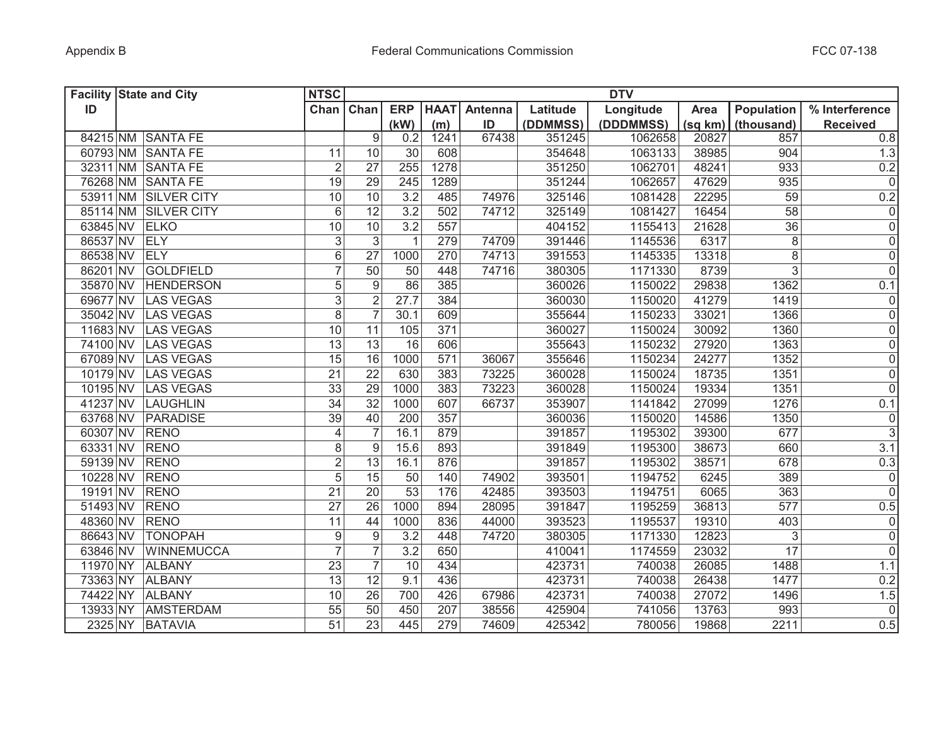| <b>Facility State and City</b> |                      | <b>NTSC</b>      |                  |                 |             |         |          | <b>DTV</b> |         |                 |                 |
|--------------------------------|----------------------|------------------|------------------|-----------------|-------------|---------|----------|------------|---------|-----------------|-----------------|
| ID                             |                      | Chan             | Chan             | <b>ERP</b>      | <b>HAAT</b> | Antenna | Latitude | Longitude  | Area    | Population      | % Interference  |
|                                |                      |                  |                  | (kW)            | (m)         | ID      | (DDMMSS) | (DDDMMSS)  | (sq km) | (thousand)      | <b>Received</b> |
|                                | 84215 NM SANTA FE    |                  | 9                | 0.2             | 1241        | 67438   | 351245   | 1062658    | 20827   | 857             | 0.8             |
|                                | 60793 NM SANTA FE    | 11               | 10               | 30              | 608         |         | 354648   | 1063133    | 38985   | 904             | 1.3             |
|                                | 32311 NM SANTA FE    | $\overline{2}$   | 27               | 255             | 1278        |         | 351250   | 1062701    | 48241   | 933             | 0.2             |
|                                | 76268 NM SANTA FE    | 19               | 29               | 245             | 1289        |         | 351244   | 1062657    | 47629   | 935             | $\overline{0}$  |
|                                | 53911 NM SILVER CITY | 10               | 10               | 3.2             | 485         | 74976   | 325146   | 1081428    | 22295   | 59              | 0.2             |
|                                | 85114 NM SILVER CITY | $6\phantom{1}$   | $\overline{12}$  | 3.2             | 502         | 74712   | 325149   | 1081427    | 16454   | $\overline{58}$ | 0               |
| 63845 NV ELKO                  |                      | 10               | 10               | 3.2             | 557         |         | 404152   | 1155413    | 21628   | $\overline{36}$ | $\overline{0}$  |
| 86537 NV ELY                   |                      | $\mathfrak{S}$   | $\overline{3}$   | $\mathbf{1}$    | 279         | 74709   | 391446   | 1145536    | 6317    | $\overline{8}$  | $\overline{0}$  |
| 86538 NV ELY                   |                      | $\overline{6}$   | $\overline{27}$  | 1000            | 270         | 74713   | 391553   | 1145335    | 13318   | $\overline{8}$  | $\overline{0}$  |
| 86201 NV                       | GOLDFIELD            | $\overline{7}$   | $\overline{50}$  | 50              | 448         | 74716   | 380305   | 1171330    | 8739    | $\overline{3}$  | $\overline{0}$  |
|                                | 35870 NV HENDERSON   | 5                | 9                | 86              | 385         |         | 360026   | 1150022    | 29838   | 1362            | 0.1             |
| 69677 NV                       | LAS VEGAS            | $\overline{3}$   | $\overline{2}$   | 27.7            | 384         |         | 360030   | 1150020    | 41279   | 1419            | $\overline{0}$  |
| 35042 NV                       | LAS VEGAS            | $\overline{8}$   | $\overline{7}$   | 30.1            | 609         |         | 355644   | 1150233    | 33021   | 1366            | $\overline{0}$  |
| 11683 NV                       | LAS VEGAS            | $\overline{10}$  | 11               | 105             | 371         |         | 360027   | 1150024    | 30092   | 1360            | $\overline{0}$  |
| 74100 NV                       | LAS VEGAS            | $\overline{13}$  | $\overline{13}$  | $\overline{16}$ | 606         |         | 355643   | 1150232    | 27920   | 1363            | $\overline{0}$  |
| 67089 NV                       | LAS VEGAS            | 15               | 16               | 1000            | 571         | 36067   | 355646   | 1150234    | 24277   | 1352            | $\overline{0}$  |
| 10179 NV                       | LAS VEGAS            | 21               | $\overline{22}$  | 630             | 383         | 73225   | 360028   | 1150024    | 18735   | 1351            | $\overline{0}$  |
| 10195 NV                       | LAS VEGAS            | $\overline{33}$  | 29               | 1000            | 383         | 73223   | 360028   | 1150024    | 19334   | 1351            | $\overline{0}$  |
| 41237 NV                       | LAUGHLIN             | $\overline{34}$  | $\overline{32}$  | 1000            | 607         | 66737   | 353907   | 1141842    | 27099   | 1276            | 0.1             |
| 63768 NV                       | PARADISE             | 39               | 40               | 200             | 357         |         | 360036   | 1150020    | 14586   | 1350            | 0               |
| 60307 NV                       | <b>RENO</b>          | $\overline{4}$   | $\overline{7}$   | 16.1            | 879         |         | 391857   | 1195302    | 39300   | 677             | $\overline{3}$  |
| 63331 NV                       | <b>RENO</b>          | 8                | $\boldsymbol{9}$ | 15.6            | 893         |         | 391849   | 1195300    | 38673   | 660             | 3.1             |
| 59139 NV                       | <b>RENO</b>          | $\overline{2}$   | 13               | 16.1            | 876         |         | 391857   | 1195302    | 38571   | 678             | 0.3             |
| 10228 NV                       | <b>RENO</b>          | 5                | 15               | 50              | 140         | 74902   | 393501   | 1194752    | 6245    | 389             | 0               |
| 19191 NV                       | <b>RENO</b>          | 21               | 20               | 53              | 176         | 42485   | 393503   | 1194751    | 6065    | 363             | 0               |
| 51493 NV                       | <b>RENO</b>          | 27               | 26               | 1000            | 894         | 28095   | 391847   | 1195259    | 36813   | 577             | 0.5             |
| 48360 NV                       | <b>RENO</b>          | 11               | 44               | 1000            | 836         | 44000   | 393523   | 1195537    | 19310   | 403             | 0               |
| 86643 NV                       | <b>TONOPAH</b>       | $\boldsymbol{9}$ | $\boldsymbol{9}$ | 3.2             | 448         | 74720   | 380305   | 1171330    | 12823   | 3               | 0               |
| 63846 NV                       | <b>WINNEMUCCA</b>    | $\overline{7}$   | $\overline{7}$   | 3.2             | 650         |         | 410041   | 1174559    | 23032   | $\overline{17}$ | 0               |
|                                | 11970 NY ALBANY      | 23               | $\overline{7}$   | 10              | 434         |         | 423731   | 740038     | 26085   | 1488            | 1.1             |
|                                | 73363 NY ALBANY      | 13               | $\overline{12}$  | 9.1             | 436         |         | 423731   | 740038     | 26438   | 1477            | 0.2             |
|                                | 74422 NY ALBANY      | 10               | 26               | 700             | 426         | 67986   | 423731   | 740038     | 27072   | 1496            | 1.5             |
|                                | 13933 NY AMSTERDAM   | 55               | 50               | 450             | 207         | 38556   | 425904   | 741056     | 13763   | 993             | $\overline{0}$  |
|                                | 2325 NY BATAVIA      | 51               | 23               | 445             | 279         | 74609   | 425342   | 780056     | 19868   | 2211            | 0.5             |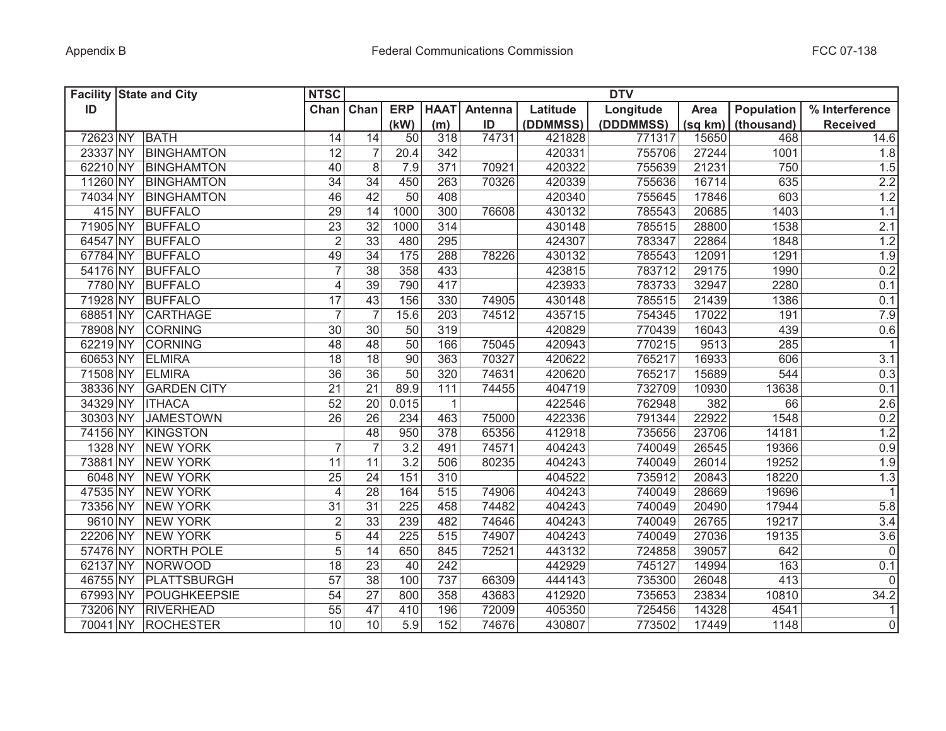| <b>Facility State and City</b> |                    | <b>NTSC</b>              |                 |                  |              |                |          | <b>DTV</b> |         |                   |                  |
|--------------------------------|--------------------|--------------------------|-----------------|------------------|--------------|----------------|----------|------------|---------|-------------------|------------------|
| ID                             |                    | Chan Chan                |                 | <b>ERP</b>       | <b>HAAT</b>  | <b>Antenna</b> | Latitude | Longitude  | Area    | <b>Population</b> | % Interference   |
|                                |                    |                          |                 | (kW)             | (m)          | ID             | (DDMMSS) | (DDDMMSS)  | (sq km) | (thousand)        | <b>Received</b>  |
| 72623 NY                       | BATH               | 14                       | 14              | 50               | 318          | 74731          | 421828   | 771317     | 15650   | 468               | 14.6             |
| 23337 NY                       | <b>BINGHAMTON</b>  | 12                       | $\overline{7}$  | 20.4             | 342          |                | 420331   | 755706     | 27244   | 1001              | 1.8              |
| 62210 NY                       | <b>BINGHAMTON</b>  | 40                       | 8               | 7.9              | 371          | 70921          | 420322   | 755639     | 21231   | 750               | 1.5              |
| 11260 NY                       | <b>BINGHAMTON</b>  | $\overline{34}$          | 34              | 450              | 263          | 70326          | 420339   | 755636     | 16714   | 635               | 2.2              |
| 74034 NY                       | BINGHAMTON         | 46                       | 42              | 50               | 408          |                | 420340   | 755645     | 17846   | 603               | 1.2              |
| 415 NY                         | <b>BUFFALO</b>     | 29                       | 14              | 1000             | 300          | 76608          | 430132   | 785543     | 20685   | 1403              | 1.1              |
| 71905 NY                       | <b>BUFFALO</b>     | 23                       | 32              | 1000             | 314          |                | 430148   | 785515     | 28800   | 1538              | 2.1              |
| 64547 NY                       | <b>BUFFALO</b>     | $\overline{2}$           | 33              | 480              | 295          |                | 424307   | 783347     | 22864   | 1848              | 1.2              |
| 67784 NY                       | <b>BUFFALO</b>     | 49                       | $\overline{34}$ | $\overline{175}$ | 288          | 78226          | 430132   | 785543     | 12091   | 1291              | 1.9              |
| 54176 NY                       | <b>BUFFALO</b>     | $\overline{7}$           | $\overline{38}$ | 358              | 433          |                | 423815   | 783712     | 29175   | 1990              | 0.2              |
| 7780 NY                        | <b>BUFFALO</b>     | $\overline{\mathcal{L}}$ | $\overline{39}$ | 790              | 417          |                | 423933   | 783733     | 32947   | 2280              | 0.1              |
| 71928 NY                       | <b>BUFFALO</b>     | 17                       | 43              | 156              | 330          | 74905          | 430148   | 785515     | 21439   | 1386              | 0.1              |
| 68851 NY                       | <b>CARTHAGE</b>    | $\overline{7}$           |                 | 15.6             | 203          | 74512          | 435715   | 754345     | 17022   | 191               | 7.9              |
| 78908 NY                       | <b>CORNING</b>     | $\overline{30}$          | 30              | 50               | 319          |                | 420829   | 770439     | 16043   | 439               | 0.6              |
| 62219 NY                       | <b>CORNING</b>     | 48                       | 48              | $\overline{50}$  | 166          | 75045          | 420943   | 770215     | 9513    | 285               | $\mathbf{1}$     |
| 60653 NY                       | <b>ELMIRA</b>      | 18                       | $\overline{18}$ | 90               | 363          | 70327          | 420622   | 765217     | 16933   | 606               | 3.1              |
| 71508 NY                       | <b>ELMIRA</b>      | 36                       | $\overline{36}$ | $\overline{50}$  | 320          | 74631          | 420620   | 765217     | 15689   | 544               | 0.3              |
| 38336 NY                       | <b>GARDEN CITY</b> | $\overline{21}$          | $\overline{21}$ | 89.9             | 111          | 74455          | 404719   | 732709     | 10930   | 13638             | 0.1              |
| 34329 NY                       | <b>ITHACA</b>      | $\overline{52}$          | 20              | 0.015            | $\mathbf{1}$ |                | 422546   | 762948     | 382     | 66                | 2.6              |
| 30303 NY                       | <b>JAMESTOWN</b>   | 26                       | 26              | 234              | 463          | 75000          | 422336   | 791344     | 22922   | 1548              | 0.2              |
| 74156 NY                       | <b>KINGSTON</b>    |                          | 48              | 950              | 378          | 65356          | 412918   | 735656     | 23706   | 14181             | 1.2              |
| 1328 NY                        | <b>NEW YORK</b>    | $\overline{7}$           |                 | 3.2              | 491          | 74571          | 404243   | 740049     | 26545   | 19366             | 0.9              |
| 73881 NY                       | <b>NEW YORK</b>    | 11                       | 11              | 3.2              | 506          | 80235          | 404243   | 740049     | 26014   | 19252             | 1.9              |
| 6048 NY                        | <b>NEW YORK</b>    | 25                       | 24              | 151              | 310          |                | 404522   | 735912     | 20843   | 18220             | 1.3              |
| 47535 NY                       | <b>NEW YORK</b>    | 4                        | 28              | 164              | 515          | 74906          | 404243   | 740049     | 28669   | 19696             | $\mathbf{1}$     |
| 73356 NY                       | <b>NEW YORK</b>    | 31                       | 31              | 225              | 458          | 74482          | 404243   | 740049     | 20490   | 17944             | 5.8              |
| 9610 NY                        | <b>NEW YORK</b>    | $\mathbf 2$              | 33              | 239              | 482          | 74646          | 404243   | 740049     | 26765   | 19217             | 3.4              |
| 22206 NY                       | <b>NEW YORK</b>    | 5                        | 44              | 225              | 515          | 74907          | 404243   | 740049     | 27036   | 19135             | 3.6              |
| 57476 NY                       | <b>NORTH POLE</b>  | 5                        | 14              | 650              | 845          | 72521          | 443132   | 724858     | 39057   | 642               | $\mathbf 0$      |
| 62137 NY                       | NORWOOD            | 18                       | 23              | 40               | 242          |                | 442929   | 745127     | 14994   | 163               | 0.1              |
| 46755 NY                       | PLATTSBURGH        | 57                       | 38              | 100              | 737          | 66309          | 444143   | 735300     | 26048   | 413               | $\mathbf 0$      |
| 67993 NY                       | POUGHKEEPSIE       | 54                       | 27              | 800              | 358          | 43683          | 412920   | 735653     | 23834   | 10810             | $\frac{1}{34.2}$ |
| 73206 NY                       | <b>RIVERHEAD</b>   | 55                       | 47              | 410              | 196          | 72009          | 405350   | 725456     | 14328   | 4541              | 1                |
|                                | 70041 NY ROCHESTER | 10                       | 10              | $\overline{5.9}$ | 152          | 74676          | 430807   | 773502     | 17449   | 1148              | $\mathbf 0$      |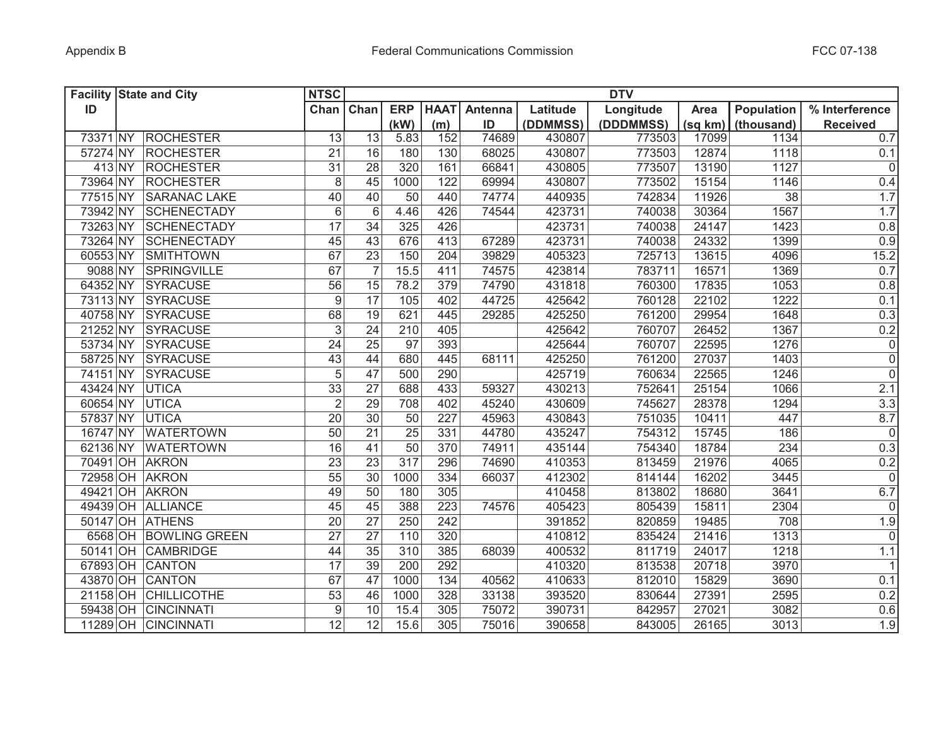|          | <b>Facility State and City</b> | <b>NTSC</b>      |                 |            |             |         |          | <b>DTV</b> |         |            |                     |
|----------|--------------------------------|------------------|-----------------|------------|-------------|---------|----------|------------|---------|------------|---------------------|
| ID       |                                | Chan             | Chan            | <b>ERP</b> | <b>HAAT</b> | Antenna | Latitude | Longitude  | Area    | Population | % Interference      |
|          |                                |                  |                 | (kW)       | (m)         | ID      | (DDMMSS) | (DDDMMSS)  | (sq km) | (thousand) | <b>Received</b>     |
| 73371 NY | <b>ROCHESTER</b>               | 13               | 13              | 5.83       | 152         | 74689   | 430807   | 773503     | 17099   | 1134       | 0.7                 |
| 57274 NY | <b>ROCHESTER</b>               | 21               | 16              | 180        | 130         | 68025   | 430807   | 773503     | 12874   | 1118       | 0.1                 |
| 413 NY   | <b>ROCHESTER</b>               | 31               | 28              | 320        | 161         | 66841   | 430805   | 773507     | 13190   | 1127       | $\overline{0}$      |
| 73964 NY | <b>ROCHESTER</b>               | $\,8\,$          | 45              | 1000       | 122         | 69994   | 430807   | 773502     | 15154   | 1146       | 0.4                 |
| 77515 NY | <b>SARANAC LAKE</b>            | 40               | 40              | 50         | 440         | 74774   | 440935   | 742834     | 11926   | 38         | 1.7                 |
| 73942 NY | <b>SCHENECTADY</b>             | $6\phantom{1}$   | $6\phantom{1}$  | 4.46       | 426         | 74544   | 423731   | 740038     | 30364   | 1567       | 1.7                 |
| 73263 NY | <b>SCHENECTADY</b>             | 17               | 34              | 325        | 426         |         | 423731   | 740038     | 24147   | 1423       | 0.8                 |
| 73264 NY | <b>SCHENECTADY</b>             | 45               | 43              | 676        | 413         | 67289   | 423731   | 740038     | 24332   | 1399       | 0.9                 |
| 60553 NY | SMITHTOWN                      | 67               | 23              | 150        | 204         | 39829   | 405323   | 725713     | 13615   | 4096       | 15.2                |
| 9088 NY  | SPRINGVILLE                    | 67               | $\overline{7}$  | 15.5       | 411         | 74575   | 423814   | 783711     | 16571   | 1369       | 0.7                 |
| 64352 NY | SYRACUSE                       | 56               | 15              | 78.2       | 379         | 74790   | 431818   | 760300     | 17835   | 1053       | 0.8                 |
| 73113 NY | <b>SYRACUSE</b>                | $\boldsymbol{9}$ | $\overline{17}$ | 105        | 402         | 44725   | 425642   | 760128     | 22102   | 1222       | 0.1                 |
| 40758 NY | <b>SYRACUSE</b>                | 68               | $\overline{19}$ | 621        | 445         | 29285   | 425250   | 761200     | 29954   | 1648       | 0.3                 |
| 21252 NY | <b>SYRACUSE</b>                | 3                | $\overline{24}$ | 210        | 405         |         | 425642   | 760707     | 26452   | 1367       | 0.2                 |
| 53734 NY | <b>SYRACUSE</b>                | 24               | 25              | 97         | 393         |         | 425644   | 760707     | 22595   | 1276       | 0                   |
| 58725 NY | <b>SYRACUSE</b>                | $\overline{43}$  | 44              | 680        | 445         | 68111   | 425250   | 761200     | 27037   | 1403       | $\overline{0}$      |
| 74151 NY | <b>SYRACUSE</b>                | 5                | $\overline{47}$ | 500        | 290         |         | 425719   | 760634     | 22565   | 1246       | $\mathsf{O}\xspace$ |
| 43424 NY | <b>UTICA</b>                   | $\overline{33}$  | $\overline{27}$ | 688        | 433         | 59327   | 430213   | 752641     | 25154   | 1066       | 2.1                 |
| 60654 NY | <b>UTICA</b>                   | $\overline{2}$   | 29              | 708        | 402         | 45240   | 430609   | 745627     | 28378   | 1294       | 3.3                 |
| 57837 NY | <b>UTICA</b>                   | $\overline{20}$  | $\overline{30}$ | 50         | 227         | 45963   | 430843   | 751035     | 10411   | 447        | 8.7                 |
| 16747 NY | <b>WATERTOWN</b>               | 50               | 21              | 25         | 331         | 44780   | 435247   | 754312     | 15745   | 186        | 0                   |
| 62136 NY | <b>WATERTOWN</b>               | 16               | 41              | 50         | 370         | 74911   | 435144   | 754340     | 18784   | 234        | 0.3                 |
|          | 70491 OH AKRON                 | 23               | 23              | 317        | 296         | 74690   | 410353   | 813459     | 21976   | 4065       | $0.2\,$             |
|          | 72958 OH AKRON                 | 55               | 30              | 1000       | 334         | 66037   | 412302   | 814144     | 16202   | 3445       | 0                   |
| 49421    | OH AKRON                       | 49               | 50              | 180        | 305         |         | 410458   | 813802     | 18680   | 3641       | 6.7                 |
|          | 49439 OH ALLIANCE              | 45               | 45              | 388        | 223         | 74576   | 405423   | 805439     | 15811   | 2304       | 0                   |
|          | 50147 OH ATHENS                | 20               | 27              | 250        | 242         |         | 391852   | 820859     | 19485   | 708        | 1.9                 |
|          | 6568 OH BOWLING GREEN          | 27               | $\overline{27}$ | 110        | 320         |         | 410812   | 835424     | 21416   | 1313       | $\mathsf{O}\xspace$ |
|          | 50141 OH CAMBRIDGE             | 44               | 35              | 310        | 385         | 68039   | 400532   | 811719     | 24017   | 1218       | 1.1                 |
|          | 67893 OH CANTON                | 17               | 39              | 200        | 292         |         | 410320   | 813538     | 20718   | 3970       | 1                   |
|          | 43870 OH CANTON                | 67               | 47              | 1000       | 134         | 40562   | 410633   | 812010     | 15829   | 3690       | 0.1                 |
|          | 21158 OH CHILLICOTHE           | 53               | 46              | 1000       | 328         | 33138   | 393520   | 830644     | 27391   | 2595       | 0.2                 |
|          | 59438 OH CINCINNATI            | $\boldsymbol{9}$ | 10              | 15.4       | 305         | 75072   | 390731   | 842957     | 27021   | 3082       | 0.6                 |
|          | 11289 OH CINCINNATI            | $\overline{12}$  | $\overline{12}$ | 15.6       | 305         | 75016   | 390658   | 843005     | 26165   | 3013       | 1.9                 |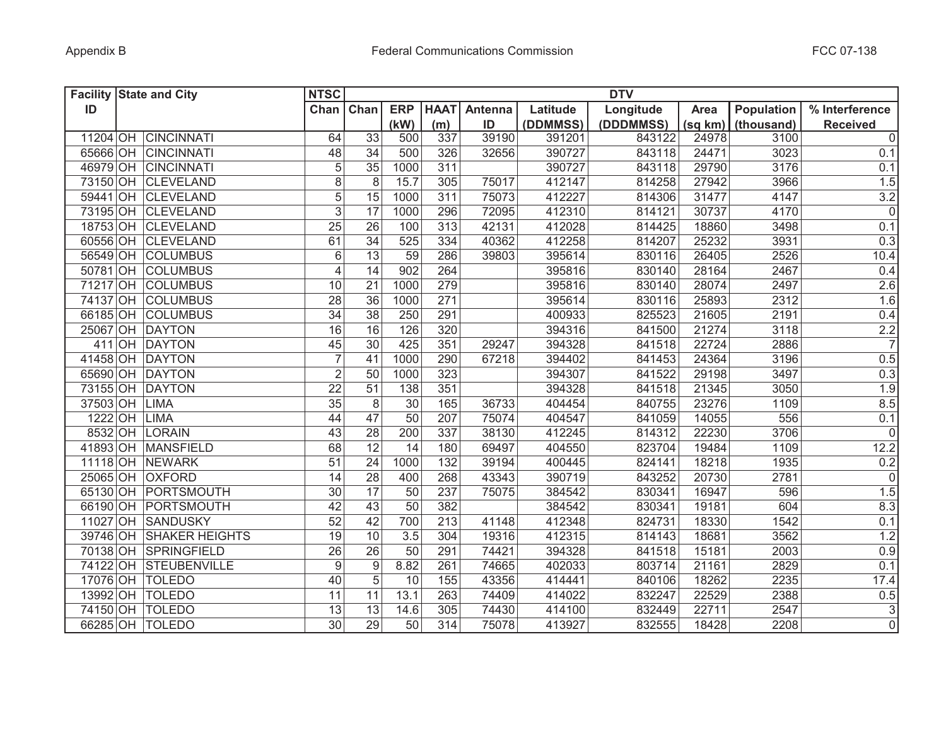|          | <b>Facility State and City</b> | <b>NTSC</b>              |                  |                 |             |         |          | <b>DTV</b> |         |            |                     |
|----------|--------------------------------|--------------------------|------------------|-----------------|-------------|---------|----------|------------|---------|------------|---------------------|
| ID       |                                | Chan                     | Chan             | <b>ERP</b>      | <b>HAAT</b> | Antenna | Latitude | Longitude  | Area    | Population | % Interference      |
|          |                                |                          |                  | (kW)            | (m)         | ID      | (DDMMSS) | (DDDMMSS)  | (sq km) | (thousand) | <b>Received</b>     |
|          | 11204 OH CINCINNATI            | 64                       | 33               | 500             | 337         | 39190   | 391201   | 843122     | 24978   | 3100       | $\mathbf 0$         |
|          | 65666 OH CINCINNATI            | 48                       | 34               | 500             | 326         | 32656   | 390727   | 843118     | 24471   | 3023       | 0.1                 |
|          | 46979 OH CINCINNATI            | $\overline{5}$           | $\overline{35}$  | 1000            | 311         |         | 390727   | 843118     | 29790   | 3176       | 0.1                 |
|          | 73150 OH CLEVELAND             | $\overline{8}$           | 8                | 15.7            | 305         | 75017   | 412147   | 814258     | 27942   | 3966       | 1.5                 |
| 59441    | OH CLEVELAND                   | $\overline{5}$           | 15               | 1000            | 311         | 75073   | 412227   | 814306     | 31477   | 4147       | 3.2                 |
|          | 73195 OH CLEVELAND             | 3                        | 17               | 1000            | 296         | 72095   | 412310   | 814121     | 30737   | 4170       | $\mathbf 0$         |
|          | 18753 OH CLEVELAND             | 25                       | 26               | 100             | 313         | 42131   | 412028   | 814425     | 18860   | 3498       | 0.1                 |
|          | 60556 OH CLEVELAND             | 61                       | $\overline{34}$  | 525             | 334         | 40362   | 412258   | 814207     | 25232   | 3931       | 0.3                 |
|          | 56549 OH COLUMBUS              | $\,6$                    | 13               | 59              | 286         | 39803   | 395614   | 830116     | 26405   | 2526       | 10.4                |
|          | 50781 OH COLUMBUS              | $\overline{\mathcal{L}}$ | 14               | 902             | 264         |         | 395816   | 830140     | 28164   | 2467       | 0.4                 |
|          | 71217 OH COLUMBUS              | 10                       | 21               | 1000            | 279         |         | 395816   | 830140     | 28074   | 2497       | 2.6                 |
|          | 74137 OH COLUMBUS              | $\overline{28}$          | $\overline{36}$  | 1000            | 271         |         | 395614   | 830116     | 25893   | 2312       | 1.6                 |
|          | 66185 OH COLUMBUS              | $\overline{34}$          | 38               | 250             | 291         |         | 400933   | 825523     | 21605   | 2191       | 0.4                 |
|          | 25067 OH DAYTON                | 16                       | 16               | 126             | 320         |         | 394316   | 841500     | 21274   | 3118       | $\frac{2.2}{7}$     |
| 411      | OH DAYTON                      | 45                       | 30               | 425             | 351         | 29247   | 394328   | 841518     | 22724   | 2886       |                     |
|          | 41458 OH DAYTON                | $\overline{7}$           | 41               | 1000            | 290         | 67218   | 394402   | 841453     | 24364   | 3196       | 0.5                 |
|          | 65690 OH DAYTON                | $\overline{2}$           | 50               | 1000            | 323         |         | 394307   | 841522     | 29198   | 3497       | 0.3                 |
|          | 73155 OH DAYTON                | 22                       | 51               | 138             | 351         |         | 394328   | 841518     | 21345   | 3050       | 1.9                 |
| 37503 OH | <b>LIMA</b>                    | 35                       | $\,8\,$          | 30              | 165         | 36733   | 404454   | 840755     | 23276   | 1109       | 8.5                 |
| 1222 OH  | <b>LIMA</b>                    | 44                       | 47               | $\overline{50}$ | 207         | 75074   | 404547   | 841059     | 14055   | 556        | 0.1                 |
| 8532 OH  | <b>LORAIN</b>                  | 43                       | 28               | 200             | 337         | 38130   | 412245   | 814312     | 22230   | 3706       | $\mathsf{O}\xspace$ |
|          | 41893 OH MANSFIELD             | 68                       | 12               | 14              | 180         | 69497   | 404550   | 823704     | 19484   | 1109       | 12.2                |
|          | 11118 OH NEWARK                | 51                       | 24               | 1000            | 132         | 39194   | 400445   | 824141     | 18218   | 1935       | 0.2                 |
|          | 25065 OH OXFORD                | 14                       | 28               | 400             | 268         | 43343   | 390719   | 843252     | 20730   | 2781       | $\mathsf{O}\xspace$ |
|          | 65130 OH PORTSMOUTH            | 30                       | 17               | 50              | 237         | 75075   | 384542   | 830341     | 16947   | 596        | 1.5                 |
|          | 66190 OH PORTSMOUTH            | 42                       | 43               | 50              | 382         |         | 384542   | 830341     | 19181   | 604        | 8.3                 |
|          | 11027 OH SANDUSKY              | 52                       | 42               | 700             | 213         | 41148   | 412348   | 824731     | 18330   | 1542       | 0.1                 |
|          | 39746 OH SHAKER HEIGHTS        | 19                       | 10               | 3.5             | 304         | 19316   | 412315   | 814143     | 18681   | 3562       | 1.2                 |
|          | 70138 OH SPRINGFIELD           | 26                       | 26               | 50              | 291         | 74421   | 394328   | 841518     | 15181   | 2003       | 0.9                 |
|          | 74122 OH STEUBENVILLE          | $9\,$                    | $\boldsymbol{9}$ | 8.82            | 261         | 74665   | 402033   | 803714     | 21161   | 2829       | 0.1                 |
| 17076 OH | <b>TOLEDO</b>                  | 40                       | 5                | 10              | 155         | 43356   | 414441   | 840106     | 18262   | 2235       | 17.4                |
| 13992 OH | <b>TOLEDO</b>                  | 11                       | $\overline{11}$  | 13.1            | 263         | 74409   | 414022   | 832247     | 22529   | 2388       | 0.5                 |
|          | 74150 OH TOLEDO                | $\overline{13}$          | $\overline{13}$  | 14.6            | 305         | 74430   | 414100   | 832449     | 22711   | 2547       | $\overline{3}$      |
|          | 66285 OH TOLEDO                | 30                       | $\overline{29}$  | $\overline{50}$ | 314         | 75078   | 413927   | 832555     | 18428   | 2208       | $\overline{0}$      |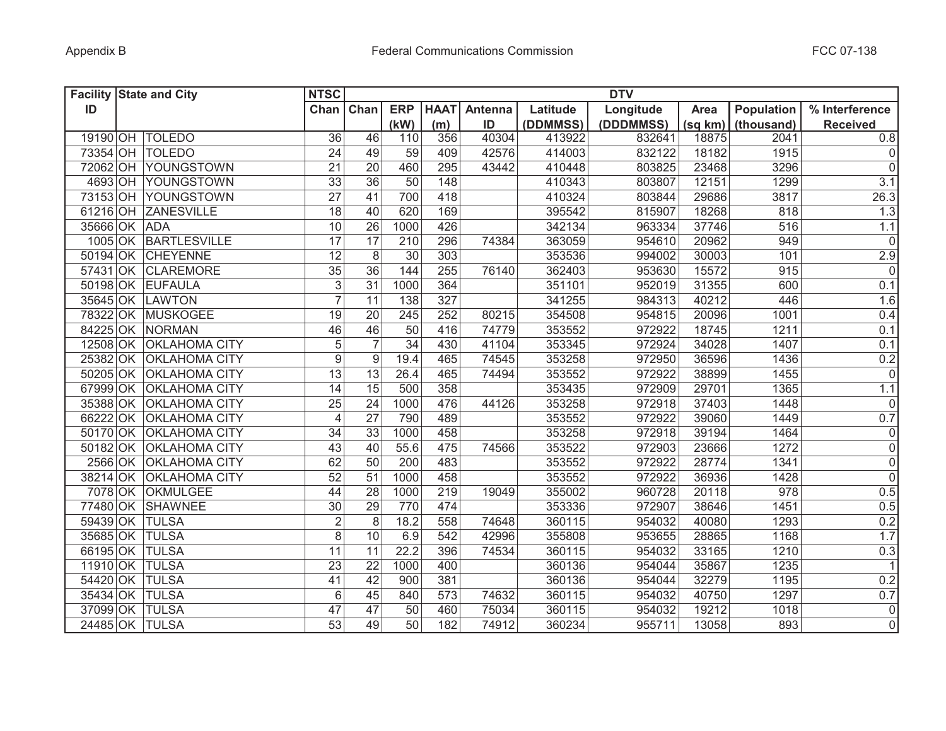|          | <b>Facility State and City</b> | <b>NTSC</b>     |    |                 |             |         |          | <b>DTV</b> |         |                   |                     |
|----------|--------------------------------|-----------------|----|-----------------|-------------|---------|----------|------------|---------|-------------------|---------------------|
| ID       |                                | Chan Chan       |    | <b>ERP</b>      | <b>HAAT</b> | Antenna | Latitude | Longitude  | Area    | <b>Population</b> | % Interference      |
|          |                                |                 |    | (kW)            | (m)         | ID      | (DDMMSS) | (DDDMMSS)  | (sq km) | (thousand)        | <b>Received</b>     |
|          | 19190 OH TOLEDO                | 36              | 46 | 110             | 356         | 40304   | 413922   | 832641     | 18875   | 2041              | 0.8                 |
| 73354 OH | <b>TOLEDO</b>                  | 24              | 49 | 59              | 409         | 42576   | 414003   | 832122     | 18182   | 1915              | $\mathbf 0$         |
| 72062 OH | YOUNGSTOWN                     | 21              | 20 | 460             | 295         | 43442   | 410448   | 803825     | 23468   | 3296              | $\mathsf{O}\xspace$ |
|          | 4693 OH YOUNGSTOWN             | 33              | 36 | 50              | 148         |         | 410343   | 803807     | 12151   | 1299              | 3.1                 |
|          | 73153 OH YOUNGSTOWN            | $\overline{27}$ | 41 | 700             | 418         |         | 410324   | 803844     | 29686   | 3817              | 26.3                |
|          | 61216 OH ZANESVILLE            | 18              | 40 | 620             | 169         |         | 395542   | 815907     | 18268   | 818               | 1.3                 |
|          | 35666 OK ADA                   | 10              | 26 | 1000            | 426         |         | 342134   | 963334     | 37746   | 516               | 1.1                 |
|          | 1005 OK BARTLESVILLE           | 17              | 17 | 210             | 296         | 74384   | 363059   | 954610     | 20962   | 949               | $\mathbf 0$         |
|          | 50194 OK CHEYENNE              | $\overline{12}$ | 8  | 30              | 303         |         | 353536   | 994002     | 30003   | 101               | 2.9                 |
|          | 57431 OK CLAREMORE             | 35              | 36 | 144             | 255         | 76140   | 362403   | 953630     | 15572   | 915               | $\mathsf{O}\xspace$ |
|          | 50198 OK EUFAULA               | $\overline{3}$  | 31 | 1000            | 364         |         | 351101   | 952019     | 31355   | 600               | 0.1                 |
|          | 35645 OK LAWTON                | $\overline{7}$  | 11 | 138             | 327         |         | 341255   | 984313     | 40212   | 446               | 1.6                 |
|          | 78322 OK MUSKOGEE              | 19              | 20 | 245             | 252         | 80215   | 354508   | 954815     | 20096   | 1001              | 0.4                 |
|          | 84225 OK NORMAN                | 46              | 46 | 50              | 416         | 74779   | 353552   | 972922     | 18745   | 1211              | 0.1                 |
|          | 12508 OK OKLAHOMA CITY         | $\overline{5}$  |    | $\overline{34}$ | 430         | 41104   | 353345   | 972924     | 34028   | 1407              | 0.1                 |
|          | 25382 OK OKLAHOMA CITY         | $\overline{9}$  | 9  | 19.4            | 465         | 74545   | 353258   | 972950     | 36596   | 1436              | 0.2                 |
|          | 50205 OK OKLAHOMA CITY         | $\overline{13}$ | 13 | 26.4            | 465         | 74494   | 353552   | 972922     | 38899   | 1455              | 0                   |
|          | 67999 OK OKLAHOMA CITY         | 14              | 15 | 500             | 358         |         | 353435   | 972909     | 29701   | 1365              | 1.1                 |
| 35388 OK | <b>OKLAHOMA CITY</b>           | 25              | 24 | 1000            | 476         | 44126   | 353258   | 972918     | 37403   | 1448              | 0                   |
| 66222 OK | <b>OKLAHOMA CITY</b>           | $\overline{4}$  | 27 | 790             | 489         |         | 353552   | 972922     | 39060   | 1449              | 0.7                 |
| 50170 OK | <b>OKLAHOMA CITY</b>           | 34              | 33 | 1000            | 458         |         | 353258   | 972918     | 39194   | 1464              | 0                   |
| 50182 OK | <b>OKLAHOMA CITY</b>           | 43              | 40 | 55.6            | 475         | 74566   | 353522   | 972903     | 23666   | 1272              | $\mathsf{O}\xspace$ |
| 2566 OK  | <b>OKLAHOMA CITY</b>           | 62              | 50 | 200             | 483         |         | 353552   | 972922     | 28774   | 1341              | $\mathsf 0$         |
| 38214 OK | <b>OKLAHOMA CITY</b>           | 52              | 51 | 1000            | 458         |         | 353552   | 972922     | 36936   | 1428              | $\mathsf 0$         |
| 7078 OK  | <b>OKMULGEE</b>                | 44              | 28 | 1000            | 219         | 19049   | 355002   | 960728     | 20118   | 978               | 0.5                 |
| 77480 OK | <b>SHAWNEE</b>                 | 30              | 29 | 770             | 474         |         | 353336   | 972907     | 38646   | 1451              | 0.5                 |
| 59439 OK | <b>TULSA</b>                   | $\overline{2}$  | 8  | 18.2            | 558         | 74648   | 360115   | 954032     | 40080   | 1293              | 0.2                 |
| 35685 OK | <b>TULSA</b>                   | 8               | 10 | 6.9             | 542         | 42996   | 355808   | 953655     | 28865   | 1168              | 1.7                 |
| 66195 OK | <b>TULSA</b>                   | 11              | 11 | 22.2            | 396         | 74534   | 360115   | 954032     | 33165   | 1210              | 0.3                 |
| 11910 OK | <b>TULSA</b>                   | 23              | 22 | 1000            | 400         |         | 360136   | 954044     | 35867   | 1235              | $\mathbf{1}$        |
| 54420 OK | <b>TULSA</b>                   | 41              | 42 | 900             | 381         |         | 360136   | 954044     | 32279   | 1195              | 0.2                 |
| 35434 OK | <b>TULSA</b>                   | 6               | 45 | 840             | 573         | 74632   | 360115   | 954032     | 40750   | 1297              | 0.7                 |
|          | 37099 OK TULSA                 | $\overline{47}$ | 47 | 50              | 460         | 75034   | 360115   | 954032     | 19212   | 1018              | $\mathsf{O}\xspace$ |
|          | 24485 OK TULSA                 | $\overline{53}$ | 49 | 50              | 182         | 74912   | 360234   | 955711     | 13058   | 893               | $\mathbf 0$         |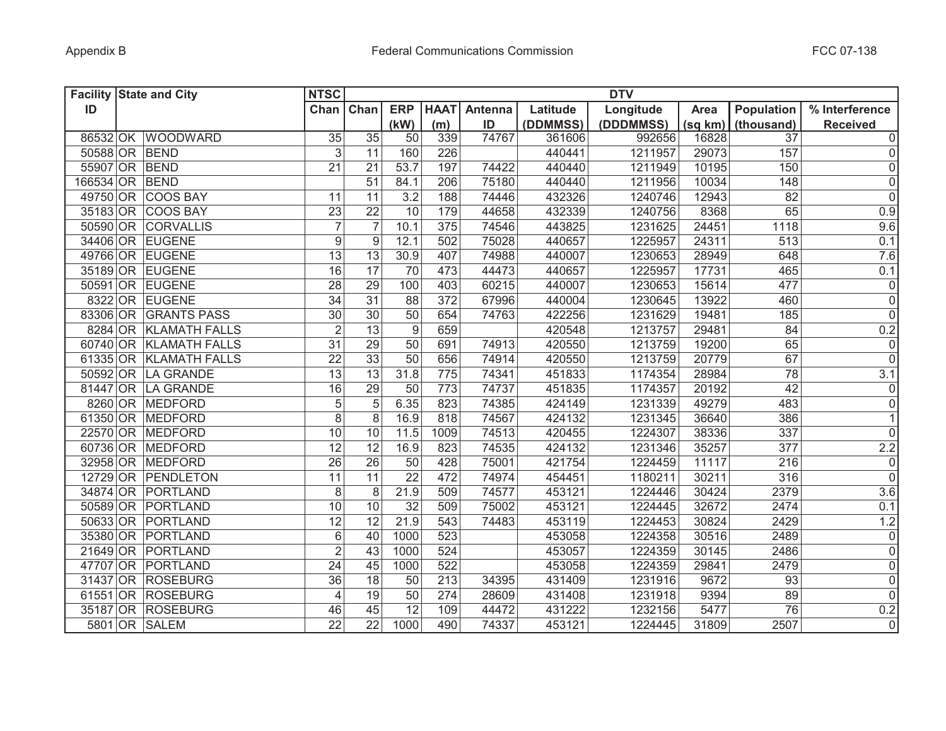| <b>Facility State and City</b> |                        | <b>NTSC</b>     |                 |                 |             |         |          | <b>DTV</b> |         |                 |                 |
|--------------------------------|------------------------|-----------------|-----------------|-----------------|-------------|---------|----------|------------|---------|-----------------|-----------------|
| ID                             |                        | Chan            | Chan            | <b>ERP</b>      | <b>HAAT</b> | Antenna | Latitude | Longitude  | Area    | Population      | % Interference  |
|                                |                        |                 |                 | (kW)            | (m)         | ID      | (DDMMSS) | (DDDMMSS)  | (sq km) | (thousand)      | <b>Received</b> |
|                                | 86532 OK WOODWARD      | 35              | $\overline{35}$ | 50              | 339         | 74767   | 361606   | 992656     | 16828   | 37              | 0               |
| 50588 OR BEND                  |                        | 3               | 11              | 160             | 226         |         | 440441   | 1211957    | 29073   | 157             | 0               |
| 55907 OR BEND                  |                        | 21              | 21              | 53.7            | 197         | 74422   | 440440   | 1211949    | 10195   | 150             | 0               |
| 166534 OR BEND                 |                        |                 | 51              | 84.1            | 206         | 75180   | 440440   | 1211956    | 10034   | 148             | 0               |
|                                | 49750 OR COOS BAY      | 11              | 11              | 3.2             | 188         | 74446   | 432326   | 1240746    | 12943   | 82              | $\overline{0}$  |
|                                | 35183 OR COOS BAY      | 23              | 22              | 10              | 179         | 44658   | 432339   | 1240756    | 8368    | 65              | 0.9             |
|                                | 50590 OR CORVALLIS     | $\overline{7}$  | $\overline{7}$  | 10.1            | 375         | 74546   | 443825   | 1231625    | 24451   | 1118            | 9.6             |
|                                | 34406 OR EUGENE        | 9               | 9               | 12.1            | 502         | 75028   | 440657   | 1225957    | 24311   | 513             | 0.1             |
|                                | 49766 OR EUGENE        | $\overline{13}$ | 13              | 30.9            | 407         | 74988   | 440007   | 1230653    | 28949   | 648             | 7.6             |
|                                | 35189 OR EUGENE        | 16              | $\overline{17}$ | 70              | 473         | 44473   | 440657   | 1225957    | 17731   | 465             | 0.1             |
|                                | 50591 OR EUGENE        | $\overline{28}$ | $\overline{29}$ | 100             | 403         | 60215   | 440007   | 1230653    | 15614   | 477             | $\overline{0}$  |
|                                | 8322 OR EUGENE         | $\overline{34}$ | $\overline{31}$ | 88              | 372         | 67996   | 440004   | 1230645    | 13922   | 460             | $\overline{0}$  |
|                                | 83306 OR GRANTS PASS   | $\overline{30}$ | 30              | 50              | 654         | 74763   | 422256   | 1231629    | 19481   | 185             | $\overline{0}$  |
|                                | 8284 OR KLAMATH FALLS  | $\overline{2}$  | 13              | $\overline{9}$  | 659         |         | 420548   | 1213757    | 29481   | $\overline{84}$ | 0.2             |
|                                | 60740 OR KLAMATH FALLS | $\overline{31}$ | $\overline{29}$ | $\overline{50}$ | 691         | 74913   | 420550   | 1213759    | 19200   | 65              | $\overline{0}$  |
|                                | 61335 OR KLAMATH FALLS | 22              | 33              | $\overline{50}$ | 656         | 74914   | 420550   | 1213759    | 20779   | 67              | $\overline{0}$  |
|                                | 50592 OR LA GRANDE     | 13              | 13              | 31.8            | 775         | 74341   | 451833   | 1174354    | 28984   | 78              | 3.1             |
|                                | 81447 OR LA GRANDE     | 16              | $\overline{29}$ | 50              | 773         | 74737   | 451835   | 1174357    | 20192   | 42              | $\overline{0}$  |
|                                | 8260 OR MEDFORD        | $\sqrt{5}$      | 5               | 6.35            | 823         | 74385   | 424149   | 1231339    | 49279   | 483             | $\overline{0}$  |
|                                | 61350 OR MEDFORD       | 8               | 8               | 16.9            | 818         | 74567   | 424132   | 1231345    | 36640   | 386             | 1               |
|                                | 22570 OR MEDFORD       | 10              | 10              | 11.5            | 1009        | 74513   | 420455   | 1224307    | 38336   | 337             | 0               |
|                                | 60736 OR MEDFORD       | 12              | 12              | 16.9            | 823         | 74535   | 424132   | 1231346    | 35257   | 377             | 2.2             |
|                                | 32958 OR MEDFORD       | 26              | 26              | 50              | 428         | 75001   | 421754   | 1224459    | 11117   | 216             | 0               |
|                                | 12729 OR PENDLETON     | 11              | 11              | $\overline{22}$ | 472         | 74974   | 454451   | 1180211    | 30211   | 316             | 0               |
|                                | 34874 OR PORTLAND      | 8               | 8               | 21.9            | 509         | 74577   | 453121   | 1224446    | 30424   | 2379            | 3.6             |
|                                | 50589 OR PORTLAND      | 10              | 10              | 32              | 509         | 75002   | 453121   | 1224445    | 32672   | 2474            | 0.1             |
|                                | 50633 OR PORTLAND      | 12              | $\overline{12}$ | 21.9            | 543         | 74483   | 453119   | 1224453    | 30824   | 2429            | 1.2             |
|                                | 35380 OR PORTLAND      | $6\,$           | 40              | 1000            | 523         |         | 453058   | 1224358    | 30516   | 2489            | 0               |
|                                | 21649 OR PORTLAND      | $\overline{2}$  | 43              | 1000            | 524         |         | 453057   | 1224359    | 30145   | 2486            | 0               |
|                                | 47707 OR PORTLAND      | 24              | 45              | 1000            | 522         |         | 453058   | 1224359    | 29841   | 2479            | 0               |
|                                | 31437 OR ROSEBURG      | 36              | 18              | 50              | 213         | 34395   | 431409   | 1231916    | 9672    | 93              | $\overline{0}$  |
|                                | 61551 OR ROSEBURG      | $\overline{4}$  | 19              | 50              | 274         | 28609   | 431408   | 1231918    | 9394    | 89              | 0               |
|                                | 35187 OR ROSEBURG      | 46              | 45              | $\overline{12}$ | 109         | 44472   | 431222   | 1232156    | 5477    | $\overline{76}$ | 0.2             |
|                                | 5801 OR SALEM          | $\overline{22}$ | $\overline{22}$ | 1000            | 490         | 74337   | 453121   | 1224445    | 31809   | 2507            | $\overline{0}$  |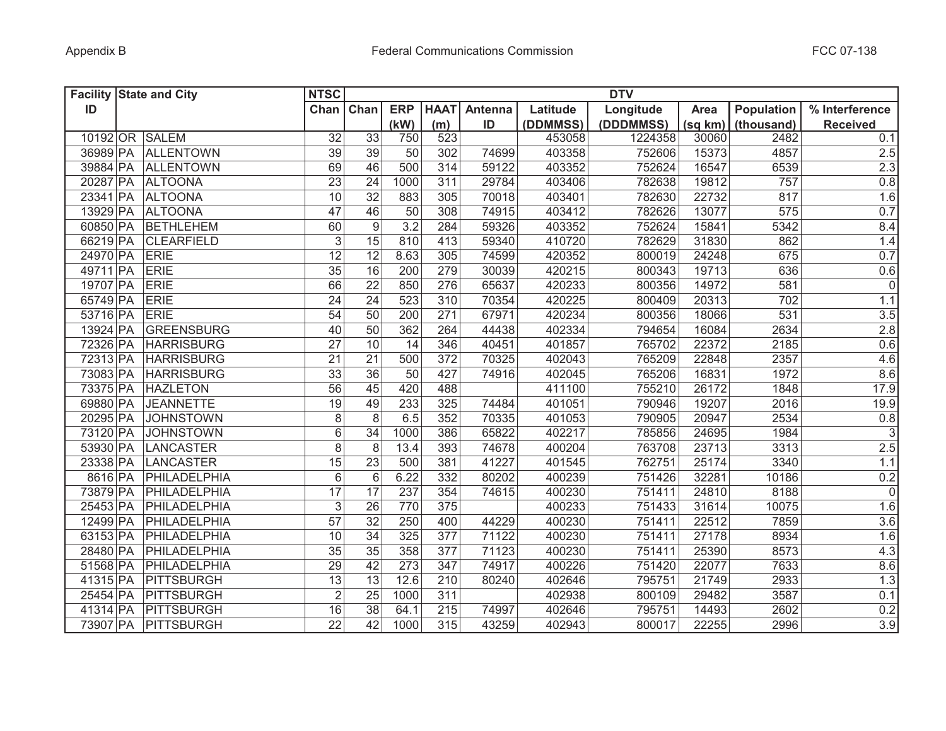|          | <b>Facility State and City</b> | <b>NTSC</b>     |                  |                 |                  |         |          | <b>DTV</b> |         |                   |                     |
|----------|--------------------------------|-----------------|------------------|-----------------|------------------|---------|----------|------------|---------|-------------------|---------------------|
| ID       |                                | Chan            | Chan             | <b>ERP</b>      | <b>HAAT</b>      | Antenna | Latitude | Longitude  | Area    | <b>Population</b> | % Interference      |
|          |                                |                 |                  | (kW)            | (m)              | ID      | (DDMMSS) | (DDDMMSS)  | (sq km) | (thousand)        | <b>Received</b>     |
|          | 10192 OR SALEM                 | 32              | 33               | 750             | 523              |         | 453058   | 1224358    | 30060   | 2482              | 0.1                 |
| 36989 PA | <b>ALLENTOWN</b>               | 39              | 39               | 50              | 302              | 74699   | 403358   | 752606     | 15373   | 4857              | 2.5                 |
| 39884 PA | <b>ALLENTOWN</b>               | 69              | 46               | 500             | 314              | 59122   | 403352   | 752624     | 16547   | 6539              | 2.3                 |
| 20287 PA | <b>ALTOONA</b>                 | $\overline{23}$ | 24               | 1000            | 311              | 29784   | 403406   | 782638     | 19812   | 757               | 0.8                 |
| 23341 PA | <b>ALTOONA</b>                 | 10              | 32               | 883             | 305              | 70018   | 403401   | 782630     | 22732   | 817               | 1.6                 |
| 13929 PA | <b>ALTOONA</b>                 | 47              | 46               | 50              | 308              | 74915   | 403412   | 782626     | 13077   | 575               | 0.7                 |
| 60850 PA | <b>BETHLEHEM</b>               | 60              | $\boldsymbol{9}$ | 3.2             | 284              | 59326   | 403352   | 752624     | 15841   | 5342              | 8.4                 |
| 66219 PA | <b>CLEARFIELD</b>              | $\overline{3}$  | 15               | 810             | 413              | 59340   | 410720   | 782629     | 31830   | 862               | 1.4                 |
| 24970 PA | <b>ERIE</b>                    | 12              | $\overline{12}$  | 8.63            | 305              | 74599   | 420352   | 800019     | 24248   | 675               | 0.7                 |
| 49711 PA | <b>ERIE</b>                    | $\overline{35}$ | 16               | 200             | 279              | 30039   | 420215   | 800343     | 19713   | 636               | 0.6                 |
| 19707 PA | <b>ERIE</b>                    | 66              | 22               | 850             | 276              | 65637   | 420233   | 800356     | 14972   | 581               | $\mathbf 0$         |
| 65749 PA | <b>ERIE</b>                    | $\overline{24}$ | $\overline{24}$  | 523             | 310              | 70354   | 420225   | 800409     | 20313   | 702               | 1.1                 |
| 53716 PA | <b>ERIE</b>                    | $\overline{54}$ | $\overline{50}$  | 200             | 271              | 67971   | 420234   | 800356     | 18066   | 531               | 3.5                 |
| 13924 PA | <b>GREENSBURG</b>              | 40              | $\overline{50}$  | 362             | 264              | 44438   | 402334   | 794654     | 16084   | 2634              | 2.8                 |
| 72326 PA | <b>HARRISBURG</b>              | $\overline{27}$ | 10               | 14              | 346              | 40451   | 401857   | 765702     | 22372   | 2185              | 0.6                 |
| 72313 PA | <b>HARRISBURG</b>              | $\overline{21}$ | $\overline{21}$  | 500             | $\overline{372}$ | 70325   | 402043   | 765209     | 22848   | 2357              | 4.6                 |
| 73083 PA | <b>HARRISBURG</b>              | $\overline{33}$ | $\overline{36}$  | $\overline{50}$ | 427              | 74916   | 402045   | 765206     | 16831   | 1972              | 8.6                 |
| 73375 PA | <b>HAZLETON</b>                | 56              | 45               | 420             | 488              |         | 411100   | 755210     | 26172   | 1848              | 17.9                |
| 69880 PA | <b>JEANNETTE</b>               | 19              | 49               | 233             | 325              | 74484   | 401051   | 790946     | 19207   | 2016              | 19.9                |
| 20295 PA | <b>JOHNSTOWN</b>               | 8               | 8                | 6.5             | 352              | 70335   | 401053   | 790905     | 20947   | 2534              | 0.8                 |
| 73120 PA | <b>JOHNSTOWN</b>               | 6               | 34               | 1000            | 386              | 65822   | 402217   | 785856     | 24695   | 1984              | $\mathsf 3$         |
| 53930 PA | <b>LANCASTER</b>               | 8               | 8                | 13.4            | 393              | 74678   | 400204   | 763708     | 23713   | 3313              | 2.5                 |
| 23338 PA | <b>LANCASTER</b>               | 15              | 23               | 500             | 381              | 41227   | 401545   | 762751     | 25174   | 3340              | 1.1                 |
| 8616 PA  | PHILADELPHIA                   | 6               | $6\,$            | 6.22            | 332              | 80202   | 400239   | 751426     | 32281   | 10186             | 0.2                 |
| 73879 PA | PHILADELPHIA                   | 17              | 17               | 237             | 354              | 74615   | 400230   | 751411     | 24810   | 8188              | $\mathsf{O}\xspace$ |
| 25453 PA | PHILADELPHIA                   | 3               | 26               | 770             | 375              |         | 400233   | 751433     | 31614   | 10075             | 1.6                 |
| 12499 PA | PHILADELPHIA                   | 57              | 32               | 250             | 400              | 44229   | 400230   | 751411     | 22512   | 7859              | 3.6                 |
| 63153 PA | PHILADELPHIA                   | 10              | 34               | 325             | 377              | 71122   | 400230   | 751411     | 27178   | 8934              | 1.6                 |
| 28480 PA | PHILADELPHIA                   | 35              | 35               | 358             | 377              | 71123   | 400230   | 751411     | 25390   | 8573              | 4.3                 |
| 51568 PA | PHILADELPHIA                   | 29              | 42               | 273             | 347              | 74917   | 400226   | 751420     | 22077   | 7633              | 8.6                 |
| 41315 PA | PITTSBURGH                     | 13              | 13               | 12.6            | 210              | 80240   | 402646   | 795751     | 21749   | 2933              | 1.3                 |
| 25454 PA | PITTSBURGH                     | $\overline{2}$  | 25               | 1000            | 311              |         | 402938   | 800109     | 29482   | 3587              | 0.1                 |
| 41314 PA | <b>PITTSBURGH</b>              | 16              | $\overline{38}$  | 64.1            | 215              | 74997   | 402646   | 795751     | 14493   | 2602              | 0.2                 |
| 73907 PA | <b>PITTSBURGH</b>              | $\overline{22}$ | $\overline{42}$  | 1000            | 315              | 43259   | 402943   | 800017     | 22255   | 2996              | 3.9                 |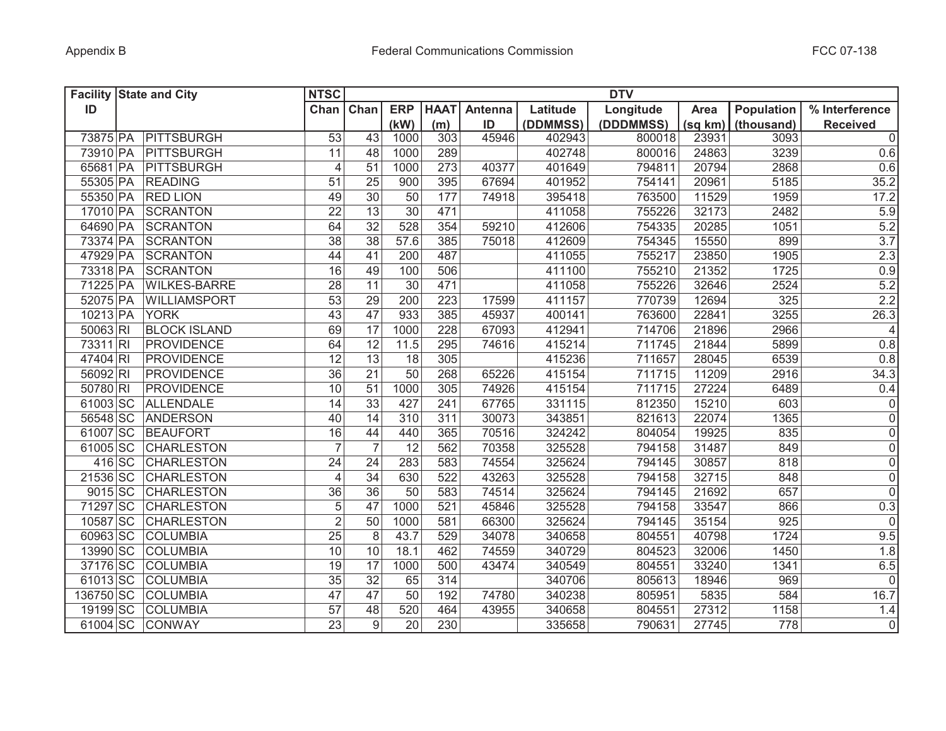|           | <b>Facility State and City</b> | <b>NTSC</b>     | <b>DTV</b>       |                 |             |         |          |           |         |            |                   |  |  |
|-----------|--------------------------------|-----------------|------------------|-----------------|-------------|---------|----------|-----------|---------|------------|-------------------|--|--|
| ID        |                                | Chan            | Chan             | <b>ERP</b>      | <b>HAAT</b> | Antenna | Latitude | Longitude | Area    | Population | % Interference    |  |  |
|           |                                |                 |                  | (kW)            | (m)         | ID      | (DDMMSS) | (DDDMMSS) | (sq km) | (thousand) | <b>Received</b>   |  |  |
| 73875 PA  | PITTSBURGH                     | $\overline{53}$ | 43               | 1000            | 303         | 45946   | 402943   | 800018    | 23931   | 3093       | $\overline{0}$    |  |  |
| 73910 PA  | PITTSBURGH                     | 11              | 48               | 1000            | 289         |         | 402748   | 800016    | 24863   | 3239       | 0.6               |  |  |
| 65681 PA  | PITTSBURGH                     | $\overline{4}$  | 51               | 1000            | 273         | 40377   | 401649   | 794811    | 20794   | 2868       | 0.6               |  |  |
| 55305 PA  | <b>READING</b>                 | 51              | 25               | 900             | 395         | 67694   | 401952   | 754141    | 20961   | 5185       | 35.2              |  |  |
| 55350 PA  | <b>RED LION</b>                | 49              | $\overline{30}$  | 50              | 177         | 74918   | 395418   | 763500    | 11529   | 1959       | $17.\overline{2}$ |  |  |
| 17010 PA  | <b>SCRANTON</b>                | 22              | $\overline{13}$  | $\overline{30}$ | 471         |         | 411058   | 755226    | 32173   | 2482       | 5.9               |  |  |
| 64690 PA  | <b>SCRANTON</b>                | 64              | $\overline{32}$  | 528             | 354         | 59210   | 412606   | 754335    | 20285   | 1051       | 5.2               |  |  |
| 73374 PA  | <b>SCRANTON</b>                | $\overline{38}$ | $\overline{38}$  | 57.6            | 385         | 75018   | 412609   | 754345    | 15550   | 899        | 3.7               |  |  |
| 47929 PA  | <b>SCRANTON</b>                | 44              | 41               | 200             | 487         |         | 411055   | 755217    | 23850   | 1905       | 2.3               |  |  |
| 73318 PA  | <b>SCRANTON</b>                | 16              | 49               | 100             | 506         |         | 411100   | 755210    | 21352   | 1725       | 0.9               |  |  |
| 71225 PA  | <b>WILKES-BARRE</b>            | $\overline{28}$ | $\overline{11}$  | $\overline{30}$ | 471         |         | 411058   | 755226    | 32646   | 2524       | 5.2               |  |  |
| 52075 PA  | WILLIAMSPORT                   | 53              | 29               | 200             | 223         | 17599   | 411157   | 770739    | 12694   | 325        | 2.2               |  |  |
| 10213 PA  | <b>YORK</b>                    | $\overline{43}$ | $\overline{47}$  | 933             | 385         | 45937   | 400141   | 763600    | 22841   | 3255       | 26.3              |  |  |
| 50063 RI  | <b>BLOCK ISLAND</b>            | 69              | $\overline{17}$  | 1000            | 228         | 67093   | 412941   | 714706    | 21896   | 2966       | $\overline{4}$    |  |  |
| 73311 RI  | <b>PROVIDENCE</b>              | 64              | 12               | 11.5            | 295         | 74616   | 415214   | 711745    | 21844   | 5899       | 0.8               |  |  |
| 47404 RI  | <b>PROVIDENCE</b>              | $\overline{12}$ | $\overline{13}$  | 18              | 305         |         | 415236   | 711657    | 28045   | 6539       | 0.8               |  |  |
| 56092 RI  | <b>PROVIDENCE</b>              | 36              | $\overline{21}$  | 50              | 268         | 65226   | 415154   | 711715    | 11209   | 2916       | 34.3              |  |  |
| 50780 RI  | <b>PROVIDENCE</b>              | 10              | 51               | 1000            | 305         | 74926   | 415154   | 711715    | 27224   | 6489       | 0.4               |  |  |
| 61003 SC  | <b>ALLENDALE</b>               | 14              | $\overline{33}$  | 427             | 241         | 67765   | 331115   | 812350    | 15210   | 603        | $\pmb{0}$         |  |  |
| 56548 SC  | <b>ANDERSON</b>                | 40              | $\overline{14}$  | 310             | 311         | 30073   | 343851   | 821613    | 22074   | 1365       | $\overline{0}$    |  |  |
| 61007 SC  | <b>BEAUFORT</b>                | 16              | 44               | 440             | 365         | 70516   | 324242   | 804054    | 19925   | 835        | $\overline{0}$    |  |  |
| 61005 SC  | <b>CHARLESTON</b>              | $\overline{7}$  | $\overline{7}$   | 12              | 562         | 70358   | 325528   | 794158    | 31487   | 849        | $\overline{0}$    |  |  |
| $416$ SC  | <b>CHARLESTON</b>              | 24              | 24               | 283             | 583         | 74554   | 325624   | 794145    | 30857   | 818        | $\mathsf 0$       |  |  |
| 21536 SC  | <b>CHARLESTON</b>              | 4               | 34               | 630             | 522         | 43263   | 325528   | 794158    | 32715   | 848        | $\mathsf 0$       |  |  |
| 9015 SC   | <b>CHARLESTON</b>              | 36              | $\overline{36}$  | 50              | 583         | 74514   | 325624   | 794145    | 21692   | 657        | $\mathbf 0$       |  |  |
| 71297 SC  | <b>CHARLESTON</b>              | 5               | 47               | 1000            | 521         | 45846   | 325528   | 794158    | 33547   | 866        | 0.3               |  |  |
| 10587 SC  | <b>CHARLESTON</b>              | $\overline{2}$  | 50               | 1000            | 581         | 66300   | 325624   | 794145    | 35154   | 925        | $\mathbf 0$       |  |  |
| 60963 SC  | <b>COLUMBIA</b>                | 25              | 8                | 43.7            | 529         | 34078   | 340658   | 804551    | 40798   | 1724       | 9.5               |  |  |
| 13990 SC  | <b>COLUMBIA</b>                | 10              | 10               | 18.1            | 462         | 74559   | 340729   | 804523    | 32006   | 1450       | 1.8               |  |  |
| 37176 SC  | <b>COLUMBIA</b>                | 19              | 17               | 1000            | 500         | 43474   | 340549   | 804551    | 33240   | 1341       | 6.5               |  |  |
| 61013 SC  | <b>COLUMBIA</b>                | 35              | $\overline{32}$  | 65              | 314         |         | 340706   | 805613    | 18946   | 969        | $\mathsf 0$       |  |  |
| 136750 SC | <b>COLUMBIA</b>                | 47              | 47               | 50              | 192         | 74780   | 340238   | 805951    | 5835    | 584        | 16.7              |  |  |
| 19199 SC  | <b>COLUMBIA</b>                | 57              | 48               | 520             | 464         | 43955   | 340658   | 804551    | 27312   | 1158       | 1.4               |  |  |
| 61004 SC  | <b>CONWAY</b>                  | $\overline{23}$ | $\boldsymbol{9}$ | $\overline{20}$ | 230         |         | 335658   | 790631    | 27745   | 778        | $\pmb{0}$         |  |  |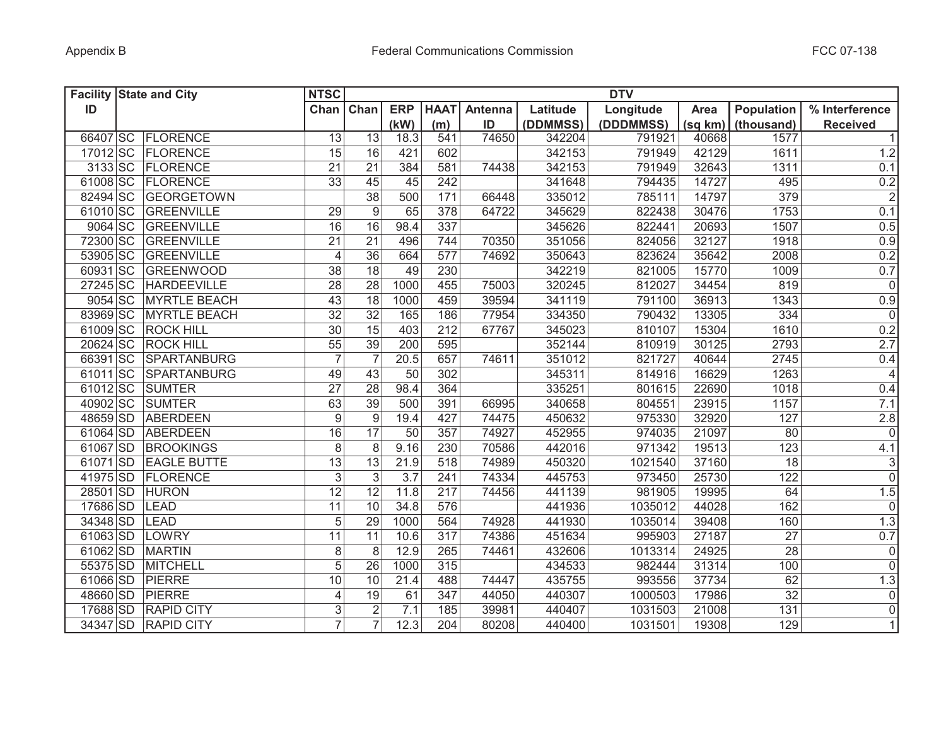|          | <b>Facility State and City</b> | <b>NTSC</b>      |                  |            |             |         |          | <b>DTV</b> |         |                  |                 |
|----------|--------------------------------|------------------|------------------|------------|-------------|---------|----------|------------|---------|------------------|-----------------|
| ID       |                                | Chan             | Chan             | <b>ERP</b> | <b>HAAT</b> | Antenna | Latitude | Longitude  | Area    | Population       | % Interference  |
|          |                                |                  |                  | (kW)       | (m)         | ID      | (DDMMSS) | (DDDMMSS)  | (sq km) | (thousand)       | <b>Received</b> |
|          | 66407 SC FLORENCE              | 13               | 13               | 18.3       | 541         | 74650   | 342204   | 791921     | 40668   | 1577             | $\vert$ 1       |
|          | 17012 SC FLORENCE              | 15               | 16               | 421        | 602         |         | 342153   | 791949     | 42129   | 1611             | 1.2             |
|          | 3133 SC FLORENCE               | 21               | 21               | 384        | 581         | 74438   | 342153   | 791949     | 32643   | 1311             | 0.1             |
|          | 61008 SC FLORENCE              | 33               | 45               | 45         | 242         |         | 341648   | 794435     | 14727   | 495              | 0.2             |
|          | 82494 SC GEORGETOWN            |                  | $\overline{38}$  | 500        | 171         | 66448   | 335012   | 785111     | 14797   | 379              | $\overline{2}$  |
|          | 61010 SC GREENVILLE            | 29               | 9                | 65         | 378         | 64722   | 345629   | 822438     | 30476   | 1753             | 0.1             |
|          | 9064 SC GREENVILLE             | 16               | 16               | 98.4       | 337         |         | 345626   | 822441     | 20693   | 1507             | 0.5             |
|          | 72300 SC GREENVILLE            | $\overline{21}$  | $\overline{21}$  | 496        | 744         | 70350   | 351056   | 824056     | 32127   | 1918             | 0.9             |
|          | 53905 SC GREENVILLE            | $\overline{4}$   | $\overline{36}$  | 664        | 577         | 74692   | 350643   | 823624     | 35642   | 2008             | 0.2             |
|          | 60931 SC GREENWOOD             | $\overline{38}$  | 18               | 49         | 230         |         | 342219   | 821005     | 15770   | 1009             | 0.7             |
| 27245 SC | <b>HARDEEVILLE</b>             | 28               | $\overline{28}$  | 1000       | 455         | 75003   | 320245   | 812027     | 34454   | 819              | $\overline{0}$  |
|          | 9054 SC MYRTLE BEACH           | 43               | 18               | 1000       | 459         | 39594   | 341119   | 791100     | 36913   | 1343             | 0.9             |
|          | 83969 SC MYRTLE BEACH          | $\overline{32}$  | $\overline{32}$  | 165        | 186         | 77954   | 334350   | 790432     | 13305   | 334              | $\overline{0}$  |
|          | 61009 SC ROCK HILL             | $\overline{30}$  | 15               | 403        | 212         | 67767   | 345023   | 810107     | 15304   | 1610             | 0.2             |
|          | 20624 SC ROCK HILL             | 55               | 39               | 200        | 595         |         | 352144   | 810919     | 30125   | 2793             | 2.7             |
|          | 66391 SC SPARTANBURG           | $\overline{7}$   | $\overline{7}$   | 20.5       | 657         | 74611   | 351012   | 821727     | 40644   | 2745             | 0.4             |
|          | 61011 SC SPARTANBURG           | 49               | 43               | 50         | 302         |         | 345311   | 814916     | 16629   | 1263             | $\overline{4}$  |
|          | 61012 SC SUMTER                | $\overline{27}$  | $\overline{28}$  | 98.4       | 364         |         | 335251   | 801615     | 22690   | 1018             | 0.4             |
|          | 40902 SC SUMTER                | 63               | $\overline{39}$  | 500        | 391         | 66995   | 340658   | 804551     | 23915   | 1157             | 7.1             |
|          | 48659 SD ABERDEEN              | $\boldsymbol{9}$ | $\boldsymbol{9}$ | 19.4       | 427         | 74475   | 450632   | 975330     | 32920   | 127              | 2.8             |
| 61064 SD | ABERDEEN                       | 16               | 17               | 50         | 357         | 74927   | 452955   | 974035     | 21097   | 80               | $\overline{0}$  |
| 61067 SD | <b>BROOKINGS</b>               | 8                | 8                | 9.16       | 230         | 70586   | 442016   | 971342     | 19513   | 123              | 4.1             |
| 61071 SD | <b>EAGLE BUTTE</b>             | 13               | 13               | 21.9       | 518         | 74989   | 450320   | 1021540    | 37160   | 18               | $\overline{3}$  |
| 41975 SD | FLORENCE                       | $\sqrt{3}$       | 3                | 3.7        | 241         | 74334   | 445753   | 973450     | 25730   | 122              | $\overline{0}$  |
| 28501 SD | <b>HURON</b>                   | 12               | 12               | 11.8       | 217         | 74456   | 441139   | 981905     | 19995   | 64               | 1.5             |
| 17686 SD | LEAD                           | 11               | 10               | 34.8       | 576         |         | 441936   | 1035012    | 44028   | 162              | 0               |
| 34348 SD | LEAD                           | 5                | 29               | 1000       | 564         | 74928   | 441930   | 1035014    | 39408   | 160              | 1.3             |
| 61063 SD | LOWRY                          | 11               | 11               | 10.6       | 317         | 74386   | 451634   | 995903     | 27187   | 27               | 0.7             |
| 61062 SD | <b>MARTIN</b>                  | 8                | 8                | 12.9       | 265         | 74461   | 432606   | 1013314    | 24925   | 28               | 0               |
| 55375 SD | <b>MITCHELL</b>                | 5                | 26               | 1000       | 315         |         | 434533   | 982444     | 31314   | 100              | 0               |
| 61066 SD | PIERRE                         | 10               | 10               | 21.4       | 488         | 74447   | 435755   | 993556     | 37734   | 62               | 1.3             |
| 48660 SD | <b>PIERRE</b>                  | 4                | 19               | 61         | 347         | 44050   | 440307   | 1000503    | 17986   | 32               | 0               |
| 17688 SD | <b>RAPID CITY</b>              | 3                | $\overline{2}$   | 7.1        | 185         | 39981   | 440407   | 1031503    | 21008   | $\overline{131}$ | $\overline{0}$  |
| 34347 SD | <b>RAPID CITY</b>              | $\overline{7}$   | $\overline{7}$   | 12.3       | 204         | 80208   | 440400   | 1031501    | 19308   | 129              | 1               |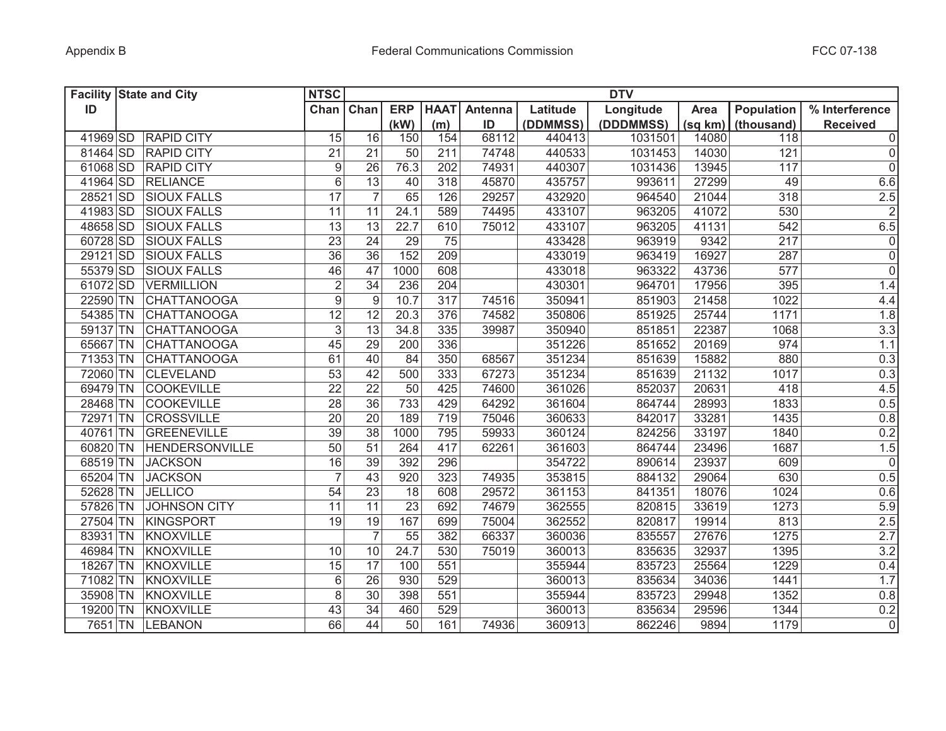| <b>Facility State and City</b> | <b>NTSC</b>                          |                 |                 |                 |         |          | <b>DTV</b> |         |                   |                     |
|--------------------------------|--------------------------------------|-----------------|-----------------|-----------------|---------|----------|------------|---------|-------------------|---------------------|
| ID                             | Chan                                 | Chan            | <b>ERP</b>      | <b>HAAT</b>     | Antenna | Latitude | Longitude  | Area    | <b>Population</b> | % Interference      |
|                                |                                      |                 | (kW)            | (m)             | ID      | (DDMMSS) | (DDDMMSS)  | (sq km) | (thousand)        | <b>Received</b>     |
| <b>RAPID CITY</b><br>41969 SD  | 15                                   | 16              | 150             | 154             | 68112   | 440413   | 1031501    | 14080   | 118               | $\mathsf 0$         |
| 81464 SD<br><b>RAPID CITY</b>  | 21                                   | 21              | 50              | 211             | 74748   | 440533   | 1031453    | 14030   | 121               | $\mathsf 0$         |
| 61068 SD<br><b>RAPID CITY</b>  | $\boldsymbol{9}$                     | 26              | 76.3            | 202             | 74931   | 440307   | 1031436    | 13945   | 117               | $\mathsf{O}\xspace$ |
| 41964 SD<br><b>RELIANCE</b>    | $\overline{6}$                       | 13              | 40              | 318             | 45870   | 435757   | 993611     | 27299   | 49                | 6.6                 |
| 28521 SD<br><b>SIOUX FALLS</b> | $\overline{17}$                      | $\overline{7}$  | 65              | 126             | 29257   | 432920   | 964540     | 21044   | 318               | $\frac{2.5}{2}$     |
| 41983 SD<br><b>SIOUX FALLS</b> | 11                                   | 11              | 24.1            | 589             | 74495   | 433107   | 963205     | 41072   | 530               |                     |
| 48658 SD<br><b>SIOUX FALLS</b> | 13                                   | 13              | 22.7            | 610             | 75012   | 433107   | 963205     | 41131   | 542               | 6.5                 |
| 60728 SD<br><b>SIOUX FALLS</b> | 23                                   | 24              | 29              | 75              |         | 433428   | 963919     | 9342    | 217               | $\mathsf{O}\xspace$ |
| 29121 SD<br><b>SIOUX FALLS</b> | 36                                   | $\overline{36}$ | 152             | 209             |         | 433019   | 963419     | 16927   | 287               | $\overline{0}$      |
| 55379 SD<br><b>SIOUX FALLS</b> | 46                                   | 47              | 1000            | 608             |         | 433018   | 963322     | 43736   | 577               | $\overline{0}$      |
| 61072 SD<br><b>VERMILLION</b>  | $\overline{2}$                       | 34              | 236             | 204             |         | 430301   | 964701     | 17956   | 395               | 1.4                 |
| 22590 TN                       | $\overline{9}$<br><b>CHATTANOOGA</b> | 9               | 10.7            | 317             | 74516   | 350941   | 851903     | 21458   | 1022              | 4.4                 |
| 54385 TN                       | 12<br><b>CHATTANOOGA</b>             | 12              | 20.3            | 376             | 74582   | 350806   | 851925     | 25744   | 1171              | 1.8                 |
| 59137 TN                       | $\overline{3}$<br><b>CHATTANOOGA</b> | $\overline{13}$ | 34.8            | $\frac{1}{335}$ | 39987   | 350940   | 851851     | 22387   | 1068              | 3.3                 |
| 65667 TN                       | 45<br><b>CHATTANOOGA</b>             | 29              | 200             | 336             |         | 351226   | 851652     | 20169   | 974               | 1.1                 |
| 71353 TN                       | 61<br><b>CHATTANOOGA</b>             | 40              | 84              | 350             | 68567   | 351234   | 851639     | 15882   | 880               | 0.3                 |
| 72060 TN<br><b>CLEVELAND</b>   | $\overline{53}$                      | 42              | 500             | 333             | 67273   | 351234   | 851639     | 21132   | 1017              | 0.3                 |
| 69479 TN<br><b>COOKEVILLE</b>  | $\overline{22}$                      | $\overline{22}$ | $\overline{50}$ | 425             | 74600   | 361026   | 852037     | 20631   | 418               | 4.5                 |
| 28468 TN<br><b>COOKEVILLE</b>  | $\overline{28}$                      | $\overline{36}$ | 733             | 429             | 64292   | 361604   | 864744     | 28993   | 1833              | 0.5                 |
| 72971 TN<br><b>CROSSVILLE</b>  | 20                                   | $\overline{20}$ | 189             | 719             | 75046   | 360633   | 842017     | 33281   | 1435              | 0.8                 |
| 40761 TN                       | 39<br><b>GREENEVILLE</b>             | 38              | 1000            | 795             | 59933   | 360124   | 824256     | 33197   | 1840              | 0.2                 |
| 60820 TN                       | 50<br><b>HENDERSONVILLE</b>          | 51              | 264             | 417             | 62261   | 361603   | 864744     | 23496   | 1687              | 1.5                 |
| 68519 TN<br><b>JACKSON</b>     | 16                                   | 39              | 392             | 296             |         | 354722   | 890614     | 23937   | 609               | $\mathbf 0$         |
| 65204 TN<br><b>JACKSON</b>     | $\overline{7}$                       | 43              | 920             | 323             | 74935   | 353815   | 884132     | 29064   | 630               | 0.5                 |
| 52628 TN<br><b>JELLICO</b>     | 54                                   | 23              | 18              | 608             | 29572   | 361153   | 841351     | 18076   | 1024              | 0.6                 |
| 57826 TN                       | <b>JOHNSON CITY</b><br>11            | 11              | 23              | 692             | 74679   | 362555   | 820815     | 33619   | 1273              | 5.9                 |
| 27504 TN<br>KINGSPORT          | 19                                   | 19              | 167             | 699             | 75004   | 362552   | 820817     | 19914   | 813               | 2.5                 |
| 83931 TN<br>KNOXVILLE          |                                      | $\overline{7}$  | 55              | 382             | 66337   | 360036   | 835557     | 27676   | 1275              | 2.7                 |
| 46984 TN<br>KNOXVILLE          | 10                                   | 10              | 24.7            | 530             | 75019   | 360013   | 835635     | 32937   | 1395              | 3.2                 |
| 18267 TN<br>KNOXVILLE          | 15                                   | 17              | 100             | 551             |         | 355944   | 835723     | 25564   | 1229              | 0.4                 |
| 71082 TN<br>KNOXVILLE          | 6                                    | 26              | 930             | 529             |         | 360013   | 835634     | 34036   | 1441              | 1.7                 |
| 35908 TN<br>KNOXVILLE          | 8                                    | 30              | 398             | 551             |         | 355944   | 835723     | 29948   | 1352              | 0.8                 |
| 19200 TN<br>KNOXVILLE          | 43                                   | 34              | 460             | 529             |         | 360013   | 835634     | 29596   | 1344              | 0.2                 |
| 7651 TN<br><b>LEBANON</b>      | 66                                   | 44              | 50              | 161             | 74936   | 360913   | 862246     | 9894    | 1179              | $\overline{0}$      |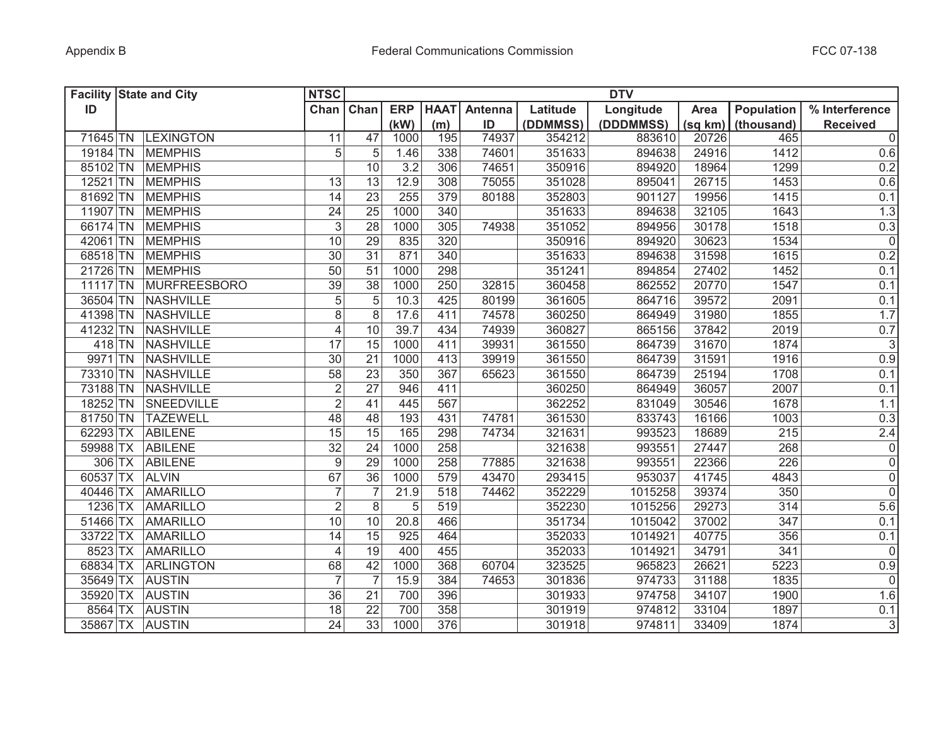| <b>Facility State and City</b> |                     | <b>NTSC</b>     |                 |            |             |         |          | <b>DTV</b> |         |                   |                 |
|--------------------------------|---------------------|-----------------|-----------------|------------|-------------|---------|----------|------------|---------|-------------------|-----------------|
| ID                             |                     | Chan            | Chan            | <b>ERP</b> | <b>HAAT</b> | Antenna | Latitude | Longitude  | Area    | Population        | % Interference  |
|                                |                     |                 |                 | (kW)       | (m)         | ID      | (DDMMSS) | (DDDMMSS)  | (sq km) | (thousand)        | <b>Received</b> |
| 71645 TN                       | <b>LEXINGTON</b>    | 11              | 47              | 1000       | 195         | 74937   | 354212   | 883610     | 20726   | 465               | $\overline{0}$  |
|                                | 19184 TN MEMPHIS    | 5               | 5               | 1.46       | 338         | 74601   | 351633   | 894638     | 24916   | 1412              | 0.6             |
|                                | 85102 TN MEMPHIS    |                 | 10              | 3.2        | 306         | 74651   | 350916   | 894920     | 18964   | 1299              | 0.2             |
|                                | 12521 TN MEMPHIS    | 13              | 13              | 12.9       | 308         | 75055   | 351028   | 895041     | 26715   | 1453              | 0.6             |
| 81692 TN                       | <b>MEMPHIS</b>      | 14              | $\overline{23}$ | 255        | 379         | 80188   | 352803   | 901127     | 19956   | 1415              | 0.1             |
| 11907 TN                       | <b>MEMPHIS</b>      | 24              | 25              | 1000       | 340         |         | 351633   | 894638     | 32105   | 1643              | 1.3             |
|                                | 66174 TN MEMPHIS    | $\mathfrak{S}$  | 28              | 1000       | 305         | 74938   | 351052   | 894956     | 30178   | 1518              | 0.3             |
|                                | 42061 TN MEMPHIS    | 10              | $\overline{29}$ | 835        | 320         |         | 350916   | 894920     | 30623   | 1534              | $\overline{0}$  |
|                                | 68518 TN MEMPHIS    | 30              | $\overline{31}$ | 871        | 340         |         | 351633   | 894638     | 31598   | 1615              | 0.2             |
| 21726 TN                       | <b>MEMPHIS</b>      | $\overline{50}$ | $\overline{51}$ | 1000       | 298         |         | 351241   | 894854     | 27402   | 1452              | 0.1             |
| $11117$ TN                     | <b>MURFREESBORO</b> | $\overline{39}$ | 38              | 1000       | 250         | 32815   | 360458   | 862552     | 20770   | 1547              | 0.1             |
|                                | 36504 TN NASHVILLE  | $\overline{5}$  | $\overline{5}$  | 10.3       | 425         | 80199   | 361605   | 864716     | 39572   | 2091              | 0.1             |
|                                | 41398 TN NASHVILLE  | $\overline{8}$  | 8               | 17.6       | 411         | 74578   | 360250   | 864949     | 31980   | 1855              | 1.7             |
|                                | 41232 TN NASHVILLE  | $\overline{4}$  | 10              | 39.7       | 434         | 74939   | 360827   | 865156     | 37842   | 2019              | 0.7             |
|                                | 418 TN NASHVILLE    | $\overline{17}$ | 15              | 1000       | 411         | 39931   | 361550   | 864739     | 31670   | 1874              | $\overline{3}$  |
|                                | 9971 TN NASHVILLE   | $\overline{30}$ | $\overline{21}$ | 1000       | 413         | 39919   | 361550   | 864739     | 31591   | 1916              | 0.9             |
| 73310 TN                       | NASHVILLE           | 58              | $\overline{23}$ | 350        | 367         | 65623   | 361550   | 864739     | 25194   | 1708              | 0.1             |
| 73188 TN                       | NASHVILLE           | $\overline{2}$  | $\overline{27}$ | 946        | 411         |         | 360250   | 864949     | 36057   | 2007              | 0.1             |
| 18252 TN                       | SNEEDVILLE          | $\overline{2}$  | 41              | 445        | 567         |         | 362252   | 831049     | 30546   | 1678              | 1.1             |
| 81750 TN                       | <b>TAZEWELL</b>     | 48              | 48              | 193        | 431         | 74781   | 361530   | 833743     | 16166   | $100\overline{3}$ | 0.3             |
| 62293 TX                       | <b>ABILENE</b>      | 15              | $\overline{15}$ | 165        | 298         | 74734   | 321631   | 993523     | 18689   | 215               | $2.4$           |
| 59988 TX                       | <b>ABILENE</b>      | 32              | 24              | 1000       | 258         |         | 321638   | 993551     | 27447   | 268               | $\overline{0}$  |
| $306$ TX                       | <b>ABILENE</b>      | 9               | 29              | 1000       | 258         | 77885   | 321638   | 993551     | 22366   | 226               | $\overline{0}$  |
| 60537 TX                       | <b>ALVIN</b>        | 67              | 36              | 1000       | 579         | 43470   | 293415   | 953037     | 41745   | 4843              | $\overline{0}$  |
| 40446 TX                       | AMARILLO            | $\overline{7}$  | $\overline{7}$  | 21.9       | 518         | 74462   | 352229   | 1015258    | 39374   | 350               | $\overline{0}$  |
| 1236 TX                        | <b>AMARILLO</b>     | $\overline{2}$  | 8               | 5          | 519         |         | 352230   | 1015256    | 29273   | 314               | 5.6             |
| 51466 TX                       | AMARILLO            | 10              | 10              | 20.8       | 466         |         | 351734   | 1015042    | 37002   | 347               | 0.1             |
| 33722 TX                       | <b>AMARILLO</b>     | 14              | 15              | 925        | 464         |         | 352033   | 1014921    | 40775   | 356               | 0.1             |
| 8523 TX                        | <b>AMARILLO</b>     | $\overline{4}$  | 19              | 400        | 455         |         | 352033   | 1014921    | 34791   | 341               | 0               |
| 68834 TX                       | <b>ARLINGTON</b>    | 68              | 42              | 1000       | 368         | 60704   | 323525   | 965823     | 26621   | 5223              | 0.9             |
| 35649 TX                       | <b>AUSTIN</b>       | $\overline{7}$  | $\overline{7}$  | 15.9       | 384         | 74653   | 301836   | 974733     | 31188   | 1835              | 0               |
| 35920 TX                       | <b>AUSTIN</b>       | 36              | 21              | 700        | 396         |         | 301933   | 974758     | 34107   | 1900              | 1.6             |
| 8564 TX                        | <b>AUSTIN</b>       | 18              | $\overline{22}$ | 700        | 358         |         | 301919   | 974812     | 33104   | 1897              | 0.1             |
| 35867 TX AUSTIN                |                     | $\overline{24}$ | 33              | 1000       | 376         |         | 301918   | 974811     | 33409   | 1874              | $\overline{3}$  |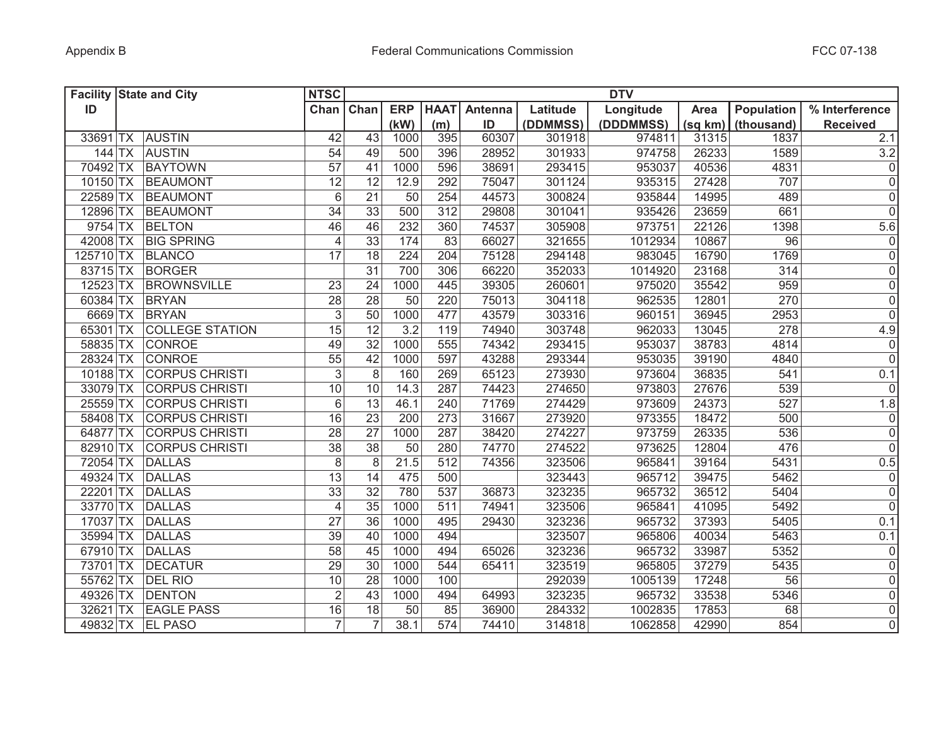|            |           | <b>Facility State and City</b> | <b>NTSC</b>     |                 |                  |                 |         |          | <b>DTV</b> |         |                   |                     |
|------------|-----------|--------------------------------|-----------------|-----------------|------------------|-----------------|---------|----------|------------|---------|-------------------|---------------------|
| ID         |           |                                | Chan            | Chan            | <b>ERP</b>       | <b>HAAT</b>     | Antenna | Latitude | Longitude  | Area    | <b>Population</b> | % Interference      |
|            |           |                                |                 |                 | (kW)             | (m)             | ID      | (DDMMSS) | (DDDMMSS)  | (sq km) | (thousand)        | <b>Received</b>     |
| 33691      | <b>TX</b> | <b>AUSTIN</b>                  | 42              | 43              | 1000             | 395             | 60307   | 301918   | 974811     | 31315   | 1837              | 2.1                 |
| $144$ TX   |           | <b>AUSTIN</b>                  | 54              | 49              | 500              | 396             | 28952   | 301933   | 974758     | 26233   | 1589              | $3.2\,$             |
| 70492 TX   |           | <b>BAYTOWN</b>                 | $\overline{57}$ | 41              | 1000             | 596             | 38691   | 293415   | 953037     | 40536   | 4831              | $\pmb{0}$           |
| 10150 TX   |           | BEAUMONT                       | 12              | 12              | 12.9             | 292             | 75047   | 301124   | 935315     | 27428   | 707               | $\mathsf 0$         |
| 22589 TX   |           | BEAUMONT                       | $6\,$           | 21              | 50               | 254             | 44573   | 300824   | 935844     | 14995   | 489               | $\mathsf 0$         |
| 12896 TX   |           | BEAUMONT                       | 34              | 33              | 500              | 312             | 29808   | 301041   | 935426     | 23659   | 661               | $\mathsf{O}\xspace$ |
| 9754 TX    |           | <b>BELTON</b>                  | 46              | 46              | 232              | 360             | 74537   | 305908   | 973751     | 22126   | 1398              | 5.6                 |
| 42008 TX   |           | <b>BIG SPRING</b>              | $\overline{4}$  | 33              | 174              | $\overline{83}$ | 66027   | 321655   | 1012934    | 10867   | 96                | $\mathsf{O}\xspace$ |
| 125710 TX  |           | <b>BLANCO</b>                  | 17              | 18              | 224              | 204             | 75128   | 294148   | 983045     | 16790   | 1769              | $\overline{0}$      |
| 83715 TX   |           | BORGER                         |                 | $\overline{31}$ | 700              | 306             | 66220   | 352033   | 1014920    | 23168   | 314               | $\overline{0}$      |
| $12523$ TX |           | <b>BROWNSVILLE</b>             | 23              | 24              | 1000             | 445             | 39305   | 260601   | 975020     | 35542   | 959               | $\mathsf{O}\xspace$ |
| 60384 TX   |           | BRYAN                          | $\overline{28}$ | 28              | $\overline{50}$  | 220             | 75013   | 304118   | 962535     | 12801   | 270               | $\overline{0}$      |
| 6669 TX    |           | <b>BRYAN</b>                   | $\overline{3}$  | $\overline{50}$ | 1000             | 477             | 43579   | 303316   | 960151     | 36945   | 2953              | $\overline{0}$      |
| 65301 TX   |           | <b>COLLEGE STATION</b>         | $\overline{15}$ | 12              | $\overline{3.2}$ | 119             | 74940   | 303748   | 962033     | 13045   | 278               | 4.9                 |
| 58835 TX   |           | <b>CONROE</b>                  | 49              | 32              | 1000             | 555             | 74342   | 293415   | 953037     | 38783   | 4814              | $\pmb{0}$           |
| 28324 TX   |           | <b>CONROE</b>                  | $\overline{55}$ | 42              | 1000             | 597             | 43288   | 293344   | 953035     | 39190   | 4840              | $\overline{0}$      |
| 10188 TX   |           | <b>CORPUS CHRISTI</b>          | $\sqrt{3}$      | $\overline{8}$  | 160              | 269             | 65123   | 273930   | 973604     | 36835   | 541               | 0.1                 |
| 33079 TX   |           | <b>CORPUS CHRISTI</b>          | 10              | 10              | 14.3             | 287             | 74423   | 274650   | 973803     | 27676   | 539               | 0                   |
| 25559 TX   |           | <b>CORPUS CHRISTI</b>          | 6               | 13              | 46.1             | 240             | 71769   | 274429   | 973609     | 24373   | 527               | 1.8                 |
| 58408 TX   |           | <b>CORPUS CHRISTI</b>          | 16              | $\overline{23}$ | 200              | 273             | 31667   | 273920   | 973355     | 18472   | 500               | 0                   |
| 64877 TX   |           | <b>CORPUS CHRISTI</b>          | 28              | 27              | 1000             | 287             | 38420   | 274227   | 973759     | 26335   | 536               | $\mathsf 0$         |
| 82910 TX   |           | <b>CORPUS CHRISTI</b>          | 38              | 38              | 50               | 280             | 74770   | 274522   | 973625     | 12804   | 476               | $\mathbf 0$         |
| 72054 TX   |           | <b>DALLAS</b>                  | 8               | 8               | 21.5             | 512             | 74356   | 323506   | 965841     | 39164   | 5431              | 0.5                 |
| 49324 TX   |           | <b>DALLAS</b>                  | 13              | 14              | 475              | 500             |         | 323443   | 965712     | 39475   | 5462              | 0                   |
| 22201      | <b>TX</b> | <b>DALLAS</b>                  | 33              | $\overline{32}$ | 780              | 537             | 36873   | 323235   | 965732     | 36512   | 5404              | $\mathsf 0$         |
| 33770 TX   |           | <b>DALLAS</b>                  | $\overline{4}$  | $\overline{35}$ | 1000             | 511             | 74941   | 323506   | 965841     | 41095   | 5492              | $\mathbf 0$         |
| 17037 TX   |           | <b>DALLAS</b>                  | 27              | 36              | 1000             | 495             | 29430   | 323236   | 965732     | 37393   | 5405              | 0.1                 |
| 35994 TX   |           | <b>DALLAS</b>                  | 39              | 40              | 1000             | 494             |         | 323507   | 965806     | 40034   | 5463              | 0.1                 |
| 67910 TX   |           | <b>DALLAS</b>                  | 58              | 45              | 1000             | 494             | 65026   | 323236   | 965732     | 33987   | 5352              | $\mathsf 0$         |
| 73701 TX   |           | <b>DECATUR</b>                 | 29              | 30              | 1000             | 544             | 65411   | 323519   | 965805     | 37279   | 5435              | $\mathsf 0$         |
| 55762 TX   |           | <b>DEL RIO</b>                 | 10              | 28              | 1000             | 100             |         | 292039   | 1005139    | 17248   | 56                | $\mathsf{O}\xspace$ |
| 49326 TX   |           | <b>DENTON</b>                  | $\overline{2}$  | 43              | 1000             | 494             | 64993   | 323235   | 965732     | 33538   | 5346              | $\mathsf{O}\xspace$ |
| 32621 TX   |           | <b>EAGLE PASS</b>              | 16              | $\overline{18}$ | $\overline{50}$  | 85              | 36900   | 284332   | 1002835    | 17853   | 68                | $\mathsf 0$         |
| 49832 TX   |           | <b>EL PASO</b>                 | $\overline{7}$  | $\overline{7}$  | 38.1             | 574             | 74410   | 314818   | 1062858    | 42990   | 854               | $\overline{0}$      |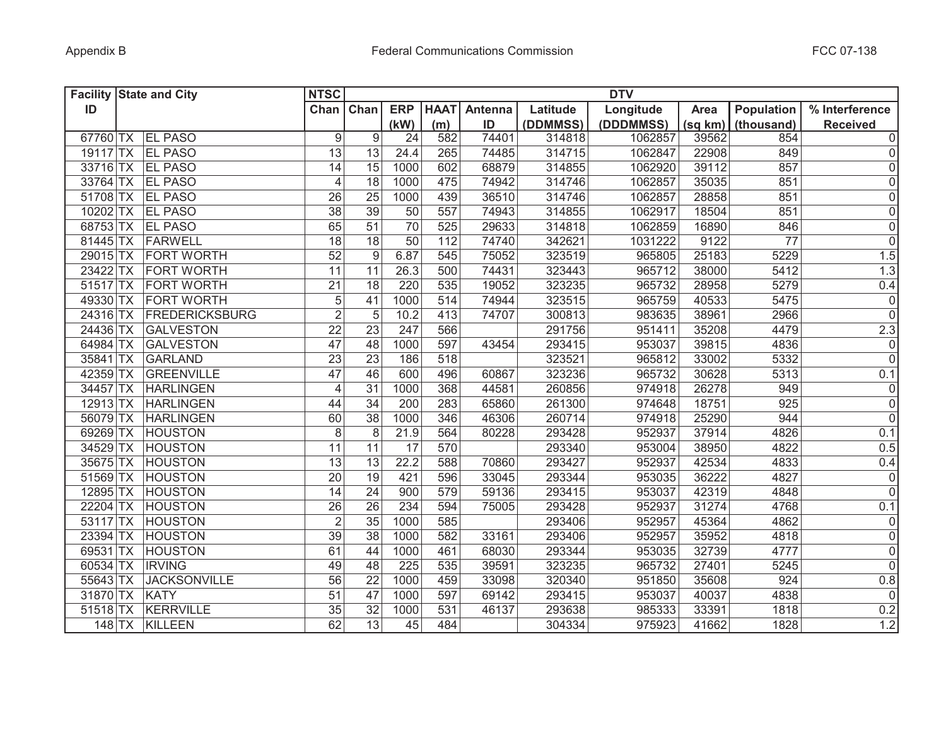| <b>Facility State and City</b>      | <b>NTSC</b>      |                 |            |             |         |          | <b>DTV</b> |         |            |                 |
|-------------------------------------|------------------|-----------------|------------|-------------|---------|----------|------------|---------|------------|-----------------|
| ID                                  | Chan Chan        |                 | <b>ERP</b> | <b>HAAT</b> | Antenna | Latitude | Longitude  | Area    | Population | % Interference  |
|                                     |                  |                 | (kW)       | (m)         | ID      | (DDMMSS) | (DDDMMSS)  | (sq km) | (thousand) | <b>Received</b> |
| 67760 TX EL PASO                    | $\boldsymbol{9}$ | 9               | 24         | 582         | 74401   | 314818   | 1062857    | 39562   | 854        | 0               |
| 19117 TX<br><b>EL PASO</b>          | 13               | 13              | 24.4       | 265         | 74485   | 314715   | 1062847    | 22908   | 849        | 0               |
| 33716 TX EL PASO                    | 14               | 15              | 1000       | 602         | 68879   | 314855   | 1062920    | 39112   | 857        | 0               |
| 33764 TX EL PASO                    | $\overline{4}$   | 18              | 1000       | 475         | 74942   | 314746   | 1062857    | 35035   | 851        | 0               |
| 51708 TX EL PASO                    | 26               | 25              | 1000       | 439         | 36510   | 314746   | 1062857    | 28858   | 851        | 0               |
| 10202 TX EL PASO                    | $\overline{38}$  | 39              | 50         | 557         | 74943   | 314855   | 1062917    | 18504   | 851        | 0               |
| 68753 TX EL PASO                    | 65               | 51              | 70         | 525         | 29633   | 314818   | 1062859    | 16890   | 846        | 0               |
| 81445 TX FARWELL                    | $\overline{18}$  | $\overline{18}$ | 50         | 112         | 74740   | 342621   | 1031222    | 9122    | 77         | $\overline{0}$  |
| 29015 TX<br><b>FORT WORTH</b>       | $\overline{52}$  | 9               | 6.87       | 545         | 75052   | 323519   | 965805     | 25183   | 5229       | 1.5             |
| 23422 TX<br><b>FORT WORTH</b>       | $\overline{11}$  | 11              | 26.3       | 500         | 74431   | 323443   | 965712     | 38000   | 5412       | 1.3             |
| $51517$ TX<br><b>FORT WORTH</b>     | $\overline{21}$  | 18              | 220        | 535         | 19052   | 323235   | 965732     | 28958   | 5279       | 0.4             |
| <b>FORT WORTH</b><br>49330 TX       | $\overline{5}$   | 41              | 1000       | 514         | 74944   | 323515   | 965759     | 40533   | 5475       | $\overline{0}$  |
| 24316 TX FREDERICKSBURG             | $\overline{2}$   | 5               | 10.2       | 413         | 74707   | 300813   | 983635     | 38961   | 2966       | $\overline{0}$  |
| 24436 TX<br><b>GALVESTON</b>        | $\overline{22}$  | 23              | 247        | 566         |         | 291756   | 951411     | 35208   | 4479       | 2.3             |
| 64984 TX<br><b>GALVESTON</b>        | 47               | 48              | 1000       | 597         | 43454   | 293415   | 953037     | 39815   | 4836       | $\overline{0}$  |
| 35841 TX<br><b>GARLAND</b>          | $\overline{23}$  | $\overline{23}$ | 186        | 518         |         | 323521   | 965812     | 33002   | 5332       | $\overline{0}$  |
| $\overline{42}359$ TX<br>GREENVILLE | 47               | 46              | 600        | 496         | 60867   | 323236   | 965732     | 30628   | 5313       | 0.1             |
| 34457 TX<br><b>HARLINGEN</b>        | $\overline{4}$   | 31              | 1000       | 368         | 44581   | 260856   | 974918     | 26278   | 949        | $\overline{0}$  |
| $12913$ TX<br><b>HARLINGEN</b>      | 44               | 34              | 200        | 283         | 65860   | 261300   | 974648     | 18751   | 925        | $\overline{0}$  |
| 56079 TX<br><b>HARLINGEN</b>        | 60               | 38              | 1000       | 346         | 46306   | 260714   | 974918     | 25290   | 944        | $\overline{0}$  |
| 69269 TX<br><b>HOUSTON</b>          | 8                | 8               | 21.9       | 564         | 80228   | 293428   | 952937     | 37914   | 4826       | 0.1             |
| 34529 TX<br><b>HOUSTON</b>          | 11               | 11              | 17         | 570         |         | 293340   | 953004     | 38950   | 4822       | 0.5             |
| 35675 TX<br><b>HOUSTON</b>          | 13               | 13              | 22.2       | 588         | 70860   | 293427   | 952937     | 42534   | 4833       | 0.4             |
| 51569 TX<br><b>HOUSTON</b>          | 20               | 19              | 421        | 596         | 33045   | 293344   | 953035     | 36222   | 4827       | 0               |
| 12895 TX<br><b>HOUSTON</b>          | 14               | 24              | 900        | 579         | 59136   | 293415   | 953037     | 42319   | 4848       | $\overline{0}$  |
| 22204 TX<br><b>HOUSTON</b>          | 26               | 26              | 234        | 594         | 75005   | 293428   | 952937     | 31274   | 4768       | 0.1             |
| 53117 TX<br><b>HOUSTON</b>          | $\overline{2}$   | 35              | 1000       | 585         |         | 293406   | 952957     | 45364   | 4862       | 0               |
| 23394 TX<br><b>HOUSTON</b>          | 39               | 38              | 1000       | 582         | 33161   | 293406   | 952957     | 35952   | 4818       | 0               |
| 69531 TX<br><b>HOUSTON</b>          | 61               | 44              | 1000       | 461         | 68030   | 293344   | 953035     | 32739   | 4777       | 0               |
| 60534 TX<br><b>IRVING</b>           | 49               | 48              | 225        | 535         | 39591   | 323235   | 965732     | 27401   | 5245       | 0               |
| <b>JACKSONVILLE</b><br>55643 TX     | 56               | 22              | 1000       | 459         | 33098   | 320340   | 951850     | 35608   | 924        | 0.8             |
| 31870 TX<br>KATY                    | 51               | 47              | 1000       | 597         | 69142   | 293415   | 953037     | 40037   | 4838       | 0               |
| 51518 TX<br><b>KERRVILLE</b>        | 35               | $\overline{32}$ | 1000       | 531         | 46137   | 293638   | 985333     | 33391   | 1818       | 0.2             |
| 148 TX KILLEEN                      | 62               | $\overline{13}$ | 45         | 484         |         | 304334   | 975923     | 41662   | 1828       | 1.2             |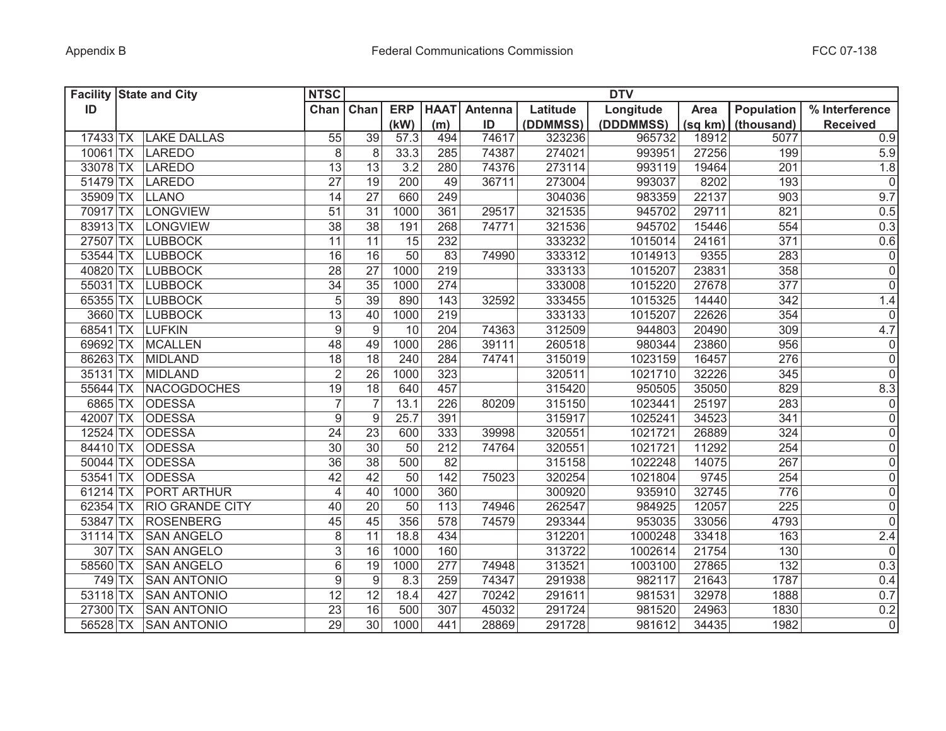|            | <b>Facility State and City</b> | <b>NTSC</b>      |                  |            |             |         |          | <b>DTV</b> |         |                   |                     |
|------------|--------------------------------|------------------|------------------|------------|-------------|---------|----------|------------|---------|-------------------|---------------------|
| ID         |                                | Chan             | Chan             | <b>ERP</b> | <b>HAAT</b> | Antenna | Latitude | Longitude  | Area    | <b>Population</b> | % Interference      |
|            |                                |                  |                  | (kW)       | (m)         | ID      | (DDMMSS) | (DDDMMSS)  | (sq km) | (thousand)        | <b>Received</b>     |
| 17433 TX   | <b>LAKE DALLAS</b>             | 55               | 39               | 57.3       | 494         | 74617   | 323236   | 965732     | 18912   | 5077              | 0.9                 |
| $10061$ TX | <b>LAREDO</b>                  | 8                | 8                | 33.3       | 285         | 74387   | 274021   | 993951     | 27256   | 199               | 5.9                 |
| 33078 TX   | <b>LAREDO</b>                  | 13               | 13               | 3.2        | 280         | 74376   | 273114   | 993119     | 19464   | 201               | 1.8                 |
| 51479 TX   | LAREDO                         | $\overline{27}$  | 19               | 200        | 49          | 36711   | 273004   | 993037     | 8202    | 193               | $\mathsf{O}\xspace$ |
| 35909 TX   | <b>LLANO</b>                   | 14               | $\overline{27}$  | 660        | 249         |         | 304036   | 983359     | 22137   | 903               | 9.7                 |
| 70917 TX   | LONGVIEW                       | 51               | 31               | 1000       | 361         | 29517   | 321535   | 945702     | 29711   | 821               | 0.5                 |
| 83913 TX   | <b>LONGVIEW</b>                | 38               | 38               | 191        | 268         | 74771   | 321536   | 945702     | 15446   | 554               | 0.3                 |
| 27507 TX   | <b>LUBBOCK</b>                 | 11               | $\overline{11}$  | 15         | 232         |         | 333232   | 1015014    | 24161   | 371               | 0.6                 |
| 53544 TX   | <b>LUBBOCK</b>                 | 16               | 16               | 50         | 83          | 74990   | 333312   | 1014913    | 9355    | 283               | $\overline{0}$      |
| 40820 TX   | <b>LUBBOCK</b>                 | $\overline{28}$  | $\overline{27}$  | 1000       | 219         |         | 333133   | 1015207    | 23831   | 358               | $\overline{0}$      |
| 55031 TX   | <b>LUBBOCK</b>                 | 34               | 35               | 1000       | 274         |         | 333008   | 1015220    | 27678   | 377               | $\mathsf 0$         |
| 65355 TX   | <b>LUBBOCK</b>                 | $\overline{5}$   | 39               | 890        | 143         | 32592   | 333455   | 1015325    | 14440   | 342               | 1.4                 |
| 3660 TX    | <b>LUBBOCK</b>                 | $\overline{13}$  | 40               | 1000       | 219         |         | 333133   | 1015207    | 22626   | 354               | $\mathsf{O}\xspace$ |
| 68541 TX   | LUFKIN                         | $\boldsymbol{9}$ | $\boldsymbol{9}$ | 10         | 204         | 74363   | 312509   | 944803     | 20490   | 309               | 4.7                 |
| 69692 TX   | <b>MCALLEN</b>                 | 48               | 49               | 1000       | 286         | 39111   | 260518   | 980344     | 23860   | 956               | 0                   |
| 86263 TX   | <b>MIDLAND</b>                 | $\overline{18}$  | 18               | 240        | 284         | 74741   | 315019   | 1023159    | 16457   | 276               | $\overline{0}$      |
| 35131 TX   | <b>MIDLAND</b>                 | $\overline{2}$   | $\overline{26}$  | 1000       | 323         |         | 320511   | 1021710    | 32226   | 345               | $\mathsf{O}\xspace$ |
| 55644 TX   | <b>NACOGDOCHES</b>             | 19               | $\overline{18}$  | 640        | 457         |         | 315420   | 950505     | 35050   | 829               | 8.3                 |
| 6865 TX    | <b>ODESSA</b>                  | $\overline{7}$   | $\overline{7}$   | 13.1       | 226         | 80209   | 315150   | 1023441    | 25197   | 283               | 0                   |
| 42007 TX   | <b>ODESSA</b>                  | $\overline{9}$   | $\boldsymbol{9}$ | 25.7       | 391         |         | 315917   | 1025241    | 34523   | 341               | $\overline{0}$      |
| 12524 TX   | <b>ODESSA</b>                  | 24               | 23               | 600        | 333         | 39998   | 320551   | 1021721    | 26889   | 324               | $\mathsf{O}\xspace$ |
| 84410 TX   | <b>ODESSA</b>                  | 30               | 30               | 50         | 212         | 74764   | 320551   | 1021721    | 11292   | 254               | $\mathsf{O}\xspace$ |
| 50044 TX   | <b>ODESSA</b>                  | 36               | 38               | 500        | 82          |         | 315158   | 1022248    | 14075   | 267               | $\mathsf{O}\xspace$ |
| 53541 TX   | <b>ODESSA</b>                  | 42               | 42               | 50         | 142         | 75023   | 320254   | 1021804    | 9745    | 254               | $\mathsf{O}\xspace$ |
| 61214 TX   | PORT ARTHUR                    | 4                | 40               | 1000       | 360         |         | 300920   | 935910     | 32745   | 776               | $\mathsf{O}\xspace$ |
| 62354 TX   | <b>RIO GRANDE CITY</b>         | 40               | 20               | 50         | 113         | 74946   | 262547   | 984925     | 12057   | 225               | $\mathsf{O}\xspace$ |
| 53847 TX   | <b>ROSENBERG</b>               | 45               | 45               | 356        | 578         | 74579   | 293344   | 953035     | 33056   | 4793              | $\mathbf 0$         |
| 31114 TX   | <b>SAN ANGELO</b>              | $\,8\,$          | 11               | 18.8       | 434         |         | 312201   | 1000248    | 33418   | 163               | 2.4                 |
| 307 TX     | <b>SAN ANGELO</b>              | 3                | 16               | 1000       | 160         |         | 313722   | 1002614    | 21754   | 130               | $\mathbf 0$         |
| 58560 TX   | <b>SAN ANGELO</b>              | 6                | 19               | 1000       | 277         | 74948   | 313521   | 1003100    | 27865   | 132               | 0.3                 |
| 749 TX     | <b>SAN ANTONIO</b>             | 9                | $\boldsymbol{9}$ | 8.3        | 259         | 74347   | 291938   | 982117     | 21643   | 1787              | 0.4                 |
| 53118 TX   | <b>SAN ANTONIO</b>             | 12               | 12               | 18.4       | 427         | 70242   | 291611   | 981531     | 32978   | 1888              | 0.7                 |
| 27300 TX   | <b>SAN ANTONIO</b>             | $\overline{23}$  | 16               | 500        | 307         | 45032   | 291724   | 981520     | 24963   | 1830              | 0.2                 |
| 56528 TX   | <b>SAN ANTONIO</b>             | $\overline{29}$  | $\overline{30}$  | 1000       | 441         | 28869   | 291728   | 981612     | 34435   | 1982              | $\overline{0}$      |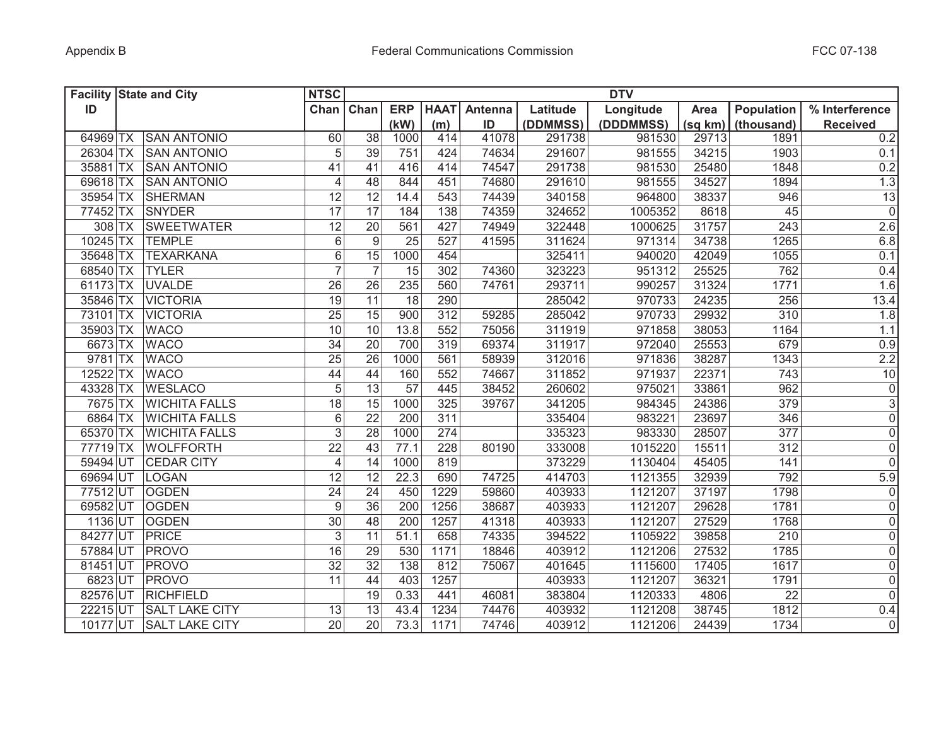| <b>Facility State and City</b> |                       | <b>NTSC</b>      |                 |                 |             |         |          | <b>DTV</b> |         |            |                 |
|--------------------------------|-----------------------|------------------|-----------------|-----------------|-------------|---------|----------|------------|---------|------------|-----------------|
| ID                             |                       | Chan             | Chan            | <b>ERP</b>      | <b>HAAT</b> | Antenna | Latitude | Longitude  | Area    | Population | % Interference  |
|                                |                       |                  |                 | (kW)            | (m)         | ID      | (DDMMSS) | (DDDMMSS)  | (sq km) | (thousand) | <b>Received</b> |
| 64969 TX                       | <b>SAN ANTONIO</b>    | 60               | $\overline{38}$ | 1000            | 414         | 41078   | 291738   | 981530     | 29713   | 1891       | 0.2             |
| 26304 TX                       | <b>SAN ANTONIO</b>    | 5                | 39              | 751             | 424         | 74634   | 291607   | 981555     | 34215   | 1903       | 0.1             |
| 35881 TX                       | <b>SAN ANTONIO</b>    | 41               | 41              | 416             | 414         | 74547   | 291738   | 981530     | 25480   | 1848       | 0.2             |
| 69618 TX                       | <b>SAN ANTONIO</b>    | $\overline{4}$   | 48              | 844             | 451         | 74680   | 291610   | 981555     | 34527   | 1894       | 1.3             |
| 35954 TX                       | <b>SHERMAN</b>        | 12               | 12              | 14.4            | 543         | 74439   | 340158   | 964800     | 38337   | 946        | 13              |
| 77452 TX                       | SNYDER                | 17               | 17              | 184             | 138         | 74359   | 324652   | 1005352    | 8618    | 45         | $\overline{0}$  |
| $308$ TX                       | <b>SWEETWATER</b>     | 12               | 20              | 561             | 427         | 74949   | 322448   | 1000625    | 31757   | 243        | 2.6             |
|                                | 10245 TX TEMPLE       | 6                | $\overline{9}$  | 25              | 527         | 41595   | 311624   | 971314     | 34738   | 1265       | 6.8             |
| 35648 TX                       | <b>TEXARKANA</b>      | 6                | $\overline{15}$ | 1000            | 454         |         | 325411   | 940020     | 42049   | 1055       | 0.1             |
| 68540 TX                       | <b>TYLER</b>          | $\overline{7}$   | $\overline{7}$  | $\overline{15}$ | 302         | 74360   | 323223   | 951312     | 25525   | 762        | 0.4             |
| $61173$ TX                     | <b>UVALDE</b>         | $\overline{26}$  | $\overline{26}$ | 235             | 560         | 74761   | 293711   | 990257     | 31324   | 1771       | 1.6             |
| 35846 TX                       | <b>VICTORIA</b>       | 19               | $\overline{11}$ | $\overline{18}$ | 290         |         | 285042   | 970733     | 24235   | 256        | 13.4            |
| 73101 TX                       | <b>VICTORIA</b>       | $\overline{25}$  | $\overline{15}$ | 900             | 312         | 59285   | 285042   | 970733     | 29932   | 310        | 1.8             |
| 35903 TX                       | <b>WACO</b>           | 10               | 10              | 13.8            | 552         | 75056   | 311919   | 971858     | 38053   | 1164       | 1.1             |
| 6673 TX                        | <b>WACO</b>           | $\overline{34}$  | $\overline{20}$ | 700             | 319         | 69374   | 311917   | 972040     | 25553   | 679        | 0.9             |
| 9781 TX                        | <b>WACO</b>           | $\overline{25}$  | 26              | 1000            | 561         | 58939   | 312016   | 971836     | 38287   | 1343       | 2.2             |
| $12522$ TX                     | <b>WACO</b>           | 44               | 44              | 160             | 552         | 74667   | 311852   | 971937     | 22371   | 743        | 10              |
| 43328 TX                       | <b>WESLACO</b>        | $\sqrt{5}$       | $\overline{13}$ | 57              | 445         | 38452   | 260602   | 975021     | 33861   | 962        | $\overline{0}$  |
| 7675 TX                        | <b>WICHITA FALLS</b>  | 18               | 15              | 1000            | 325         | 39767   | 341205   | 984345     | 24386   | 379        | $\overline{3}$  |
| 6864 TX                        | <b>WICHITA FALLS</b>  | $6\,$            | $\overline{22}$ | 200             | 311         |         | 335404   | 983221     | 23697   | 346        | $\overline{0}$  |
| 65370 TX                       | <b>WICHITA FALLS</b>  | $\overline{3}$   | $\overline{28}$ | 1000            | 274         |         | 335323   | 983330     | 28507   | 377        | $\overline{0}$  |
| 77719 TX                       | <b>WOLFFORTH</b>      | 22               | 43              | 77.1            | 228         | 80190   | 333008   | 1015220    | 15511   | 312        | $\overline{0}$  |
| 59494 UT                       | <b>CEDAR CITY</b>     | $\overline{4}$   | 14              | 1000            | 819         |         | 373229   | 1130404    | 45405   | 141        | $\overline{0}$  |
| 69694 UT                       | LOGAN                 | 12               | 12              | 22.3            | 690         | 74725   | 414703   | 1121355    | 32939   | 792        | 5.9             |
| 77512 UT                       | <b>OGDEN</b>          | 24               | 24              | 450             | 1229        | 59860   | 403933   | 1121207    | 37197   | 1798       | 0               |
| 69582 UT                       | <b>OGDEN</b>          | $\boldsymbol{9}$ | 36              | 200             | 1256        | 38687   | 403933   | 1121207    | 29628   | 1781       | $\overline{0}$  |
| 1136 UT                        | <b>OGDEN</b>          | 30               | 48              | 200             | 1257        | 41318   | 403933   | 1121207    | 27529   | 1768       | 0               |
| 84277 UT                       | <b>PRICE</b>          | 3                | 11              | 51.1            | 658         | 74335   | 394522   | 1105922    | 39858   | 210        | 0               |
| 57884 UT                       | PROVO                 | 16               | 29              | 530             | 1171        | 18846   | 403912   | 1121206    | 27532   | 1785       | 0               |
| 81451 UT                       | <b>PROVO</b>          | 32               | $\overline{32}$ | 138             | 812         | 75067   | 401645   | 1115600    | 17405   | 1617       | 0               |
| 6823 UT                        | PROVO                 | 11               | 44              | 403             | 1257        |         | 403933   | 1121207    | 36321   | 1791       | 0               |
| 82576 UT                       | <b>RICHFIELD</b>      |                  | 19              | 0.33            | 441         | 46081   | 383804   | 1120333    | 4806    | 22         | 0               |
| 22215 UT                       | <b>SALT LAKE CITY</b> | 13               | 13              | 43.4            | 1234        | 74476   | 403932   | 1121208    | 38745   | 1812       | 0.4             |
| 10177 UT                       | <b>SALT LAKE CITY</b> | 20               | $\overline{20}$ | 73.3            | 1171        | 74746   | 403912   | 1121206    | 24439   | 1734       | $\overline{0}$  |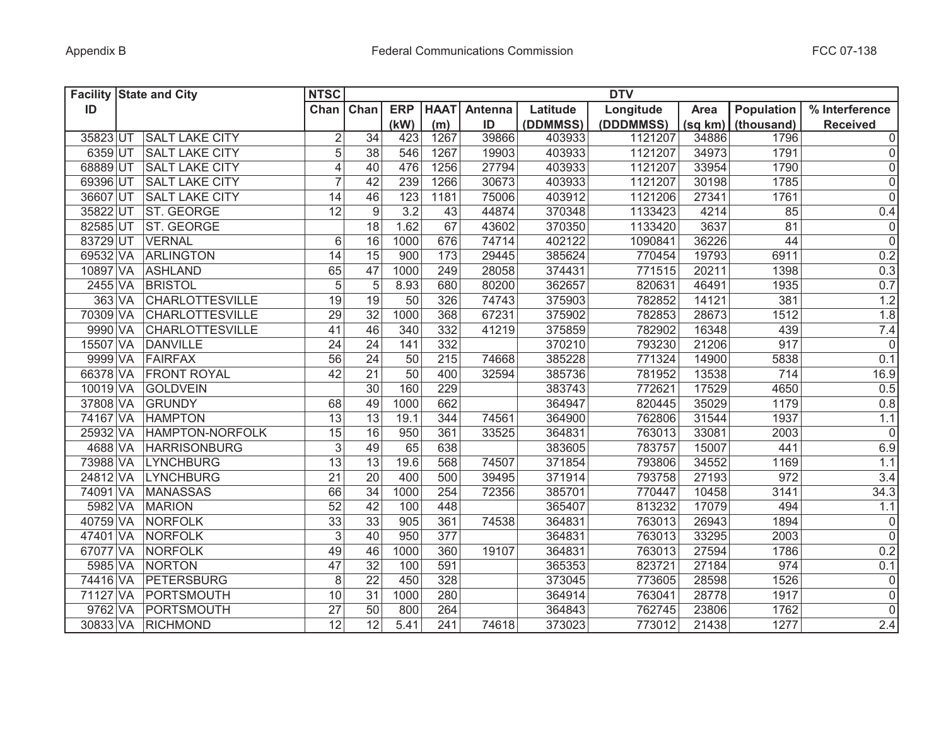|          | <b>Facility State and City</b> | <b>NTSC</b>     |                 |                 |             |         |          | <b>DTV</b> |         |            |                 |
|----------|--------------------------------|-----------------|-----------------|-----------------|-------------|---------|----------|------------|---------|------------|-----------------|
| ID       |                                | Chan            | Chan            | <b>ERP</b>      | <b>HAAT</b> | Antenna | Latitude | Longitude  | Area    | Population | % Interference  |
|          |                                |                 |                 | (kW)            | (m)         | ID      | (DDMMSS) | (DDDMMSS)  | (sq km) | (thousand) | <b>Received</b> |
| 35823 UT | <b>SALT LAKE CITY</b>          | $\overline{2}$  | 34              | 423             | 1267        | 39866   | 403933   | 1121207    | 34886   | 1796       | 0               |
| 6359 UT  | <b>SALT LAKE CITY</b>          | 5               | 38              | 546             | 1267        | 19903   | 403933   | 1121207    | 34973   | 1791       | 0               |
| 68889 UT | <b>SALT LAKE CITY</b>          | $\overline{4}$  | 40              | 476             | 1256        | 27794   | 403933   | 1121207    | 33954   | 1790       | 0               |
| 69396 UT | <b>SALT LAKE CITY</b>          | $\overline{7}$  | 42              | 239             | 1266        | 30673   | 403933   | 1121207    | 30198   | 1785       | 0               |
| 36607 UT | <b>SALT LAKE CITY</b>          | 14              | 46              | 123             | 1181        | 75006   | 403912   | 1121206    | 27341   | 1761       | $\overline{0}$  |
| 35822 UT | ST. GEORGE                     | 12              | 9               | 3.2             | 43          | 44874   | 370348   | 1133423    | 4214    | 85         | 0.4             |
| 82585 UT | <b>ST. GEORGE</b>              |                 | 18              | 1.62            | 67          | 43602   | 370350   | 1133420    | 3637    | 81         | 0               |
| 83729 UT | <b>VERNAL</b>                  | 6               | 16              | 1000            | 676         | 74714   | 402122   | 1090841    | 36226   | 44         | $\overline{0}$  |
| 69532 VA | ARLINGTON                      | 14              | 15              | 900             | 173         | 29445   | 385624   | 770454     | 19793   | 6911       | 0.2             |
| 10897 VA | <b>ASHLAND</b>                 | 65              | 47              | 1000            | 249         | 28058   | 374431   | 771515     | 20211   | 1398       | 0.3             |
| 2455 VA  | <b>BRISTOL</b>                 | $\overline{5}$  | 5               | 8.93            | 680         | 80200   | 362657   | 820631     | 46491   | 1935       | 0.7             |
| 363 VA   | <b>CHARLOTTESVILLE</b>         | $\overline{19}$ | 19              | 50              | 326         | 74743   | 375903   | 782852     | 14121   | 381        | 1.2             |
| 70309 VA | <b>CHARLOTTESVILLE</b>         | $\overline{29}$ | $\overline{32}$ | 1000            | 368         | 67231   | 375902   | 782853     | 28673   | 1512       | 1.8             |
| 9990 VA  | <b>CHARLOTTESVILLE</b>         | $\overline{41}$ | 46              | 340             | 332         | 41219   | 375859   | 782902     | 16348   | 439        | 7.4             |
| 15507 VA | <b>DANVILLE</b>                | $\overline{24}$ | $\overline{24}$ | 141             | 332         |         | 370210   | 793230     | 21206   | 917        | $\overline{0}$  |
| 9999 VA  | FAIRFAX                        | $\overline{56}$ | 24              | 50              | 215         | 74668   | 385228   | 771324     | 14900   | 5838       | 0.1             |
| 66378 VA | <b>FRONT ROYAL</b>             | 42              | $\overline{21}$ | $\overline{50}$ | 400         | 32594   | 385736   | 781952     | 13538   | 714        | 16.9            |
| 10019 VA | <b>GOLDVEIN</b>                |                 | 30              | 160             | 229         |         | 383743   | 772621     | 17529   | 4650       | 0.5             |
| 37808 VA | GRUNDY                         | 68              | 49              | 1000            | 662         |         | 364947   | 820445     | 35029   | 1179       | 0.8             |
| 74167 VA | <b>HAMPTON</b>                 | 13              | 13              | 19.1            | 344         | 74561   | 364900   | 762806     | 31544   | 1937       | 1.1             |
| 25932 VA | HAMPTON-NORFOLK                | 15              | 16              | 950             | 361         | 33525   | 364831   | 763013     | 33081   | 2003       | 0               |
| 4688 VA  | <b>HARRISONBURG</b>            | $\sqrt{3}$      | 49              | 65              | 638         |         | 383605   | 783757     | 15007   | 441        | 6.9             |
| 73988 VA | <b>LYNCHBURG</b>               | 13              | 13              | 19.6            | 568         | 74507   | 371854   | 793806     | 34552   | 1169       | 1.1             |
| 24812 VA | <b>LYNCHBURG</b>               | 21              | 20              | 400             | 500         | 39495   | 371914   | 793758     | 27193   | 972        | 3.4             |
| 74091 VA | <b>MANASSAS</b>                | 66              | 34              | 1000            | 254         | 72356   | 385701   | 770447     | 10458   | 3141       | 34.3            |
| 5982 VA  | <b>MARION</b>                  | 52              | 42              | 100             | 448         |         | 365407   | 813232     | 17079   | 494        | 1.1             |
| 40759 VA | NORFOLK                        | 33              | $\overline{33}$ | 905             | 361         | 74538   | 364831   | 763013     | 26943   | 1894       | 0               |
| 47401 VA | NORFOLK                        | $\sqrt{3}$      | 40              | 950             | 377         |         | 364831   | 763013     | 33295   | 2003       | 0               |
| 67077 VA | NORFOLK                        | 49              | 46              | 1000            | 360         | 19107   | 364831   | 763013     | 27594   | 1786       | 0.2             |
| 5985 VA  | NORTON                         | 47              | 32              | 100             | 591         |         | 365353   | 823721     | 27184   | 974        | 0.1             |
| 74416 VA | PETERSBURG                     | $\,8\,$         | $\overline{22}$ | 450             | 328         |         | 373045   | 773605     | 28598   | 1526       | $\overline{0}$  |
| 71127 VA | PORTSMOUTH                     | 10              | 31              | 1000            | 280         |         | 364914   | 763041     | 28778   | 1917       | 0               |
| 9762 VA  | PORTSMOUTH                     | $\overline{27}$ | 50              | 800             | 264         |         | 364843   | 762745     | 23806   | 1762       | $\overline{0}$  |
|          | 30833 VA RICHMOND              | $\overline{12}$ | $\overline{12}$ | 5.41            | 241         | 74618   | 373023   | 773012     | 21438   | 1277       | 2.4             |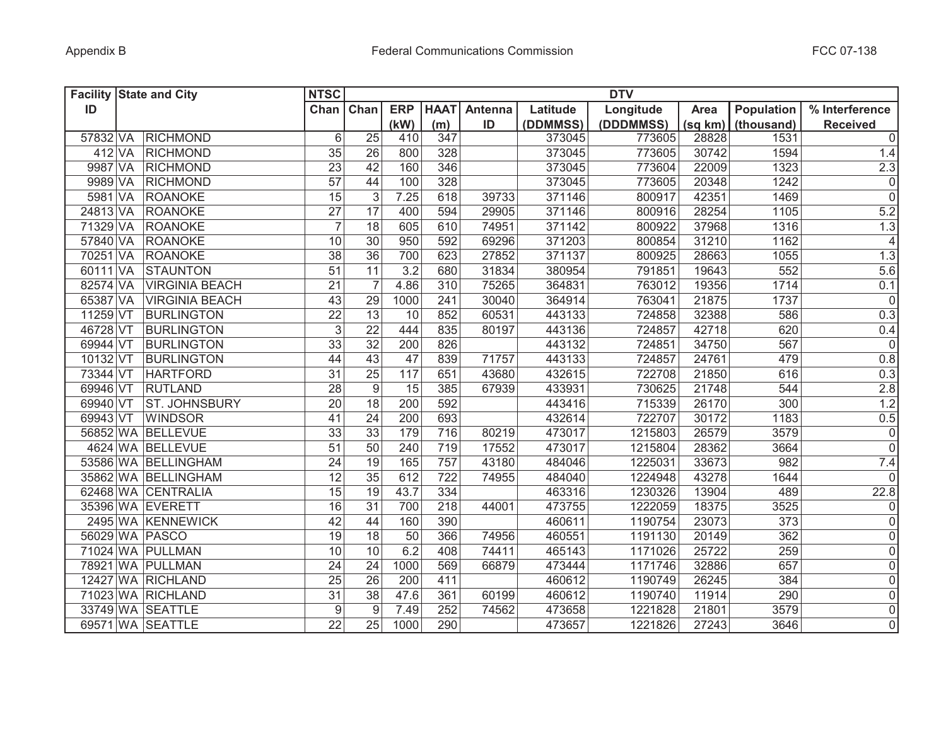| <b>Facility State and City</b> |                       | <b>NTSC</b>     |                 |                  |             |         |          | <b>DTV</b> |         |            |                 |
|--------------------------------|-----------------------|-----------------|-----------------|------------------|-------------|---------|----------|------------|---------|------------|-----------------|
| ID                             |                       | Chan            | Chan            | <b>ERP</b>       | <b>HAAT</b> | Antenna | Latitude | Longitude  | Area    | Population | % Interference  |
|                                |                       |                 |                 | (kW)             | (m)         | ID      | (DDMMSS) | (DDDMMSS)  | (sq km) | (thousand) | <b>Received</b> |
| 57832 VA                       | RICHMOND              | 6               | 25              | 410              | 347         |         | 373045   | 773605     | 28828   | 1531       | $\overline{0}$  |
| 412 VA                         | <b>RICHMOND</b>       | 35              | 26              | 800              | 328         |         | 373045   | 773605     | 30742   | 1594       | 1.4             |
| 9987 VA                        | <b>RICHMOND</b>       | 23              | 42              | 160              | 346         |         | 373045   | 773604     | 22009   | 1323       | 2.3             |
| 9989 VA                        | <b>RICHMOND</b>       | 57              | 44              | 100              | 328         |         | 373045   | 773605     | 20348   | 1242       | $\overline{0}$  |
| 5981 VA                        | <b>ROANOKE</b>        | 15              | $\mathfrak{S}$  | 7.25             | 618         | 39733   | 371146   | 800917     | 42351   | 1469       | $\overline{0}$  |
| 24813 VA                       | <b>ROANOKE</b>        | 27              | 17              | 400              | 594         | 29905   | 371146   | 800916     | 28254   | 1105       | 5.2             |
| 71329 VA                       | <b>ROANOKE</b>        | $\overline{7}$  | 18              | 605              | 610         | 74951   | 371142   | 800922     | 37968   | 1316       | 1.3             |
| 57840 VA                       | <b>ROANOKE</b>        | 10              | $\overline{30}$ | 950              | 592         | 69296   | 371203   | 800854     | 31210   | 1162       | $\vert$         |
| 70251 VA                       | <b>ROANOKE</b>        | 38              | $\overline{36}$ | 700              | 623         | 27852   | 371137   | 800925     | 28663   | 1055       | 1.3             |
| 60111 VA                       | <b>STAUNTON</b>       | $\overline{51}$ | $\overline{11}$ | $\overline{3.2}$ | 680         | 31834   | 380954   | 791851     | 19643   | 552        | 5.6             |
| 82574 VA                       | <b>VIRGINIA BEACH</b> | $\overline{21}$ | $\overline{7}$  | 4.86             | 310         | 75265   | 364831   | 763012     | 19356   | 1714       | 0.1             |
| 65387 VA                       | <b>VIRGINIA BEACH</b> | 43              | 29              | 1000             | 241         | 30040   | 364914   | 763041     | 21875   | 1737       | $\overline{0}$  |
| 11259 VT                       | <b>BURLINGTON</b>     | $\overline{22}$ | $\overline{13}$ | 10               | 852         | 60531   | 443133   | 724858     | 32388   | 586        | 0.3             |
| 46728 VT                       | <b>BURLINGTON</b>     | $\mathfrak{S}$  | $\overline{22}$ | 444              | 835         | 80197   | 443136   | 724857     | 42718   | 620        | 0.4             |
| 69944 VT                       | <b>BURLINGTON</b>     | 33              | $\overline{32}$ | 200              | 826         |         | 443132   | 724851     | 34750   | 567        | $\overline{0}$  |
| 10132 VT                       | <b>BURLINGTON</b>     | 44              | 43              | 47               | 839         | 71757   | 443133   | 724857     | 24761   | 479        | 0.8             |
| 73344 VT                       | <b>HARTFORD</b>       | $\overline{31}$ | 25              | 117              | 651         | 43680   | 432615   | 722708     | 21850   | 616        | 0.3             |
| 69946 VT                       | RUTLAND               | $\overline{28}$ | $\overline{9}$  | 15               | 385         | 67939   | 433931   | 730625     | 21748   | 544        | 2.8             |
| 69940 VT                       | <b>ST. JOHNSBURY</b>  | 20              | $\overline{18}$ | 200              | 592         |         | 443416   | 715339     | 26170   | 300        | 1.2             |
| 69943 VT                       | <b>WINDSOR</b>        | $\overline{41}$ | $\overline{24}$ | 200              | 693         |         | 432614   | 722707     | 30172   | 1183       | 0.5             |
|                                | 56852 WA BELLEVUE     | 33              | 33              | 179              | 716         | 80219   | 473017   | 1215803    | 26579   | 3579       | 0               |
|                                | 4624 WA BELLEVUE      | 51              | 50              | 240              | 719         | 17552   | 473017   | 1215804    | 28362   | 3664       | $\overline{0}$  |
|                                | 53586 WA BELLINGHAM   | 24              | 19              | 165              | 757         | 43180   | 484046   | 1225031    | 33673   | 982        | 7.4             |
|                                | 35862 WA BELLINGHAM   | 12              | 35              | 612              | 722         | 74955   | 484040   | 1224948    | 43278   | 1644       | 0               |
|                                | 62468 WA CENTRALIA    | 15              | 19              | 43.7             | 334         |         | 463316   | 1230326    | 13904   | 489        | 22.8            |
|                                | 35396 WA EVERETT      | 16              | 31              | 700              | 218         | 44001   | 473755   | 1222059    | 18375   | 3525       | 0               |
|                                | 2495 WA KENNEWICK     | 42              | 44              | 160              | 390         |         | 460611   | 1190754    | 23073   | 373        | $\overline{0}$  |
| 56029 WA PASCO                 |                       | 19              | 18              | 50               | 366         | 74956   | 460551   | 1191130    | 20149   | 362        | 0               |
|                                | 71024 WA PULLMAN      | 10              | 10              | 6.2              | 408         | 74411   | 465143   | 1171026    | 25722   | 259        | 0               |
|                                | 78921 WA PULLMAN      | 24              | 24              | 1000             | 569         | 66879   | 473444   | 1171746    | 32886   | 657        | $\overline{0}$  |
|                                | 12427 WA RICHLAND     | 25              | 26              | 200              | 411         |         | 460612   | 1190749    | 26245   | 384        | 0               |
|                                | 71023 WA RICHLAND     | 31              | 38              | 47.6             | 361         | 60199   | 460612   | 1190740    | 11914   | 290        | 0               |
|                                | 33749 WA SEATTLE      | 9               | 9               | 7.49             | 252         | 74562   | 473658   | 1221828    | 21801   | 3579       | 0               |
|                                | 69571 WA SEATTLE      | 22              | 25              | 1000             | 290         |         | 473657   | 1221826    | 27243   | 3646       | $\overline{0}$  |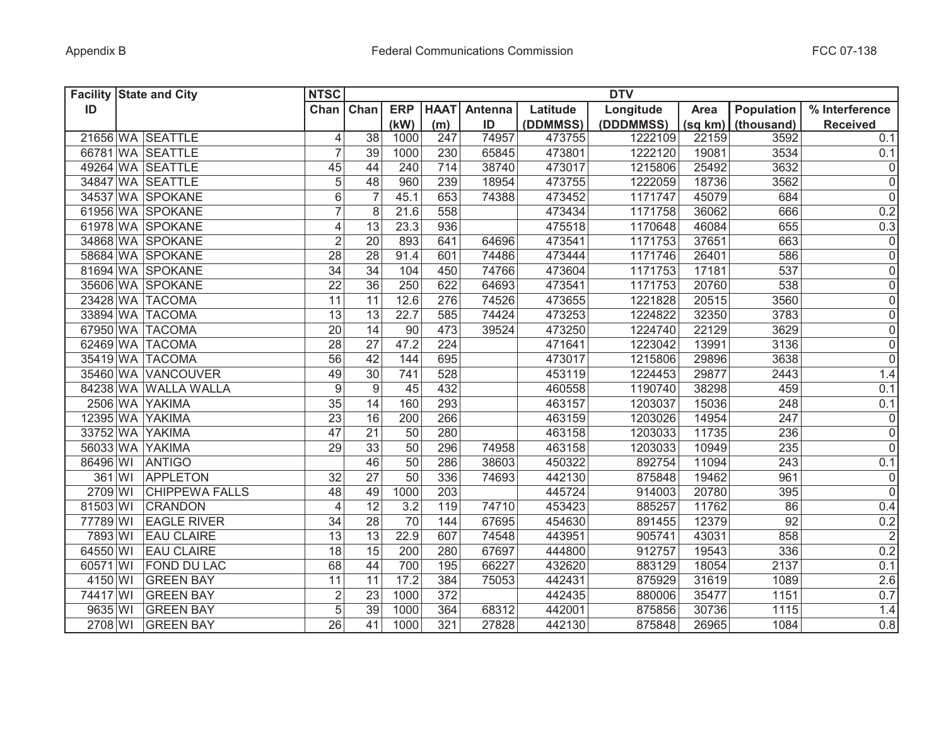| <b>Facility State and City</b> |                       | <b>NTSC</b>              |                 |            |                  |                |          | <b>DTV</b> |         |                   |                     |
|--------------------------------|-----------------------|--------------------------|-----------------|------------|------------------|----------------|----------|------------|---------|-------------------|---------------------|
| ID                             |                       | Chan Chan                |                 | <b>ERP</b> | <b>HAAT</b>      | <b>Antenna</b> | Latitude | Longitude  | Area    | <b>Population</b> | % Interference      |
|                                |                       |                          |                 | (kW)       | (m)              | ID             | (DDMMSS) | (DDDMMSS)  | (sq km) | (thousand)        | <b>Received</b>     |
|                                | 21656 WA SEATTLE      | 4                        | 38              | 1000       | 247              | 74957          | 473755   | 1222109    | 22159   | 3592              | 0.1                 |
|                                | 66781 WA SEATTLE      | 7                        | 39              | 1000       | 230              | 65845          | 473801   | 1222120    | 19081   | 3534              | 0.1                 |
|                                | 49264 WA SEATTLE      | 45                       | 44              | 240        | 714              | 38740          | 473017   | 1215806    | 25492   | 3632              | $\boldsymbol{0}$    |
|                                | 34847 WA SEATTLE      | 5                        | 48              | 960        | 239              | 18954          | 473755   | 1222059    | 18736   | 3562              | $\mathbf 0$         |
|                                | 34537 WA SPOKANE      | $6\,$                    | $\overline{7}$  | 45.1       | 653              | 74388          | 473452   | 1171747    | 45079   | 684               | $\overline{0}$      |
|                                | 61956 WA SPOKANE      | $\overline{7}$           | 8               | 21.6       | 558              |                | 473434   | 1171758    | 36062   | 666               | 0.2                 |
|                                | 61978 WA SPOKANE      | $\overline{\mathcal{L}}$ | 13              | 23.3       | 936              |                | 475518   | 1170648    | 46084   | 655               | 0.3                 |
|                                | 34868 WA SPOKANE      | $\overline{2}$           | 20              | 893        | 641              | 64696          | 473541   | 1171753    | 37651   | 663               | $\mathbf 0$         |
|                                | 58684 WA SPOKANE      | 28                       | 28              | 91.4       | 601              | 74486          | 473444   | 1171746    | 26401   | 586               | $\overline{0}$      |
|                                | 81694 WA SPOKANE      | $\overline{34}$          | $\overline{34}$ | 104        | 450              | 74766          | 473604   | 1171753    | 17181   | 537               | $\overline{0}$      |
|                                | 35606 WA SPOKANE      | $\overline{22}$          | 36              | 250        | 622              | 64693          | 473541   | 1171753    | 20760   | 538               | $\overline{0}$      |
| 23428 WA TACOMA                |                       | 11                       | 11              | 12.6       | 276              | 74526          | 473655   | 1221828    | 20515   | 3560              | $\overline{0}$      |
| 33894 WA TACOMA                |                       | 13                       | 13              | 22.7       | 585              | 74424          | 473253   | 1224822    | 32350   | 3783              | $\overline{0}$      |
| 67950 WA TACOMA                |                       | 20                       | 14              | 90         | 473              | 39524          | 473250   | 1224740    | 22129   | 3629              | $\overline{0}$      |
| 62469 WA TACOMA                |                       | $\overline{28}$          | 27              | 47.2       | $\overline{224}$ |                | 471641   | 1223042    | 13991   | 3136              | $\overline{0}$      |
| 35419 WA TACOMA                |                       | $\overline{56}$          | 42              | 144        | 695              |                | 473017   | 1215806    | 29896   | 3638              | $\overline{0}$      |
|                                | 35460 WA VANCOUVER    | 49                       | 30              | 741        | 528              |                | 453119   | 1224453    | 29877   | 2443              | 1.4                 |
|                                | 84238 WA WALLA WALLA  | $\boldsymbol{9}$         | 9               | 45         | 432              |                | 460558   | 1190740    | 38298   | 459               | 0.1                 |
| 2506 WA YAKIMA                 |                       | $\overline{35}$          | 14              | 160        | 293              |                | 463157   | 1203037    | 15036   | 248               | 0.1                 |
| 12395 WA YAKIMA                |                       | $\overline{23}$          | 16              | 200        | 266              |                | 463159   | 1203026    | 14954   | $\overline{247}$  | $\mathsf{O}\xspace$ |
| 33752 WA YAKIMA                |                       | 47                       | 21              | 50         | 280              |                | 463158   | 1203033    | 11735   | 236               | $\overline{0}$      |
| 56033 WA YAKIMA                |                       | 29                       | 33              | 50         | 296              | 74958          | 463158   | 1203033    | 10949   | 235               | $\overline{0}$      |
| 86496 WI                       | ANTIGO                |                          | 46              | 50         | 286              | 38603          | 450322   | 892754     | 11094   | 243               | 0.1                 |
| 361 WI                         | <b>APPLETON</b>       | 32                       | 27              | 50         | 336              | 74693          | 442130   | 875848     | 19462   | 961               | $\boldsymbol{0}$    |
| 2709 WI                        | <b>CHIPPEWA FALLS</b> | 48                       | 49              | 1000       | 203              |                | 445724   | 914003     | 20780   | 395               | $\overline{0}$      |
| 81503 WI                       | CRANDON               | $\overline{4}$           | 12              | 3.2        | 119              | 74710          | 453423   | 885257     | 11762   | 86                | 0.4                 |
| 77789 WI                       | <b>EAGLE RIVER</b>    | 34                       | 28              | 70         | 144              | 67695          | 454630   | 891455     | 12379   | 92                | 0.2                 |
| 7893 WI                        | <b>EAU CLAIRE</b>     | 13                       | 13              | 22.9       | 607              | 74548          | 443951   | 905741     | 43031   | 858               | $\overline{2}$      |
| 64550 WI                       | <b>EAU CLAIRE</b>     | 18                       | 15              | 200        | 280              | 67697          | 444800   | 912757     | 19543   | 336               | 0.2                 |
| 60571 WI                       | <b>FOND DU LAC</b>    | 68                       | 44              | 700        | 195              | 66227          | 432620   | 883129     | 18054   | 2137              | 0.1                 |
| 4150 WI                        | <b>GREEN BAY</b>      | 11                       | 11              | 17.2       | 384              | 75053          | 442431   | 875929     | 31619   | 1089              | 2.6                 |
| 74417 WI                       | <b>GREEN BAY</b>      | $\overline{2}$           | 23              | 1000       | 372              |                | 442435   | 880006     | 35477   | 1151              | 0.7                 |
| 9635 WI                        | <b>GREEN BAY</b>      | $\overline{5}$           | $\overline{39}$ | 1000       | 364              | 68312          | 442001   | 875856     | 30736   | 1115              | 1.4                 |
| 2708 WI                        | <b>GREEN BAY</b>      | 26                       | 41              | 1000       | 321              | 27828          | 442130   | 875848     | 26965   | 1084              | 0.8                 |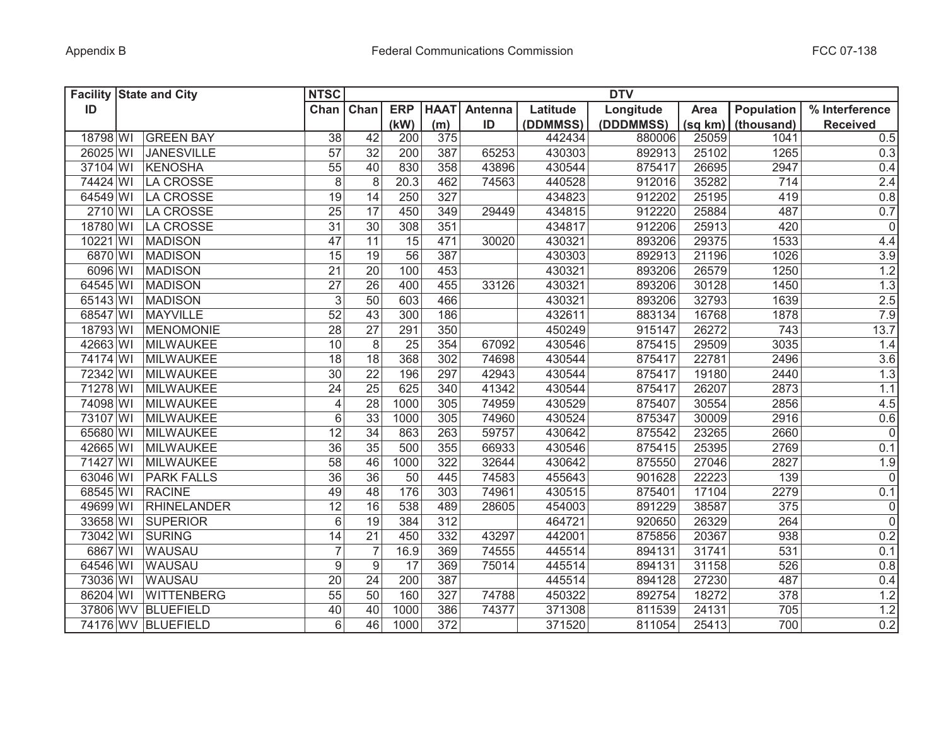|          | <b>Facility State and City</b> | <b>NTSC</b>     |                  |                 |                  |         |          | <b>DTV</b> |         |            |                 |
|----------|--------------------------------|-----------------|------------------|-----------------|------------------|---------|----------|------------|---------|------------|-----------------|
| ID       |                                | Chan            | Chan             | <b>ERP</b>      | <b>HAAT</b>      | Antenna | Latitude | Longitude  | Area    | Population | % Interference  |
|          |                                |                 |                  | (kW)            | (m)              | ID      | (DDMMSS) | (DDDMMSS)  | (sq km) | (thousand) | <b>Received</b> |
| 18798 WI | <b>GREEN BAY</b>               | 38              | 42               | 200             | 375              |         | 442434   | 880006     | 25059   | 1041       | 0.5             |
| 26025 WI | <b>JANESVILLE</b>              | 57              | 32               | 200             | 387              | 65253   | 430303   | 892913     | 25102   | 1265       | 0.3             |
| 37104 WI | <b>KENOSHA</b>                 | $\overline{55}$ | 40               | 830             | 358              | 43896   | 430544   | 875417     | 26695   | 2947       | 0.4             |
| 74424 WI | LA CROSSE                      | $\,8\,$         | 8                | 20.3            | 462              | 74563   | 440528   | 912016     | 35282   | 714        | 2.4             |
| 64549 WI | LA CROSSE                      | 19              | 14               | 250             | 327              |         | 434823   | 912202     | 25195   | 419        | 0.8             |
| 2710 WI  | LA CROSSE                      | 25              | 17               | 450             | 349              | 29449   | 434815   | 912220     | 25884   | 487        | 0.7             |
| 18780 WI | LA CROSSE                      | $\overline{31}$ | $\overline{30}$  | 308             | 351              |         | 434817   | 912206     | 25913   | 420        | $\overline{0}$  |
| 10221 WI | <b>MADISON</b>                 | 47              | $\overline{11}$  | 15              | 471              | 30020   | 430321   | 893206     | 29375   | 1533       | 4.4             |
| 6870 WI  | <b>MADISON</b>                 | $\overline{15}$ | $\overline{19}$  | 56              | 387              |         | 430303   | 892913     | 21196   | 1026       | 3.9             |
| 6096 WI  | <b>MADISON</b>                 | $\overline{21}$ | $\overline{20}$  | 100             | 453              |         | 430321   | 893206     | 26579   | 1250       | 1.2             |
| 64545 WI | <b>MADISON</b>                 | $\overline{27}$ | 26               | 400             | 455              | 33126   | 430321   | 893206     | 30128   | 1450       | 1.3             |
| 65143 WI | <b>MADISON</b>                 | $\mathfrak{S}$  | 50               | 603             | 466              |         | 430321   | 893206     | 32793   | 1639       | 2.5             |
| 68547 WI | MAYVILLE                       | $\overline{52}$ | 43               | 300             | 186              |         | 432611   | 883134     | 16768   | 1878       | 7.9             |
| 18793 WI | MENOMONIE                      | $\overline{28}$ | $\overline{27}$  | 291             | 350              |         | 450249   | 915147     | 26272   | 743        | 13.7            |
| 42663 WI | MILWAUKEE                      | 10              | $\overline{8}$   | $\overline{25}$ | 354              | 67092   | 430546   | 875415     | 29509   | 3035       | 1.4             |
| 74174 WI | MILWAUKEE                      | $\overline{18}$ | $\overline{18}$  | 368             | 302              | 74698   | 430544   | 875417     | 22781   | 2496       | 3.6             |
| 72342 WI | MILWAUKEE                      | $\overline{30}$ | $\overline{22}$  | 196             | 297              | 42943   | 430544   | 875417     | 19180   | 2440       | 1.3             |
| 71278 WI | MILWAUKEE                      | $\overline{24}$ | $\overline{25}$  | 625             | 340              | 41342   | 430544   | 875417     | 26207   | 2873       | 1.1             |
| 74098 WI | MILWAUKEE                      | $\overline{4}$  | 28               | 1000            | 305              | 74959   | 430529   | 875407     | 30554   | 2856       | 4.5             |
| 73107 WI | MILWAUKEE                      | 6               | $\overline{33}$  | 1000            | 305              | 74960   | 430524   | 875347     | 30009   | 2916       | 0.6             |
| 65680 WI | MILWAUKEE                      | 12              | 34               | 863             | 263              | 59757   | 430642   | 875542     | 23265   | 2660       | 0               |
| 42665 WI | <b>MILWAUKEE</b>               | 36              | 35               | 500             | 355              | 66933   | 430546   | 875415     | 25395   | 2769       | 0.1             |
| 71427 WI | <b>MILWAUKEE</b>               | 58              | 46               | 1000            | 322              | 32644   | 430642   | 875550     | 27046   | 2827       | 1.9             |
| 63046 WI | <b>PARK FALLS</b>              | 36              | 36               | 50              | 445              | 74583   | 455643   | 901628     | 22223   | 139        | 0               |
| 68545 WI | <b>RACINE</b>                  | 49              | 48               | 176             | 303              | 74961   | 430515   | 875401     | 17104   | 2279       | 0.1             |
| 49699 WI | <b>RHINELANDER</b>             | 12              | 16               | 538             | 489              | 28605   | 454003   | 891229     | 38587   | 375        | 0               |
| 33658 WI | <b>SUPERIOR</b>                | 6               | 19               | 384             | 312              |         | 464721   | 920650     | 26329   | 264        | 0               |
| 73042 WI | SURING                         | 14              | $\overline{21}$  | 450             | 332              | 43297   | 442001   | 875856     | 20367   | 938        | 0.2             |
| 6867 WI  | <b>WAUSAU</b>                  | $\overline{7}$  | $\overline{7}$   | 16.9            | 369              | 74555   | 445514   | 894131     | 31741   | 531        | 0.1             |
| 64546 WI | <b>WAUSAU</b>                  | $9\,$           | $\boldsymbol{9}$ | 17              | 369              | 75014   | 445514   | 894131     | 31158   | 526        | 0.8             |
| 73036 WI | <b>WAUSAU</b>                  | 20              | 24               | 200             | 387              |         | 445514   | 894128     | 27230   | 487        | 0.4             |
| 86204 WI | <b>WITTENBERG</b>              | 55              | 50               | 160             | 327              | 74788   | 450322   | 892754     | 18272   | 378        | 1.2             |
|          | 37806 WV BLUEFIELD             | 40              | 40               | 1000            | 386              | 74377   | 371308   | 811539     | 24131   | 705        | 1.2             |
|          | 74176 WV BLUEFIELD             | 6               | 46               | 1000            | $\overline{372}$ |         | 371520   | 811054     | 25413   | 700        | 0.2             |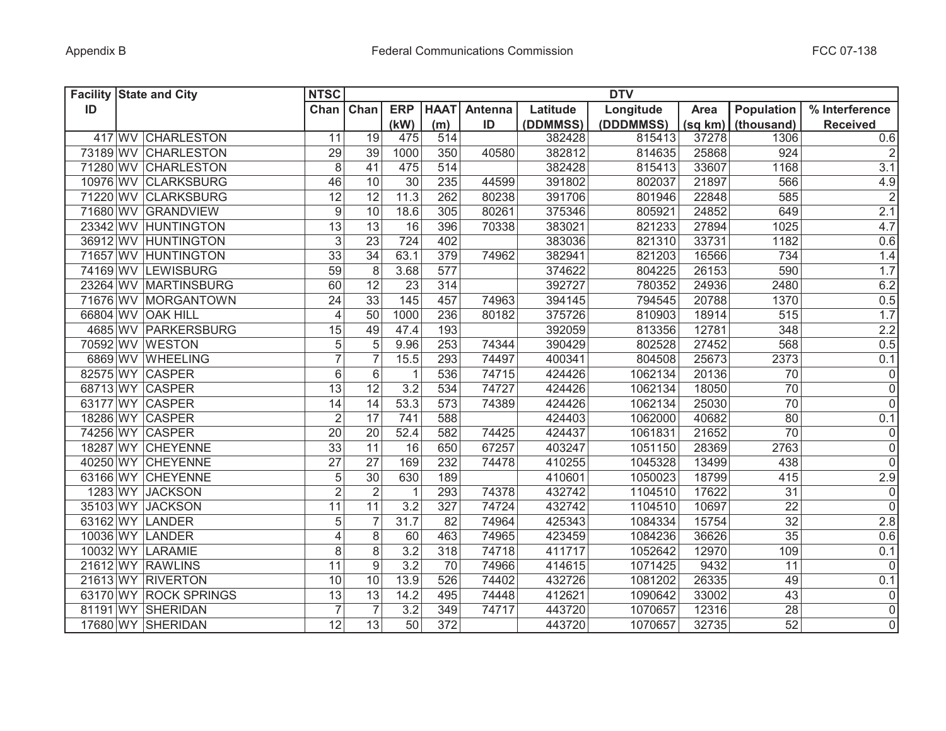| <b>Facility State and City</b> |                       | <b>NTSC</b>             |                 |                   |                  |         |          | <b>DTV</b> |         |                 |                 |
|--------------------------------|-----------------------|-------------------------|-----------------|-------------------|------------------|---------|----------|------------|---------|-----------------|-----------------|
| ID                             |                       | Chan                    | Chan            | <b>ERP</b>        | <b>HAAT</b>      | Antenna | Latitude | Longitude  | Area    | Population      | % Interference  |
|                                |                       |                         |                 | (kW)              | (m)              | ID      | (DDMMSS) | (DDDMMSS)  | (sq km) | (thousand)      | <b>Received</b> |
|                                | 417 WV CHARLESTON     | 11                      | 19              | 475               | 514              |         | 382428   | 815413     | 37278   | 1306            | 0.6             |
|                                | 73189 WV CHARLESTON   | 29                      | 39              | 1000              | 350              | 40580   | 382812   | 814635     | 25868   | 924             | $\vert$ 2       |
|                                | 71280 WV CHARLESTON   | 8                       | 41              | 475               | 514              |         | 382428   | 815413     | 33607   | 1168            | 3.1             |
|                                | 10976 WV CLARKSBURG   | 46                      | 10              | 30                | 235              | 44599   | 391802   | 802037     | 21897   | 566             | 4.9             |
|                                | 71220 WV CLARKSBURG   | 12                      | 12              | 11.3              | 262              | 80238   | 391706   | 801946     | 22848   | 585             | $\overline{2}$  |
|                                | 71680 WV GRANDVIEW    | $\boldsymbol{9}$        | 10              | 18.6              | 305              | 80261   | 375346   | 805921     | 24852   | 649             | 2.1             |
|                                | 23342 WV HUNTINGTON   | 13                      | 13              | 16                | 396              | 70338   | 383021   | 821233     | 27894   | 1025            | 4.7             |
|                                | 36912 WV HUNTINGTON   | $\mathfrak{S}$          | 23              | 724               | 402              |         | 383036   | 821310     | 33731   | 1182            | 0.6             |
|                                | 71657 WV HUNTINGTON   | $\overline{33}$         | $\overline{34}$ | 63.1              | 379              | 74962   | 382941   | 821203     | 16566   | 734             | 1.4             |
|                                | 74169 WV LEWISBURG    | 59                      | 8               | 3.68              | 577              |         | 374622   | 804225     | 26153   | 590             | 1.7             |
|                                | 23264 WV MARTINSBURG  | 60                      | 12              | 23                | 314              |         | 392727   | 780352     | 24936   | 2480            | 6.2             |
|                                | 71676 WV MORGANTOWN   | $\overline{24}$         | $\overline{33}$ | $\frac{145}{145}$ | 457              | 74963   | 394145   | 794545     | 20788   | 1370            | 0.5             |
|                                | 66804 WV OAK HILL     | $\overline{4}$          | 50              | 1000              | 236              | 80182   | 375726   | 810903     | 18914   | 515             | 1.7             |
|                                | 4685 WV PARKERSBURG   | 15                      | 49              | 47.4              | 193              |         | 392059   | 813356     | 12781   | 348             | 2.2             |
|                                | 70592 WV WESTON       | 5                       | 5               | 9.96              | 253              | 74344   | 390429   | 802528     | 27452   | 568             | 0.5             |
|                                | 6869 WV WHEELING      | $\overline{7}$          | $\overline{7}$  | 15.5              | 293              | 74497   | 400341   | 804508     | 25673   | 2373            | 0.1             |
| 82575 WY CASPER                |                       | 6                       | $6\phantom{1}$  | $\mathbf 1$       | 536              | 74715   | 424426   | 1062134    | 20136   | $\overline{70}$ | $\overline{0}$  |
| 68713 WY CASPER                |                       | 13                      | $\overline{12}$ | $\overline{3.2}$  | 534              | 74727   | 424426   | 1062134    | 18050   | $\overline{70}$ | $\overline{0}$  |
| 63177 WY CASPER                |                       | 14                      | 14              | 53.3              | 573              | 74389   | 424426   | 1062134    | 25030   | 70              | $\overline{0}$  |
|                                | 18286 WY CASPER       | $\overline{2}$          | $\overline{17}$ | $\overline{741}$  | 588              |         | 424403   | 1062000    | 40682   | $\overline{80}$ | 0.1             |
| 74256 WY CASPER                |                       | 20                      | 20              | 52.4              | 582              | 74425   | 424437   | 1061831    | 21652   | 70              | 0               |
|                                | 18287 WY CHEYENNE     | 33                      | 11              | 16                | 650              | 67257   | 403247   | 1051150    | 28369   | 2763            | 0               |
|                                | 40250 WY CHEYENNE     | 27                      | 27              | 169               | 232              | 74478   | 410255   | 1045328    | 13499   | 438             | 0               |
|                                | 63166 WY CHEYENNE     | 5                       | 30              | 630               | 189              |         | 410601   | 1050023    | 18799   | 415             | 2.9             |
|                                | 1283 WY JACKSON       | $\overline{2}$          | $\overline{2}$  | $\mathbf{1}$      | 293              | 74378   | 432742   | 1104510    | 17622   | 31              | 0               |
|                                | 35103 WY JACKSON      | 11                      | 11              | 3.2               | 327              | 74724   | 432742   | 1104510    | 10697   | 22              | 0               |
| 63162 WY LANDER                |                       | 5                       | $\overline{7}$  | 31.7              | 82               | 74964   | 425343   | 1084334    | 15754   | 32              | 2.8             |
| 10036 WY LANDER                |                       | $\overline{\mathbf{4}}$ | $\,8\,$         | 60                | 463              | 74965   | 423459   | 1084236    | 36626   | 35              | 0.6             |
|                                | 10032 WY LARAMIE      | 8                       | $\,8\,$         | 3.2               | 318              | 74718   | 411717   | 1052642    | 12970   | 109             | 0.1             |
|                                | 21612 WY RAWLINS      | 11                      | 9               | 3.2               | 70               | 74966   | 414615   | 1071425    | 9432    | 11              | $\overline{0}$  |
|                                | 21613 WY RIVERTON     | 10                      | 10              | 13.9              | 526              | 74402   | 432726   | 1081202    | 26335   | 49              | 0.1             |
|                                | 63170 WY ROCK SPRINGS | 13                      | 13              | 14.2              | 495              | 74448   | 412621   | 1090642    | 33002   | 43              | $\overline{0}$  |
|                                | 81191 WY SHERIDAN     | $\overline{7}$          | $\overline{7}$  | 3.2               | 349              | 74717   | 443720   | 1070657    | 12316   | $\overline{28}$ | $\overline{0}$  |
|                                | 17680 WY SHERIDAN     | $\overline{12}$         | $\overline{13}$ | $\overline{50}$   | $\overline{372}$ |         | 443720   | 1070657    | 32735   | 52              | $\overline{0}$  |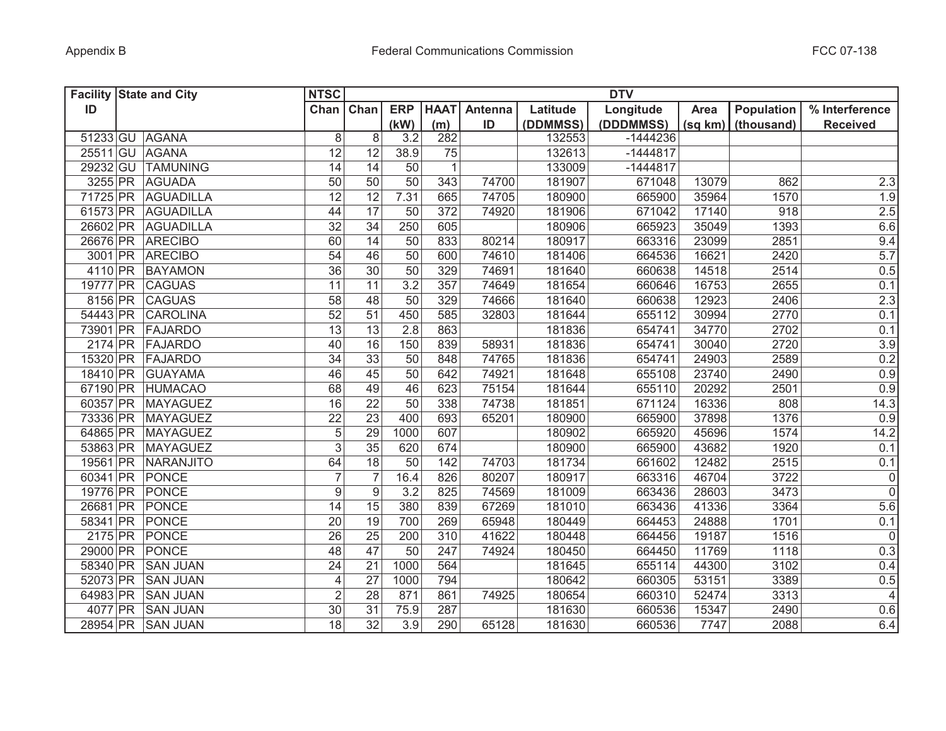|           | <b>Facility State and City</b> | <b>NTSC</b>     |                  |                 |              |         |          | <b>DTV</b> |         |            |                 |
|-----------|--------------------------------|-----------------|------------------|-----------------|--------------|---------|----------|------------|---------|------------|-----------------|
| ID        |                                | Chan            | Chan             | <b>ERP</b>      | <b>HAAT</b>  | Antenna | Latitude | Longitude  | Area    | Population | % Interference  |
|           |                                |                 |                  | (kW)            | (m)          | ID      | (DDMMSS) | (DDDMMSS)  | (sq km) | (thousand) | <b>Received</b> |
|           | 51233 GU AGANA                 | 8               | 8                | 3.2             | 282          |         | 132553   | $-1444236$ |         |            |                 |
|           | 25511 GU AGANA                 | 12              | 12               | 38.9            | 75           |         | 132613   | $-1444817$ |         |            |                 |
| 29232 GU  | <b>TAMUNING</b>                | 14              | 14               | 50              | $\mathbf{1}$ |         | 133009   | $-1444817$ |         |            |                 |
|           | 3255 PR AGUADA                 | 50              | 50               | 50              | 343          | 74700   | 181907   | 671048     | 13079   | 862        | 2.3             |
|           | 71725 PR AGUADILLA             | $\overline{12}$ | $\overline{12}$  | 7.31            | 665          | 74705   | 180900   | 665900     | 35964   | 1570       | 1.9             |
| 61573 PR  | AGUADILLA                      | 44              | 17               | 50              | 372          | 74920   | 181906   | 671042     | 17140   | 918        | 2.5             |
|           | 26602 PR AGUADILLA             | 32              | 34               | 250             | 605          |         | 180906   | 665923     | 35049   | 1393       | 6.6             |
|           | 26676 PR ARECIBO               | 60              | 14               | 50              | 833          | 80214   | 180917   | 663316     | 23099   | 2851       | 9.4             |
|           | 3001 PR ARECIBO                | 54              | 46               | $\overline{50}$ | 600          | 74610   | 181406   | 664536     | 16621   | 2420       | 5.7             |
|           | 4110 PR BAYAMON                | 36              | 30               | 50              | 329          | 74691   | 181640   | 660638     | 14518   | 2514       | 0.5             |
|           | 19777 PR CAGUAS                | $\overline{11}$ | $\overline{11}$  | 3.2             | 357          | 74649   | 181654   | 660646     | 16753   | 2655       | 0.1             |
|           | 8156 PR CAGUAS                 | $\overline{58}$ | 48               | $\overline{50}$ | 329          | 74666   | 181640   | 660638     | 12923   | 2406       | 2.3             |
|           | 54443 PR CAROLINA              | $\overline{52}$ | 51               | 450             | 585          | 32803   | 181644   | 655112     | 30994   | 2770       | 0.1             |
|           | 73901 PR FAJARDO               | 13              | 13               | 2.8             | 863          |         | 181836   | 654741     | 34770   | 2702       | 0.1             |
|           | 2174 PR FAJARDO                | 40              | 16               | 150             | 839          | 58931   | 181836   | 654741     | 30040   | 2720       | 3.9             |
|           | 15320 PR FAJARDO               | $\overline{34}$ | 33               | $\overline{50}$ | 848          | 74765   | 181836   | 654741     | 24903   | 2589       | 0.2             |
|           | 18410 PR GUAYAMA               | 46              | 45               | $\overline{50}$ | 642          | 74921   | 181648   | 655108     | 23740   | 2490       | 0.9             |
|           | 67190 PR HUMACAO               | 68              | 49               | 46              | 623          | 75154   | 181644   | 655110     | 20292   | 2501       | 0.9             |
| 60357 PR  | MAYAGUEZ                       | 16              | $\overline{22}$  | $\overline{50}$ | 338          | 74738   | 181851   | 671124     | 16336   | 808        | 14.3            |
| 73336 PR  | MAYAGUEZ                       | $\overline{22}$ | 23               | 400             | 693          | 65201   | 180900   | 665900     | 37898   | 1376       | 0.9             |
| 64865 PR  | MAYAGUEZ                       | 5               | 29               | 1000            | 607          |         | 180902   | 665920     | 45696   | 1574       | 14.2            |
| 53863 PR  | MAYAGUEZ                       | 3               | 35               | 620             | 674          |         | 180900   | 665900     | 43682   | 1920       | 0.1             |
| 19561 PR  | NARANJITO                      | 64              | 18               | 50              | 142          | 74703   | 181734   | 661602     | 12482   | 2515       | 0.1             |
| 60341 PR  | PONCE                          | $\overline{7}$  | $\overline{7}$   | 16.4            | 826          | 80207   | 180917   | 663316     | 46704   | 3722       | 0               |
| 19776 PR  | PONCE                          | 9               | $\boldsymbol{9}$ | 3.2             | 825          | 74569   | 181009   | 663436     | 28603   | 3473       | $\overline{0}$  |
| 26681 PR  | PONCE                          | 14              | 15               | 380             | 839          | 67269   | 181010   | 663436     | 41336   | 3364       | 5.6             |
| 58341 PR  | PONCE                          | 20              | 19               | 700             | 269          | 65948   | 180449   | 664453     | 24888   | 1701       | 0.1             |
| $2175$ PR | PONCE                          | 26              | 25               | 200             | 310          | 41622   | 180448   | 664456     | 19187   | 1516       | 0               |
| 29000 PR  | PONCE                          | 48              | 47               | 50              | 247          | 74924   | 180450   | 664450     | 11769   | 1118       | 0.3             |
| 58340 PR  | <b>SAN JUAN</b>                | 24              | $\overline{21}$  | 1000            | 564          |         | 181645   | 655114     | 44300   | 3102       | 0.4             |
| 52073 PR  | <b>SAN JUAN</b>                | $\overline{4}$  | 27               | 1000            | 794          |         | 180642   | 660305     | 53151   | 3389       | 0.5             |
| 64983 PR  | <b>SAN JUAN</b>                | $\overline{2}$  | 28               | 871             | 861          | 74925   | 180654   | 660310     | 52474   | 3313       | 4               |
|           | 4077 PR SAN JUAN               | 30              | $\overline{31}$  | 75.9            | 287          |         | 181630   | 660536     | 15347   | 2490       | 0.6             |
|           | 28954 PR SAN JUAN              | 18              | $\overline{32}$  | 3.9             | 290          | 65128   | 181630   | 660536     | 7747    | 2088       | 6.4             |